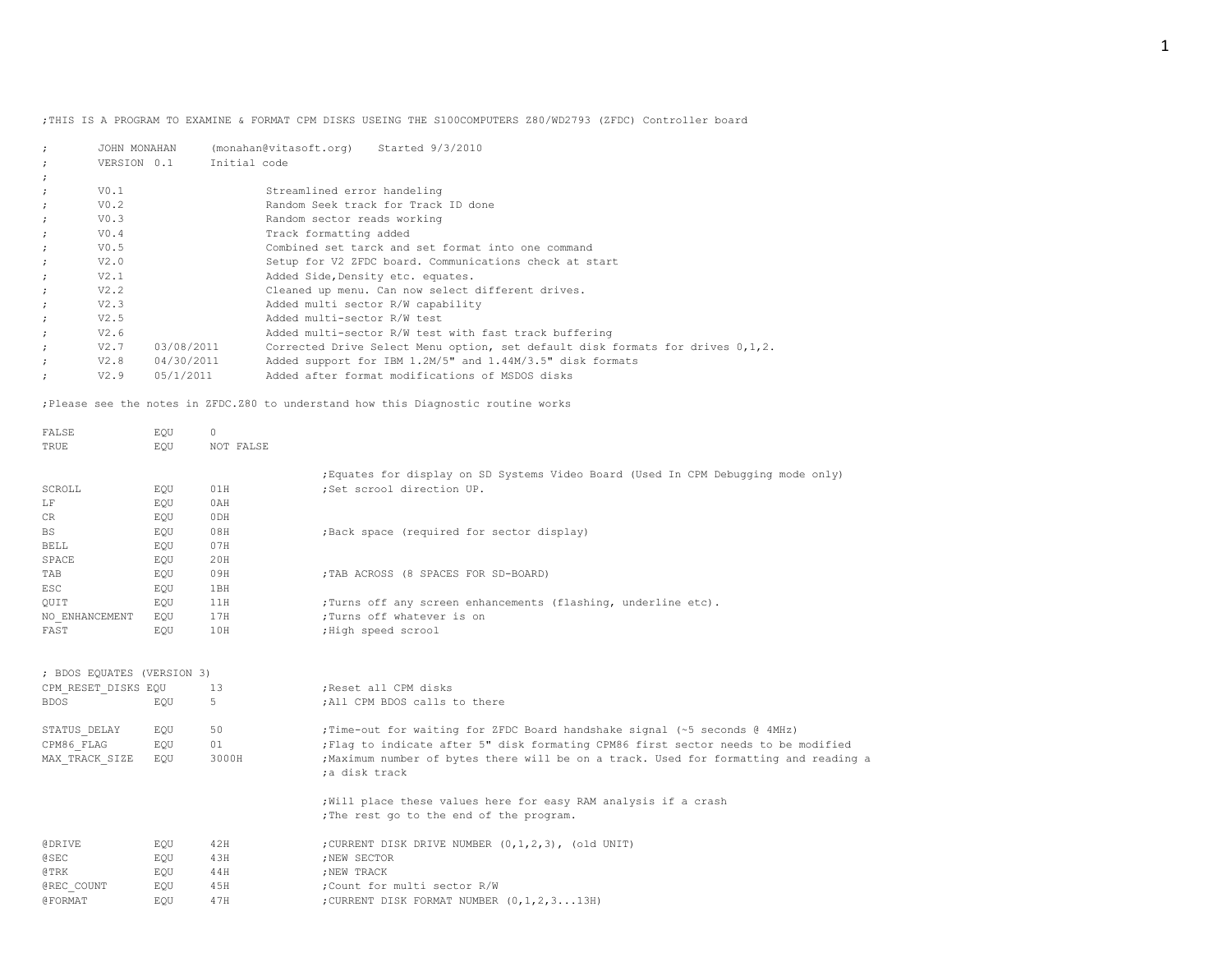;THIS IS A PROGRAM TO EXAMINE & FORMAT CPM DISKS USEING THE S100COMPUTERS Z80/WD2793 (ZFDC) Controller board

| JOHN MONAHAN       | (monahan@vitasoft.org)<br>Started 9/3/2010                                        |
|--------------------|-----------------------------------------------------------------------------------|
| VERSION 0.1        | Initial code                                                                      |
|                    |                                                                                   |
| V0.1               | Streamlined error handeling                                                       |
| V0.2               | Random Seek track for Track ID done                                               |
| V0.3               | Random sector reads working                                                       |
| V0.4               | Track formatting added                                                            |
| V0.5               | Combined set tarck and set format into one command                                |
| V2.0               | Setup for V2 ZFDC board. Communications check at start                            |
| V2.1               | Added Side, Density etc. equates.                                                 |
| V2.2               | Cleaned up menu. Can now select different drives.                                 |
| V2.3               | Added multi sector R/W capability                                                 |
| V2.5               | Added multi-sector R/W test                                                       |
| V2.6               | Added multi-sector R/W test with fast track buffering                             |
| V2.7<br>03/08/2011 | Corrected Drive Select Menu option, set default disk formats for drives $0,1,2$ . |
| 04/30/2011<br>V2.8 | Added support for IBM 1.2M/5" and 1.44M/3.5" disk formats                         |
| 05/1/2011<br>V2.9  | Added after format modifications of MSDOS disks                                   |
|                    |                                                                                   |

;Please see the notes in ZFDC.Z80 to understand how this Diagnostic routine works

| FALSE                      | EOU | 0         |                                                                                                                |
|----------------------------|-----|-----------|----------------------------------------------------------------------------------------------------------------|
| TRUE                       | EOU | NOT FALSE |                                                                                                                |
| SCROLL                     | EQU | 01H       | ; Equates for display on SD Systems Video Board (Used In CPM Debugging mode only)<br>;Set scrool direction UP. |
| LF                         | EQU | 0AH       |                                                                                                                |
| CR                         | EQU | 0DH       |                                                                                                                |
| <b>BS</b>                  | EQU | 08H       | ; Back space (required for sector display)                                                                     |
| <b>BELL</b>                | EQU | 07H       |                                                                                                                |
| SPACE                      | EOU | 20H       |                                                                                                                |
| TAB                        | EQU | 09H       | ; TAB ACROSS (8 SPACES FOR SD-BOARD)                                                                           |
| <b>ESC</b>                 | EQU | 1BH       |                                                                                                                |
| OUIT                       | EQU | 11H       | ; Turns off any screen enhancements (flashing, underline etc).                                                 |
| NO ENHANCEMENT             | EOU | 17H       | ; Turns off whatever is on                                                                                     |
| FAST                       | EQU | 10H       | ; High speed scrool                                                                                            |
|                            |     |           |                                                                                                                |
| ; BDOS EQUATES (VERSION 3) |     |           |                                                                                                                |
| CPM RESET DISKS EQU        |     | 13        | ; Reset all CPM disks                                                                                          |
| <b>BDOS</b>                | EQU | 5         | ; All CPM BDOS calls to there                                                                                  |
| STATUS DELAY               | EQU | 50        | ; Time-out for waiting for ZFDC Board handshake signal (~5 seconds @ 4MHz)                                     |
| CPM86 FLAG                 | EQU | 01        | ; Flaq to indicate after 5" disk formating CPM86 first sector needs to be modified                             |
| MAX TRACK SIZE             | EOU | 3000H     | ; Maximum number of bytes there will be on a track. Used for formatting and reading a                          |
|                            |     |           | ;a disk track                                                                                                  |
|                            |     |           | ; Will place these values here for easy RAM analysis if a crash                                                |
|                            |     |           | ; The rest go to the end of the program.                                                                       |
| <b>@DRIVE</b>              | EOU | 42H       | ; CURRENT DISK DRIVE NUMBER (0,1,2,3), (old UNIT)                                                              |
| <b>@SEC</b>                | EQU | 43H       | ; NEW SECTOR                                                                                                   |
| @TRK                       | EQU | 44H       | ; NEW TRACK                                                                                                    |
| @REC COUNT                 | EQU | 45H       | :Count for multi sector R/W                                                                                    |
| <b>@FORMAT</b>             | EOU | 47H       | ; CURRENT DISK FORMAT NUMBER (0, 1, 2, 3 13H)                                                                  |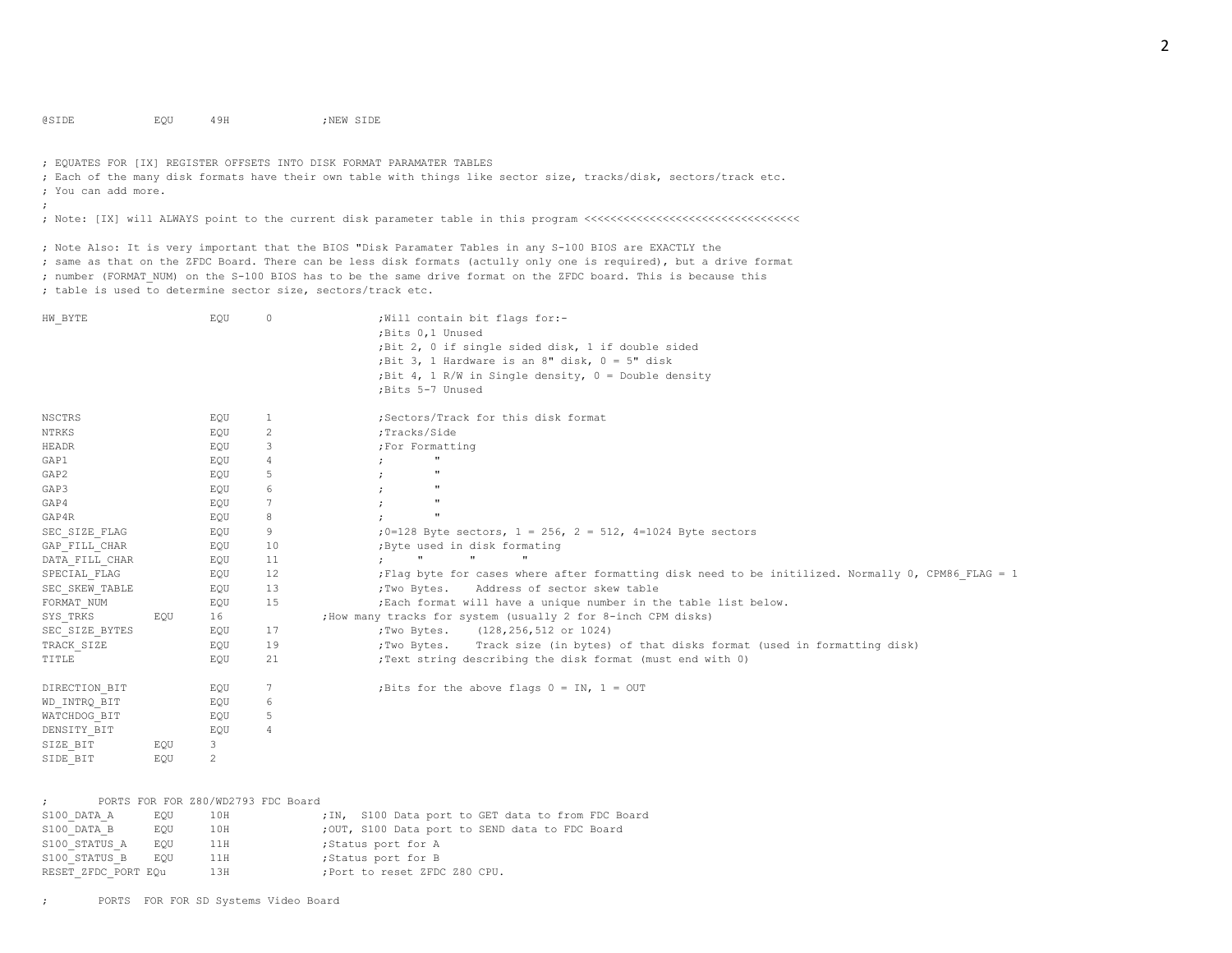@SIDE EQU 49H ;NEW SIDE

; EQUATES FOR [IX] REGISTER OFFSETS INTO DISK FORMAT PARAMATER TABLES

; Each of the many disk formats have their own table with things like sector size, tracks/disk, sectors/track etc. ; You can add more.

;

; Note: [IX] will ALWAYS point to the current disk parameter table in this program <<<<<<<<<<<<<<<<<<<<<<<<<<<<<<<<<

; Note Also: It is very important that the BIOS "Disk Paramater Tables in any S-100 BIOS are EXACTLY the ; same as that on the ZFDC Board. There can be less disk formats (actully only one is required), but a drive format ; number (FORMAT NUM) on the S-100 BIOS has to be the same drive format on the ZFDC board. This is because this ; table is used to determine sector size, sectors/track etc.

| HW BYTE        |     | EQU | $\circ$ | ; Will contain bit flags for:-<br>; Bits 0,1 Unused<br>;Bit 2, 0 if single sided disk, 1 if double sided<br>; Bit 3, 1 Hardware is an 8" disk, $0 = 5$ " disk<br>; Bit 4, 1 R/W in Single density, $0 =$ Double density<br>; Bits 5-7 Unused |
|----------------|-----|-----|---------|----------------------------------------------------------------------------------------------------------------------------------------------------------------------------------------------------------------------------------------------|
| NSCTRS         |     | EQU | 1       | ;Sectors/Track for this disk format                                                                                                                                                                                                          |
| NTRKS          |     | EQU | 2       | ;Tracks/Side                                                                                                                                                                                                                                 |
| HEADR          |     | EQU | 3       | ; For Formatting                                                                                                                                                                                                                             |
| GAP1           |     | EQU | 4       | $\pmb{\mathfrak{m}}$                                                                                                                                                                                                                         |
| GAP2           |     | EQU | 5       | $\mathbf{u}$                                                                                                                                                                                                                                 |
| GAP3           |     | EQU | 6       | $\mathbf{u}$                                                                                                                                                                                                                                 |
| GAP4           |     | EQU | 7       | $^{\prime}$                                                                                                                                                                                                                                  |
| GAP4R          |     | EQU | 8       | $^{\prime}$                                                                                                                                                                                                                                  |
| SEC_SIZE FLAG  |     | EQU | 9       | ; $0=128$ Byte sectors, $1 = 256$ , $2 = 512$ , $4=1024$ Byte sectors                                                                                                                                                                        |
| GAP FILL CHAR  |     | EQU | 10      | ; Byte used in disk formating                                                                                                                                                                                                                |
| DATA_FILL_CHAR |     | EQU | 11      | $\mathbf{H}$<br>$\mathbf{H}$<br>$\mathbf{H}$<br>$\mathcal{L}$                                                                                                                                                                                |
| SPECIAL FLAG   |     | EQU | 12      | Flaq byte for cases where after formatting disk need to be initilized. Normally 0, CPM86 FLAG = 1;                                                                                                                                           |
| SEC SKEW TABLE |     | EQU | 13      | Address of sector skew table<br>;Two Bytes.                                                                                                                                                                                                  |
| FORMAT NUM     |     | EQU | 15      | ; Each format will have a unique number in the table list below.                                                                                                                                                                             |
| SYS TRKS       | EOU | 16  |         | ; How many tracks for system (usually 2 for 8-inch CPM disks)                                                                                                                                                                                |
| SEC SIZE BYTES |     | EQU | 17      | ;Two Bytes. (128, 256, 512 or 1024)                                                                                                                                                                                                          |
| TRACK SIZE     |     | EQU | 19      | ; Two Bytes. Track size (in bytes) of that disks format (used in formatting disk)                                                                                                                                                            |
| TITLE          |     | EQU | 21      | ; Text string describing the disk format (must end with 0)                                                                                                                                                                                   |
| DIRECTION BIT  |     | EQU | 7       | ; Bits for the above flags $0 = IN$ , $1 = OUT$                                                                                                                                                                                              |
| WD INTRQ BIT   |     | EQU | 6       |                                                                                                                                                                                                                                              |
| WATCHDOG BIT   |     | EQU | 5       |                                                                                                                                                                                                                                              |
| DENSITY BIT    |     | EQU | 4       |                                                                                                                                                                                                                                              |
| SIZE BIT       | EQU | 3   |         |                                                                                                                                                                                                                                              |
| SIDE BIT       | EOU | 2   |         |                                                                                                                                                                                                                                              |

| $\mathbf{r}$ |                     |     | PORTS FOR FOR Z80/WD2793 FDC Board |  |                                                |  |  |  |  |                                                    |
|--------------|---------------------|-----|------------------------------------|--|------------------------------------------------|--|--|--|--|----------------------------------------------------|
|              | S100 DATA A         | EOU | 10H                                |  |                                                |  |  |  |  | ; IN, S100 Data port to GET data to from FDC Board |
|              | S100 DATA B         | EOU | 10H                                |  | ;OUT, S100 Data port to SEND data to FDC Board |  |  |  |  |                                                    |
|              | S100 STATUS A       | EOU | 11H                                |  | ;Status port for A                             |  |  |  |  |                                                    |
|              | S100 STATUS B       | EOU | 11H                                |  | ;Status port for B                             |  |  |  |  |                                                    |
|              | RESET ZFDC PORT EQu |     | 13H                                |  | ; Port to reset ZFDC Z80 CPU.                  |  |  |  |  |                                                    |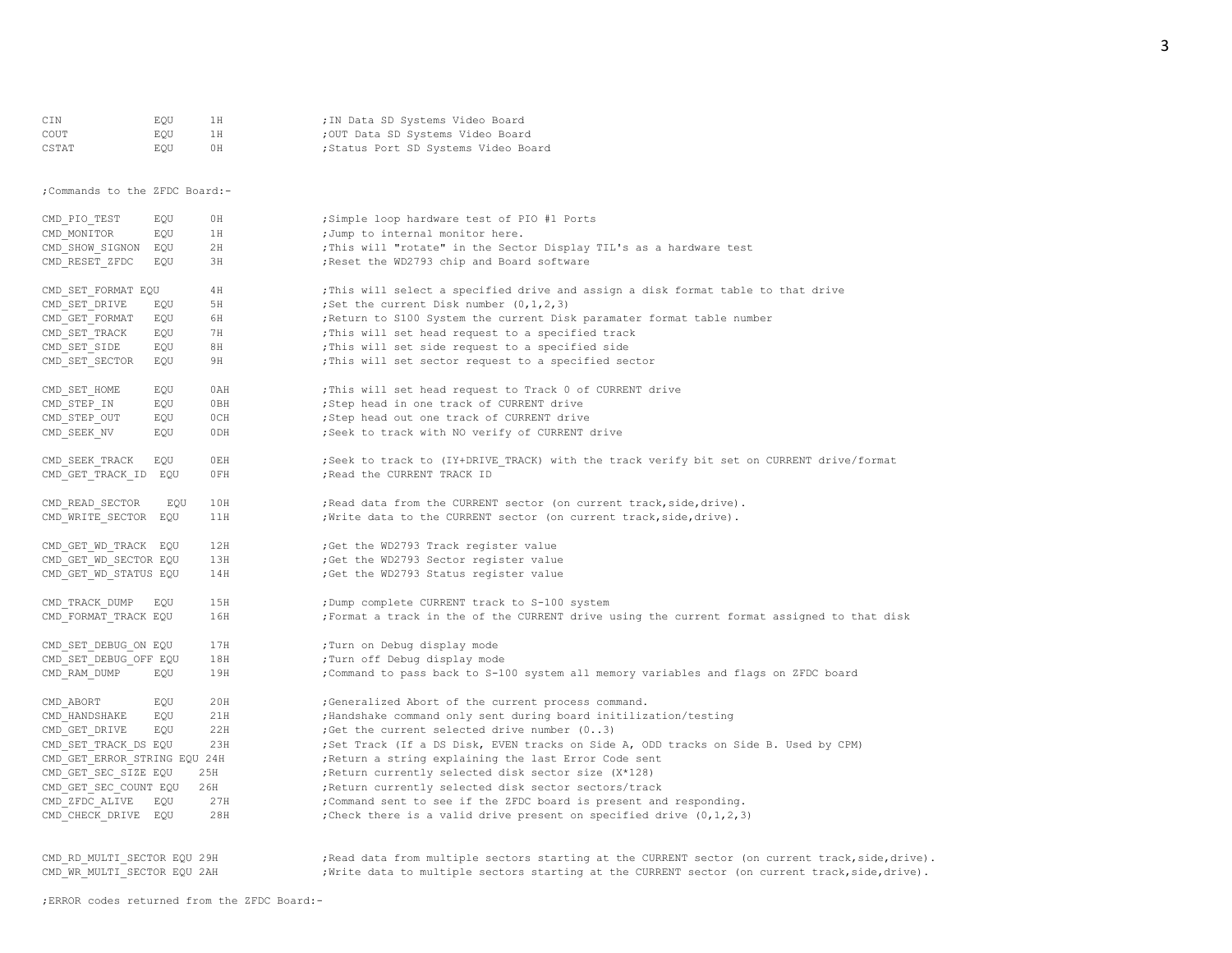| CIN                            | EQU | 1H  | ; IN Data SD Systems Video Board                                                                  |
|--------------------------------|-----|-----|---------------------------------------------------------------------------------------------------|
| COUT                           | EOU | 1H  | ; OUT Data SD Systems Video Board                                                                 |
| CSTAT                          | EQU | 0H  | ; Status Port SD Systems Video Board                                                              |
|                                |     |     |                                                                                                   |
| ; Commands to the ZFDC Board:- |     |     |                                                                                                   |
| CMD PIO TEST                   | EQU | 0H  | ;Simple loop hardware test of PIO #1 Ports                                                        |
| CMD MONITOR                    | EOU | 1H  | ; Jump to internal monitor here.                                                                  |
| CMD SHOW SIGNON EQU            |     | 2H  | ; This will "rotate" in the Sector Display TIL's as a hardware test                               |
| CMD RESET ZFDC                 | EQU | ЗH  | ; Reset the WD2793 chip and Board software                                                        |
| CMD SET FORMAT EQU             |     | 4H  | ; This will select a specified drive and assign a disk format table to that drive                 |
| CMD SET DRIVE                  | EQU | 5H  | ; Set the current Disk number $(0, 1, 2, 3)$                                                      |
| CMD GET FORMAT                 | EQU | 6H  | ; Return to S100 System the current Disk paramater format table number                            |
| CMD SET TRACK                  | EQU | 7H  | ; This will set head request to a specified track                                                 |
| CMD SET SIDE                   | EQU | 8H  | ; This will set side request to a specified side                                                  |
| CMD SET SECTOR                 | EOU | 9H  | ; This will set sector request to a specified sector                                              |
| CMD SET HOME                   | EQU | 0AH | ; This will set head request to Track 0 of CURRENT drive                                          |
| CMD STEP IN                    | EOU | 0BH | ;Step head in one track of CURRENT drive                                                          |
| CMD STEP OUT                   | EQU | 0CH | ; Step head out one track of CURRENT drive                                                        |
| CMD SEEK NV                    | EQU | 0DH | ; Seek to track with NO verify of CURRENT drive                                                   |
| CMD SEEK TRACK                 | EOU | OEH | ; Seek to track to (IY+DRIVE TRACK) with the track verify bit set on CURRENT drive/format         |
| CMD GET TRACK ID EQU           |     | 0FH | ; Read the CURRENT TRACK ID                                                                       |
| CMD READ SECTOR                | EQU | 10H | ; Read data from the CURRENT sector (on current track, side, drive).                              |
| CMD WRITE SECTOR EQU           |     | 11H | ; Write data to the CURRENT sector (on current track, side, drive).                               |
|                                |     |     |                                                                                                   |
| CMD GET WD TRACK EQU           |     | 12H | ; Get the WD2793 Track register value                                                             |
| CMD GET WD SECTOR EQU          |     | 13H | ;Get the WD2793 Sector register value                                                             |
| CMD GET WD STATUS EQU          |     | 14H | ;Get the WD2793 Status register value                                                             |
| CMD TRACK DUMP                 | EQU | 15H | ; Dump complete CURRENT track to S-100 system                                                     |
| CMD_FORMAT_TRACK EQU           |     | 16H | ; Format a track in the of the CURRENT drive using the current format assigned to that disk       |
| CMD SET DEBUG ON EQU           |     | 17H | ; Turn on Debug display mode                                                                      |
| CMD SET DEBUG OFF EQU          |     | 18H | ; Turn off Debug display mode                                                                     |
| CMD RAM DUMP                   | EQU | 19H | ; Command to pass back to S-100 system all memory variables and flags on ZFDC board               |
| CMD ABORT                      | EQU | 20H | ;Generalized Abort of the current process command.                                                |
| CMD HANDSHAKE                  | EQU | 21H | ; Handshake command only sent during board initilization/testing                                  |
| CMD GET DRIVE                  | EQU | 22H | ; Get the current selected drive number (03)                                                      |
| CMD SET TRACK DS EQU           |     | 23H | ;Set Track (If a DS Disk, EVEN tracks on Side A, ODD tracks on Side B. Used by CPM)               |
| CMD GET ERROR STRING EQU 24H   |     |     | ; Return a string explaining the last Error Code sent                                             |
| CMD GET SEC SIZE EQU           |     | 25H | ; Return currently selected disk sector size (X*128)                                              |
| CMD GET SEC COUNT EQU          |     | 26H | ; Return currently selected disk sector sectors/track                                             |
| CMD ZFDC ALIVE                 | EQU | 27H | ; Command sent to see if the ZFDC board is present and responding.                                |
| CMD CHECK DRIVE EQU            |     | 28H | ; Check there is a valid drive present on specified drive $(0, 1, 2, 3)$                          |
|                                |     |     |                                                                                                   |
| CMD RD MULTI SECTOR EQU 29H    |     |     | ; Read data from multiple sectors starting at the CURRENT sector (on current track, side, drive). |

CMD\_WR\_MULTI\_SECTOR EQU 2AH ;Write data to multiple sectors starting at the CURRENT sector (on current track,side,drive).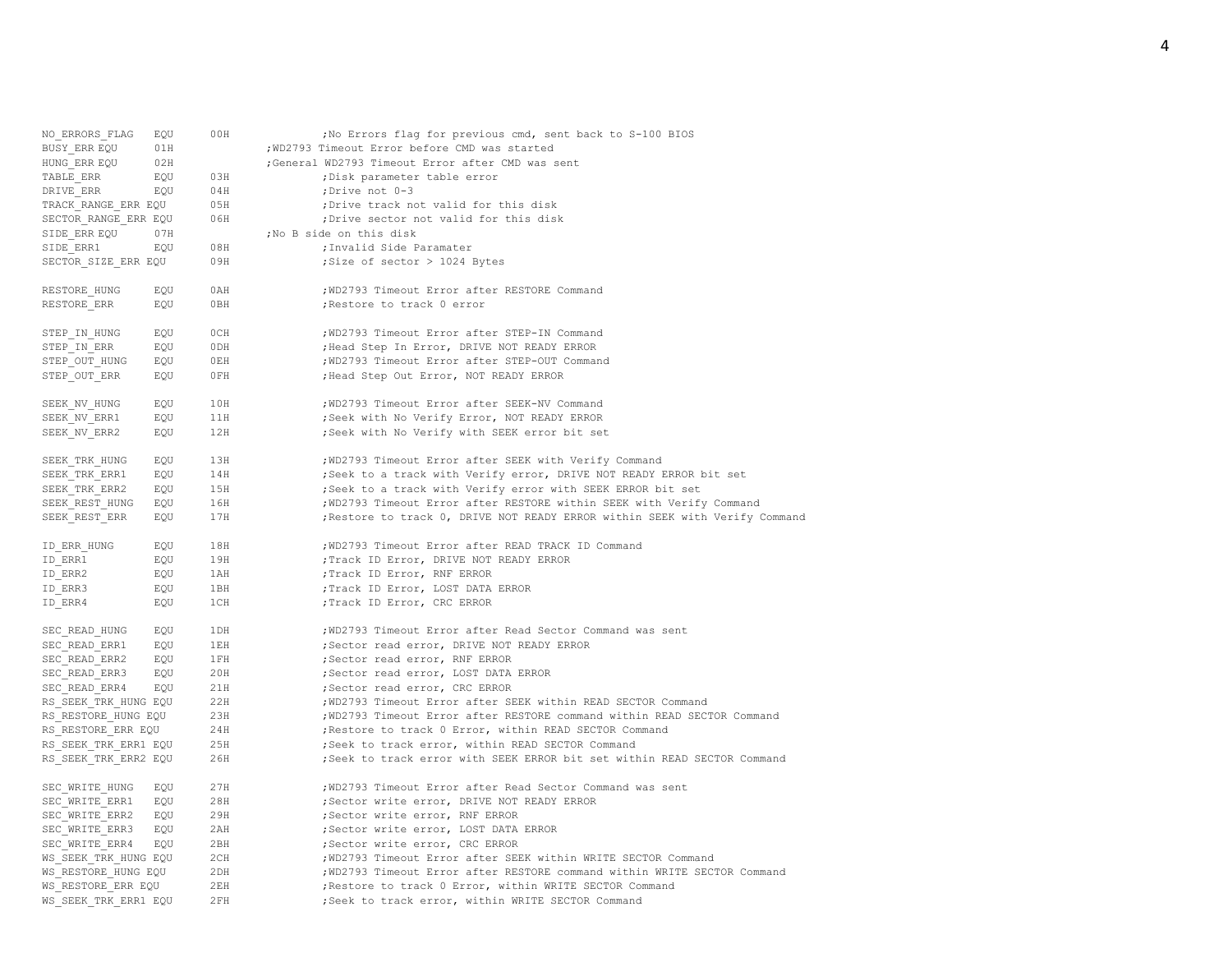| NO ERRORS FLAG       | EQU | 00H | ; No Errors flag for previous cmd, sent back to S-100 BIOS                  |
|----------------------|-----|-----|-----------------------------------------------------------------------------|
| BUSY ERR EQU         | 01H |     | ; WD2793 Timeout Error before CMD was started                               |
| HUNG ERR EQU         | 02H |     | ;General WD2793 Timeout Error after CMD was sent                            |
| TABLE ERR            | EQU | 03H | ; Disk parameter table error                                                |
| DRIVE ERR            | EQU | 04H | ;Drive not 0-3                                                              |
| TRACK RANGE ERR EQU  |     | 05H | ; Drive track not valid for this disk                                       |
| SECTOR_RANGE_ERR EQU |     | 06H | ; Drive sector not valid for this disk                                      |
| SIDE ERR EQU         | 07H |     | ;No B side on this disk                                                     |
| SIDE ERR1            | EOU | 08H | ; Invalid Side Paramater                                                    |
| SECTOR SIZE ERR EQU  |     | 09H | ; Size of sector > 1024 Bytes                                               |
| RESTORE HUNG         | EQU | 0AH | ; WD2793 Timeout Error after RESTORE Command                                |
| RESTORE ERR          | EQU | 0BH | ; Restore to track 0 error                                                  |
| STEP IN HUNG         | EQU | OCH | ; WD2793 Timeout Error after STEP-IN Command                                |
| STEP IN ERR          | EQU | ODH | ; Head Step In Error, DRIVE NOT READY ERROR                                 |
| STEP OUT HUNG        | EOU | OEH | ; WD2793 Timeout Error after STEP-OUT Command                               |
| STEP OUT ERR         | EQU | 0FH | ; Head Step Out Error, NOT READY ERROR                                      |
| SEEK NV HUNG         | EQU | 10H | ; WD2793 Timeout Error after SEEK-NV Command                                |
| SEEK NV ERR1         | EQU | 11H | ; Seek with No Verify Error, NOT READY ERROR                                |
| SEEK NV ERR2         | EOU | 12H | ; Seek with No Verify with SEEK error bit set                               |
| SEEK TRK HUNG        | EQU | 13H | ; WD2793 Timeout Error after SEEK with Verify Command                       |
| SEEK TRK ERR1        | EQU | 14H | ; Seek to a track with Verify error, DRIVE NOT READY ERROR bit set          |
| SEEK TRK ERR2        | EQU | 15H | ; Seek to a track with Verify error with SEEK ERROR bit set                 |
| SEEK REST HUNG       | EQU | 16H | ; WD2793 Timeout Error after RESTORE within SEEK with Verify Command        |
| SEEK REST ERR        | EQU | 17H | ; Restore to track 0, DRIVE NOT READY ERROR within SEEK with Verify Command |
| ID ERR HUNG          | EQU | 18H | ; WD2793 Timeout Error after READ TRACK ID Command                          |
| ID ERR1              | EQU | 19H | ; Track ID Error, DRIVE NOT READY ERROR                                     |
| ID ERR2              | EQU | 1AH | ; Track ID Error, RNF ERROR                                                 |
| ID ERR3              | EQU | 1BH | ; Track ID Error, LOST DATA ERROR                                           |
| ID ERR4              | EOU | 1CH | ; Track ID Error, CRC ERROR                                                 |
| SEC READ HUNG        | EQU | 1DH | ; WD2793 Timeout Error after Read Sector Command was sent                   |
| SEC READ ERR1        | EQU | 1EH | ; Sector read error, DRIVE NOT READY ERROR                                  |
| SEC READ ERR2        | EQU | 1FH | ; Sector read error, RNF ERROR                                              |
| SEC READ ERR3        | EQU | 20H | ; Sector read error, LOST DATA ERROR                                        |
| SEC READ ERR4        | EOU | 21H | ; Sector read error, CRC ERROR                                              |
| RS SEEK TRK HUNG EQU |     | 22H | ; WD2793 Timeout Error after SEEK within READ SECTOR Command                |
| RS RESTORE HUNG EQU  |     | 23H | ; WD2793 Timeout Error after RESTORE command within READ SECTOR Command     |
| RS RESTORE ERR EQU   |     | 24H | ; Restore to track 0 Error, within READ SECTOR Command                      |
| RS SEEK TRK ERR1 EQU |     | 25H | ; Seek to track error, within READ SECTOR Command                           |
| RS SEEK TRK ERR2 EQU |     | 26H | ; Seek to track error with SEEK ERROR bit set within READ SECTOR Command    |
| SEC WRITE HUNG       | EQU | 27H | ; WD2793 Timeout Error after Read Sector Command was sent                   |
| SEC WRITE ERR1       | EQU | 28H | ; Sector write error, DRIVE NOT READY ERROR                                 |
| SEC WRITE ERR2       | EQU | 29H | ; Sector write error, RNF ERROR                                             |
| SEC WRITE ERR3       | EQU | 2AH | ; Sector write error, LOST DATA ERROR                                       |
| SEC WRITE ERR4       | EQU | 2BH | ;Sector write error, CRC ERROR                                              |
| WS SEEK TRK HUNG EQU |     | 2CH | ; WD2793 Timeout Error after SEEK within WRITE SECTOR Command               |
| WS RESTORE HUNG EQU  |     | 2DH | ; WD2793 Timeout Error after RESTORE command within WRITE SECTOR Command    |
| WS RESTORE ERR EQU   |     | 2EH | ; Restore to track 0 Error, within WRITE SECTOR Command                     |
| WS SEEK TRK ERR1 EOU |     | 2FH | ; Seek to track error, within WRITE SECTOR Command                          |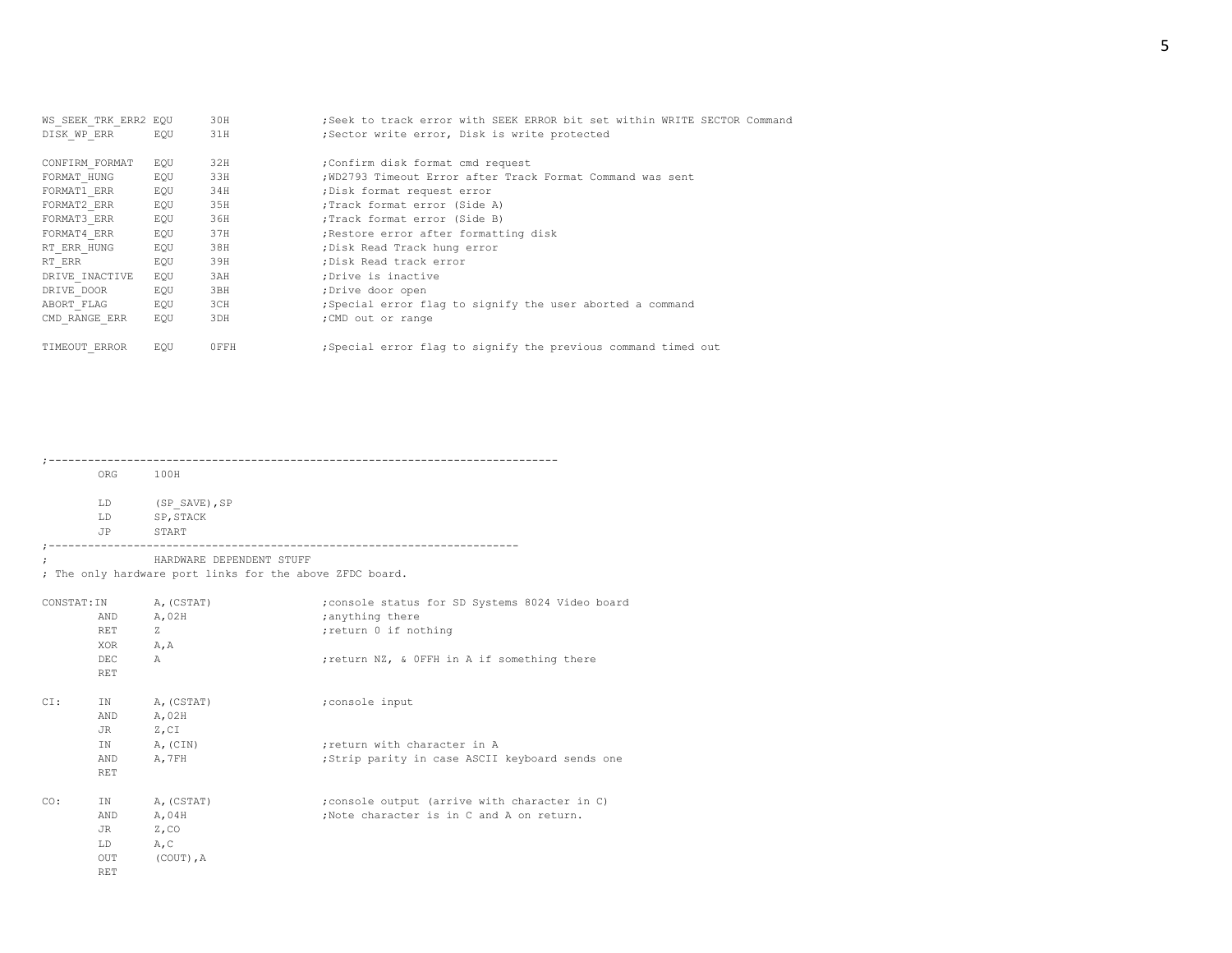| WS SEEK TRK ERR2 EQU |     | 30H  | ; Seek to track error with SEEK ERROR bit set within WRITE SECTOR Command |
|----------------------|-----|------|---------------------------------------------------------------------------|
| DISK WP ERR          | EOU | 31H  | ;Sector write error, Disk is write protected                              |
| CONFIRM FORMAT       | EQU | 32H  | :Confirm disk format cmd request                                          |
| FORMAT HUNG          | EQU | 33H  | ; WD2793 Timeout Error after Track Format Command was sent                |
| FORMAT1 ERR          | EQU | 34H  | ; Disk format request error                                               |
| FORMAT2 ERR          | EQU | 35H  | ; Track format error (Side A)                                             |
| FORMAT3 ERR          | EQU | 36H  | :Track format error (Side B)                                              |
| FORMAT4 ERR          | EQU | 37H  | ; Restore error after formatting disk                                     |
| RT ERR HUNG          | EOU | 38H  | ; Disk Read Track hung error                                              |
| RT ERR               | EQU | 39H  | ; Disk Read track error                                                   |
| DRIVE INACTIVE       | EQU | 3AH  | :Drive is inactive                                                        |
| DRIVE DOOR           | EQU | 3BH  | ;Drive door open                                                          |
| ABORT FLAG           | EQU | 3CH  | ; Special error flag to signify the user aborted a command                |
| CMD RANGE ERR        | EQU | 3DH  | ; CMD out or range                                                        |
| TIMEOUT ERROR        | EOU | OFFH | ; Special error flag to signify the previous command timed out            |

;------------------------------------------------------------------------------

ORG 100H

LD  $(SP\_SAVE)$ , SP LD SP,STACK JP START

;------------------------------------------------------------------------

; HARDWARE DEPENDENT STUFF

; The only hardware port links for the above ZFDC board.

| CONSTAT: IN |            | A, (CSTAT)   | ; console status for SD Systems 8024 Video board |
|-------------|------------|--------------|--------------------------------------------------|
|             | AND        | A, 02H       | ; anything there                                 |
|             | RET        | Ζ            | ; return 0 if nothing                            |
|             | XOR        | A, A         |                                                  |
|             | DEC.       | $\mathbb{A}$ | ; return NZ, & OFFH in A if something there      |
|             | <b>RET</b> |              |                                                  |
|             |            |              |                                                  |
| CI:         | IN         | A, (CSTAT)   | ; console input                                  |
|             | AND        | A, 02H       |                                                  |
|             | JR         | $Z$ , $CI$   |                                                  |
|             | IN         | A, (CIN)     | ; return with character in A                     |
|             | AND        | A, 7FH       | ; Strip parity in case ASCII keyboard sends one  |
|             | <b>RET</b> |              |                                                  |
|             |            |              |                                                  |
| CO:         | IN         | A, (CSTAT)   | ; console output (arrive with character in C)    |
|             | AND        | A, 04H       | :Note character is in C and A on return.         |
|             | JR         | $Z$ , CO     |                                                  |
|             | LD.        | A, C         |                                                  |
|             | OUT        | $(COUT)$ , A |                                                  |
|             | <b>RET</b> |              |                                                  |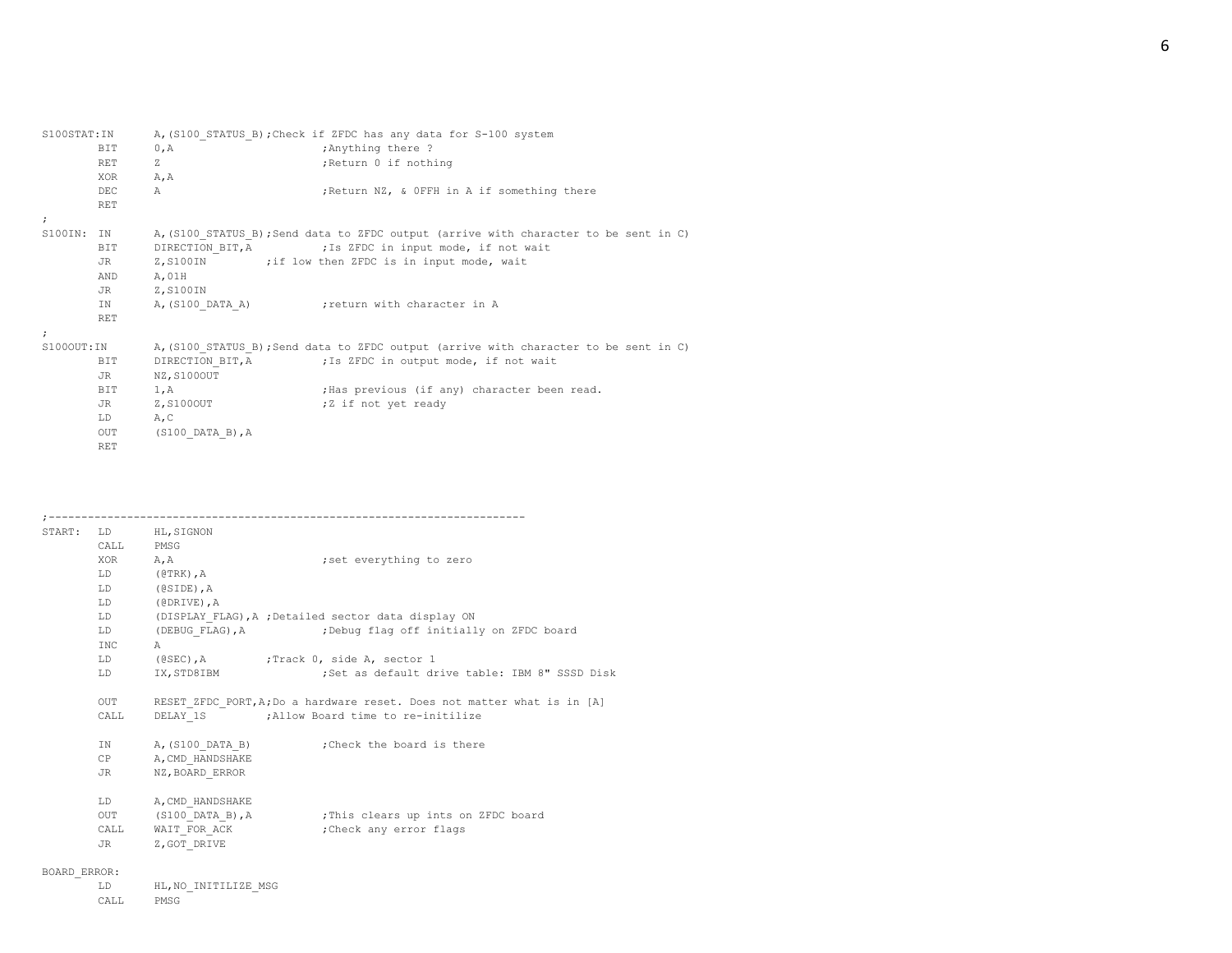| S100STAT: IN         |            |                              | A, (S100 STATUS B); Check if ZFDC has any data for S-100 system                      |
|----------------------|------------|------------------------------|--------------------------------------------------------------------------------------|
|                      | <b>BIT</b> | 0, A                         | ; Anything there ?                                                                   |
|                      | <b>RET</b> | Z                            | ; Return 0 if nothing                                                                |
|                      | XOR        | A, A                         |                                                                                      |
|                      | DEC        | $\mathbb{A}$                 | ; Return NZ, & OFFH in A if something there                                          |
|                      | <b>RET</b> |                              |                                                                                      |
| $\ddot{ }$           |            |                              |                                                                                      |
| S100IN:              | IN         |                              | A, (S100 STATUS B); Send data to ZFDC output (arrive with character to be sent in C) |
|                      | BIT        |                              | DIRECTION BIT, A FIS ZFDC in input mode, if not wait                                 |
|                      | JR         |                              | Z, S100IN ;if low then ZFDC is in input mode, wait                                   |
|                      | AND        | A,01H                        |                                                                                      |
|                      | JR         | Z,S100IN                     |                                                                                      |
|                      | IN         | A, (S100 DATA A)             | return with character in A                                                           |
|                      | <b>RET</b> |                              |                                                                                      |
| $\ddot{\phantom{0}}$ |            |                              |                                                                                      |
| S100OUT:IN           |            |                              | A, (S100 STATUS B); Send data to ZFDC output (arrive with character to be sent in C) |
|                      | BIT        |                              | DIRECTION BIT, A FIS ZFDC in output mode, if not wait                                |
|                      | JR         | NZ, S100OUT                  |                                                                                      |
|                      | BIT        | 1, A                         | ; Has previous (if any) character been read.                                         |
|                      | JR         | Z, S100OUT                   | ;Z if not yet ready                                                                  |
|                      | LD         | A, C                         |                                                                                      |
|                      | OUT        | $(S100 \text{ DATA } B)$ , A |                                                                                      |
|                      | <b>RET</b> |                              |                                                                                      |

|              |                                                                                                                                                                                                                                | START: LD HL, SIGNON          |                                                                         |
|--------------|--------------------------------------------------------------------------------------------------------------------------------------------------------------------------------------------------------------------------------|-------------------------------|-------------------------------------------------------------------------|
|              | CALL PMSG                                                                                                                                                                                                                      |                               |                                                                         |
|              | XOR A, A                                                                                                                                                                                                                       |                               | set everything to zero;                                                 |
|              |                                                                                                                                                                                                                                | LD (@TRK), A                  |                                                                         |
|              |                                                                                                                                                                                                                                | LD (@SIDE), A                 |                                                                         |
|              | LD                                                                                                                                                                                                                             | (@DRIVE), A                   |                                                                         |
|              | LD and the set of the set of the set of the set of the set of the set of the set of the set of the set of the set of the set of the set of the set of the set of the set of the set of the set of the set of the set of the se |                               | (DISPLAY FLAG), A ; Detailed sector data display ON                     |
|              | LD                                                                                                                                                                                                                             |                               | (DEBUG FLAG), A (Debug flag off initially on ZFDC board                 |
|              | INC                                                                                                                                                                                                                            | $\mathbb{A}$                  |                                                                         |
|              | LD -                                                                                                                                                                                                                           |                               | (@SEC), A (@SEC), A (2); Track 0, side A, sector 1                      |
|              | LD                                                                                                                                                                                                                             | IX, STD8IBM                   | ;Set as default drive table: IBM 8" SSSD Disk                           |
|              | OUT                                                                                                                                                                                                                            |                               | RESET ZFDC PORT, A; Do a hardware reset. Does not matter what is in [A] |
|              | CALL                                                                                                                                                                                                                           |                               | DELAY 1S ; Allow Board time to re-initilize                             |
|              |                                                                                                                                                                                                                                |                               | IN A, (S100 DATA B) ; Check the board is there                          |
|              | CP                                                                                                                                                                                                                             | A, CMD HANDSHAKE              |                                                                         |
|              | JR                                                                                                                                                                                                                             | NZ, BOARD ERROR               |                                                                         |
|              | LD and the set of the set of the set of the set of the set of the set of the set of the set of the set of the set of the set of the set of the set of the set of the set of the set of the set of the set of the set of the se | A, CMD HANDSHAKE              |                                                                         |
|              |                                                                                                                                                                                                                                |                               | OUT (S100 DATA B), A ; This clears up ints on ZFDC board                |
|              |                                                                                                                                                                                                                                |                               | CALL WAIT FOR ACK : Check any error flags                               |
|              | JR DO                                                                                                                                                                                                                          | Z, GOT DRIVE                  |                                                                         |
| BOARD ERROR: |                                                                                                                                                                                                                                |                               |                                                                         |
|              | $\tau$ $\sim$                                                                                                                                                                                                                  | <b>IIT NO TNITMTT TRE MOC</b> |                                                                         |

| T.D.  |      | HL. NO INITILIZE MSG |  |
|-------|------|----------------------|--|
| CALL. | PMSG |                      |  |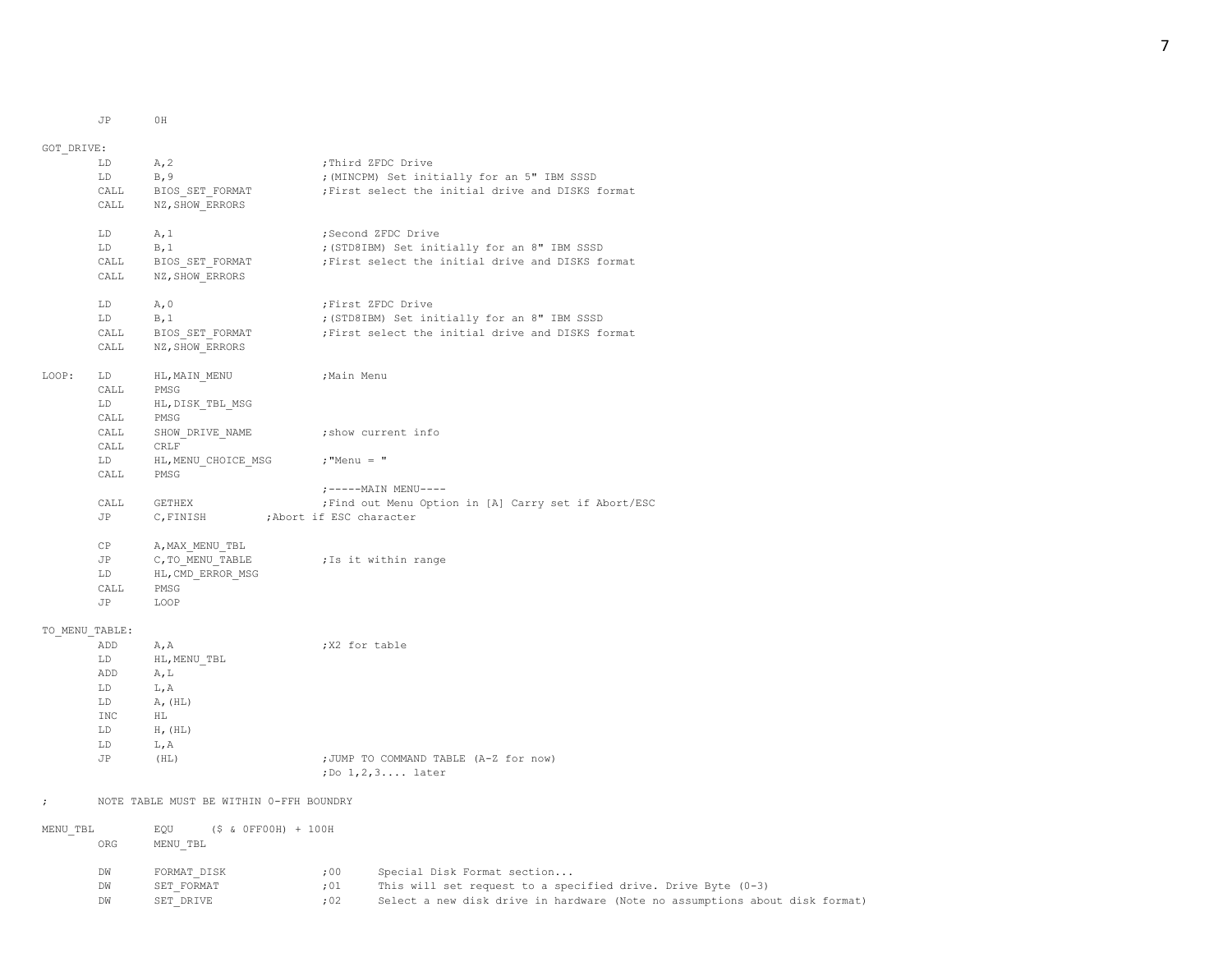JP 0H

GOT\_DRIVE: LD A, 2 ;Third ZFDC Drive LD B,9 ;(MINCPM) Set initially for an 5" IBM SSSD CALL BIOS SET FORMAT ;First select the initial drive and DISKS format CALL NZ, SHOW ERRORS LD A, 1 ; Second ZFDC Drive LD B, 1 ; (STD8IBM) Set initially for an 8" IBM SSSD CALL BIOS SET FORMAT ;First select the initial drive and DISKS format CALL NZ, SHOW ERRORS LD A, 0 <br>  $\begin{array}{ccc} \text{L.D} & \text{A} & \text{A} \end{array}$ LD B,1 ;(STD8IBM) Set initially for an 8" IBM SSSD CALL BIOS SET FORMAT ; First select the initial drive and DISKS format CALL NZ, SHOW ERRORS LOOP: LD HL, MAIN\_MENU ; Main Menu CALL PMSG LD HL,DISK\_TBL\_MSG CALL PMSG CALL SHOW DRIVE NAME ; show current info CALL CRLF LD HL, MENU CHOICE MSG ; "Menu = " CALL PMSG ;-----MAIN MENU---- CALL GETHEX ;Find out Menu Option in [A] Carry set if Abort/ESC JP C,FINISH ;Abort if ESC character CP A, MAX\_MENU\_TBL JP C, TO\_MENU\_TABLE ; Is it within range LD HL,CMD\_ERROR\_MSG CALL PMSG JP LOOP TO\_MENU\_TABLE: ADD A, A ;X2 for table LD HL,MENU\_TBL ADD A,L LD L,A LD A,(HL) INC HL LD H,(HL) LD L,A JP (HL)  $\qquad \qquad ;\text{JUMP TO COMMAND TABLE (A-Z for now)}$ ;Do 1,2,3.... later ; NOTE TABLE MUST BE WITHIN 0-FFH BOUNDRY MENU\_TBL EQU (\$ & 0FF00H) + 100H ORG MENU\_TBL DW FORMAT DISK ;00 Special Disk Format section...

DW SET\_FORMAT ;01 This will set request to a specified drive. Drive Byte (0-3)

DW SET DRIVE : 02 Select a new disk drive in hardware (Note no assumptions about disk format)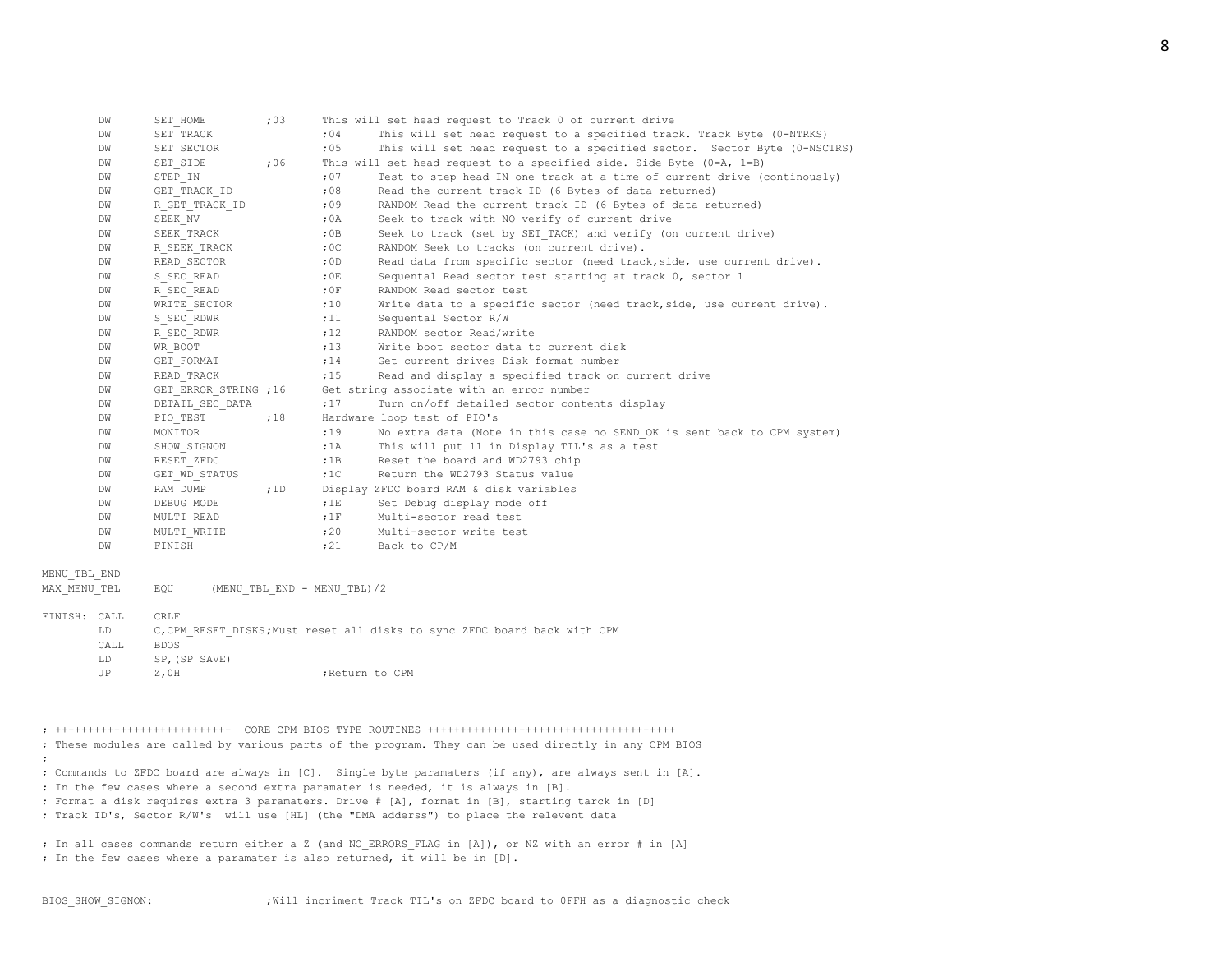|              | DW   | SET HOME              | : 03 |                             | This will set head request to Track 0 of current drive                                                |
|--------------|------|-----------------------|------|-----------------------------|-------------------------------------------------------------------------------------------------------|
|              | DW   | SET TRACK             |      | : 04                        | This will set head request to a specified track. Track Byte (0-NTRKS)                                 |
|              | DW   | SET SECTOR            |      | :05                         | This will set head request to a specified sector. Sector Byte (0-NSCTRS)                              |
|              | DW   | SET SIDE              | ;06  |                             | This will set head request to a specified side. Side Byte $(0=A, 1=B)$                                |
|              | DW   | STEP IN               |      | : 07                        | Test to step head IN one track at a time of current drive (continously)                               |
|              | DW   | GET TRACK ID          |      | ,08                         | Read the current track ID (6 Bytes of data returned)                                                  |
|              | DW   | R GET TRACK ID        |      | ,09                         | RANDOM Read the current track ID (6 Bytes of data returned)                                           |
|              | DW   | SEEK NV               |      | ;0A                         | Seek to track with NO verify of current drive                                                         |
|              | DW   | SEEK TRACK            |      | ,0B                         | Seek to track (set by SET TACK) and verify (on current drive)                                         |
|              | DW   | R SEEK TRACK          |      | :0C                         | RANDOM Seek to tracks (on current drive).                                                             |
|              | DW   | READ SECTOR           |      | ,0D                         | Read data from specific sector (need track, side, use current drive).                                 |
|              | DW   | S SEC READ            |      | ;0E                         | Sequental Read sector test starting at track 0, sector 1                                              |
|              | DW   | R SEC READ            |      | :0F                         | RANDOM Read sector test                                                                               |
|              | DW   | WRITE SECTOR          |      | ;10                         | Write data to a specific sector (need track, side, use current drive).                                |
|              | DW   | S SEC RDWR            |      | ;11                         | Sequental Sector R/W                                                                                  |
|              | DW   | R SEC RDWR            |      | ;12                         | RANDOM sector Read/write                                                                              |
|              | DW   | WR BOOT               |      | ;13                         | Write boot sector data to current disk                                                                |
|              | DW   | GET FORMAT            |      | ;14                         | Get current drives Disk format number                                                                 |
|              | DW   | READ TRACK            |      | ;15                         | Read and display a specified track on current drive                                                   |
|              | DW   | GET ERROR STRING ; 16 |      |                             | Get string associate with an error number                                                             |
|              | DW   | DETAIL SEC DATA       |      | :17                         | Turn on/off detailed sector contents display                                                          |
|              | DW   | PIO TEST              | ;18  |                             | Hardware loop test of PIO's                                                                           |
|              | DW   | MONITOR               |      | ;19                         | No extra data (Note in this case no SEND OK is sent back to CPM system)                               |
|              | DW   | SHOW SIGNON           |      | ;1A                         | This will put 11 in Display TIL's as a test                                                           |
|              | DW   | RESET ZFDC            |      | ;1B                         | Reset the board and WD2793 chip                                                                       |
|              | DW   | GET WD STATUS         |      | $,10^{-}$                   | Return the WD2793 Status value                                                                        |
|              | DW   | RAM DUMP              | ;1D  |                             | Display ZFDC board RAM & disk variables                                                               |
|              | DW   | DEBUG MODE            |      | ;1E                         | Set Debug display mode off                                                                            |
|              | DW   | MULTI READ            |      | ;1F                         | Multi-sector read test                                                                                |
|              | DW   | MULTI WRITE           |      | ;20                         | Multi-sector write test                                                                               |
|              | DW   | FINISH                |      | ;21                         | Back to CP/M                                                                                          |
| MENU TBL END |      |                       |      |                             |                                                                                                       |
| MAX MENU TBL |      | EQU                   |      | (MENU TBL END - MENU TBL)/2 |                                                                                                       |
| FINISH: CALL |      | <b>CRLF</b>           |      |                             |                                                                                                       |
|              | LD   |                       |      |                             | C, CPM RESET DISKS; Must reset all disks to sync ZFDC board back with CPM                             |
|              | CALL | <b>BDOS</b>           |      |                             |                                                                                                       |
|              | LD   | SP, (SP SAVE)         |      |                             |                                                                                                       |
|              | JP   | $Z$ , OH              |      | ; Return to CPM             |                                                                                                       |
|              |      |                       |      |                             |                                                                                                       |
|              |      |                       |      |                             |                                                                                                       |
|              |      |                       |      |                             |                                                                                                       |
|              |      |                       |      |                             | ; These modules are called by various parts of the program. They can be used directly in any CPM BIOS |

;

; Commands to ZFDC board are always in [C]. Single byte paramaters (if any), are always sent in [A].

- ; In the few cases where a second extra paramater is needed, it is always in [B].
- ; Format a disk requires extra 3 paramaters. Drive # [A], format in [B], starting tarck in [D]
- ; Track ID's, Sector R/W's will use [HL] (the "DMA adderss") to place the relevent data

; In all cases commands return either a Z (and NO\_ERRORS\_FLAG in [A]), or NZ with an error # in [A] ; In the few cases where a paramater is also returned, it will be in [D].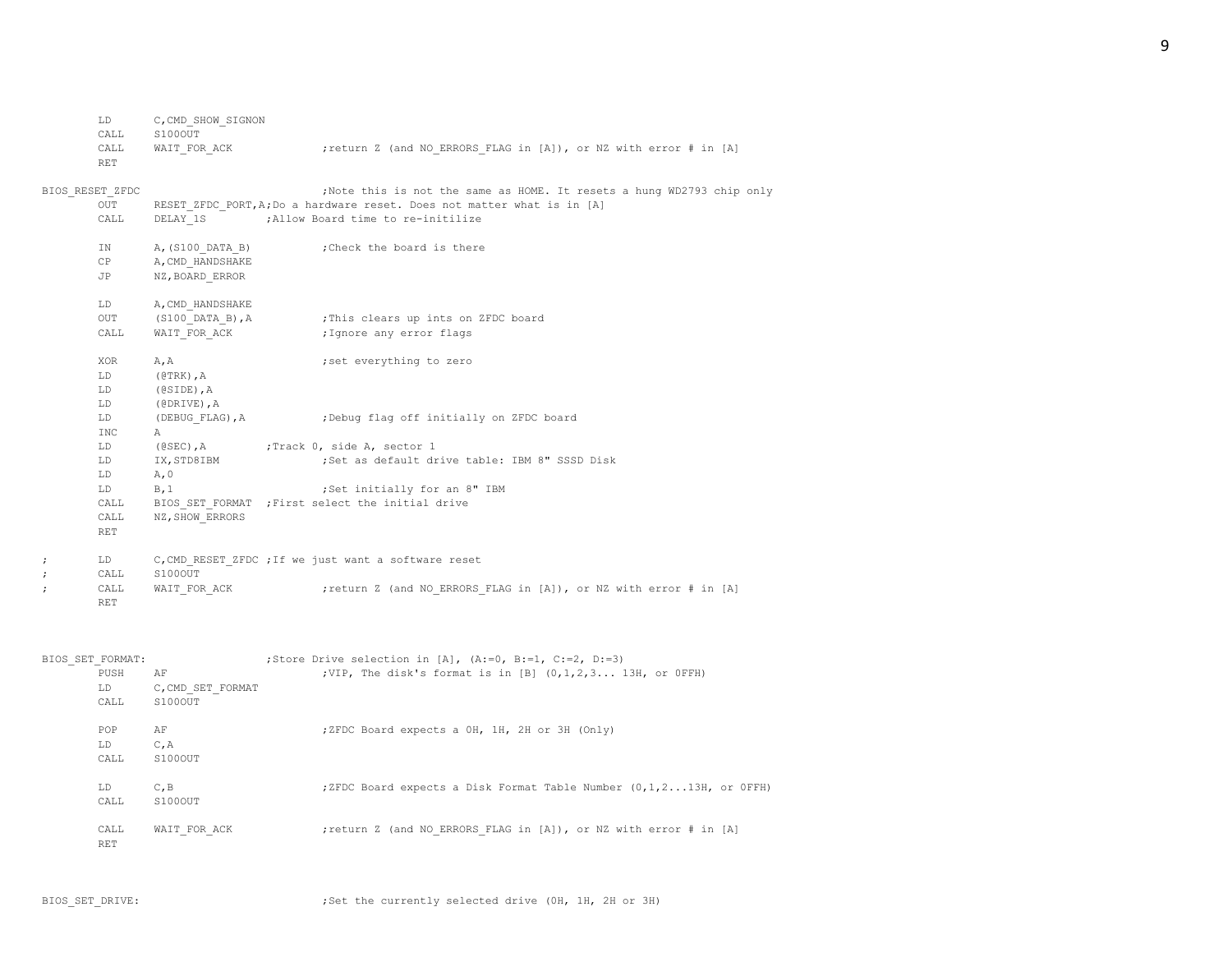| LD   | C,CMD SHOW SIGNON |                                                                   |
|------|-------------------|-------------------------------------------------------------------|
| CALL | S100OUT           |                                                                   |
| CALL | WAIT FOR ACK      | ; return Z (and NO ERRORS FLAG in [A]), or NZ with error # in [A] |
| RET. |                   |                                                                   |

# BIOS\_RESET\_ZFDC ;Note this is not the same as HOME. It resets a hung WD2793 chip only

|            | OUT        | RESET ZFDC PORT, A; Do a hardware reset. Does not matter what is in [A] |                                                          |  |
|------------|------------|-------------------------------------------------------------------------|----------------------------------------------------------|--|
|            | CALL       |                                                                         | DELAY 1S : Allow Board time to re-initilize              |  |
|            | IN         |                                                                         | A, (S100 DATA B) ; Check the board is there              |  |
|            | CP         | A, CMD HANDSHAKE                                                        |                                                          |  |
|            | JP         | NZ, BOARD ERROR                                                         |                                                          |  |
|            | LD         | A, CMD HANDSHAKE                                                        |                                                          |  |
|            | OUT        |                                                                         | (S100 DATA B), A (This clears up ints on ZFDC board      |  |
|            | CALL       | WAIT FOR ACK                                                            | ; Ignore any error flags                                 |  |
|            | XOR        | A, A                                                                    | ; set everything to zero                                 |  |
|            | LD         | $(0TRK)$ , $A$                                                          |                                                          |  |
|            | LD         | $(0SIDE)$ , A                                                           |                                                          |  |
|            | LD         | (@DRIVE), A                                                             |                                                          |  |
|            | LD         |                                                                         | (DEBUG FLAG), A : Debug flag off initially on ZFDC board |  |
|            | INC.       | $\mathbb{A}$                                                            |                                                          |  |
|            | LD         |                                                                         |                                                          |  |
|            | LD         | IX, STD8IBM                                                             | Set as default drive table: IBM 8" SSSD Disk             |  |
|            | LD         | A, 0                                                                    |                                                          |  |
|            | LD         | B, 1                                                                    | ;Set initially for an 8" IBM                             |  |
|            | CALL       |                                                                         | BIOS SET FORMAT ; First select the initial drive         |  |
|            | CALL       | NZ, SHOW ERRORS                                                         |                                                          |  |
|            | <b>RET</b> |                                                                         |                                                          |  |
| $\ddot{ }$ | LD         |                                                                         | C, CMD RESET ZFDC ; If we just want a software reset     |  |
| $\cdot$    | CALL       | S100OUT                                                                 |                                                          |  |

| _____ | -------           |                                                                   |  |
|-------|-------------------|-------------------------------------------------------------------|--|
|       | CALL WAIT FOR ACK | ; return Z (and NO ERRORS FLAG in [A]), or NZ with error # in [A] |  |
| RF.T  |                   |                                                                   |  |

| BIOS SET FORMAT: |                   | ;Store Drive selection in [A], $(A:=0, B:=1, C:=2, D:=3)$          |
|------------------|-------------------|--------------------------------------------------------------------|
| PUSH             | AF                | ;VIP, The disk's format is in $[B]$ $(0,1,2,313H,$ or OFFH)        |
| LD.              | C, CMD SET FORMAT |                                                                    |
| CALL             | S100OUT           |                                                                    |
|                  |                   |                                                                    |
| POP              | AF                | ;ZFDC Board expects a OH, 1H, 2H or 3H (Only)                      |
| LD.              | C, A              |                                                                    |
| CALL             | S100OUT           |                                                                    |
|                  |                   |                                                                    |
| LD.              | C, B              | ;ZFDC Board expects a Disk Format Table Number (0,1,213H, or OFFH) |
| CALL             | S100OUT           |                                                                    |
|                  |                   |                                                                    |
| CALL             | WAIT FOR ACK      | ; return Z (and NO ERRORS FLAG in [A]), or NZ with error # in [A]  |
| RET              |                   |                                                                    |
|                  |                   |                                                                    |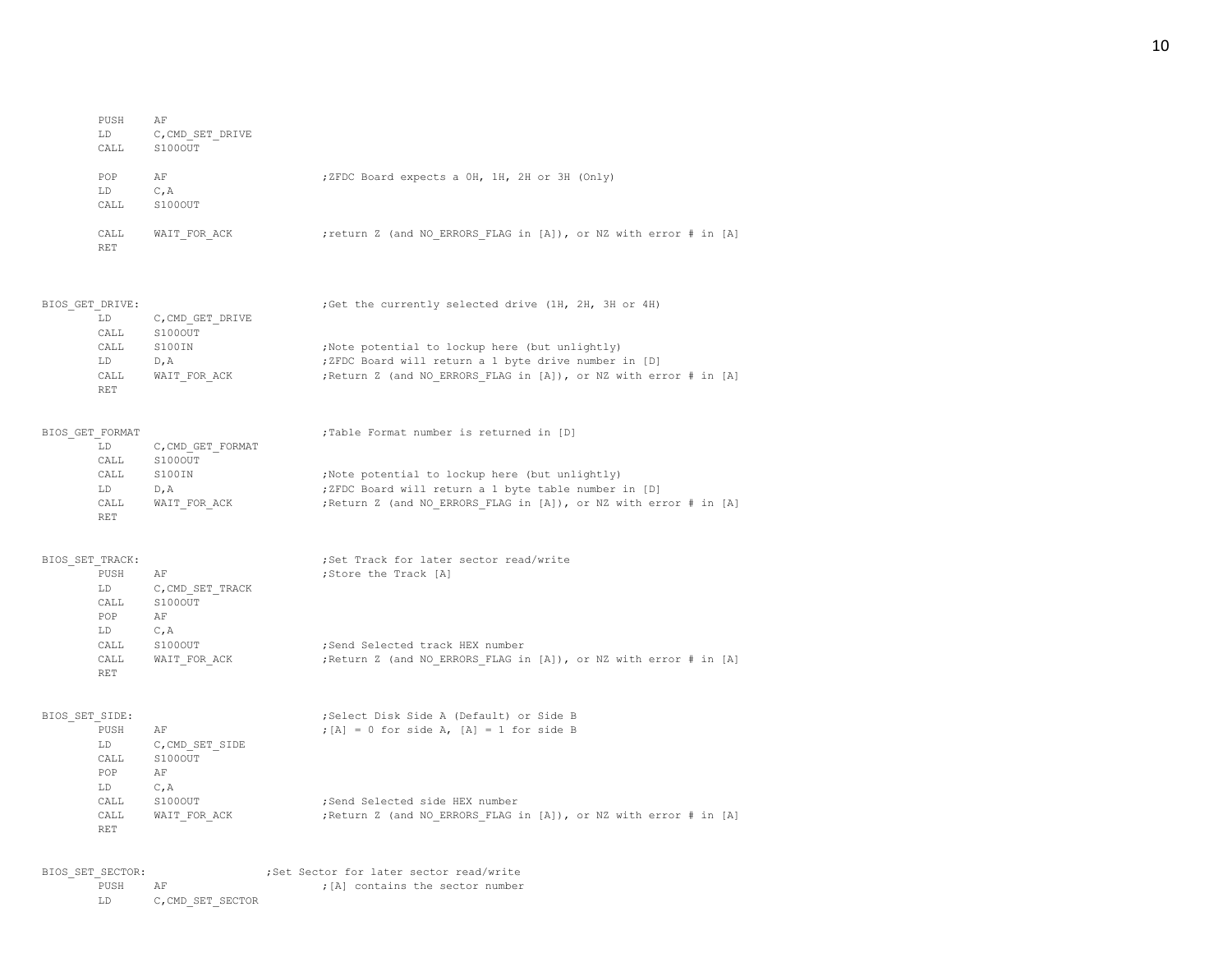| PUSH<br>LD         | AF<br>C, CMD SET DRIVE |                                                                   |
|--------------------|------------------------|-------------------------------------------------------------------|
| CALL               | S100OUT                |                                                                   |
| POP<br>LD<br>CALL  | AF<br>C, A<br>S100OUT  | ;ZFDC Board expects a OH, 1H, 2H or 3H (Only)                     |
| CALL<br><b>RET</b> | WAIT FOR ACK           | ; return Z (and NO ERRORS FLAG in [A]), or NZ with error # in [A] |

| BIOS GET DRIVE: |                  | ;Get the currently selected drive (1H, 2H, 3H or 4H)              |
|-----------------|------------------|-------------------------------------------------------------------|
| LD              | C, CMD GET DRIVE |                                                                   |
| CALL            | S100OUT          |                                                                   |
| CALL            | S100IN           | ; Note potential to lockup here (but unlightly)                   |
| LD.             | D.A              | ;ZFDC Board will return a 1 byte drive number in [D]              |
| CALL            | WAIT FOR ACK     | ; Return Z (and NO ERRORS FLAG in [A]), or NZ with error # in [A] |
| <b>RET</b>      |                  |                                                                   |

| BIOS GET FORMAT |                  | ;Table Format number is returned in [D]                           |
|-----------------|------------------|-------------------------------------------------------------------|
| LD              | C.CMD GET FORMAT |                                                                   |
| CALL            | S100OUT          |                                                                   |
| CALL            | S100IN           | ;Note potential to lockup here (but unlightly)                    |
| LD              | D.A              | ;ZFDC Board will return a 1 byte table number in [D]              |
| CALL            | WAIT FOR ACK     | ; Return Z (and NO ERRORS FLAG in [A]), or NZ with error # in [A] |
| RET             |                  |                                                                   |

| BIOS SET TRACK: |            |                  | ;Set Track for later sector read/write                            |
|-----------------|------------|------------------|-------------------------------------------------------------------|
|                 | PUSH       | AF               | ;Store the Track [A]                                              |
|                 | LD.        | C, CMD SET TRACK |                                                                   |
|                 | CALL       | S100OUT          |                                                                   |
|                 | POP        | AF               |                                                                   |
|                 | LD.        | C, A             |                                                                   |
|                 | CALL       | S100OUT          | :Send Selected track HEX number                                   |
|                 | CALL       | WAIT FOR ACK     | ; Return Z (and NO ERRORS FLAG in [A]), or NZ with error # in [A] |
|                 | <b>RET</b> |                  |                                                                   |

| BIOS SET SIDE: |            |                 | ;Select Disk Side A (Default) or Side B                           |
|----------------|------------|-----------------|-------------------------------------------------------------------|
|                | PUSH       | AF              | $;$ [A] = 0 for side A, [A] = 1 for side B                        |
| LD.            |            | C, CMD SET SIDE |                                                                   |
|                | CALL       | S100OUT         |                                                                   |
|                | POP.       | AF              |                                                                   |
| LD.            |            | $C$ , $A$       |                                                                   |
|                | CALL       | S100OUT         | :Send Selected side HEX number                                    |
|                | CALL       | WAIT FOR ACK    | ; Return Z (and NO ERRORS FLAG in [A]), or NZ with error # in [A] |
|                | <b>RET</b> |                 |                                                                   |

## BIOS\_SET\_SECTOR: ; ;Set Sector for later sector read/write<br>PUSH AF ;[A] contains the sector number PUSH AF  $\,$  , [A] contains the sector number LD  $\,$  C, CMD\_SET\_SECTOR  $\,$  $C$ ,  $CMD\_SET\_SECTION$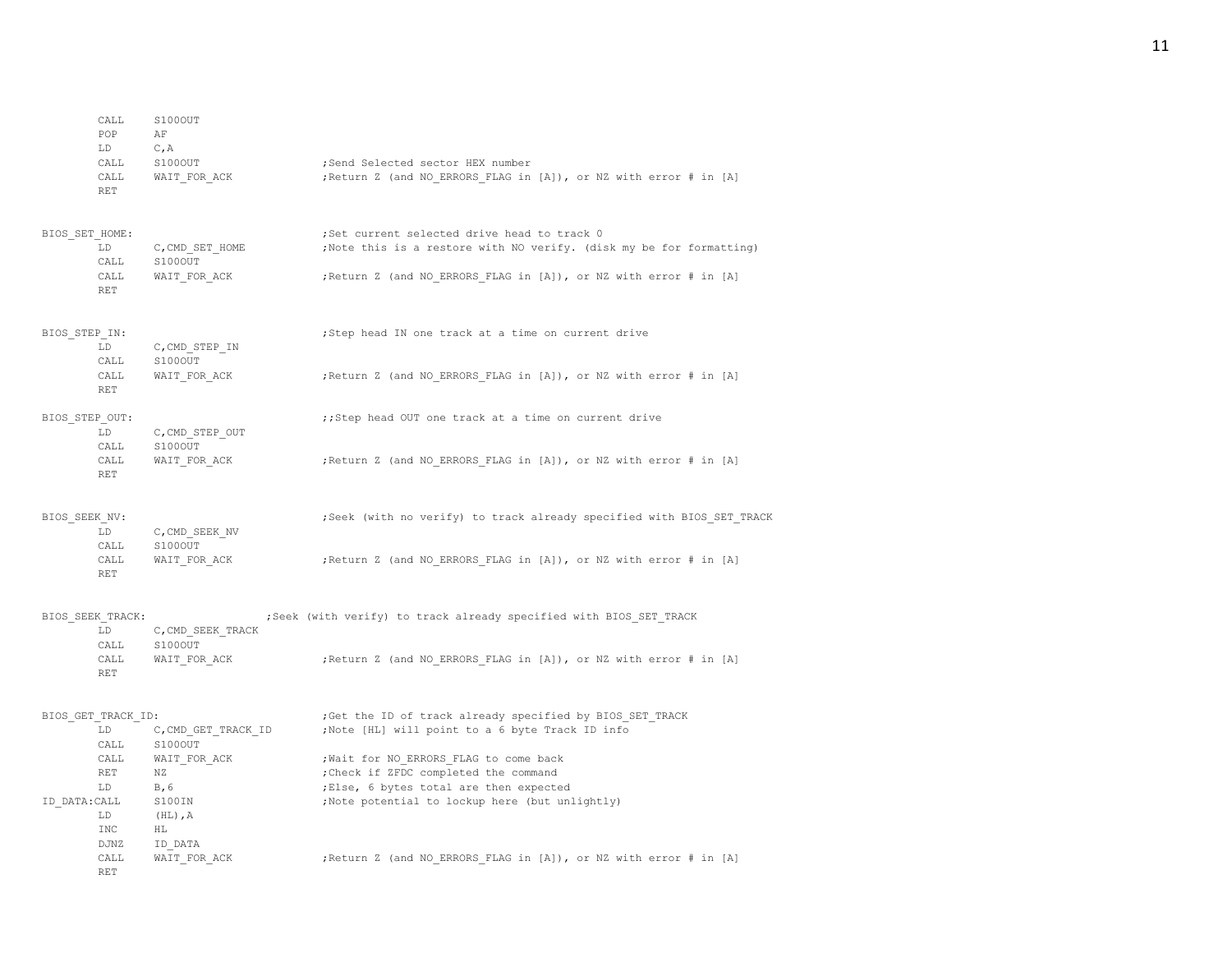|                | CALL<br>POP<br>LD<br>CALL<br>CALL<br><b>RET</b> | S100OUT<br>ΑF<br>C, A<br>S100OUT<br>WAIT FOR ACK | ;Send Selected sector HEX number<br>; Return Z (and NO ERRORS FLAG in [A]), or NZ with error # in [A]               |
|----------------|-------------------------------------------------|--------------------------------------------------|---------------------------------------------------------------------------------------------------------------------|
| BIOS SET HOME: | LD<br>CALL                                      | C, CMD SET HOME<br>S100OUT                       | ;Set current selected drive head to track 0<br>; Note this is a restore with NO verify. (disk my be for formatting) |
|                | CALL<br>RET                                     | WAIT FOR ACK                                     | ; Return Z (and NO ERRORS FLAG in [A]), or NZ with error # in [A]                                                   |
| BIOS STEP IN:  | LD.<br>CALL                                     | C, CMD STEP IN<br>S100OUT                        | ; Step head IN one track at a time on current drive                                                                 |
|                | CALL<br>RET                                     | WAIT FOR ACK                                     | ; Return Z (and NO ERRORS FLAG in [A]), or NZ with error # in [A]                                                   |
| BIOS STEP OUT: | LD<br>CALL                                      | C, CMD STEP OUT<br>S100OUT                       | ;; Step head OUT one track at a time on current drive                                                               |
|                | CALL<br>RET                                     | WAIT FOR ACK                                     | ; Return Z (and NO ERRORS FLAG in [A]), or NZ with error # in [A]                                                   |
| BIOS SEEK NV:  | LD<br>CALL                                      | C, CMD SEEK NV<br>S100OUT                        | ; Seek (with no verify) to track already specified with BIOS SET TRACK                                              |
|                | CALL<br>RET                                     | WAIT FOR ACK                                     | ; Return Z (and NO ERRORS FLAG in [A]), or NZ with error # in [A]                                                   |
|                | BIOS SEEK TRACK:<br>LD<br>CALL                  | C, CMD SEEK TRACK<br>S100OUT                     | ; Seek (with verify) to track already specified with BIOS_SET_TRACK                                                 |
|                | CALL<br><b>RET</b>                              | WAIT FOR ACK                                     | ; Return Z (and NO ERRORS FLAG in [A]), or NZ with error # in [A]                                                   |
|                | BIOS GET TRACK ID:<br>LD                        | C, CMD GET TRACK ID                              | ; Get the ID of track already specified by BIOS_SET_TRACK<br>;Note [HL] will point to a 6 byte Track ID info        |
|                | CALL                                            | S100OUT                                          |                                                                                                                     |
|                | CALL<br>RET                                     | WAIT FOR ACK<br>ΝZ                               | ; Wait for NO ERRORS FLAG to come back<br>; Check if ZFDC completed the command                                     |
|                | LD                                              | B, 6                                             | ;Else, 6 bytes total are then expected                                                                              |
| ID DATA: CALL  | LD<br>INC<br>DJNZ                               | S100IN<br>$(HL)$ , A<br>HL<br>ID DATA            | ;Note potential to lockup here (but unlightly)                                                                      |
|                | CALL<br><b>RET</b>                              | WAIT FOR ACK                                     | ; Return Z (and NO ERRORS FLAG in [A]), or NZ with error # in [A]                                                   |

# 11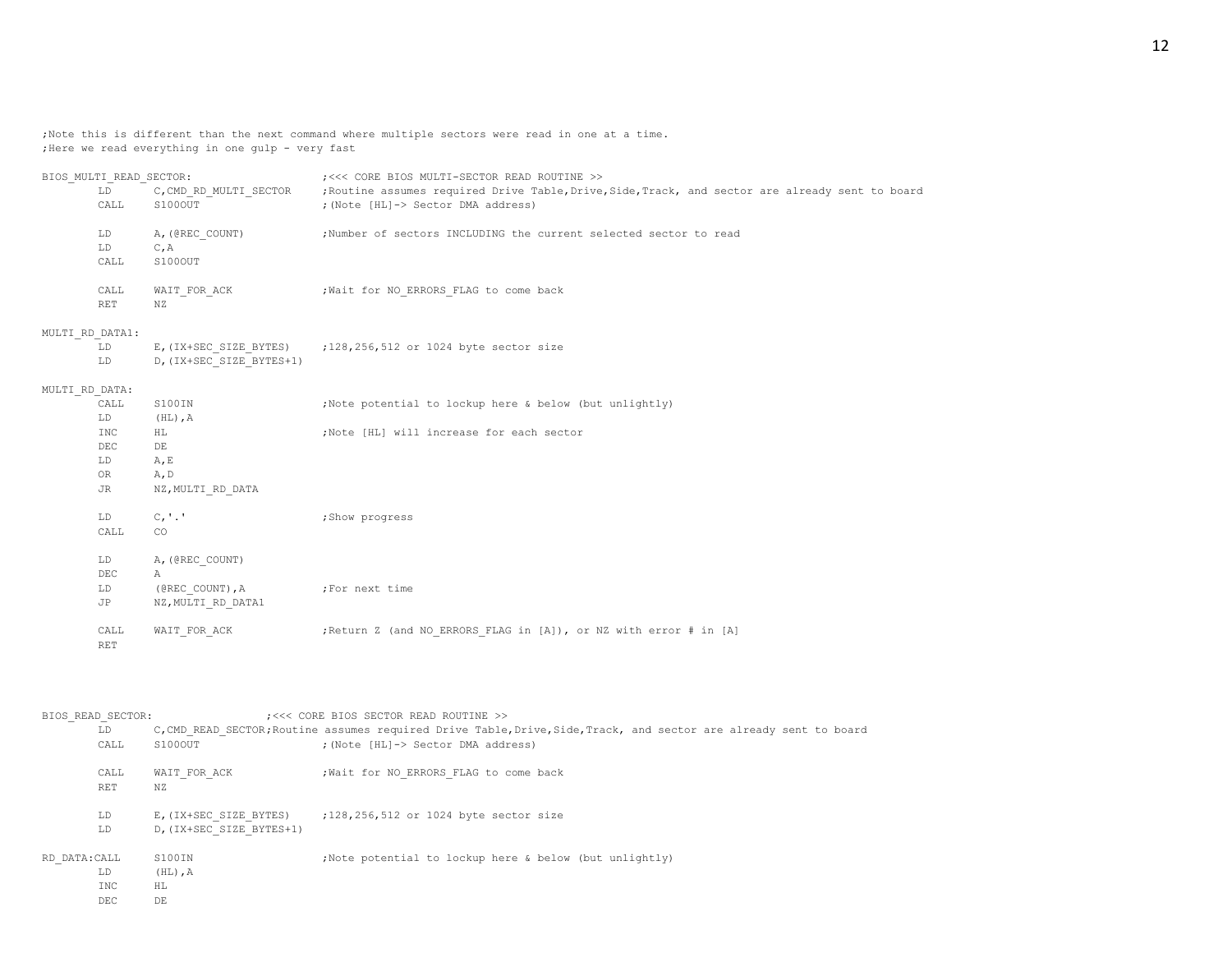;Note this is different than the next command where multiple sectors were read in one at a time. ;Here we read everything in one gulp - very fast

| BIOS MULTI READ SECTOR:<br>LD<br>CALL<br>S100OUT |                    |                                    | ; <<< CORE BIOS MULTI-SECTOR READ ROUTINE >><br>C, CMD_RD_MULTI_SECTOR ;Routine assumes required Drive Table, Drive, Side, Track, and sector are already sent to board<br>; (Note [HL]-> Sector DMA address) |
|--------------------------------------------------|--------------------|------------------------------------|--------------------------------------------------------------------------------------------------------------------------------------------------------------------------------------------------------------|
|                                                  | LD<br>LD<br>CALL   | A, (@REC COUNT)<br>C, A<br>S100OUT | ;Number of sectors INCLUDING the current selected sector to read                                                                                                                                             |
|                                                  | CALL<br><b>RET</b> | NZ                                 | WAIT FOR ACK (Wait for NO ERRORS FLAG to come back                                                                                                                                                           |
| MULTI RD DATA1:                                  | LD<br>LD           | D, (IX+SEC SIZE BYTES+1)           | E, (IX+SEC SIZE BYTES) ; 128, 256, 512 or 1024 byte sector size                                                                                                                                              |
| MULTI RD DATA:                                   |                    |                                    |                                                                                                                                                                                                              |
|                                                  | CALL               | S100IN                             | ; Note potential to lockup here & below (but unlightly)                                                                                                                                                      |
|                                                  | LD                 | $(HL)$ , A                         |                                                                                                                                                                                                              |
|                                                  | INC                | HL                                 | ;Note [HL] will increase for each sector                                                                                                                                                                     |
|                                                  | $DEC$              | DE                                 |                                                                                                                                                                                                              |
|                                                  | LD                 | A, E                               |                                                                                                                                                                                                              |
|                                                  | OR.                | A, D                               |                                                                                                                                                                                                              |
|                                                  | JR                 | NZ, MULTI RD DATA                  |                                                                                                                                                                                                              |
|                                                  | LD                 | C, '.'                             | ; Show progress                                                                                                                                                                                              |
|                                                  | CALL               | CO                                 |                                                                                                                                                                                                              |
|                                                  | LD                 | A, (@REC COUNT)                    |                                                                                                                                                                                                              |
|                                                  | DEC                | Α                                  |                                                                                                                                                                                                              |
|                                                  | LD                 | (@REC COUNT), A                    | ;For next time                                                                                                                                                                                               |
|                                                  | JP                 | NZ, MULTI RD DATA1                 |                                                                                                                                                                                                              |
|                                                  | CALL<br><b>RET</b> | WAIT FOR ACK                       | ; Return Z (and NO ERRORS FLAG in [A]), or NZ with error # in [A]                                                                                                                                            |

| BIOS READ SECTOR:<br>LD.<br>S100OUT<br>CALL |      |                                                    | ; <<< CORE BIOS SECTOR READ ROUTINE >><br>C, CMD READ SECTOR; Routine assumes required Drive Table, Drive, Side, Track, and sector are already sent to board<br>; (Note [HL]-> Sector DMA address) |
|---------------------------------------------|------|----------------------------------------------------|----------------------------------------------------------------------------------------------------------------------------------------------------------------------------------------------------|
| <b>RET</b>                                  | CALL | WAIT FOR ACK<br>ΝZ                                 | ; Wait for NO ERRORS FLAG to come back                                                                                                                                                             |
| LD.<br>LD.                                  |      | E, (IX+SEC SIZE BYTES)<br>D, (IX+SEC SIZE BYTES+1) | ;128,256,512 or 1024 byte sector size                                                                                                                                                              |
| RD DATA: CALL<br>LD<br>INC.<br>DEC          |      | S100IN<br>$(HL)$ , $A$<br>HL.<br>DE                | ; Note potential to lockup here & below (but unlightly)                                                                                                                                            |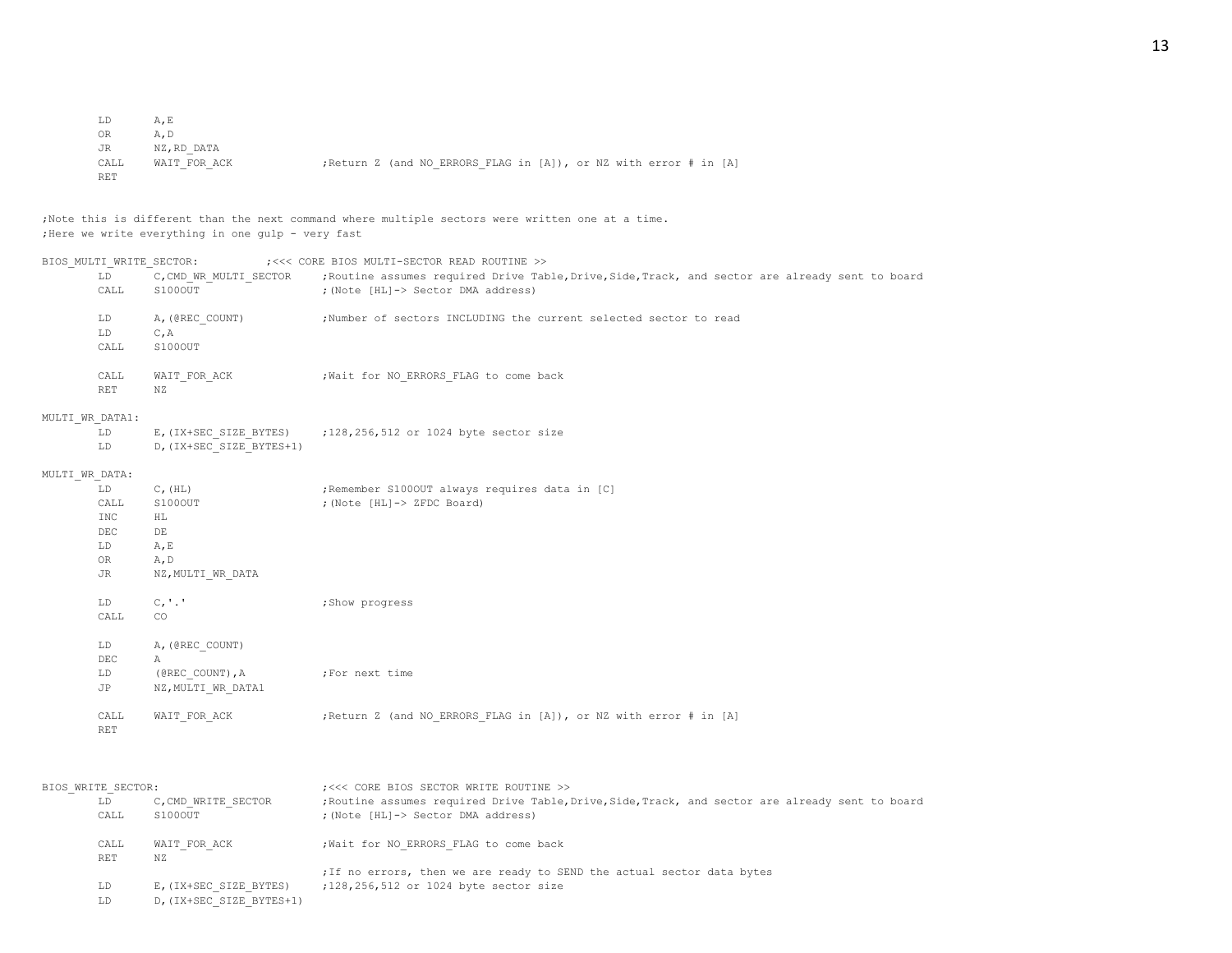| LD         | A.E          |  |                                                                   |  |  |  |
|------------|--------------|--|-------------------------------------------------------------------|--|--|--|
| OR.        | A.D          |  |                                                                   |  |  |  |
| JR         | NZ,RD DATA   |  |                                                                   |  |  |  |
| CALL       | WAIT FOR ACK |  | ; Return Z (and NO ERRORS FLAG in [A]), or NZ with error # in [A] |  |  |  |
| <b>RET</b> |              |  |                                                                   |  |  |  |

;Note this is different than the next command where multiple sectors were written one at a time. ;Here we write everything in one gulp - very fast

| BIOS MULTI WRITE SECTOR: |                                                                                          |                                                                                                                                                        | ; <<< CORE BIOS MULTI-SECTOR READ ROUTINE >>                                                                                                                                      |
|--------------------------|------------------------------------------------------------------------------------------|--------------------------------------------------------------------------------------------------------------------------------------------------------|-----------------------------------------------------------------------------------------------------------------------------------------------------------------------------------|
|                          | LD<br>CALL                                                                               | C, CMD WR MULTI SECTOR<br>S100OUT                                                                                                                      | ; Routine assumes required Drive Table, Drive, Side, Track, and sector are already sent to board<br>; (Note [HL]-> Sector DMA address)                                            |
|                          | LD<br>LD<br>CALL                                                                         | A, (@REC COUNT)<br>C, A<br>S100OUT                                                                                                                     | ;Number of sectors INCLUDING the current selected sector to read                                                                                                                  |
|                          | CALL<br><b>RET</b>                                                                       | WAIT FOR ACK<br>ΝZ                                                                                                                                     | ; Wait for NO ERRORS FLAG to come back                                                                                                                                            |
| MULTI WR DATA1:          |                                                                                          |                                                                                                                                                        |                                                                                                                                                                                   |
|                          | LD<br>LD                                                                                 | D, (IX+SEC SIZE BYTES+1)                                                                                                                               | E, (IX+SEC SIZE BYTES) $: 128, 256, 512$ or 1024 byte sector size                                                                                                                 |
| MULTI WR DATA:           |                                                                                          |                                                                                                                                                        |                                                                                                                                                                                   |
|                          | LD<br>CALL<br><b>INC</b><br>DEC<br>LD<br>OR<br>JR<br>LD<br>CALL<br>LD<br>$\rm DEC$<br>LD | $C$ , $(HL)$<br>S100OUT<br>ΗL<br>$\rm{DE}$<br>A, E<br>A, D<br>NZ, MULTI WR DATA<br>C, '.'<br>CO.<br>A, (@REC COUNT)<br>$\mathbb{A}$<br>(@REC COUNT), A | ; Remember S1000UT always requires data in [C]<br>; (Note [HL]-> ZFDC Board)<br>; Show progress<br>;For next time                                                                 |
|                          | JP<br>CALL<br><b>RET</b>                                                                 | NZ, MULTI WR DATA1<br>WAIT FOR ACK                                                                                                                     | ; Return Z (and NO ERRORS FLAG in [A]), or NZ with error # in [A]                                                                                                                 |
| BIOS WRITE SECTOR:       | LD<br>CALL                                                                               | C, CMD WRITE SECTOR<br>S100OUT                                                                                                                         | ; <<< CORE BIOS SECTOR WRITE ROUTINE >><br>; Routine assumes required Drive Table, Drive, Side, Track, and sector are already sent to board<br>; (Note [HL]-> Sector DMA address) |

| <b>RET</b> | N 7.                   |                                                                        |  |
|------------|------------------------|------------------------------------------------------------------------|--|
|            |                        | ; If no errors, then we are ready to SEND the actual sector data bytes |  |
|            | E, (IX+SEC SIZE BYTES) | :128,256,512 or 1024 byte sector size                                  |  |

CALL WAIT FOR ACK ;Wait for NO ERRORS FLAG to come back

LD D, (IX+SEC\_SIZE\_BYTES+1)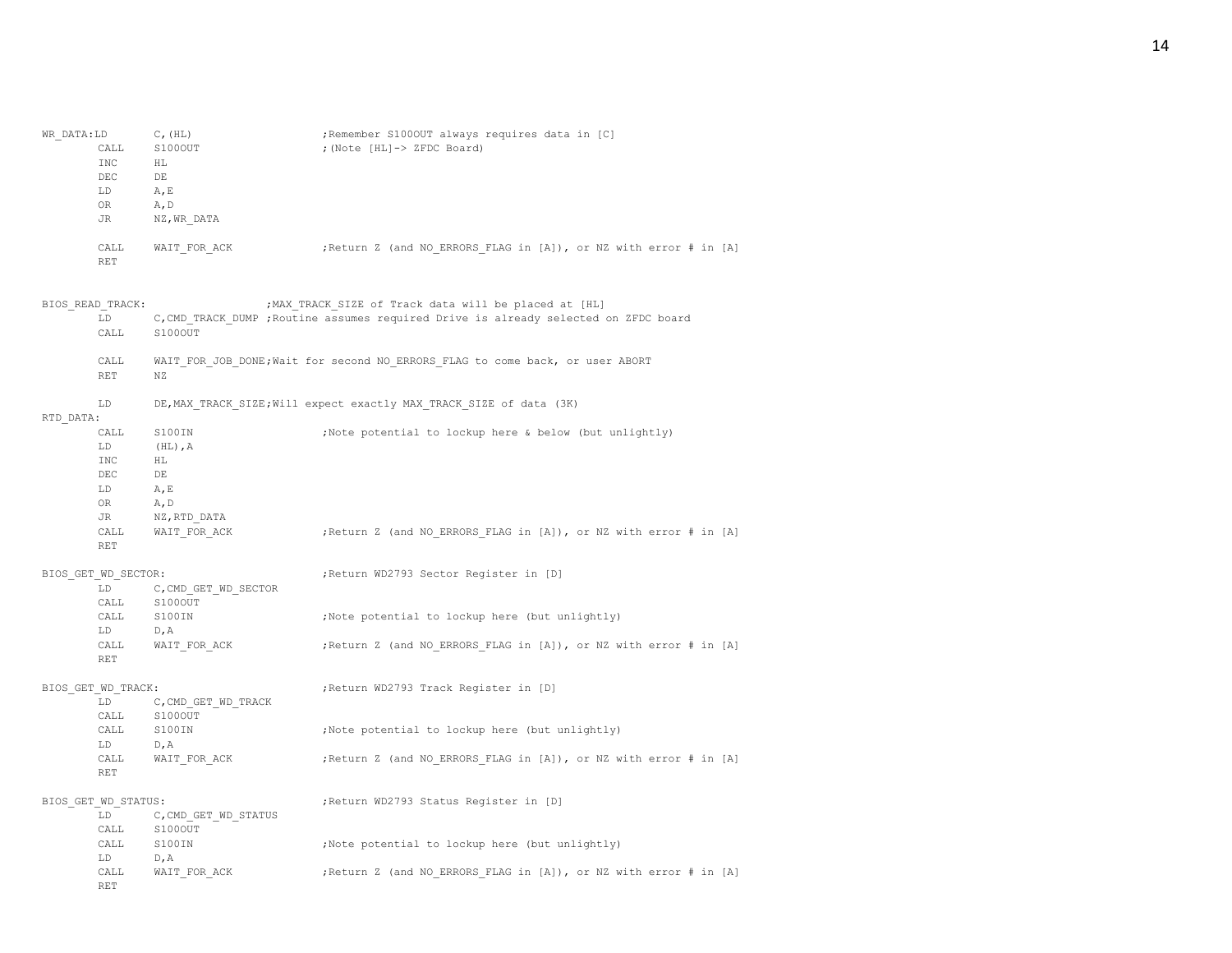| WR DATA:LD<br>CALL<br><b>INC</b><br>DEC<br>LD<br>OR.<br>JR | $C$ , $(HL)$<br>S100OUT<br>ΗL<br>DE<br>A, E<br>A, D<br>NZ, WR DATA | ; Remember S1000UT always requires data in [C]<br>; (Note [HL]-> ZFDC Board)                                                                  |
|------------------------------------------------------------|--------------------------------------------------------------------|-----------------------------------------------------------------------------------------------------------------------------------------------|
| CALL<br><b>RET</b>                                         | WAIT FOR ACK                                                       | ; Return Z (and NO ERRORS FLAG in [A]), or NZ with error # in [A]                                                                             |
| BIOS READ TRACK:<br>LD<br>CALL                             | S100OUT                                                            | ; MAX TRACK SIZE of Track data will be placed at [HL]<br>C, CMD TRACK DUMP ; Routine assumes required Drive is already selected on ZFDC board |
| CALL<br><b>RET</b>                                         | NZ                                                                 | WAIT FOR JOB DONE; Wait for second NO ERRORS FLAG to come back, or user ABORT                                                                 |
| LD.<br>RTD DATA:                                           |                                                                    | DE, MAX TRACK SIZE; Will expect exactly MAX TRACK SIZE of data (3K)                                                                           |
| CALL<br>LD.<br><b>INC</b><br>DEC<br>LD<br>OR.<br>JR        | S100IN<br>$(HL)$ , $A$<br>HL<br>DE<br>A, E<br>A, D<br>NZ,RTD DATA  | ; Note potential to lockup here & below (but unlightly)                                                                                       |
| CALL<br><b>RET</b>                                         | WAIT FOR ACK                                                       | ; Return Z (and NO ERRORS FLAG in [A]), or NZ with error # in [A]                                                                             |
| BIOS GET WD SECTOR:<br>T.D.                                | C, CMD GET WD SECTOR                                               | ; Return WD2793 Sector Register in [D]                                                                                                        |
| CALL<br>CALL<br>LD                                         | S100OUT<br>S100IN<br>D, A                                          | ;Note potential to lockup here (but unlightly)                                                                                                |
| CALL<br><b>RET</b>                                         | WAIT FOR ACK                                                       | ; Return Z (and NO ERRORS FLAG in [A]), or NZ with error # in [A]                                                                             |
| BIOS GET WD TRACK:<br>T.D.<br>CALL                         | C, CMD GET WD TRACK<br>S100OUT                                     | ; Return WD2793 Track Register in [D]                                                                                                         |
| CALL<br>LD                                                 | S100IN<br>D, A                                                     | ; Note potential to lockup here (but unlightly)                                                                                               |
| CALL<br><b>RET</b>                                         | WAIT FOR ACK                                                       | ; Return Z (and NO ERRORS FLAG in [A]), or NZ with error # in [A]                                                                             |
| BIOS GET WD STATUS:<br>LD<br>CALL                          | C, CMD GET WD STATUS<br>S100OUT                                    | ; Return WD2793 Status Register in [D]                                                                                                        |
| CALL<br>LD.                                                | S100IN<br>D, A                                                     | ;Note potential to lockup here (but unlightly)                                                                                                |
| CALL<br><b>RET</b>                                         | WAIT FOR ACK                                                       | ; Return Z (and NO ERRORS FLAG in [A]), or NZ with error # in [A]                                                                             |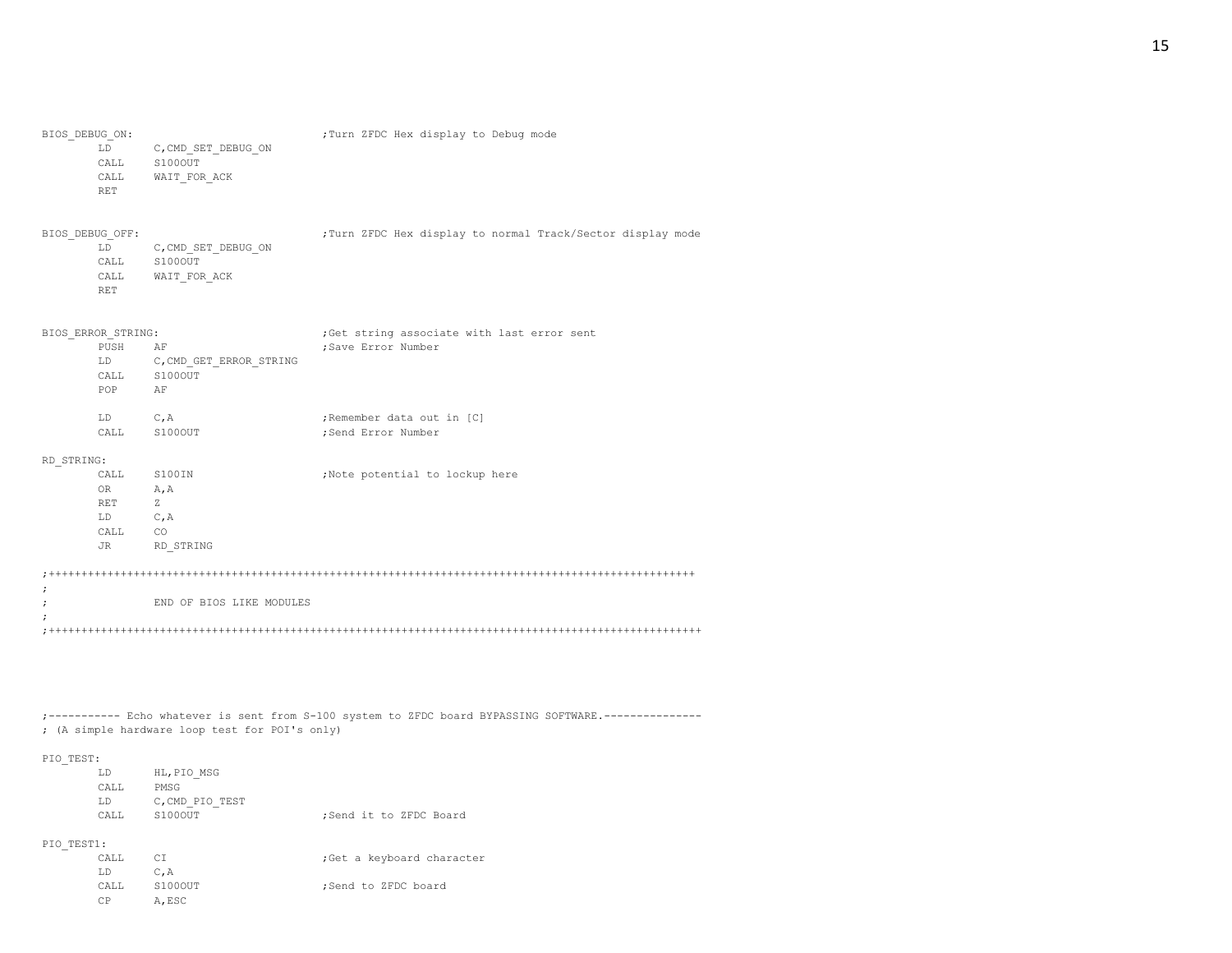15

| BIOS DEBUG ON:                  | LD.<br>CALL<br>CALL<br><b>RET</b>                                 | C, CMD SET DEBUG ON<br>S100OUT<br>WAIT FOR ACK      | ; Turn ZFDC Hex display to Debug mode                             |
|---------------------------------|-------------------------------------------------------------------|-----------------------------------------------------|-------------------------------------------------------------------|
| BIOS DEBUG OFF:                 | LD<br>CALL<br><b>RET</b>                                          | C, CMD SET DEBUG ON<br>S100OUT<br>CALL WAIT FOR ACK | ; Turn ZFDC Hex display to normal Track/Sector display mode       |
|                                 | BIOS ERROR STRING:<br>PUSH<br>LD<br>CALL<br>POP AF                | AF<br>C, CMD GET ERROR STRING<br>S100OUT            | ;Get string associate with last error sent<br>; Save Error Number |
|                                 | LD<br>CALL S100OUT                                                | C, A                                                | ; Remember data out in [C]<br>; Send Error Number                 |
| RD STRING:                      | CALL S100IN<br>OR<br>A, A<br>Z<br>RET<br>LD C, A<br>CALL CO<br>JR | RD STRING                                           | ;Note potential to lockup here                                    |
| $\cdot$                         |                                                                   |                                                     |                                                                   |
| $\ddot{\phantom{0}}$<br>$\cdot$ |                                                                   | END OF BIOS LIKE MODULES                            |                                                                   |

;----------- Echo whatever is sent from S-100 system to ZFDC board BYPASSING SOFTWARE.--------------- ; (A simple hardware loop test for POI's only)

## PIO\_TEST:

CP A,ESC

| -          |      |                 |                            |
|------------|------|-----------------|----------------------------|
|            | LD   | HL, PIO MSG     |                            |
|            | CALL | PMSG            |                            |
|            | LD   | C, CMD PIO TEST |                            |
|            | CALL | S100OUT         | ;Send it to ZFDC Board     |
| PIO TEST1: |      |                 |                            |
|            | CALL | СI              | ; Get a keyboard character |
|            | LD   | $C$ , $A$       |                            |
|            | CALL | S100OUT         | :Send to ZFDC board        |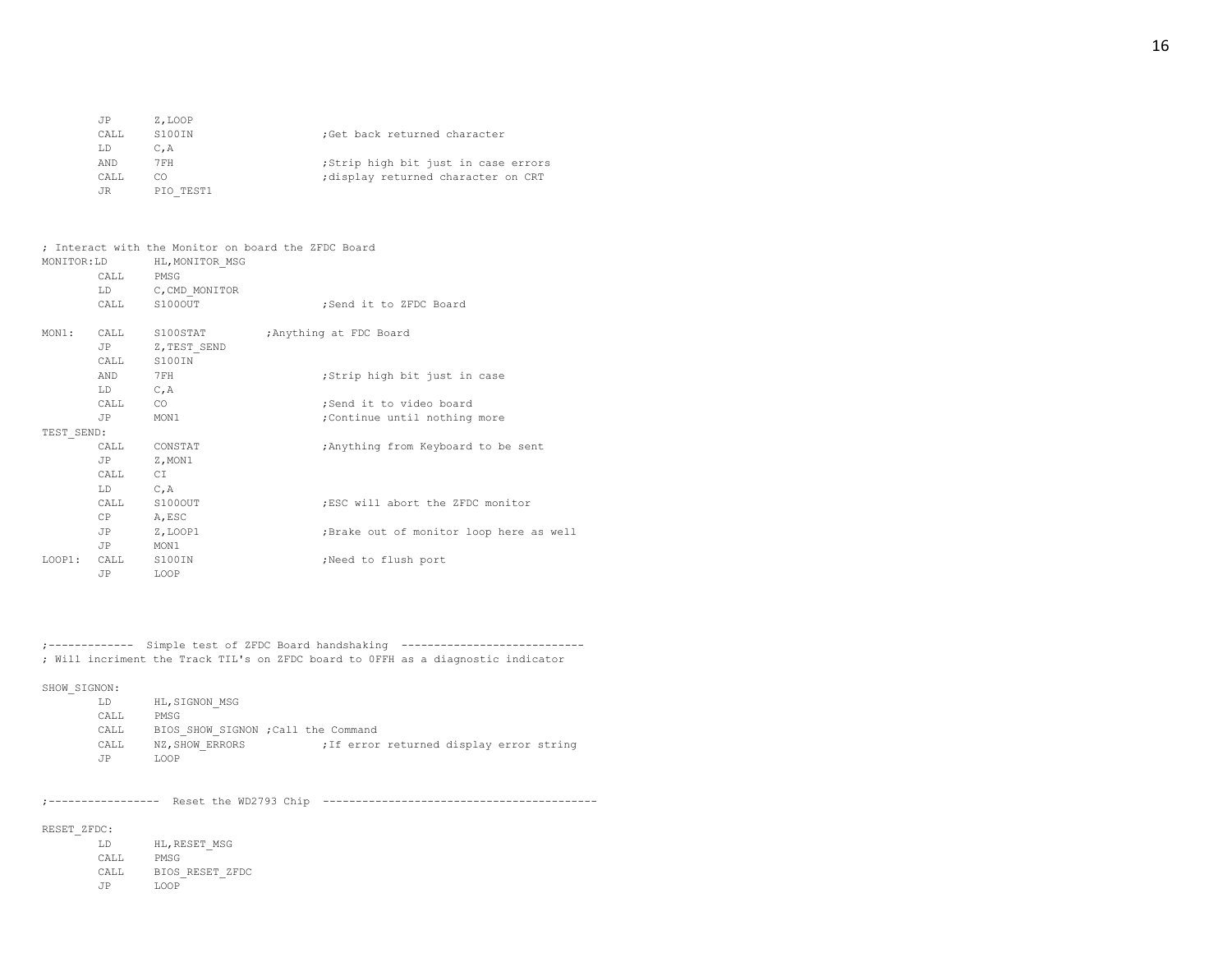| JP   | Z.LOOP    |                                     |
|------|-----------|-------------------------------------|
| CALL | S100IN    | ;Get back returned character        |
| LD   | C.A       |                                     |
| AND  | 7 F H     | ;Strip high bit just in case errors |
| CALL | CO        | ; display returned character on CRT |
| JR   | PIO TEST1 |                                     |

| MONITOR:LD |             | : Interact with the Monitor on board the ZFDC Board<br>HL, MONITOR MSG |                                         |
|------------|-------------|------------------------------------------------------------------------|-----------------------------------------|
|            | CALL PMSG   |                                                                        |                                         |
|            |             | LD C, CMD MONITOR                                                      |                                         |
|            |             | CALL S100OUT                                                           | ;Send it to ZFDC Board                  |
|            |             | MON1: CALL S100STAT                                                    | ; Anything at FDC Board                 |
|            |             | JP Z, TEST SEND                                                        |                                         |
|            |             | CALL S100IN                                                            |                                         |
|            | AND         | 7FH                                                                    | ;Strip high bit just in case            |
|            | LD C, A     |                                                                        |                                         |
|            | CALL CO     |                                                                        | ;Send it to video board                 |
|            | JP MON1     |                                                                        | ; Continue until nothing more           |
| TEST SEND: |             |                                                                        |                                         |
|            |             | CALL CONSTAT                                                           | ; Anything from Keyboard to be sent     |
|            | JP Z, MON1  |                                                                        |                                         |
|            | CALL CI     |                                                                        |                                         |
|            | $LD$ $C, A$ |                                                                        |                                         |
|            |             | CALL S100OUT                                                           | :ESC will abort the ZFDC monitor        |
|            | CP A, ESC   |                                                                        |                                         |
|            |             | JP Z, LOOP1                                                            | ;Brake out of monitor loop here as well |
|            | JP          | MON1                                                                   |                                         |
| LOOP1:     | CALL S100IN |                                                                        | Need to flush port                      |
|            | JP          | LOOP                                                                   |                                         |
|            |             |                                                                        |                                         |

;------------- Simple test of ZFDC Board handshaking ---------------------------- ; Will incriment the Track TIL's on ZFDC board to 0FFH as a diagnostic indicator

## SHOW\_SIGNON:

| LD.  | HL, SIGNON MSG                      |                                          |  |  |
|------|-------------------------------------|------------------------------------------|--|--|
| CALL | PMSG                                |                                          |  |  |
| CALL | BIOS SHOW SIGNON ; Call the Command |                                          |  |  |
| CALL | NZ. SHOW ERRORS                     | ; If error returned display error string |  |  |
| .TP  | LOOP                                |                                          |  |  |

;----------------- Reset the WD2793 Chip ------------------------------------------

## RESET\_ZFDC:

LD HL,RESET\_MSG CALL PMSG CALL BIOS\_RESET\_ZFDC JP LOOP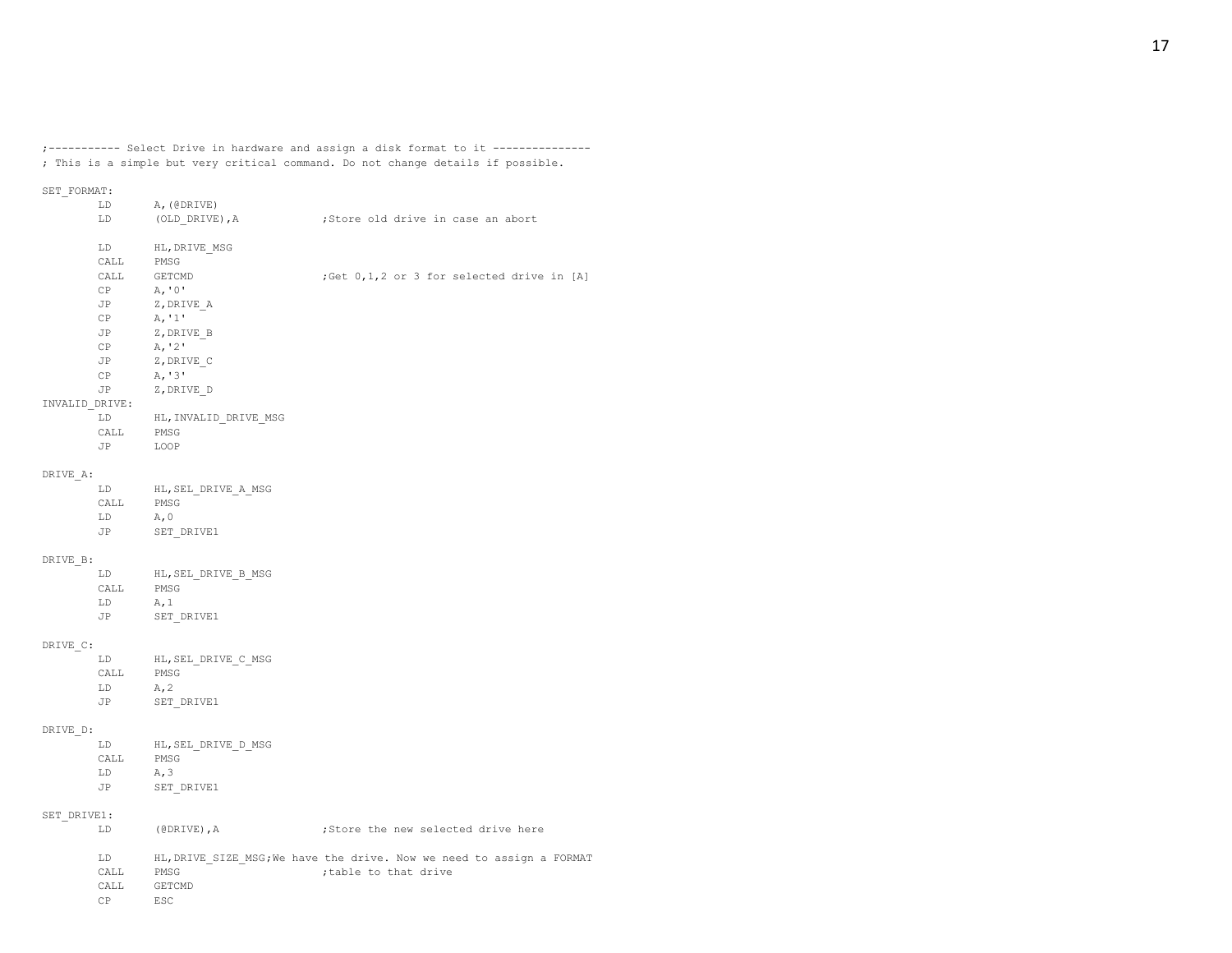;----------- Select Drive in hardware and assign a disk format to it --------------- ; This is a simple but very critical command. Do not change details if possible.

# SET\_FORMAT:

|                | LD        | A, (@DRIVE)               |                                                                       |
|----------------|-----------|---------------------------|-----------------------------------------------------------------------|
|                | LD        | (OLD DRIVE), A            | ;Store old drive in case an abort                                     |
|                |           |                           |                                                                       |
|                | LD        | HL, DRIVE MSG             |                                                                       |
|                | CALL      | PMSG                      |                                                                       |
|                | CALL      | GETCMD                    | ;Get 0,1,2 or 3 for selected drive in [A]                             |
|                | CP        | A, '0'                    |                                                                       |
|                | JP        | Z,DRIVE A                 |                                                                       |
|                | CP        | A, '1'                    |                                                                       |
|                | JP        | Z, DRIVE B                |                                                                       |
|                | CP        | A, '2'                    |                                                                       |
|                | JP        | Z, DRIVE C                |                                                                       |
|                | CP        | A, '3'                    |                                                                       |
|                | JP        | Z, DRIVE D                |                                                                       |
| INVALID DRIVE: |           |                           |                                                                       |
|                |           |                           |                                                                       |
|                | LD        | HL, INVALID DRIVE MSG     |                                                                       |
|                | CALL      | PMSG                      |                                                                       |
|                | JP        | LOOP                      |                                                                       |
|                |           |                           |                                                                       |
| DRIVE A:       |           |                           |                                                                       |
|                | LD        | HL, SEL DRIVE A MSG       |                                                                       |
|                | CALL      | PMSG                      |                                                                       |
|                | LD        | A, 0                      |                                                                       |
|                | JP        | SET DRIVE1                |                                                                       |
|                |           |                           |                                                                       |
| DRIVE B:       |           |                           |                                                                       |
|                | LD        | HL, SEL DRIVE B MSG       |                                                                       |
|                | CALL      | PMSG                      |                                                                       |
|                | LD        | A, 1                      |                                                                       |
|                | JP        | SET DRIVE1                |                                                                       |
|                |           |                           |                                                                       |
| DRIVE C:       |           |                           |                                                                       |
|                | LD        | HL, SEL DRIVE C MSG       |                                                                       |
|                | CALL      | PMSG                      |                                                                       |
|                | LD        | A, 2                      |                                                                       |
|                | JP        | SET DRIVE1                |                                                                       |
|                |           |                           |                                                                       |
|                |           |                           |                                                                       |
| DRIVE D:       |           |                           |                                                                       |
|                | LD        | HL, SEL DRIVE D MSG       |                                                                       |
|                | CALL      | PMSG                      |                                                                       |
|                | LD        | A, 3                      |                                                                       |
|                | JP        | SET DRIVE1                |                                                                       |
|                |           |                           |                                                                       |
| SET DRIVE1:    |           |                           |                                                                       |
|                | LD        | $(\texttt{ØDRIVE})$ , $A$ | ;Store the new selected drive here                                    |
|                |           |                           |                                                                       |
|                | LD        |                           | HL, DRIVE SIZE MSG; We have the drive. Now we need to assign a FORMAT |
|                | CALL      | PMSG                      | ; table to that drive                                                 |
|                | CALL      | GETCMD                    |                                                                       |
|                | <b>CP</b> | ESC                       |                                                                       |
|                |           |                           |                                                                       |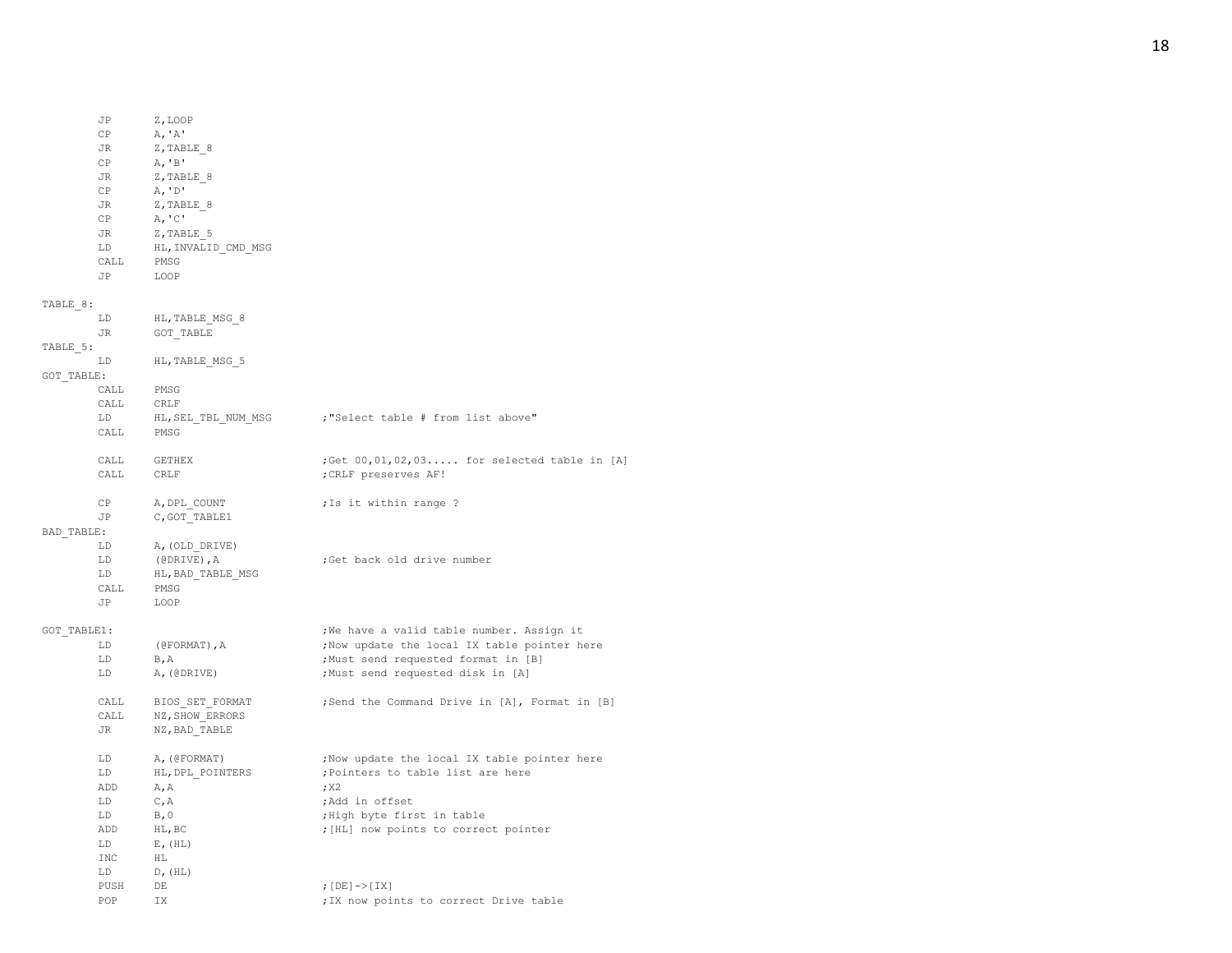|             | JP        | Z, LOOP                          |                                               |
|-------------|-----------|----------------------------------|-----------------------------------------------|
|             | СP        | A, 'A'                           |                                               |
|             | JR        | Z, TABLE 8                       |                                               |
|             | CP        | A, B'                            |                                               |
|             | JR        | Z, TABLE 8                       |                                               |
|             | CP        | A, 'D'                           |                                               |
|             |           |                                  |                                               |
|             | JR        | Z, TABLE 8                       |                                               |
|             | CP        | A, C'                            |                                               |
|             | JR        | Z, TABLE 5                       |                                               |
|             | LD        | HL, INVALID CMD MSG              |                                               |
|             | CALL      | PMSG                             |                                               |
|             | <b>JP</b> | LOOP                             |                                               |
| TABLE 8:    |           |                                  |                                               |
|             | LD        | HL, TABLE MSG 8                  |                                               |
|             | JR        | GOT TABLE                        |                                               |
|             |           |                                  |                                               |
| TABLE 5:    |           |                                  |                                               |
|             | LD        | HL, TABLE MSG 5                  |                                               |
| GOT TABLE:  |           |                                  |                                               |
|             | CALL      | PMSG                             |                                               |
|             | CALL      | CRLF                             |                                               |
|             | LD        | HL, SEL TBL NUM MSG              | ;"Select table # from list above"             |
|             | CALL      | PMSG                             |                                               |
|             |           |                                  |                                               |
|             | CALL      | GETHEX                           | ;Get 00,01,02,03 for selected table in [A]    |
|             | CALL      | CRLF                             | ; CRLF preserves AF!                          |
|             |           |                                  |                                               |
|             | CP        | A, DPL COUNT                     | ; Is it within range ?                        |
|             | JP        | C, GOT TABLE1                    |                                               |
| BAD TABLE:  |           |                                  |                                               |
|             | LD        | A, (OLD DRIVE)                   |                                               |
|             | LD        | $(\texttt{\texttt{@DRIVE}})$ , A | ;Get back old drive number                    |
|             | LD        | HL, BAD TABLE MSG                |                                               |
|             |           |                                  |                                               |
|             | CALL      | PMSG                             |                                               |
|             | JP        | LOOP                             |                                               |
| GOT TABLE1: |           |                                  | ; We have a valid table number. Assign it     |
|             | LD        | (@FORMAT), A                     | ; Now update the local IX table pointer here  |
|             | LD        | $B$ , A                          | ; Must send requested format in [B]           |
|             | LD        | A, (@DRIVE)                      | ;Must send requested disk in [A]              |
|             |           |                                  |                                               |
|             | CALL      | BIOS SET FORMAT                  | ;Send the Command Drive in [A], Format in [B] |
|             | CALL      | NZ, SHOW ERRORS                  |                                               |
|             | JR        | NZ, BAD TABLE                    |                                               |
|             |           |                                  |                                               |
|             | LD        | A, (@FORMAT)                     | ; Now update the local IX table pointer here  |
|             | LD        | HL, DPL POINTERS                 | ; Pointers to table list are here             |
|             | ADD       | A, A                             | ; x2                                          |
|             | LD        | C, A                             | ;Add in offset                                |
|             | LD.       | B, 0                             | ;High byte first in table                     |
|             | ADD       |                                  |                                               |
|             |           | HL, BC                           | ; [HL] now points to correct pointer          |
|             | LD        | E, (HL)                          |                                               |
|             | INC       | HL                               |                                               |
|             | LD        | D, (HL)                          |                                               |
|             | PUSH      | DE                               | ; $[DE]$ -> $[IX]$                            |
|             | POP       | IX                               | ; IX now points to correct Drive table        |

18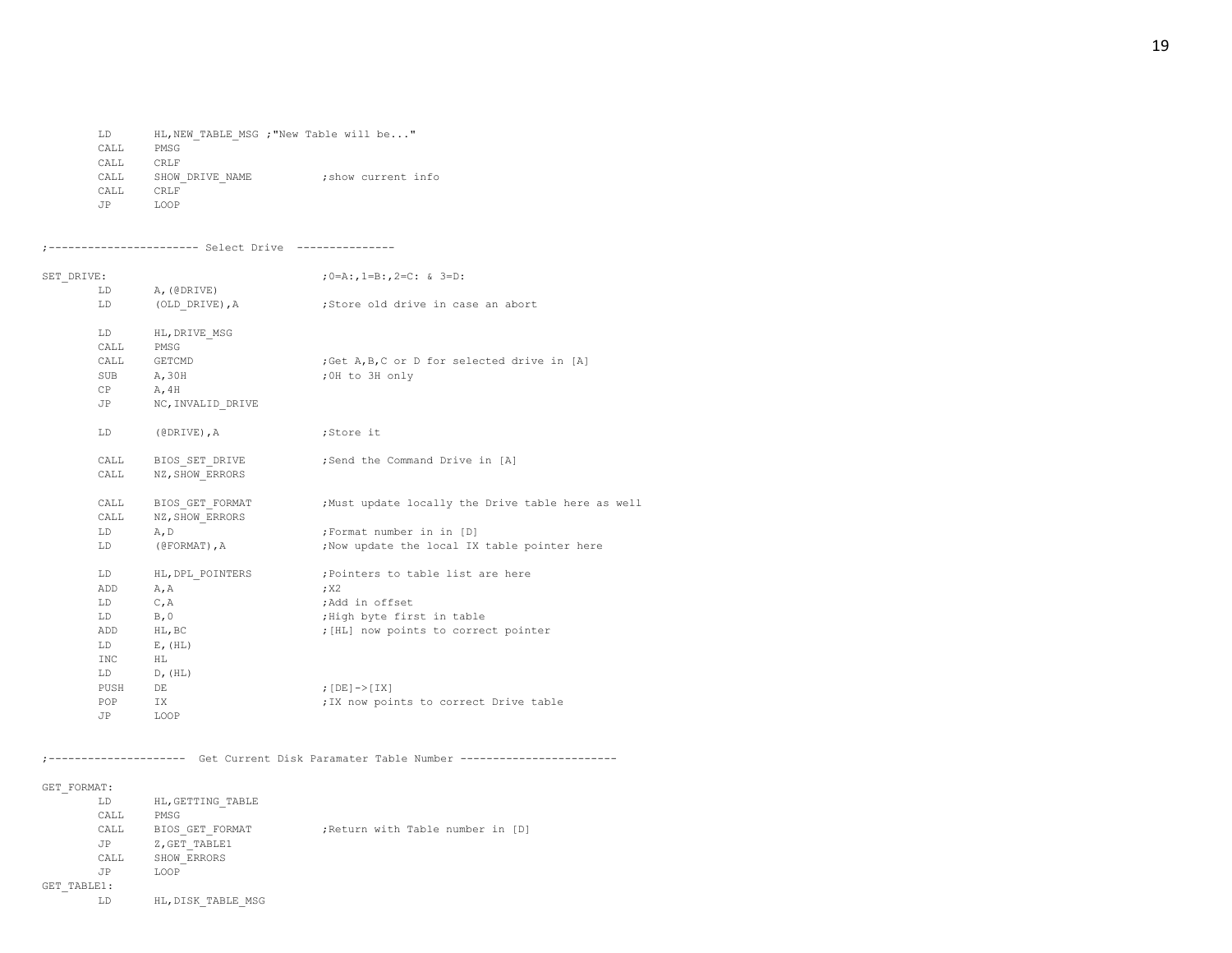LD HL,NEW\_TABLE\_MSG ;"New Table will be..." CALL PMSG CALL CRLF CALL SHOW\_DRIVE\_NAME ; show current info CALL CRLF JP LOOP

#### ;----------------------- Select Drive ---------------

| SET DRIVE: |      |                   | ; $0 = A$ :, $1 = B$ :, $2 = C$ : & $3 = D$ :     |  |  |
|------------|------|-------------------|---------------------------------------------------|--|--|
|            | LD   | A, (@DRIVE)       |                                                   |  |  |
|            | LD.  | (OLD DRIVE), A    | ;Store old drive in case an abort                 |  |  |
|            | LD.  | HL, DRIVE MSG     |                                                   |  |  |
|            | CALL | PMSG              |                                                   |  |  |
|            | CALL | GETCMD            | ; Get A, B, C or D for selected drive in [A]      |  |  |
|            |      | SUB A, 30H        | ; OH to 3H only                                   |  |  |
|            |      | $CP$ $A, 4H$      |                                                   |  |  |
|            | JP   | NC, INVALID DRIVE |                                                   |  |  |
|            | LD   | (@DRIVE),A        | ;Store it                                         |  |  |
|            | CALL | BIOS SET DRIVE    | ;Send the Command Drive in [A]                    |  |  |
|            | CALL | NZ, SHOW ERRORS   |                                                   |  |  |
|            | CALL | BIOS GET FORMAT   | Must update locally the Drive table here as well, |  |  |
|            | CALL | NZ, SHOW ERRORS   |                                                   |  |  |
|            | LD   | A, D              | ; Format number in in [D]                         |  |  |
|            | LD   | (@FORMAT), A      | ; Now update the local IX table pointer here      |  |  |
|            | LD   | HL, DPL POINTERS  | Pointers to table list are here;                  |  |  |
|            | ADD  | A, A              | ; x2                                              |  |  |
|            | LD   | C, A              | ;Add in offset                                    |  |  |
|            | LD   | B, 0              | ; High byte first in table                        |  |  |
|            | ADD  | HL, BC            | ; [HL] now points to correct pointer              |  |  |
|            | LD   | $E$ , $(HL)$      |                                                   |  |  |
|            | INC  | HL                |                                                   |  |  |
|            | LD   | D, (HL)           |                                                   |  |  |
|            | PUSH | DE                | ; $[DE]$ -> $[IX]$                                |  |  |
|            | POP  | IX                | ; IX now points to correct Drive table            |  |  |
|            | JP   | LOOP              |                                                   |  |  |

#### ;--------------------- Get Current Disk Paramater Table Number ------------------------

#### GET\_FORMAT:

|             | LD   | HL, GETTING TABLE  |  |                                   |  |
|-------------|------|--------------------|--|-----------------------------------|--|
|             | CALL | PMSG               |  |                                   |  |
|             | CALL | BIOS GET FORMAT    |  | ; Return with Table number in [D] |  |
|             | JP   | Z, GET TABLE1      |  |                                   |  |
|             | CALL | SHOW ERRORS        |  |                                   |  |
|             | JP   | LOOP               |  |                                   |  |
| GET TABLE1: |      |                    |  |                                   |  |
|             | LD   | HL, DISK TABLE MSG |  |                                   |  |
|             |      |                    |  |                                   |  |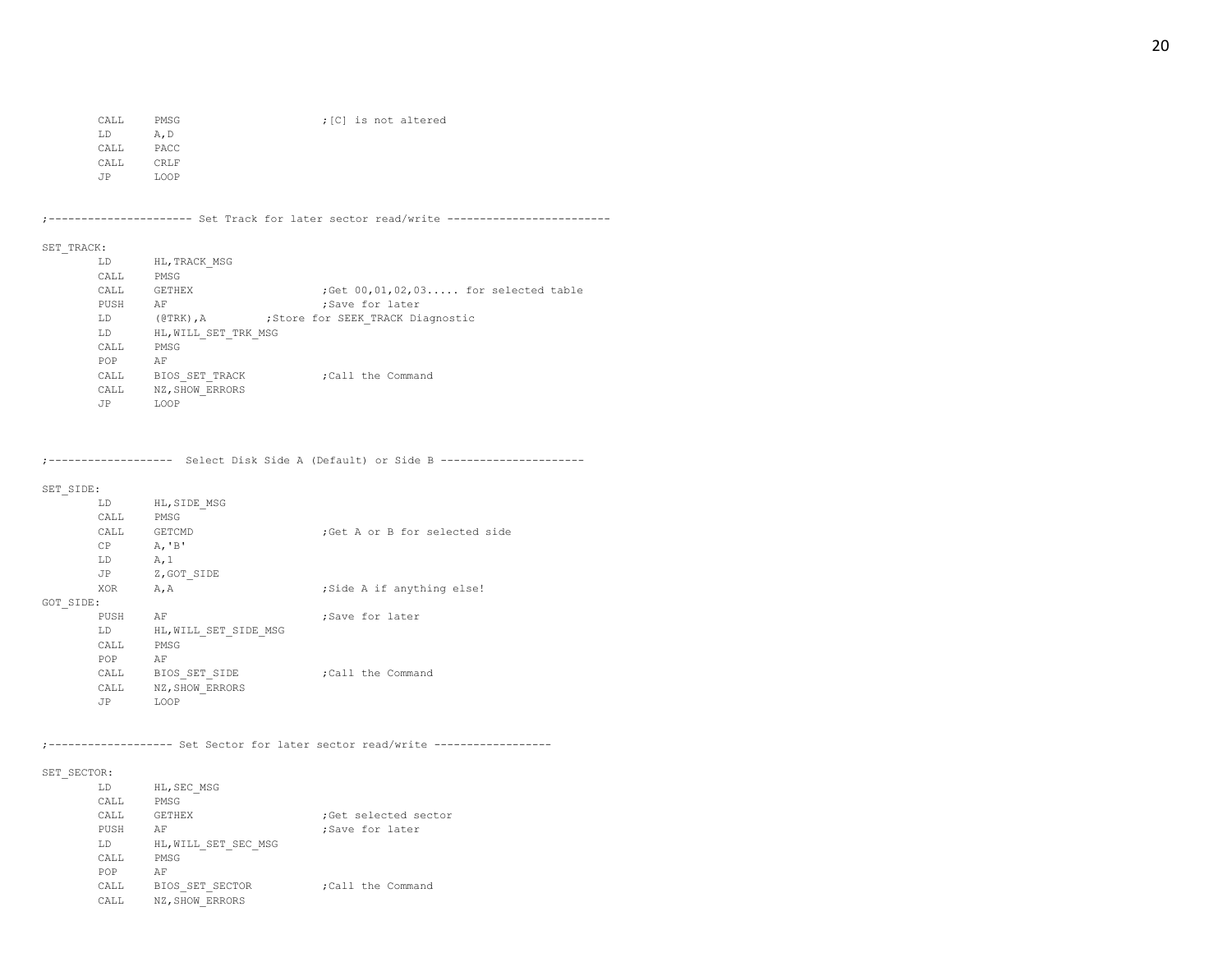CALL PMSG  $;$  [C] is not altered LD A,D CALL PACC CALL CRLF JP LOOP

;---------------------- Set Track for later sector read/write -------------------------

## SET\_TRACK:

| LD        | HL, TRACK MSG               |                                                     |
|-----------|-----------------------------|-----------------------------------------------------|
| CALL      | PMSG                        |                                                     |
| CALL      | <b>GETHEX</b>               | $;$ Get $00, 01, 02, 03, \ldots$ for selected table |
| PUSH      | AF                          | :Save for later                                     |
| LD.       | $(\theta \text{TRK})$ , $A$ | ; Store for SEEK TRACK Diagnostic                   |
| LD        | HL, WILL SET TRK MSG        |                                                     |
| CALL      | PMSG                        |                                                     |
| POP       | AF                          |                                                     |
| CALL      | BIOS SET TRACK              | :Call the Command                                   |
| CALL      | NZ, SHOW ERRORS             |                                                     |
| <b>JP</b> | <b>T.OOP</b>                |                                                     |
|           |                             |                                                     |

;------------------- Select Disk Side A (Default) or Side B ----------------------

## SET\_SIDE:

|           | LD         | HL, SIDE MSG          |                               |
|-----------|------------|-----------------------|-------------------------------|
|           | CALL       | PMSG                  |                               |
|           | CALL       | <b>GETCMD</b>         | :Get A or B for selected side |
|           | CP         | A, B'                 |                               |
|           | LD         | A, 1                  |                               |
|           | JP         | Z, GOT SIDE           |                               |
|           | <b>XOR</b> | A, A                  | ; Side A if anything else!    |
| GOT SIDE: |            |                       |                               |
|           | PUSH       | AF                    | ;Save for later               |
|           | LD         | HL, WILL SET SIDE MSG |                               |
|           | CALL       | PMSG                  |                               |
|           | POP        | AF                    |                               |
|           | CALL       | BIOS SET SIDE         | ; Call the Command            |
|           | CALL       | NZ, SHOW ERRORS       |                               |
|           | JP         | LOOP                  |                               |

;------------------- Set Sector for later sector read/write ------------------

## SET\_SECTOR:

| T.D        | HL, SEC MSG          |                      |
|------------|----------------------|----------------------|
| CALL       | PMSG                 |                      |
| CALL       | <b>GETHEX</b>        | :Get selected sector |
| PUSH       | AF                   | ;Save for later      |
| T.D        | HL, WILL SET SEC MSG |                      |
| CALL       | PMSG                 |                      |
| <b>POP</b> | AF                   |                      |
| CALL.      | BIOS SET SECTOR      | :Call the Command    |
| CALL.      | NZ, SHOW ERRORS      |                      |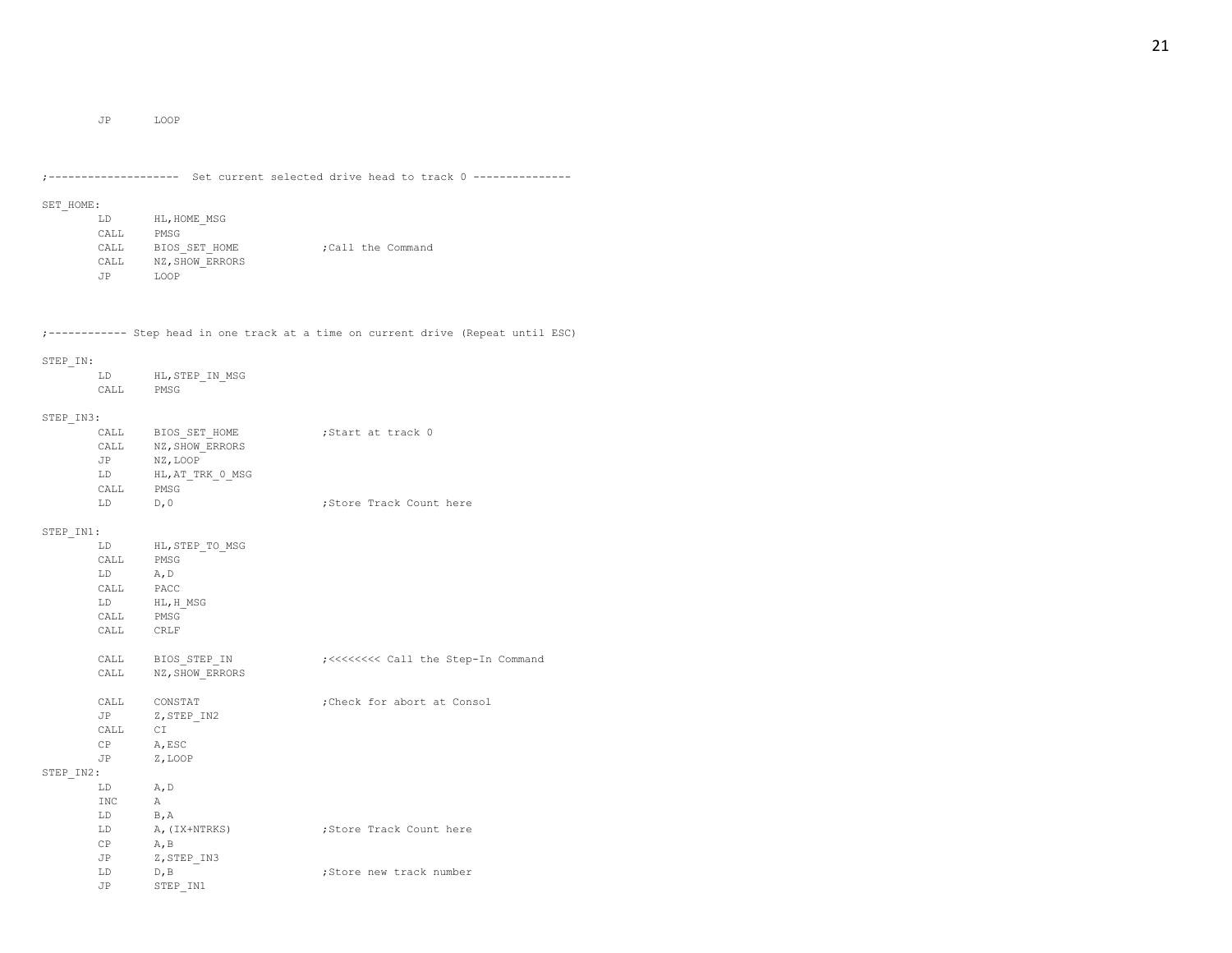JP LOOP

|           |                                                                                                                                                                                                                                |                                                                                                                                                                                     | ;------------------- Set current selected drive head to track 0 --------------    |
|-----------|--------------------------------------------------------------------------------------------------------------------------------------------------------------------------------------------------------------------------------|-------------------------------------------------------------------------------------------------------------------------------------------------------------------------------------|-----------------------------------------------------------------------------------|
| SET HOME: |                                                                                                                                                                                                                                |                                                                                                                                                                                     |                                                                                   |
|           | LD                                                                                                                                                                                                                             | HL, HOME MSG                                                                                                                                                                        |                                                                                   |
|           |                                                                                                                                                                                                                                | $\begin{tabular}{ll} \multicolumn{2}{c}{\textbf{CALL}} & \multicolumn{2}{c}{\textbf{PMSG}}\\ \multicolumn{2}{c}{\textbf{CALL}} & \multicolumn{2}{c}{\textbf{PMSG}}\\ \end{tabular}$ |                                                                                   |
|           | CALL                                                                                                                                                                                                                           | BIOS SET HOME                                                                                                                                                                       | ; Call the Command                                                                |
|           |                                                                                                                                                                                                                                |                                                                                                                                                                                     |                                                                                   |
|           |                                                                                                                                                                                                                                | CALL NZ, SHOW_ERRORS<br>JP LOOP                                                                                                                                                     |                                                                                   |
|           |                                                                                                                                                                                                                                |                                                                                                                                                                                     |                                                                                   |
|           |                                                                                                                                                                                                                                |                                                                                                                                                                                     |                                                                                   |
|           |                                                                                                                                                                                                                                |                                                                                                                                                                                     | ;----------- Step head in one track at a time on current drive (Repeat until ESC) |
| STEP IN:  |                                                                                                                                                                                                                                |                                                                                                                                                                                     |                                                                                   |
|           | LD                                                                                                                                                                                                                             | HL, STEP IN MSG                                                                                                                                                                     |                                                                                   |
|           |                                                                                                                                                                                                                                | CALL PMSG                                                                                                                                                                           |                                                                                   |
|           |                                                                                                                                                                                                                                |                                                                                                                                                                                     |                                                                                   |
| STEP IN3: |                                                                                                                                                                                                                                |                                                                                                                                                                                     |                                                                                   |
|           | CALL                                                                                                                                                                                                                           | CALL BIOS SET HOME                                                                                                                                                                  | Start at track 0;                                                                 |
|           | JP                                                                                                                                                                                                                             | NZ, SHOW ERRORS<br>NZ, LOOP                                                                                                                                                         |                                                                                   |
|           | LD                                                                                                                                                                                                                             | HL, AT TRK 0 MSG                                                                                                                                                                    |                                                                                   |
|           |                                                                                                                                                                                                                                | CALL PMSG                                                                                                                                                                           |                                                                                   |
|           | LD                                                                                                                                                                                                                             | D, 0                                                                                                                                                                                | ; Store Track Count here                                                          |
|           |                                                                                                                                                                                                                                |                                                                                                                                                                                     |                                                                                   |
| STEP IN1: |                                                                                                                                                                                                                                |                                                                                                                                                                                     |                                                                                   |
|           | LD and the set of the set of the set of the set of the set of the set of the set of the set of the set of the set of the set of the set of the set of the set of the set of the set of the set of the set of the set of the se | HL, STEP TO MSG                                                                                                                                                                     |                                                                                   |
|           | CALL                                                                                                                                                                                                                           | PMSG                                                                                                                                                                                |                                                                                   |
|           | LD                                                                                                                                                                                                                             | A, D                                                                                                                                                                                |                                                                                   |
|           | CALL                                                                                                                                                                                                                           | PACC                                                                                                                                                                                |                                                                                   |
|           | LD                                                                                                                                                                                                                             | HL, H MSG                                                                                                                                                                           |                                                                                   |
|           | CALL                                                                                                                                                                                                                           | PMSG                                                                                                                                                                                |                                                                                   |
|           | CALL                                                                                                                                                                                                                           | CRLF                                                                                                                                                                                |                                                                                   |
|           | CALL                                                                                                                                                                                                                           | BIOS STEP IN                                                                                                                                                                        | ;<<<<<<<<<<<<<<<<<<> Call the Step-In Command                                     |
|           |                                                                                                                                                                                                                                | CALL NZ, SHOW ERRORS                                                                                                                                                                |                                                                                   |
|           | CALL                                                                                                                                                                                                                           | CONSTAT                                                                                                                                                                             | ; Check for abort at Consol                                                       |
|           | <b>JP</b>                                                                                                                                                                                                                      | Z, STEP IN2                                                                                                                                                                         |                                                                                   |
|           | CALL                                                                                                                                                                                                                           | C I                                                                                                                                                                                 |                                                                                   |
|           | CP                                                                                                                                                                                                                             | A, ESC                                                                                                                                                                              |                                                                                   |
|           | JP                                                                                                                                                                                                                             | Z, LOOP                                                                                                                                                                             |                                                                                   |
| STEP IN2: |                                                                                                                                                                                                                                |                                                                                                                                                                                     |                                                                                   |
|           | LD                                                                                                                                                                                                                             | A, D                                                                                                                                                                                |                                                                                   |
|           | INC                                                                                                                                                                                                                            | $\overline{A}$                                                                                                                                                                      |                                                                                   |
|           | LD                                                                                                                                                                                                                             | B, A                                                                                                                                                                                |                                                                                   |
|           | LD                                                                                                                                                                                                                             | A, (IX+NTRKS)                                                                                                                                                                       | ;Store Track Count here                                                           |
|           | CP<br>JP                                                                                                                                                                                                                       | A, B<br>Z, STEP IN3                                                                                                                                                                 |                                                                                   |
|           | LD                                                                                                                                                                                                                             | D, B                                                                                                                                                                                | ;Store new track number                                                           |
|           | JP                                                                                                                                                                                                                             | STEP IN1                                                                                                                                                                            |                                                                                   |
|           |                                                                                                                                                                                                                                |                                                                                                                                                                                     |                                                                                   |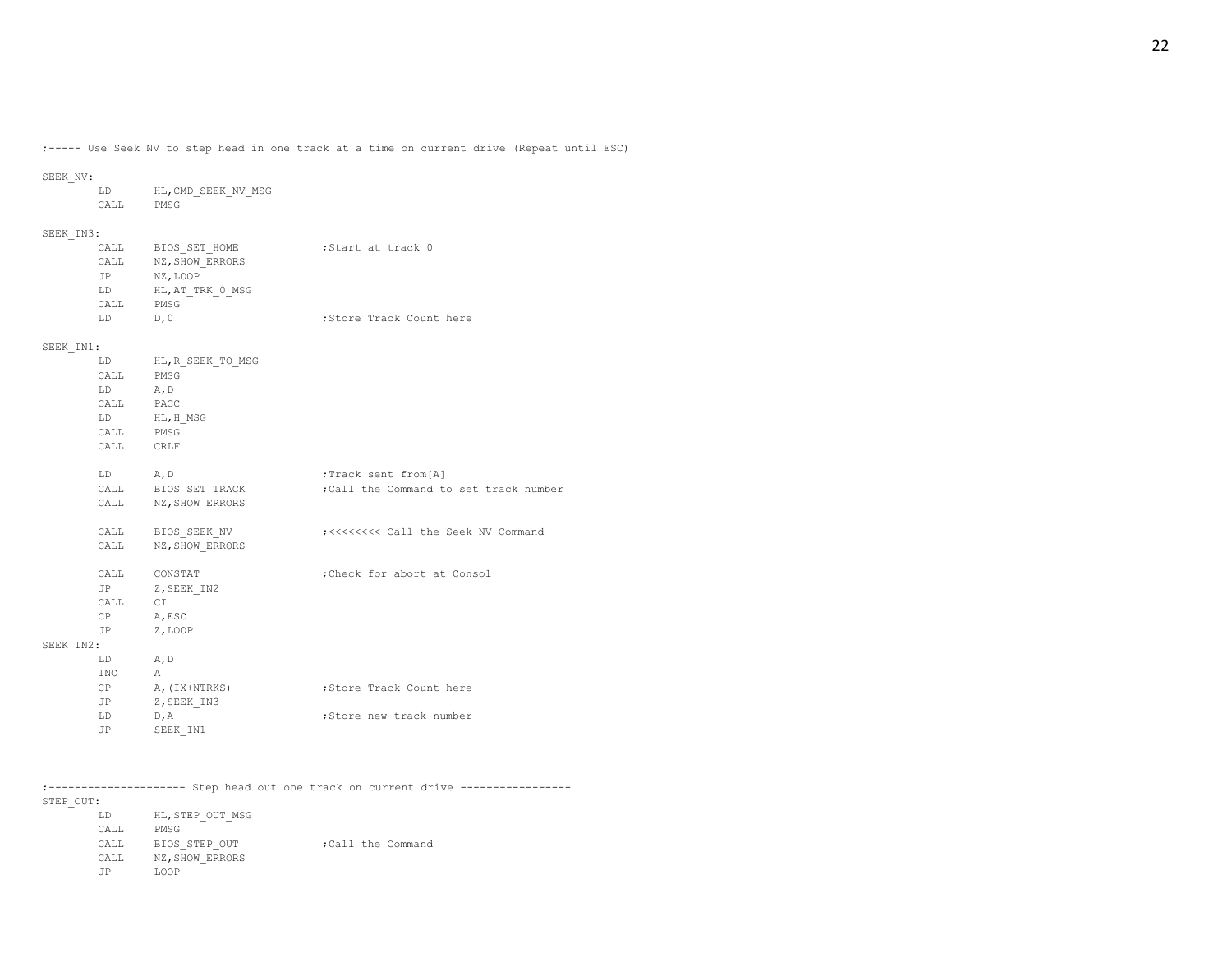;----- Use Seek NV to step head in one track at a time on current drive (Repeat until ESC)

# SEEK\_NV:

| . ۲۷ ۱۳ ۱۳۵۲ |         |                                                                                                                                                                                     |                                               |
|--------------|---------|-------------------------------------------------------------------------------------------------------------------------------------------------------------------------------------|-----------------------------------------------|
|              |         | LD HL, CMD SEEK NV MSG                                                                                                                                                              |                                               |
|              |         | CALL PMSG                                                                                                                                                                           |                                               |
|              |         |                                                                                                                                                                                     |                                               |
| SEEK IN3:    |         |                                                                                                                                                                                     |                                               |
|              |         | CALL BIOS_SET_HOME                                                                                                                                                                  | Start at track 0;                             |
|              |         | CALL NZ, SHOW_ERRORS                                                                                                                                                                |                                               |
|              |         | JP NZ, LOOP                                                                                                                                                                         |                                               |
|              | LD      | HL, AT TRK 0 MSG                                                                                                                                                                    |                                               |
|              | CALL    | PMSG                                                                                                                                                                                |                                               |
|              | LD      | D, 0                                                                                                                                                                                | ; Store Track Count here                      |
| SEEK IN1:    |         |                                                                                                                                                                                     |                                               |
|              |         | LD HL, R SEEK TO MSG                                                                                                                                                                |                                               |
|              |         | CALL PMSG                                                                                                                                                                           |                                               |
|              | LD A, D |                                                                                                                                                                                     |                                               |
|              |         | $\begin{tabular}{ll} \multicolumn{2}{c}{\textbf{CALL}} & \multicolumn{2}{c}{\textbf{PACC}}\\ \multicolumn{2}{c}{\textbf{CALL}} & \multicolumn{2}{c}{\textbf{PACC}}\\ \end{tabular}$ |                                               |
|              | LD      |                                                                                                                                                                                     |                                               |
|              | CALL    | HL,H_MSG<br>PMSG                                                                                                                                                                    |                                               |
|              |         | CALL CRLF                                                                                                                                                                           |                                               |
|              |         |                                                                                                                                                                                     |                                               |
|              | LD A, D |                                                                                                                                                                                     | ;Track sent from[A]                           |
|              |         | CALL BIOS SET TRACK                                                                                                                                                                 | ; Call the Command to set track number        |
|              |         | CALL NZ, SHOW ERRORS                                                                                                                                                                |                                               |
|              |         |                                                                                                                                                                                     |                                               |
|              |         | CALL BIOS_SEEK_NV                                                                                                                                                                   | ;<<<<<<<<<<<<<<<<<<> Call the Seek NV Command |
|              | CALL    | NZ, SHOW ERRORS                                                                                                                                                                     |                                               |
|              |         | CALL CONSTAT                                                                                                                                                                        | ; Check for abort at Consol                   |
|              | JP      | Z, SEEK_IN2                                                                                                                                                                         |                                               |
|              | CALL CI |                                                                                                                                                                                     |                                               |
|              |         | CP A, ESC                                                                                                                                                                           |                                               |
|              | JP      | Z, LOOP                                                                                                                                                                             |                                               |
| SEEK IN2:    |         |                                                                                                                                                                                     |                                               |
|              | LD      | A, D                                                                                                                                                                                |                                               |
|              | INC     | А                                                                                                                                                                                   |                                               |
|              | CP      | A, (IX+NTRKS)                                                                                                                                                                       | ; Store Track Count here                      |
|              | JP      | Z, SEEK IN3                                                                                                                                                                         |                                               |
|              | LD      | $\mathbb{D}$ , $\mathbb{A}$                                                                                                                                                         | ;Store new track number                       |
|              | JP      | SEEK IN1                                                                                                                                                                            |                                               |
|              |         |                                                                                                                                                                                     |                                               |

;--------------------- Step head out one track on current drive -----------------

STEP\_OUT:

| LD   | HL, STEP OUT MSG |  |                   |
|------|------------------|--|-------------------|
| CALL | PMSG             |  |                   |
| CALL | BIOS STEP OUT    |  | :Call the Command |
| CALL | NZ, SHOW ERRORS  |  |                   |
| .TP  | <b>T.OOP</b>     |  |                   |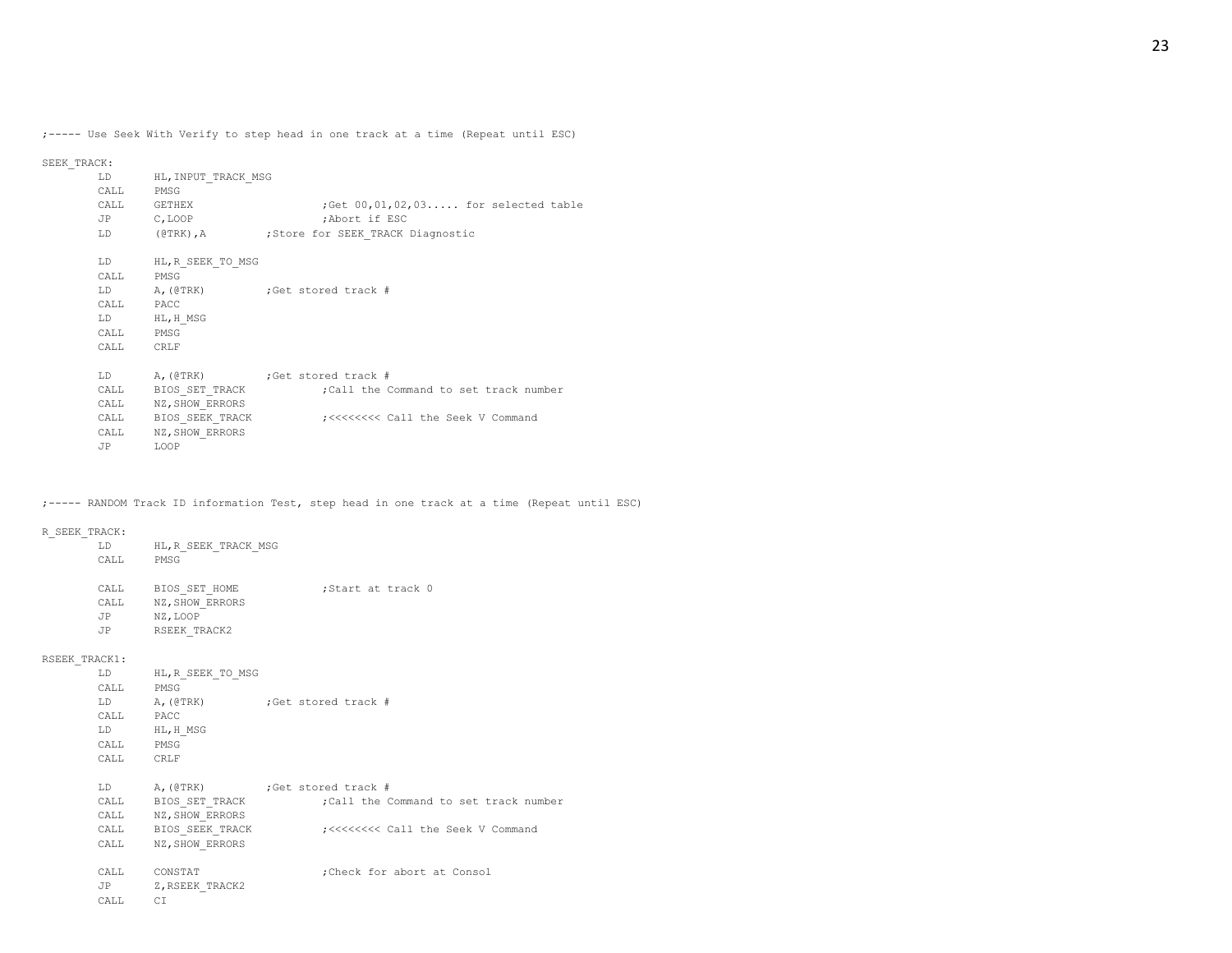;----- Use Seek With Verify to step head in one track at a time (Repeat until ESC)

SEEK\_TRACK:

| T.D<br>CALL                 | HL, INPUT TRACK MSG<br>PMSG |                                                   |
|-----------------------------|-----------------------------|---------------------------------------------------|
| CALL                        | <b>GETHEX</b>               | ; Get $00, 01, 02, 03, \ldots$ for selected table |
| JP C, LOOP                  |                             | ;Abort if ESC                                     |
| $L_{\rm D}$ and $L_{\rm D}$ |                             | (@TRK), A (@TRK), Store for SEEK TRACK Diagnostic |
| T.D                         | HL, R SEEK TO MSG           |                                                   |
| CALL                        | PMSG                        |                                                   |
|                             |                             | LD A, (@TRK) ; Get stored track #                 |
| CALL PACC                   |                             |                                                   |
| LD                          | HL, H MSG                   |                                                   |
| CALL PMSG                   |                             |                                                   |
| CALL                        | CRLF                        |                                                   |
| T.D                         |                             | A, (@TRK) ; Get stored track #                    |
| CALL                        | BIOS SET TRACK              | :Call the Command to set track number             |
| CALL                        | NZ, SHOW ERRORS             |                                                   |
| CALL                        | BIOS SEEK TRACK             | ;<<<<<<<<<<<<<<<> Command                         |
| CALL                        | NZ, SHOW ERRORS             |                                                   |
| JP                          | LOOP                        |                                                   |

;----- RANDOM Track ID information Test, step head in one track at a time (Repeat until ESC)

## R\_SEEK\_TRACK:

| LD   | HL, R SEEK TRACK MSG |                   |  |  |
|------|----------------------|-------------------|--|--|
| CALL | PMSG                 |                   |  |  |
|      |                      |                   |  |  |
| CALL | BIOS SET HOME        | :Start at track 0 |  |  |
| CALL | NZ, SHOW ERRORS      |                   |  |  |
| .TP  | NZ, LOOP             |                   |  |  |
| .TP  | RSEEK TRACK2         |                   |  |  |
|      |                      |                   |  |  |

# RSEEK\_TRACK1:

|              | LD HL, R SEEK TO MSG |                                                |
|--------------|----------------------|------------------------------------------------|
| CALL PMSG    |                      |                                                |
| LD           | A, (@TRK)            | Get stored track #                             |
| CALL PACC    |                      |                                                |
| LD           | HL, H MSG            |                                                |
| CALL PMSG    |                      |                                                |
| CALL CRLF    |                      |                                                |
|              |                      |                                                |
| LD           |                      | A, (@TRK) ; Get stored track #                 |
| CALL         | BIOS SET TRACK       | Call the Command to set track number;          |
|              | CALL NZ, SHOW ERRORS |                                                |
|              | CALL BIOS SEEK TRACK | ;<<<<<<<<<<<<<<<<<<<<> Call the Seek V Command |
| CALL         | NZ, SHOW ERRORS      |                                                |
|              |                      |                                                |
| CALL CONSTAT |                      | Check for abort at Consol;                     |
|              | JP Z, RSEEK TRACK2   |                                                |
| CALL         | C1                   |                                                |
|              |                      |                                                |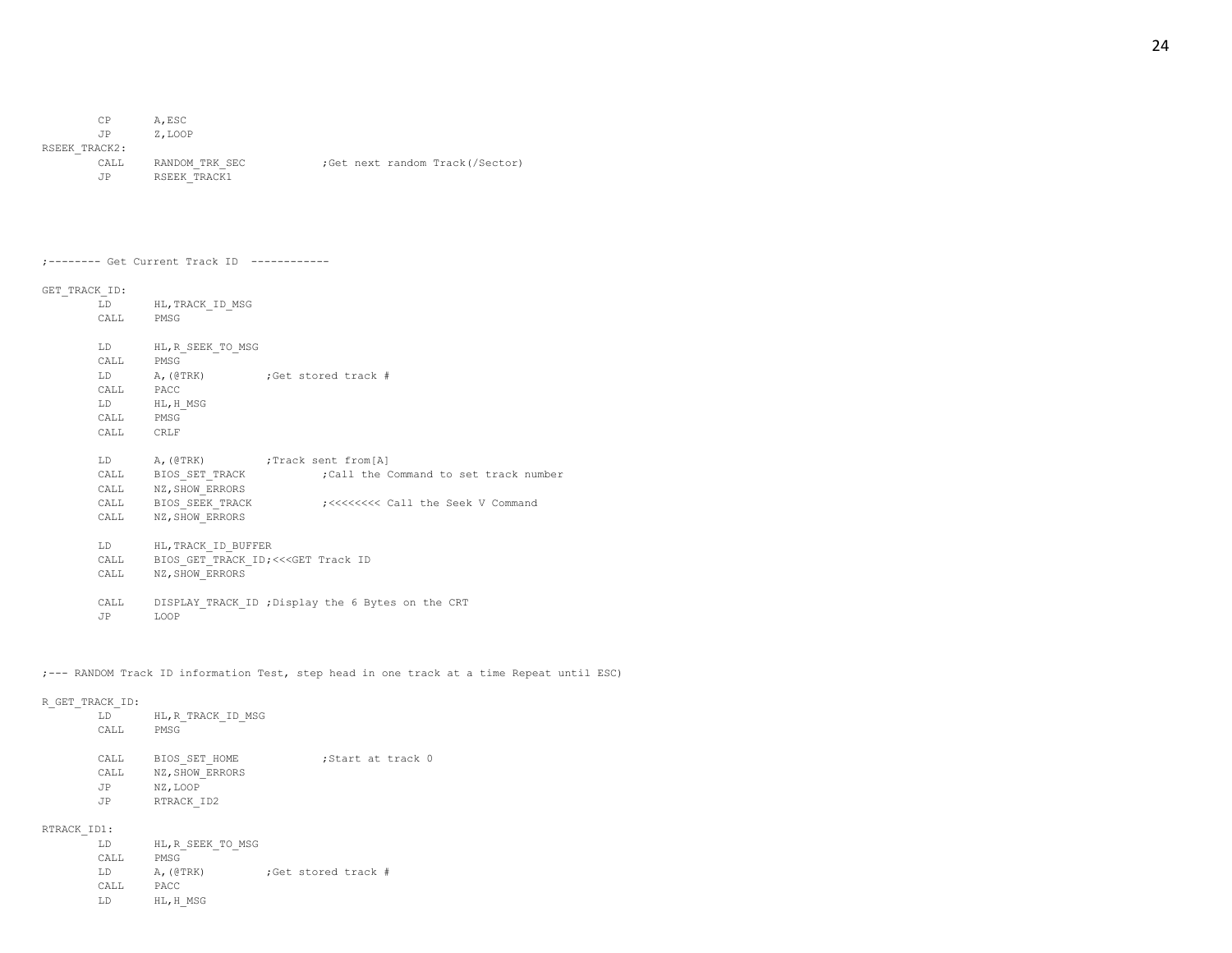| CP.           | A.ESC          |                                 |
|---------------|----------------|---------------------------------|
| JP            | Z.LOOP         |                                 |
| RSEEK TRACK2: |                |                                 |
| CALL          | RANDOM TRK SEC | ;Get next random Track(/Sector) |
| .TP           | RSEEK TRACK1   |                                 |

| :-------- Get Current Track ID |  |  |  |  |  |
|--------------------------------|--|--|--|--|--|
|--------------------------------|--|--|--|--|--|

# GET\_TRACK\_ID:

| LD        | HL, TRACK ID MSG                         |                                                              |
|-----------|------------------------------------------|--------------------------------------------------------------|
| CALL PMSG |                                          |                                                              |
|           | LD HL, R SEEK TO MSG                     |                                                              |
| CALL PMSG |                                          |                                                              |
|           |                                          | LD A, (@TRK) ; Get stored track #                            |
| CALL PACC |                                          |                                                              |
|           | LD HL, H MSG                             |                                                              |
| CALL PMSG |                                          |                                                              |
| CALL CRLF |                                          |                                                              |
|           |                                          |                                                              |
|           |                                          | LD A, (@TRK) ; Track sent from [A]                           |
|           |                                          | CALL BIOS SET TRACK : call the Command to set track number   |
|           | CALL NZ, SHOW ERRORS                     |                                                              |
|           |                                          | CALL BIOS SEEK TRACK : ;<<<<<<<<<<<< Call the Seek V Command |
|           | CALL NZ, SHOW ERRORS                     |                                                              |
|           |                                          |                                                              |
|           | LD HL, TRACK ID BUFFER                   |                                                              |
|           | CALL BIOS GET TRACK ID; <<< GET Track ID |                                                              |
| CALL      | NZ, SHOW ERRORS                          |                                                              |
|           |                                          |                                                              |
| CALL      |                                          | DISPLAY TRACK ID ; Display the 6 Bytes on the CRT            |
| JP        | LOOP                                     |                                                              |

;--- RANDOM Track ID information Test, step head in one track at a time Repeat until ESC)

## R\_GET\_TRACK\_ID:

| LD   | HL, R TRACK ID MSG |                   |
|------|--------------------|-------------------|
| CALL | PMSG               |                   |
|      |                    |                   |
| CALL | BIOS SET HOME      | Start at track 0: |
| CALL | NZ, SHOW ERRORS    |                   |
| JP   | NZ, LOOP           |                   |
| .TP  | RTRACK ID2         |                   |

# RTRACK\_ID1:

|                        | :Get stored track # |
|------------------------|---------------------|
|                        |                     |
|                        |                     |
| A, (QTRK)<br>HL, H MSG | HL, R SEEK TO MSG   |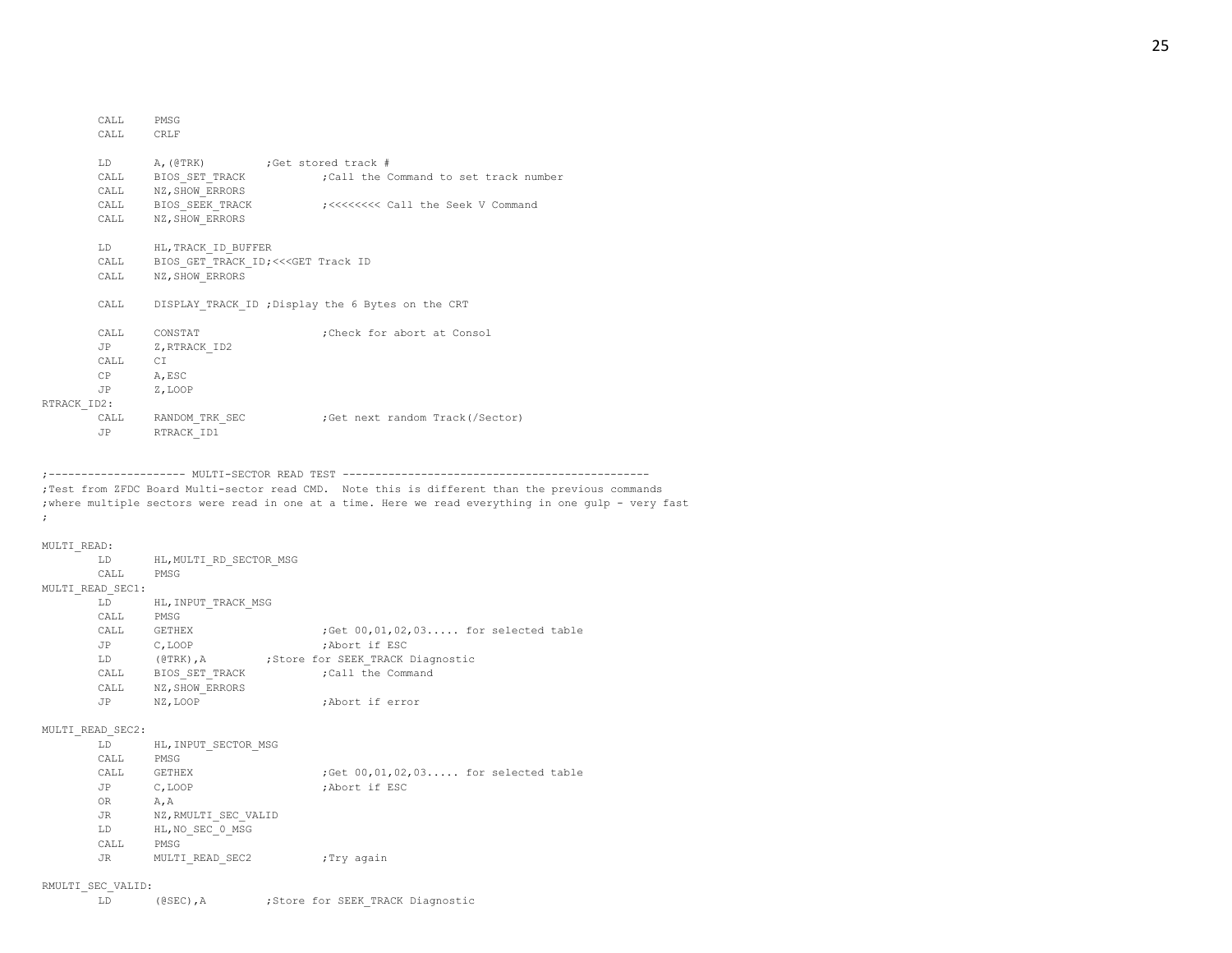|             | CALL PMSG  |                                                   |                                                              |
|-------------|------------|---------------------------------------------------|--------------------------------------------------------------|
|             | CALL CRLF  |                                                   |                                                              |
|             |            |                                                   |                                                              |
|             |            | LD A, (@TRK) ; Get stored track #                 |                                                              |
|             |            |                                                   | CALL BIOS SET TRACK : Call the Command to set track number   |
|             |            | CALL NZ, SHOW ERRORS                              |                                                              |
|             |            |                                                   | CALL BIOS SEEK TRACK : ;<<<<<<<<<<<< Call the Seek V Command |
|             |            | CALL NZ, SHOW ERRORS                              |                                                              |
|             |            |                                                   |                                                              |
|             |            | LD HL, TRACK ID BUFFER                            |                                                              |
|             |            | CALL BIOS GET TRACK ID; <<< GET Track ID          |                                                              |
|             | CALL       | NZ, SHOW ERRORS                                   |                                                              |
|             |            |                                                   |                                                              |
|             | CALL       | DISPLAY TRACK ID ; Display the 6 Bytes on the CRT |                                                              |
|             |            |                                                   |                                                              |
|             |            | CALL CONSTAT                                      | :Check for abort at Consol                                   |
|             |            | JP Z, RTRACK ID2                                  |                                                              |
|             | CALL CI    |                                                   |                                                              |
|             | CP A, ESC  |                                                   |                                                              |
|             | JP Z, LOOP |                                                   |                                                              |
| RTRACK ID2: |            |                                                   |                                                              |
|             |            | CALL RANDOM TRK SEC                               | Get next random Track(/Sector);                              |
|             | <b>JP</b>  | RTRACK ID1                                        |                                                              |
|             |            |                                                   |                                                              |

;--------------------- MULTI-SECTOR READ TEST ----------------------------------------------- ;Test from ZFDC Board Multi-sector read CMD. Note this is different than the previous commands ;where multiple sectors were read in one at a time. Here we read everything in one gulp - very fast ;

```
MULTI_READ:
```

| MULTI READ:      |                                       |                                                   |
|------------------|---------------------------------------|---------------------------------------------------|
|                  | LD HL, MULTI RD SECTOR MSG            |                                                   |
|                  | CALL PMSG                             |                                                   |
| MULTI READ SEC1: |                                       |                                                   |
|                  | LD HL, INPUT TRACK MSG                |                                                   |
|                  | CALL PMSG                             |                                                   |
|                  | CALL GETHEX                           | ; Get $00, 01, 02, 03, \ldots$ for selected table |
|                  | JP C, LOOP                            | ;Abort if ESC                                     |
|                  |                                       | LD (@TRK), A : Store for SEEK TRACK Diagnostic    |
|                  | CALL BIOS SET TRACK (Call the Command |                                                   |
|                  | CALL NZ, SHOW ERRORS                  |                                                   |
|                  | JP NZ, LOOP                           | ;Abort if error                                   |
|                  |                                       |                                                   |
| MULTI READ SEC2: |                                       |                                                   |
|                  | LD HL, INPUT SECTOR MSG               |                                                   |
|                  | CALL PMSG                             |                                                   |
|                  | CALL GETHEX                           | ; Get $00, 01, 02, 03, \ldots$ for selected table |
|                  | JP C, LOOP                            | ;Abort if ESC                                     |
|                  | OR A, A                               |                                                   |
|                  | JR NZ, RMULTI SEC VALID               |                                                   |
|                  | LD HL, NO SEC 0 MSG                   |                                                   |
|                  | CALL PMSG                             |                                                   |
| JR               | MULTI READ SEC2                       | ;Try again                                        |
|                  |                                       |                                                   |

#### RMULTI\_SEC\_VALID: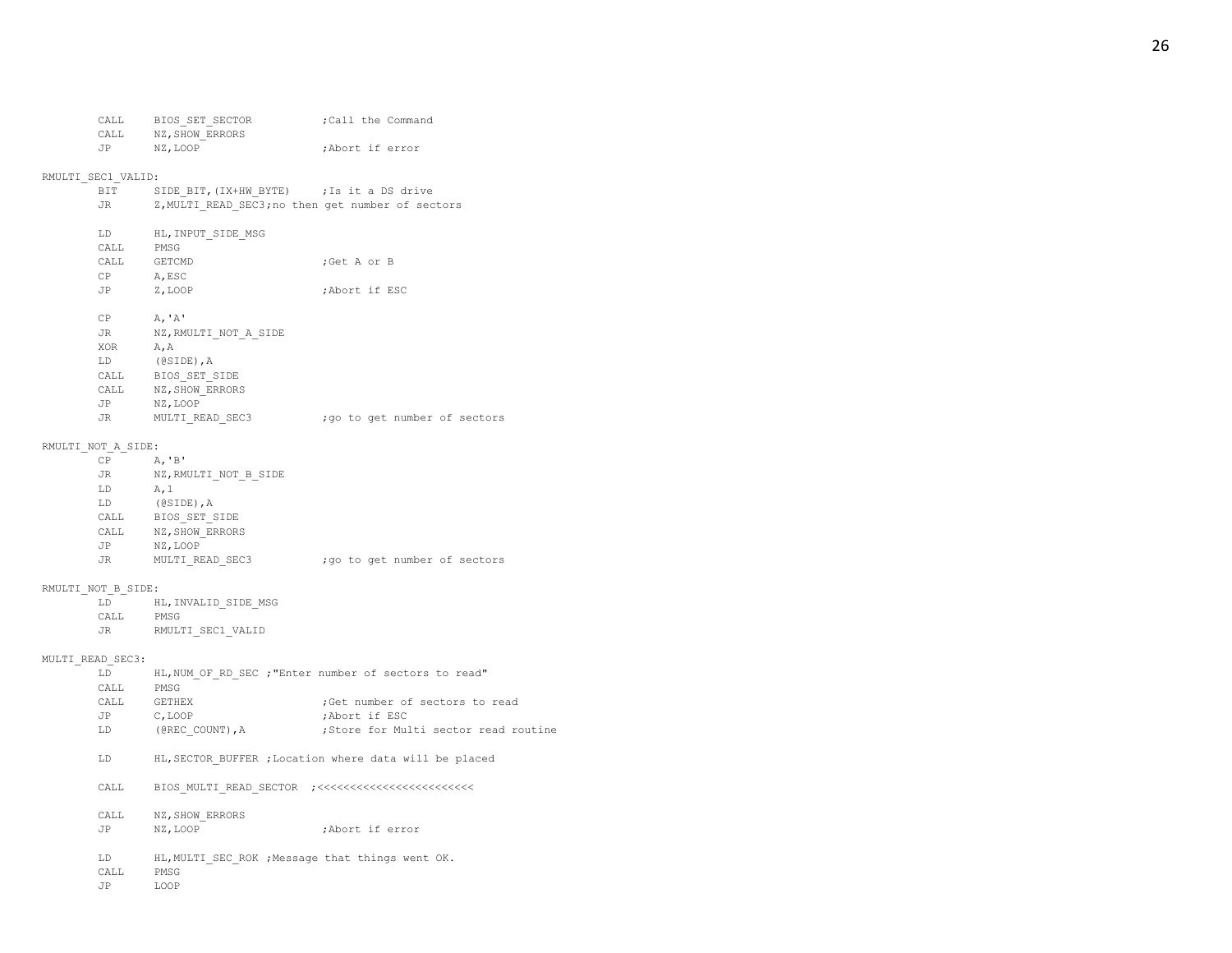## RMULTI\_SEC1\_VALID:

| BIT  | SIDE BIT, (IX+HW BYTE) ; Is it a DS drive         |               |
|------|---------------------------------------------------|---------------|
| JR   | Z, MULTI READ SEC3; no then get number of sectors |               |
|      |                                                   |               |
| LD.  | HL, INPUT SIDE MSG                                |               |
| CALL | PMSG                                              |               |
| CALL | GETCMD                                            | :Get A or B   |
| CP   | A.ESC                                             |               |
| JP   | Z, LOOP                                           | ;Abort if ESC |
|      |                                                   |               |

#### $CP$   $A, 'A'$

| JR.       | NZ, RMULTI NOT A SIDE |  |  |                               |
|-----------|-----------------------|--|--|-------------------------------|
| XOR       | A, A                  |  |  |                               |
| LD        | $(0SIDE)$ , A         |  |  |                               |
| CALL      | BIOS SET SIDE         |  |  |                               |
| CALL      | NZ, SHOW ERRORS       |  |  |                               |
| JP        | NZ.LOOP               |  |  |                               |
| <b>JR</b> | MULTI READ SEC3       |  |  | ; go to get number of sectors |

#### RMULTI\_NOT\_A\_SIDE:

| CP        | A, 'B'                |  |  |                               |
|-----------|-----------------------|--|--|-------------------------------|
| <b>JR</b> | NZ, RMULTI NOT B SIDE |  |  |                               |
| LD        | A, 1                  |  |  |                               |
| LD        | $(0SIDE)$ , A         |  |  |                               |
| CALL      | BIOS SET SIDE         |  |  |                               |
| CALL      | NZ, SHOW ERRORS       |  |  |                               |
| JP        | NZ, LOOP              |  |  |                               |
| <b>JR</b> | MULTI READ SEC3       |  |  | ; go to get number of sectors |
|           |                       |  |  |                               |

## RMULTI\_NOT\_B\_SIDE:

| LD |  | HL, INVALID SIDE MSG |  |  |
|----|--|----------------------|--|--|
|----|--|----------------------|--|--|

- CALL PMSG
- JR RMULTI\_SEC1\_VALID

## MULTI\_READ\_SEC3:

| LD   |                 | HL, NUM OF RD SEC ; "Enter number of sectors to read" |
|------|-----------------|-------------------------------------------------------|
| CALL | PMSG            |                                                       |
| CALL | GETHEX          | ; Get number of sectors to read                       |
| JP   | C.LOOP          | :Abort if ESC                                         |
| LD   | (@REC COUNT), A | Store for Multi sector read routine:                  |

LD HL,SECTOR\_BUFFER ;Location where data will be placed

| CALL |  | BIOS MULTI READ SECTOR ;<<<<<<<<<<<<<<<<<<<<<<<<< |
|------|--|---------------------------------------------------|
|      |  |                                                   |
|      |  |                                                   |

#### CALL NZ, SHOW\_ERRORS

- JP NZ,LOOP ;Abort if error
- LD HL, MULTI SEC ROK ; Message that things went OK.
- CALL PMSG
- JP LOOP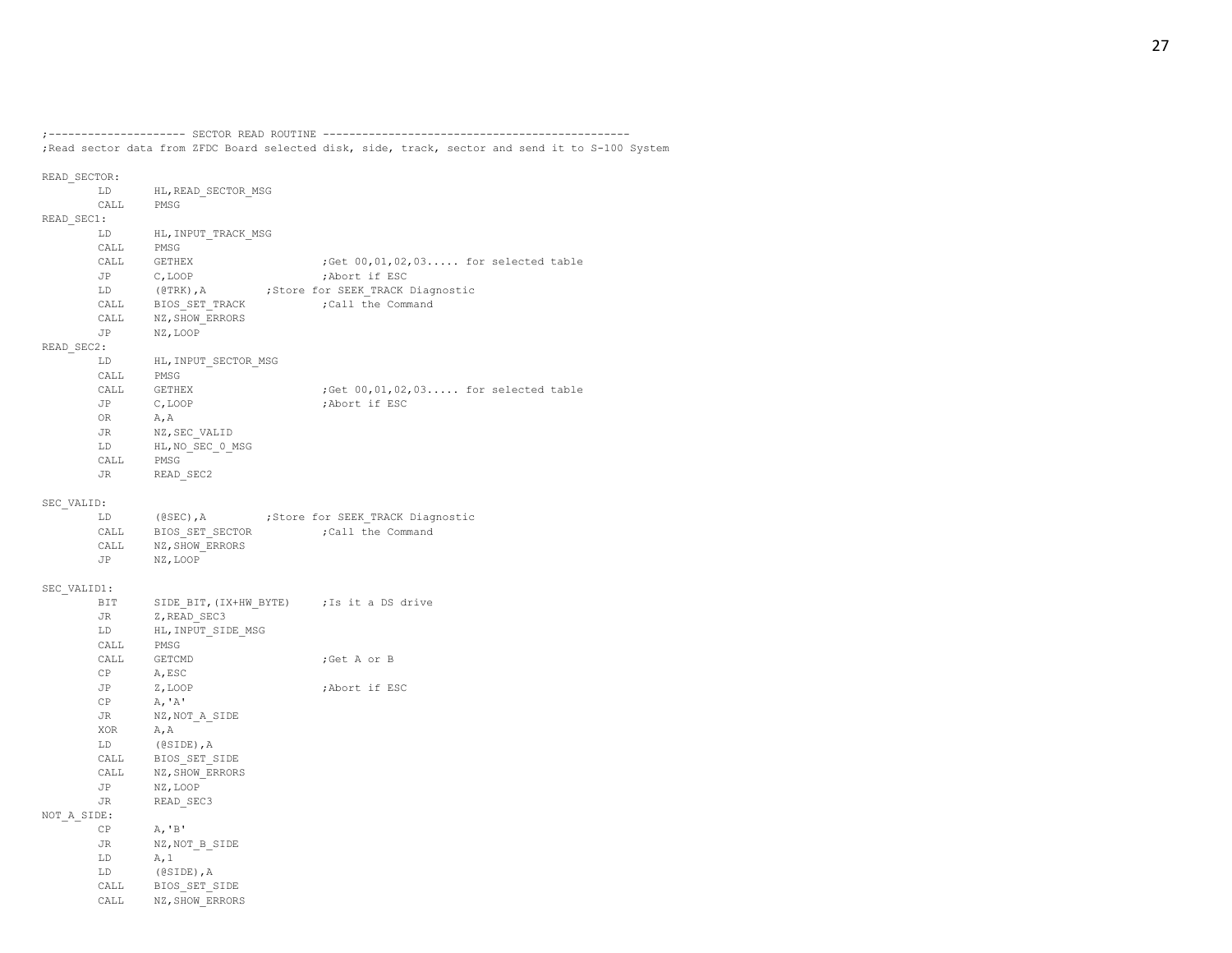;--------------------- SECTOR READ ROUTINE -----------------------------------------------

;Read sector data from ZFDC Board selected disk, side, track, sector and send it to S-100 System

READ\_SECTOR: LD HL,READ\_SECTOR\_MSG CALL PMSG READ\_SEC1: LD HL, INPUT\_TRACK\_MSG CALL PMSG CALL GETHEX ;Get  $00, 01, 02, 03...$  for selected table JP C,LOOP ;Abort if ESC LD (@TRK), A ;Store for SEEK\_TRACK Diagnostic CALL BIOS SET TRACK ;Call the Command CALL NZ, SHOW ERRORS JP NZ,LOOP READ\_SEC2: LD HL, INPUT\_SECTOR\_MSG CALL PMSG CALL GETHEX ;Get  $00, 01, 02, 03...$  for selected table JP C, LOOP ;Abort if ESC OR A,A JR NZ, SEC\_VALID LD HL, NO SEC 0 MSG CALL PMSG JR READ\_SEC2 SEC\_VALID: LD (@SEC), A ;Store for SEEK TRACK Diagnostic CALL BIOS SET SECTOR ;Call the Command CALL NZ, SHOW ERRORS JP NZ,LOOP SEC\_VALID1: BIT SIDE BIT, (IX+HW\_BYTE) ; Is it a DS drive JR Z, READ SEC3 LD HL, INPUT SIDE MSG CALL PMSG CALL GETCMD ;Get A or B CP A,ESC JP Z,LOOP ;Abort if ESC  $CP$   $A, 'A'$ JR NZ, NOT A SIDE XOR A,A LD (@SIDE),A CALL BIOS\_SET\_SIDE CALL NZ, SHOW ERRORS JP NZ,LOOP JR READ SEC3 NOT\_A\_SIDE: CP A,'B' JR NZ, NOT B SIDE  $LD$   $A, 1$ LD (@SIDE),A CALL BIOS\_SET\_SIDE CALL NZ, SHOW\_ERRORS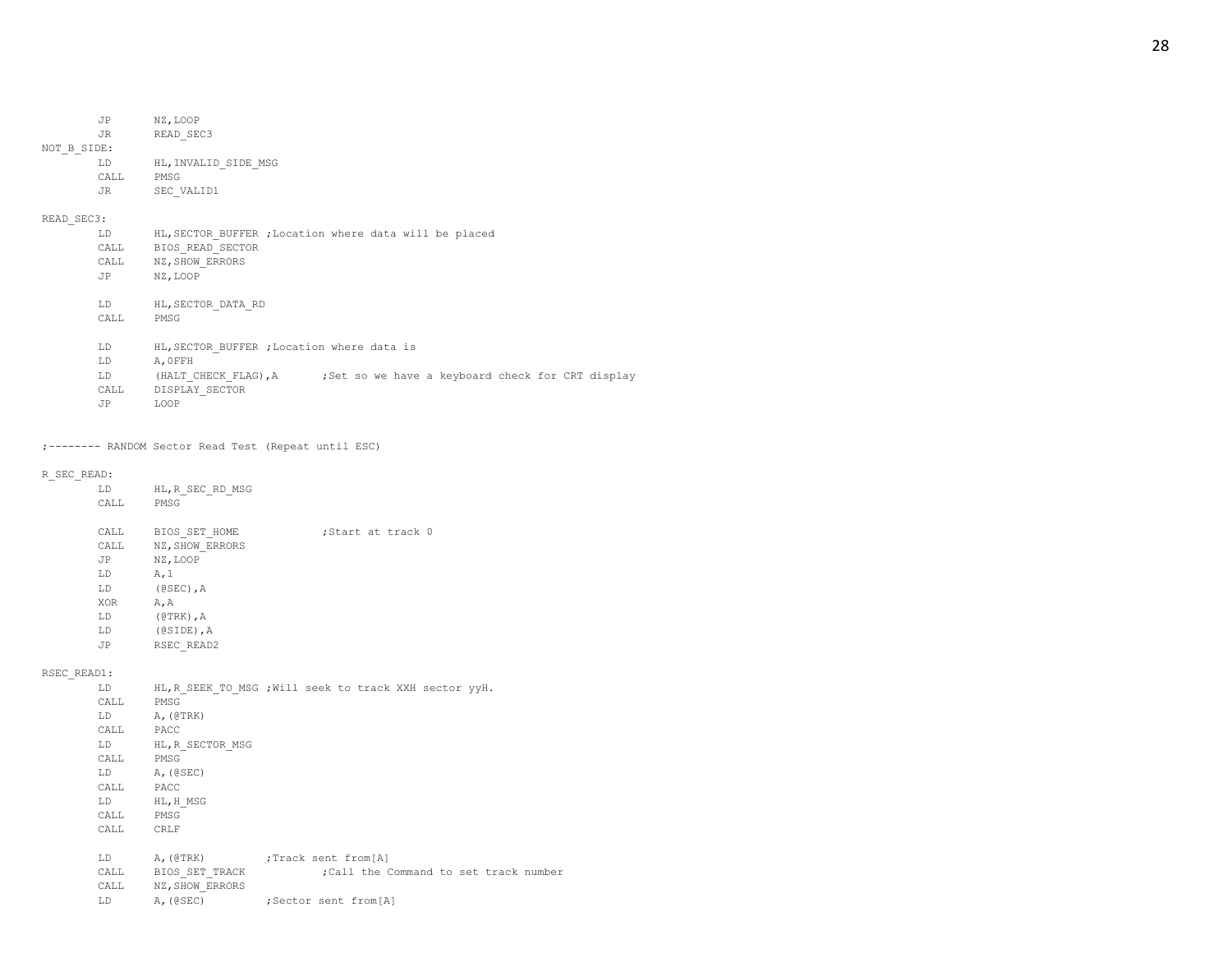JR READ SEC3 NOT\_B\_SIDE:

| T.D   | HL, INVALID SIDE MSG |
|-------|----------------------|
| CALL. | PMSG                 |
| .TR   | SEC VALID1           |

# READ\_SEC3:

| LD    | HL, SECTOR BUFFER ; Location where data will be placed                   |
|-------|--------------------------------------------------------------------------|
| CALL  | BIOS READ SECTOR                                                         |
| CALL  | NZ, SHOW ERRORS                                                          |
| JP    | NZ.LOOP                                                                  |
|       |                                                                          |
| LD.   | HL, SECTOR DATA RD                                                       |
| CALL. | PMSG                                                                     |
|       |                                                                          |
| LD    | HL, SECTOR BUFFER ; Location where data is                               |
| LD    | A. OFFH                                                                  |
| LD.   | ;Set so we have a keyboard check for CRT display<br>(HALT CHECK FLAG), A |
| CALL  | DISPLAY SECTOR                                                           |
| JP    | LOOP                                                                     |
|       |                                                                          |

## ;-------- RANDOM Sector Read Test (Repeat until ESC)

#### R\_SEC\_READ:

| LD         | HL, R SEC RD MSG |                   |  |
|------------|------------------|-------------------|--|
| CALL       | PMSG             |                   |  |
|            |                  |                   |  |
| CALL       | BIOS SET HOME    | :Start at track 0 |  |
| CALL       | NZ, SHOW ERRORS  |                   |  |
| JP         | NZ, LOOP         |                   |  |
| LD         | A, 1             |                   |  |
| LD         | $(0SEC)$ , A     |                   |  |
| <b>XOR</b> | A, A             |                   |  |
| LD         | $(0TRK)$ , A     |                   |  |
| LD         | $(0SIDE)$ , A    |                   |  |
| JP         | RSEC READ2       |                   |  |
|            |                  |                   |  |

# RSEC\_READ1:

| LD                                                                                                                                                                                                                             | HL, R SEEK TO MSG ; Will seek to track XXH sector yyH. |  |  |  |  |                                        |
|--------------------------------------------------------------------------------------------------------------------------------------------------------------------------------------------------------------------------------|--------------------------------------------------------|--|--|--|--|----------------------------------------|
| CALL                                                                                                                                                                                                                           | PMSG                                                   |  |  |  |  |                                        |
| LD and the set of the set of the set of the set of the set of the set of the set of the set of the set of the set of the set of the set of the set of the set of the set of the set of the set of the set of the set of the se | A, (@TRK)                                              |  |  |  |  |                                        |
| CALL PACC                                                                                                                                                                                                                      |                                                        |  |  |  |  |                                        |
| LD and the set of the set of the set of the set of the set of the set of the set of the set of the set of the set of the set of the set of the set of the set of the set of the set of the set of the set of the set of the se | HL, R SECTOR MSG                                       |  |  |  |  |                                        |
| CALL PMSG                                                                                                                                                                                                                      |                                                        |  |  |  |  |                                        |
| LD and the set of the set of the set of the set of the set of the set of the set of the set of the set of the set of the set of the set of the set of the set of the set of the set of the set of the set of the set of the se | A, (@SEC)                                              |  |  |  |  |                                        |
| CALL                                                                                                                                                                                                                           | PACC                                                   |  |  |  |  |                                        |
| LD                                                                                                                                                                                                                             | HL, H MSG                                              |  |  |  |  |                                        |
| CALL PMSG                                                                                                                                                                                                                      |                                                        |  |  |  |  |                                        |
| CALL CRLF                                                                                                                                                                                                                      |                                                        |  |  |  |  |                                        |
|                                                                                                                                                                                                                                |                                                        |  |  |  |  |                                        |
| LD                                                                                                                                                                                                                             | A, (@TRK) ; Track sent from [A]                        |  |  |  |  |                                        |
| CALL                                                                                                                                                                                                                           | BIOS SET TRACK                                         |  |  |  |  | ; Call the Command to set track number |
|                                                                                                                                                                                                                                | CALL NZ, SHOW ERRORS                                   |  |  |  |  |                                        |
| LD.                                                                                                                                                                                                                            | A, (@SEC) ; Sector sent from [A]                       |  |  |  |  |                                        |
|                                                                                                                                                                                                                                |                                                        |  |  |  |  |                                        |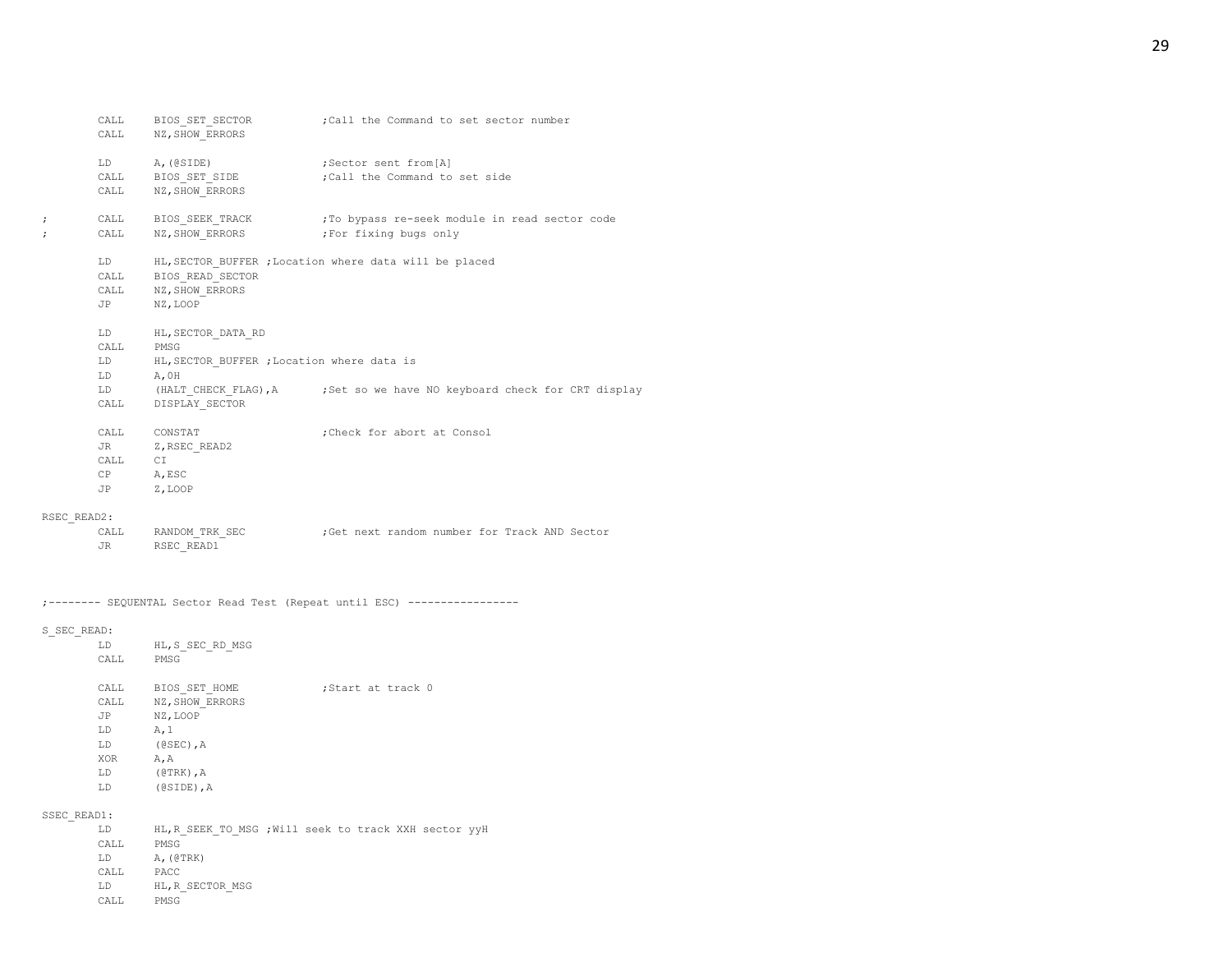|   | CALL                              | BIOS SET SECTOR<br>CALL NZ, SHOW ERRORS                                      | ; Call the Command to set sector number                                    |
|---|-----------------------------------|------------------------------------------------------------------------------|----------------------------------------------------------------------------|
|   |                                   | LD A, (@SIDE) ; Sector sent from [A]<br>CALL NZ, SHOW ERRORS                 | CALL BIOS SET SIDE : Call the Command to set side                          |
| ; |                                   | CALL NZ, SHOW ERRORS ; For fixing bugs only                                  | CALL BIOS_SEEK_TRACK ;To bypass re-seek module in read sector code         |
|   | LD                                | CALL BIOS READ SECTOR<br>CALL NZ, SHOW ERRORS<br>JP NZ, LOOP                 | HL, SECTOR BUFFER ; Location where data will be placed                     |
|   | CALL PMSG<br>LD<br>LD             | LD HL, SECTOR DATA RD<br>HL, SECTOR BUFFER ; Location where data is<br>A, OH |                                                                            |
|   | CALL                              | DISPLAY SECTOR                                                               | LD (HALT CHECK FLAG), A ; Set so we have NO keyboard check for CRT display |
|   | CALL<br>JR DO<br>CALL<br>CP<br>JP | CONSTAT<br>Z, RSEC READ2<br>СI<br>A, ESC<br>Z, LOOP                          | ; Check for abort at Consol                                                |
|   |                                   |                                                                              |                                                                            |

## RSEC\_READ2:

| CALL | RANDOM TRK SEC | Get next random number for Track AND Sector; |  |
|------|----------------|----------------------------------------------|--|
|      | RSEC READ1     |                                              |  |

;-------- SEQUENTAL Sector Read Test (Repeat until ESC) -----------------

## S\_SEC\_READ:

| LD         | HL, S SEC RD MSG |                   |
|------------|------------------|-------------------|
| CALL       | PMSG             |                   |
|            |                  |                   |
| CALL       | BIOS SET HOME    | Start at track 0; |
| CALL       | NZ, SHOW ERRORS  |                   |
| JP         | NZ, LOOP         |                   |
| LD         | A, 1             |                   |
| LD         | $(0SEC)$ , A     |                   |
| <b>XOR</b> | A.A              |                   |
| LD         | $(@TRK)$ , A     |                   |
| LD         | $(0SIDE)$ , A    |                   |

## SSEC\_READ1:

LD HL,R\_SEEK\_TO\_MSG ;Will seek to track XXH sector yyH CALL PMSG LD A,(@TRK) CALL PACC LD HL,R\_SECTOR\_MSG

CALL PMSG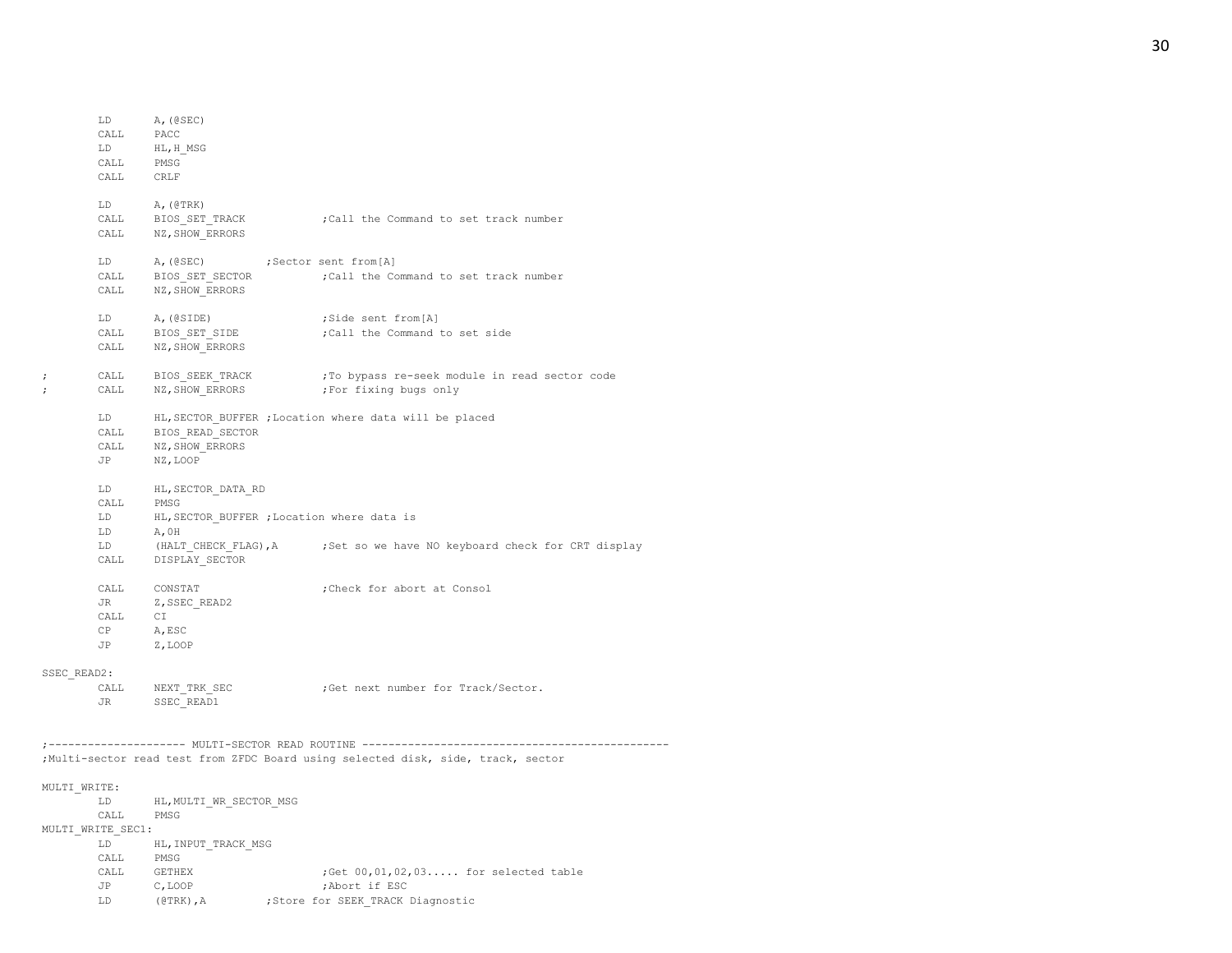LD A,(@SEC) CALL PACC LD HL,H\_MSG CALL PMSG CALL CRLF LD A,(@TRK) CALL BIOS\_SET\_TRACK ;Call the Command to set track number CALL NZ, SHOW ERRORS LD A, (@SEC) ; Sector sent from [A] CALL BIOS SET SECTOR ;Call the Command to set track number CALL NZ, SHOW\_ERRORS LD A, (@SIDE) ;Side sent from [A] CALL BIOS SET SIDE ;Call the Command to set side CALL NZ, SHOW ERRORS ; CALL BIOS\_SEEK\_TRACK ;To bypass re-seek module in read sector code ; CALL NZ, SHOW ERRORS ;For fixing bugs only LD HL,SECTOR\_BUFFER ;Location where data will be placed CALL BIOS\_READ\_SECTOR CALL NZ, SHOW ERRORS JP NZ,LOOP LD HL,SECTOR\_DATA\_RD CALL PMSG LD HL, SECTOR BUFFER ; Location where data is LD A,0H LD (HALT\_CHECK\_FLAG), A ;Set so we have NO keyboard check for CRT display CALL DISPLAY\_SECTOR CALL CONSTAT ;Check for abort at Consol JR Z, SSEC\_READ2 CALL CT CP A,ESC JP Z,LOOP SSEC\_READ2: CALL NEXT TRK SEC ;Get next number for Track/Sector. JR SSEC\_READ1 ;--------------------- MULTI-SECTOR READ ROUTINE ----------------------------------------------- ;Multi-sector read test from ZFDC Board using selected disk, side, track, sector MULTI\_WRITE: LD HL, MULTI WR SECTOR MSG CALL PMSG MULTI\_WRITE\_SEC1: LD HL, INPUT\_TRACK\_MSG CALL PMSG CALL GETHEX ;Get  $00, 01, 02, 03...$  for selected table JP C,LOOP ;Abort if ESC LD (@TRK), A ;Store for SEEK\_TRACK Diagnostic

#### 30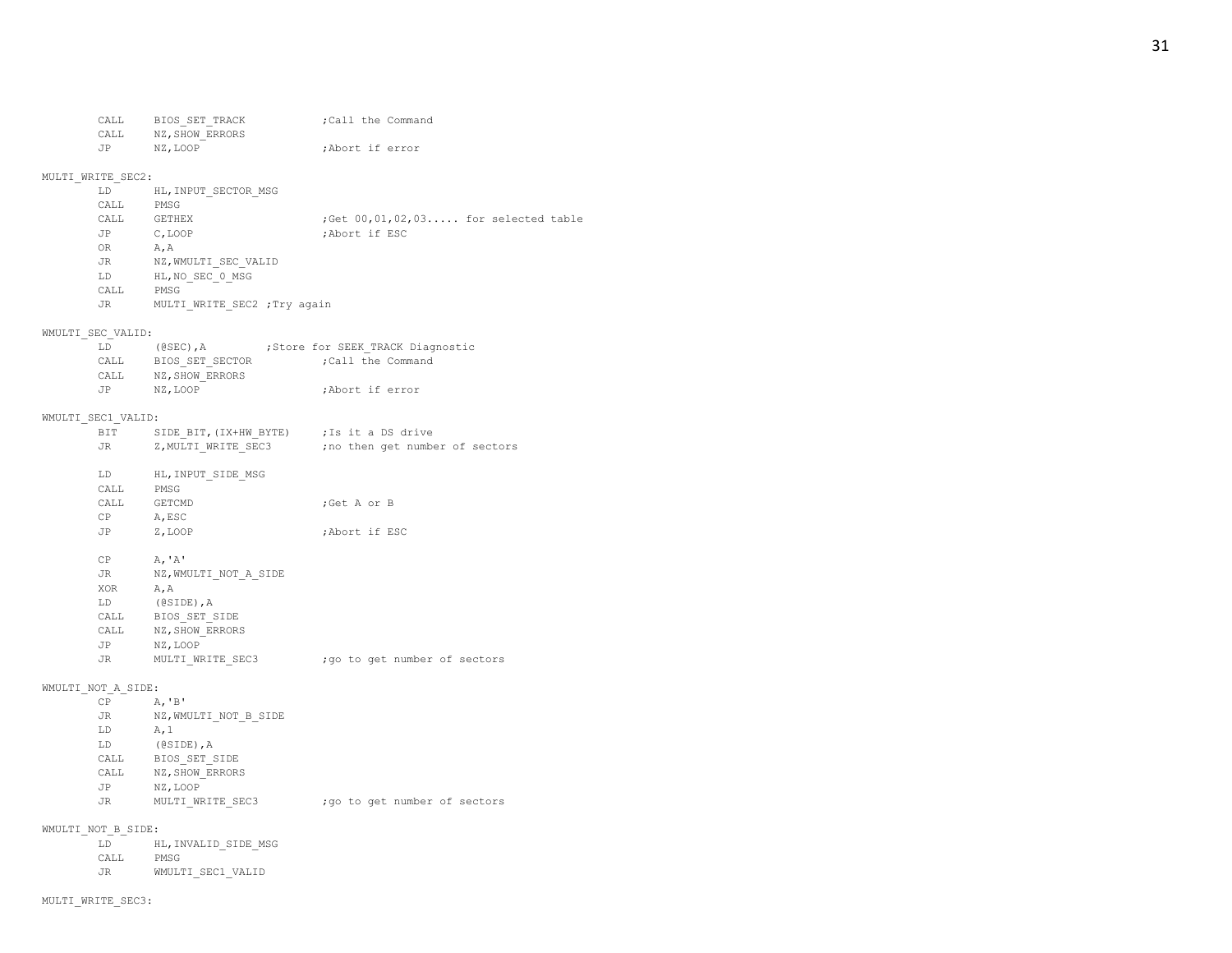CALL PMSG

JR WMULTI\_SEC1\_VALID

CALL BIOS SET TRACK ;Call the Command CALL NZ, SHOW ERRORS JP NZ,LOOP ;Abort if error

## MULTI\_WRITE\_SEC2:

| LD.  | HL, INPUT SECTOR MSG |                                        |
|------|----------------------|----------------------------------------|
| CALL | PMSG                 |                                        |
| CALL | <b>GETHEX</b>        | : Get $00.01.02.03$ for selected table |
| JP   | C, LOOP              | :Abort if ESC                          |
| OR.  | A.A                  |                                        |
| JR.  | NZ, WMULTI SEC VALID |                                        |
| LD   | HL, NO SEC 0 MSG     |                                        |
| CALL | PMSG                 |                                        |

JR MULTI\_WRITE\_SEC2 ;Try again

## WMULTI\_SEC\_VALID:

| LD.  | $(0$ SEC), A    | ; Store for SEEK TRACK Diagnostic |
|------|-----------------|-----------------------------------|
| CALL | BIOS SET SECTOR | :Call the Command                 |
| CALL | NZ, SHOW ERRORS |                                   |
| JP   | NZ.LOOP         | :Abort if error                   |
|      |                 |                                   |

## WMULTI\_SEC1\_VALID:

|                    | BIT SIDE BIT, (IX+HW BYTE) ; Is it a DS drive |                                                        |
|--------------------|-----------------------------------------------|--------------------------------------------------------|
|                    |                                               | JR Z, MULTI WRITE SEC3 ; no then get number of sectors |
|                    |                                               |                                                        |
|                    | LD HL, INPUT SIDE MSG                         |                                                        |
| CALL PMSG          |                                               |                                                        |
| CALL GETCMD        |                                               | ;Get A or B                                            |
| CP A, ESC          |                                               |                                                        |
| JP Z, LOOP         |                                               | ;Abort if ESC                                          |
| $CP$ $A, 'A'$      |                                               |                                                        |
|                    |                                               |                                                        |
|                    | JR NZ, WMULTI NOT A SIDE                      |                                                        |
| XOR A, A           |                                               |                                                        |
|                    | LD (@SIDE), A                                 |                                                        |
|                    | CALL BIOS SET SIDE                            |                                                        |
|                    | CALL NZ, SHOW ERRORS                          |                                                        |
|                    | JP NZ, LOOP                                   |                                                        |
|                    |                                               | JR MULTI WRITE SEC3 ; go to get number of sectors      |
| WMULTI NOT A SIDE: |                                               |                                                        |
| $CP$ $A, 'B'$      |                                               |                                                        |
|                    | JR NZ, WMULTI NOT B SIDE                      |                                                        |
| $LD$ $A, 1$        |                                               |                                                        |
|                    | LD (@SIDE), A                                 |                                                        |
|                    | CALL BIOS_SET_SIDE                            |                                                        |
|                    | CALL NZ, SHOW ERRORS                          |                                                        |
|                    | JP NZ, LOOP                                   |                                                        |
|                    |                                               | JR MULTI WRITE SEC3 ; go to get number of sectors      |
| WMULTI NOT B SIDE: |                                               |                                                        |
| LD                 | HL, INVALID SIDE MSG                          |                                                        |
|                    |                                               |                                                        |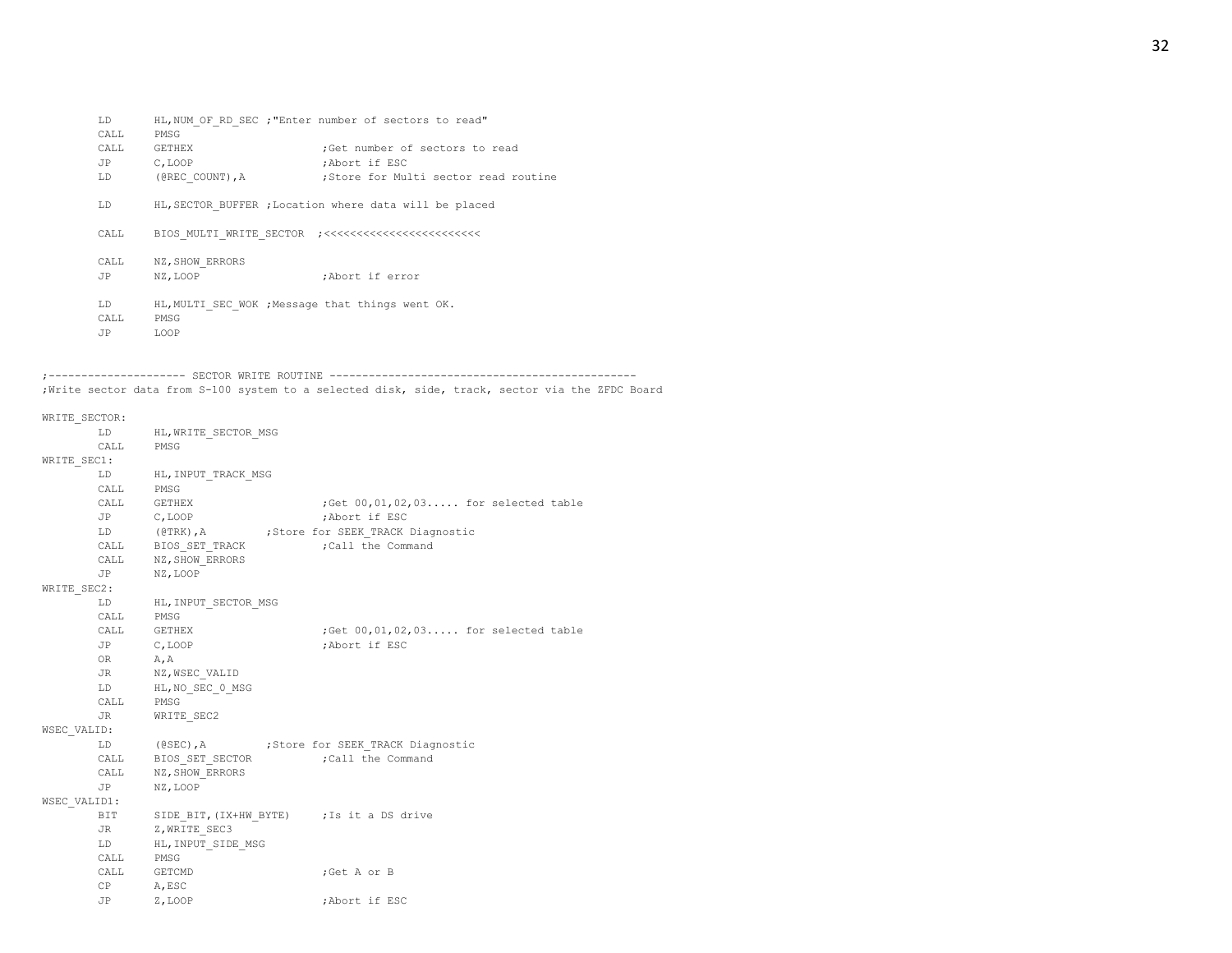LD HL,NUM\_OF\_RD\_SEC ;"Enter number of sectors to read" CALL PMSG CALL GETHEX ;Get number of sectors to read JP C,LOOP ;Abort if ESC LD (@REC\_COUNT), A ;Store for Multi sector read routine LD HL, SECTOR BUFFER ; Location where data will be placed CALL BIOS\_MULTI\_WRITE\_SECTOR ;<<<<<<<<<<<<<<<<<<<<<<<< CALL NZ, SHOW ERRORS JP NZ,LOOP ;Abort if error LD HL, MULTI SEC WOK ; Message that things went OK. CALL PMSG JP LOOP

;--------------------- SECTOR WRITE ROUTINE ----------------------------------------------- ;Write sector data from S-100 system to a selected disk, side, track, sector via the ZFDC Board

WRITE SECTOR: LD HL, WRITE SECTOR MSG CALL PMSG WRITE SEC1: LD HL,INPUT\_TRACK\_MSG CALL PMSG CALL GETHEX ;Get  $00, 01, 02, 03...$  for selected table JP C,LOOP ;Abort if ESC LD (@TRK), A ;Store for SEEK TRACK Diagnostic CALL BIOS SET TRACK ;Call the Command CALL NZ, SHOW ERRORS JP NZ,LOOP WRITE SEC2: LD HL, INPUT\_SECTOR\_MSG CALL PMSG CALL GETHEX ;Get 00,01,02,03..... for selected table JP C,LOOP ;Abort if ESC OR A,A JR NZ, WSEC\_VALID LD HL, NO SEC 0 MSG CALL PMSG JR WRITE SEC2 WSEC\_VALID: LD (@SEC), A ;Store for SEEK TRACK Diagnostic CALL BIOS SET SECTOR ;Call the Command CALL NZ, SHOW ERRORS JP NZ,LOOP WSEC\_VALID1: BIT SIDE BIT, (IX+HW\_BYTE) ; Is it a DS drive JR Z, WRITE\_SEC3 LD HL, INPUT SIDE MSG CALL PMSG CALL GETCMD ;Get A or B CP A,ESC JP Z,LOOP ;Abort if ESC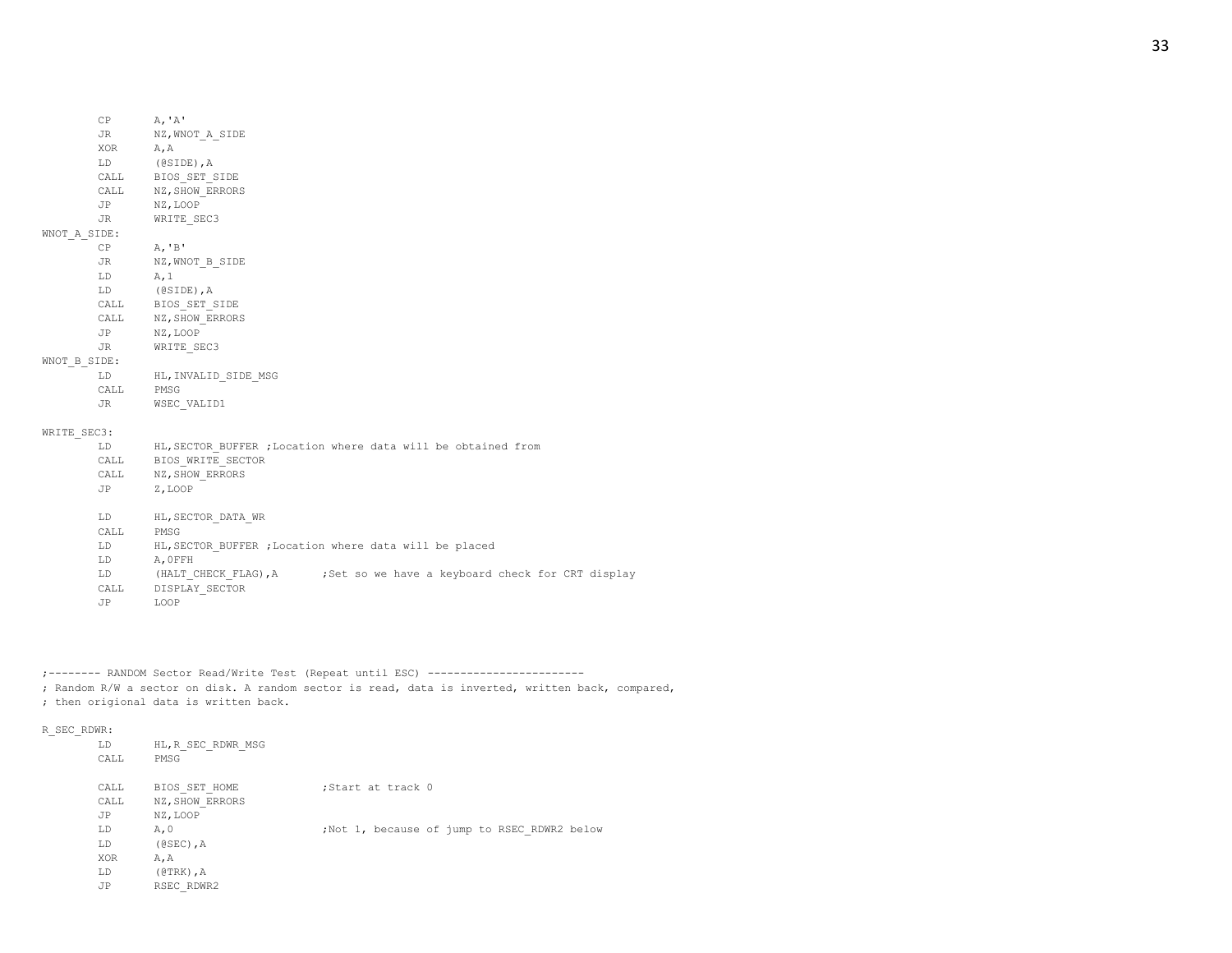- 
- CALL BIOS\_SET\_SIDE CALL NZ, SHOW ERRORS
- JP NZ,LOOP JR WRITE\_SEC3

## WNOT\_A\_SIDE:

CP  $A, 'B'$ JR NZ, WNOT\_B\_SIDE LD A,1 LD (@SIDE),A CALL BIOS\_SET\_SIDE CALL NZ, SHOW ERRORS JP NZ,LOOP JR WRITE\_SEC3

## WNOT B SIDE:

LD HL,INVALID\_SIDE\_MSG CALL PMSG JR WSEC\_VALID1

#### WRITE SEC3:

- LD HL, SECTOR BUFFER ; Location where data will be obtained from CALL BIOS WRITE SECTOR CALL NZ, SHOW\_ERRORS JP Z,LOOP LD HL,SECTOR\_DATA\_WR CALL PMSG LD HL,SECTOR\_BUFFER ;Location where data will be placed LD A,0FFH LD (HALT CHECK FLAG), A ;Set so we have a keyboard check for CRT display CALL DISPLAY\_SECTOR
- JP LOOP

;-------- RANDOM Sector Read/Write Test (Repeat until ESC) ------------------------

; Random R/W a sector on disk. A random sector is read, data is inverted, written back, compared, ; then origional data is written back.

#### R\_SEC\_RDWR:

| LD<br>CALL | HL, R SEC RDWR MSG<br>PMSG |                                             |
|------------|----------------------------|---------------------------------------------|
| CALL       | BIOS SET HOME              | ;Start at track 0                           |
| CALL       | NZ, SHOW ERRORS            |                                             |
| JP         | NZ, LOOP                   |                                             |
| LD         | A, 0                       | ;Not 1, because of jump to RSEC RDWR2 below |
| LD         | $(0SEC)$ , A               |                                             |
| <b>XOR</b> | A, A                       |                                             |
| LD         | $(0TRK)$ , A               |                                             |
| JP         | RSEC RDWR2                 |                                             |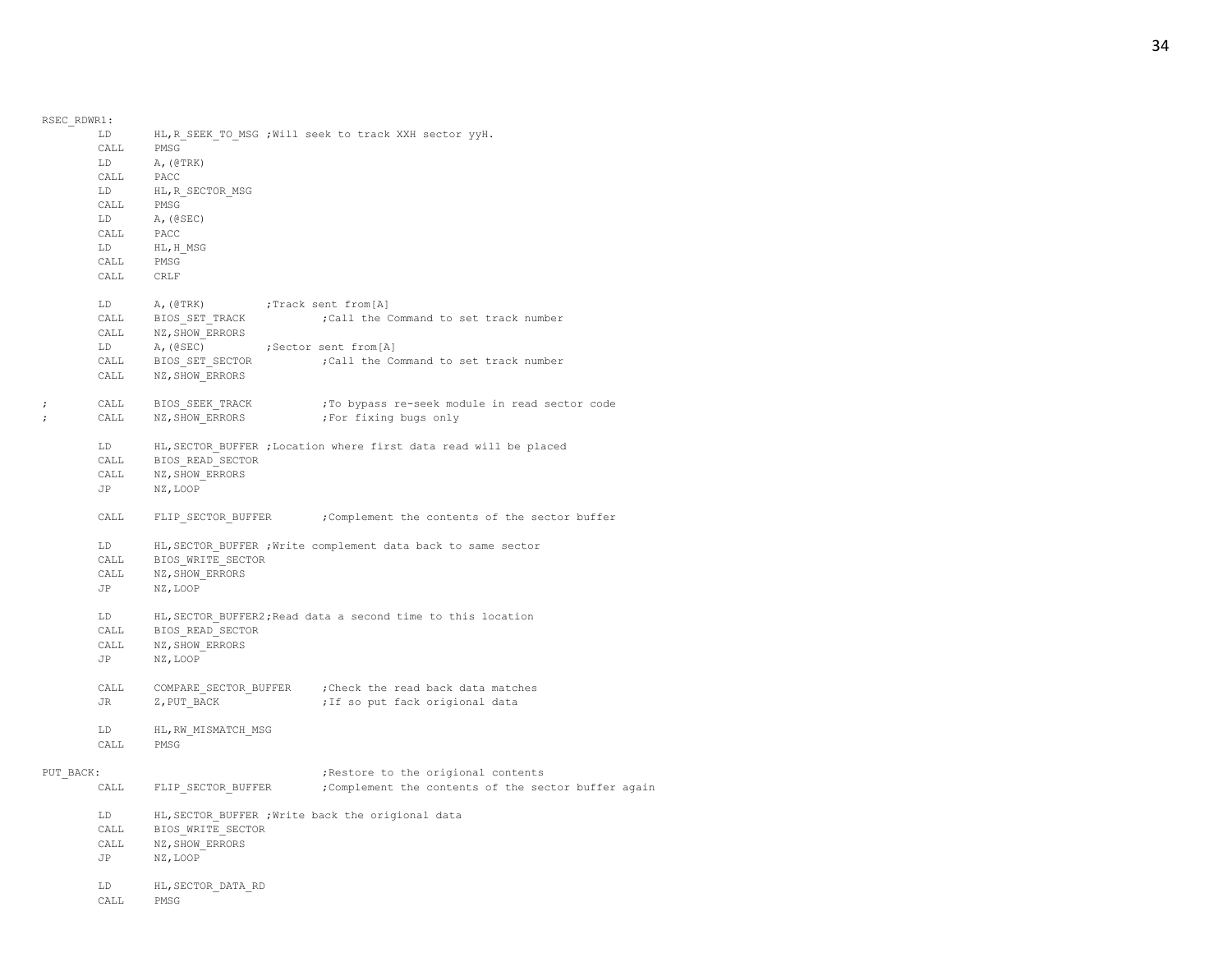| RSEC RDWR1:          |                       |                                 |                                                                                  |
|----------------------|-----------------------|---------------------------------|----------------------------------------------------------------------------------|
|                      | LD                    |                                 | HL, R SEEK TO MSG ; Will seek to track XXH sector yyH.                           |
|                      | CALL                  | PMSG                            |                                                                                  |
|                      | LD                    | A, (@TRK)                       |                                                                                  |
|                      | CALL                  | PACC                            |                                                                                  |
|                      | LD<br>$\mathtt{CALL}$ | HL, R_SECTOR_MSG<br>PMSG        |                                                                                  |
|                      | LD                    | A, (@SEC)                       |                                                                                  |
|                      | CALL                  | PACC                            |                                                                                  |
|                      | LD -                  | HL, H MSG                       |                                                                                  |
|                      | CALL                  | PMSG                            |                                                                                  |
|                      | CALL CRLF             |                                 |                                                                                  |
|                      | LD                    | A, (@TRK) ; Track sent from [A] |                                                                                  |
|                      |                       | CALL BIOS_SET_TRACK             | ; Call the Command to set track number                                           |
|                      |                       | CALL NZ, SHOW_ERRORS            |                                                                                  |
|                      | LD                    | A, (@SEC)                       | ;Sector sent from[A]                                                             |
|                      |                       | CALL BIOS_SET_SECTOR            | ; Call the Command to set track number                                           |
|                      | CALL                  | NZ, SHOW ERRORS                 |                                                                                  |
| $\ddot{\phantom{0}}$ | CALL                  | BIOS_SEEK_TRACK                 | ; To bypass re-seek module in read sector code                                   |
| $\cdot$              | CALL                  | NZ, SHOW ERRORS                 | ;For fixing bugs only                                                            |
|                      | LD                    |                                 | HL, SECTOR_BUFFER ; Location where first data read will be placed                |
|                      | CALL                  | BIOS READ SECTOR                |                                                                                  |
|                      | CALL                  | NZ, SHOW ERRORS                 |                                                                                  |
|                      |                       | JP NZ, LOOP                     |                                                                                  |
|                      | CALL                  |                                 | FLIP SECTOR BUFFER ; Complement the contents of the sector buffer                |
|                      | LD                    |                                 | HL, SECTOR BUFFER ; Write complement data back to same sector                    |
|                      | CALL                  | BIOS WRITE SECTOR               |                                                                                  |
|                      | $\mathtt{CALL}$       | NZ, SHOW_ERRORS                 |                                                                                  |
|                      | JP                    | NZ, LOOP                        |                                                                                  |
|                      | LD                    |                                 | HL, SECTOR_BUFFER2; Read data a second time to this location<br>BIOS_READ_SECTOR |
|                      | CALL                  |                                 |                                                                                  |
|                      | CALL                  | NZ, SHOW ERRORS                 |                                                                                  |
|                      |                       | JP NZ, LOOP                     |                                                                                  |
|                      | CALL                  |                                 | COMPARE SECTOR BUFFER ; Check the read back data matches                         |
|                      | JR                    | Z, PUT BACK                     | ; If so put fack origional data                                                  |
|                      | LD.                   | HL, RW MISMATCH MSG             |                                                                                  |
|                      | CALL                  | PMSG                            |                                                                                  |
| PUT BACK:            |                       |                                 | ; Restore to the origional contents                                              |
|                      | CALL                  | FLIP SECTOR BUFFER              | ; Complement the contents of the sector buffer again                             |
|                      | LD                    |                                 | HL, SECTOR BUFFER ; Write back the origional data                                |
|                      | CALL                  | BIOS WRITE SECTOR               |                                                                                  |
|                      | CALL                  | NZ, SHOW ERRORS                 |                                                                                  |
|                      | JP                    | NZ, LOOP                        |                                                                                  |
|                      | T.D.                  | HL, SECTOR DATA RD              |                                                                                  |
|                      | CALL                  | PMSG                            |                                                                                  |
|                      |                       |                                 |                                                                                  |

# 34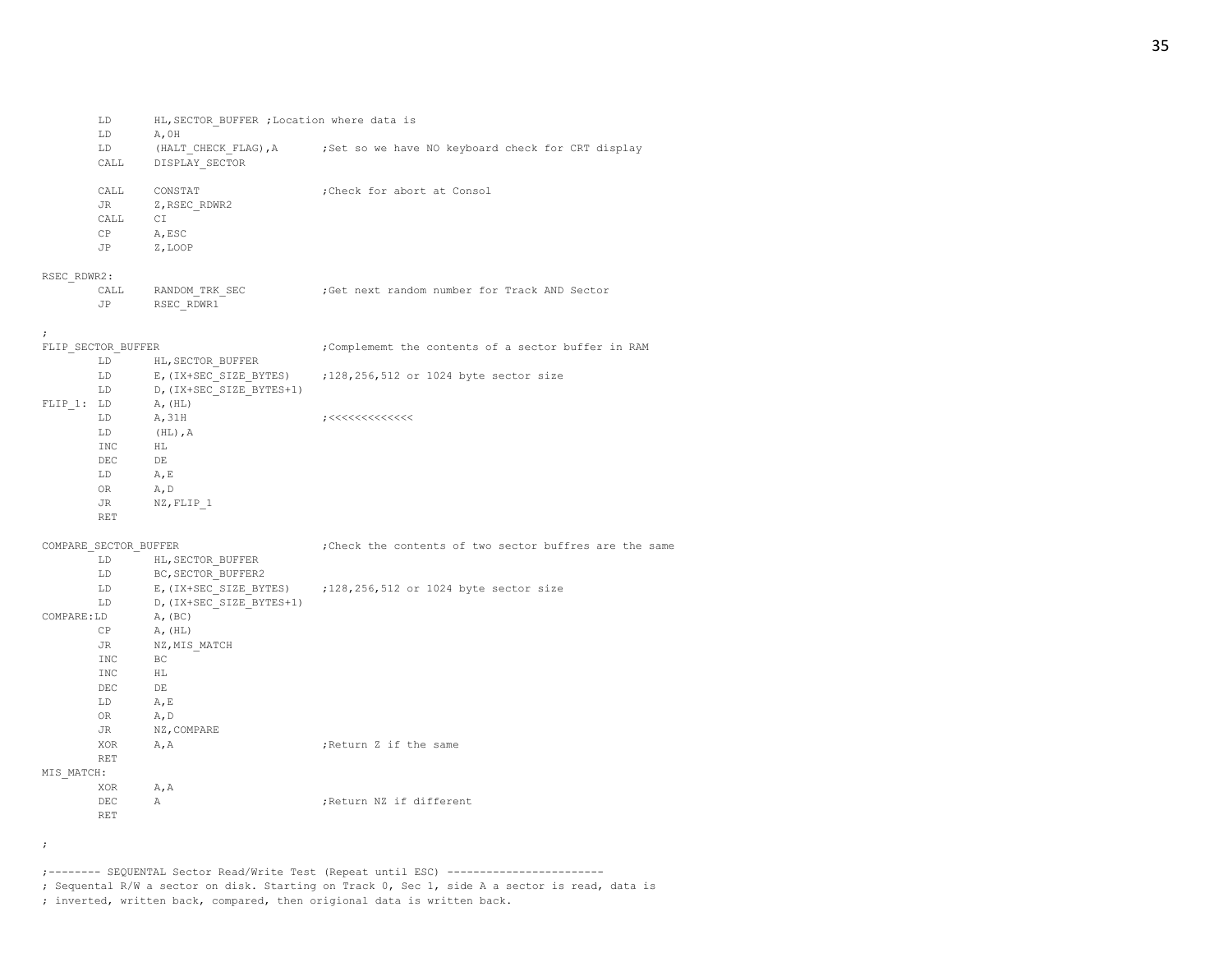| LD. | HL, SECTOR BUFFER, Location where data is |  |  |  |  |
|-----|-------------------------------------------|--|--|--|--|
|     | A.OH                                      |  |  |  |  |

| ---  | .                    |  |  |                                                   |  |  |
|------|----------------------|--|--|---------------------------------------------------|--|--|
| LD   | (HALT CHECK FLAG), A |  |  | ;Set so we have NO keyboard check for CRT display |  |  |
| CALL | DISPLAY SECTOR       |  |  |                                                   |  |  |

| CALL<br>JR | CONSTAT<br>Z, RSEC RDWR2 | :Check for abort at Consol |
|------------|--------------------------|----------------------------|
| CALL       | СT                       |                            |
| CP         | A, ESC                   |                            |
| JP         | Z, LOOP                  |                            |

## RSEC\_RDWR2:

| CALL | RANDOM TRK SEC |  | Get next random number for Track AND Sector; |  |  |  |
|------|----------------|--|----------------------------------------------|--|--|--|
|      | RSEC RDWR1     |  |                                              |  |  |  |

#### ;

| FLIP SECTOR BUFFER |                          | ; Complememt the contents of a sector buffer in RAM |
|--------------------|--------------------------|-----------------------------------------------------|
| LD                 | HL, SECTOR BUFFER        |                                                     |
| LD                 | E, (IX+SEC SIZE BYTES)   | :128,256,512 or 1024 byte sector size               |
| LD                 | D, (IX+SEC SIZE BYTES+1) |                                                     |
| LD.<br>FLIP 1:     | A, (HL)                  |                                                     |
| LD                 | A, 31H                   | ;<<<<<<<<<<                                         |
| LD                 | $(HL)$ , $A$             |                                                     |
| INC.               | HL                       |                                                     |
| <b>DEC</b>         | DE                       |                                                     |
| LD                 | A, E                     |                                                     |
| 0R                 | A, D                     |                                                     |
| JR.                | NZ, FLIP 1               |                                                     |
| <b>RET</b>         |                          |                                                     |

COMPARE\_SECTOR\_BUFFER ;Check the contents of two sector buffres are the same

|            | LD.                                                                                                                                                                                                                            | HL, SECTOR BUFFER        |                                                                 |
|------------|--------------------------------------------------------------------------------------------------------------------------------------------------------------------------------------------------------------------------------|--------------------------|-----------------------------------------------------------------|
|            | LD                                                                                                                                                                                                                             | BC, SECTOR BUFFER2       |                                                                 |
|            | LD and the set of the set of the set of the set of the set of the set of the set of the set of the set of the set of the set of the set of the set of the set of the set of the set of the set of the set of the set of the se |                          | E, (IX+SEC SIZE BYTES) ; 128, 256, 512 or 1024 byte sector size |
|            | LD and the set of the set of the set of the set of the set of the set of the set of the set of the set of the set of the set of the set of the set of the set of the set of the set of the set of the set of the set of the se | D, (IX+SEC SIZE BYTES+1) |                                                                 |
| COMPARE:LD |                                                                                                                                                                                                                                | A, (BC)                  |                                                                 |
|            | CP                                                                                                                                                                                                                             | A, (HL)                  |                                                                 |
|            | JR                                                                                                                                                                                                                             | NZ, MIS MATCH            |                                                                 |
|            | INC.                                                                                                                                                                                                                           | BC.                      |                                                                 |
|            | INC.                                                                                                                                                                                                                           | HL                       |                                                                 |
|            | <b>DEC</b>                                                                                                                                                                                                                     | DE                       |                                                                 |
|            | LD                                                                                                                                                                                                                             | A, E                     |                                                                 |
|            | OR and the set of the set of the set of the set of the set of the set of the set of the set of the set of the set of the set of the set of the set of the set of the set of the set of the set of the set of the set of the se | A, D                     |                                                                 |
|            |                                                                                                                                                                                                                                | JR NZ, COMPARE           |                                                                 |
|            | XOR                                                                                                                                                                                                                            | A, A                     | :Return Z if the same                                           |
|            | <b>RET</b>                                                                                                                                                                                                                     |                          |                                                                 |
| MIS MATCH: |                                                                                                                                                                                                                                |                          |                                                                 |
|            | XOR                                                                                                                                                                                                                            | A, A                     |                                                                 |
|            | DEC                                                                                                                                                                                                                            | $\mathbb{A}$             | ; Return NZ if different                                        |
|            | RET                                                                                                                                                                                                                            |                          |                                                                 |
|            |                                                                                                                                                                                                                                |                          |                                                                 |

;

;-------- SEQUENTAL Sector Read/Write Test (Repeat until ESC) ------------------------

; Sequental R/W a sector on disk. Starting on Track 0, Sec 1, side A a sector is read, data is

; inverted, written back, compared, then origional data is written back.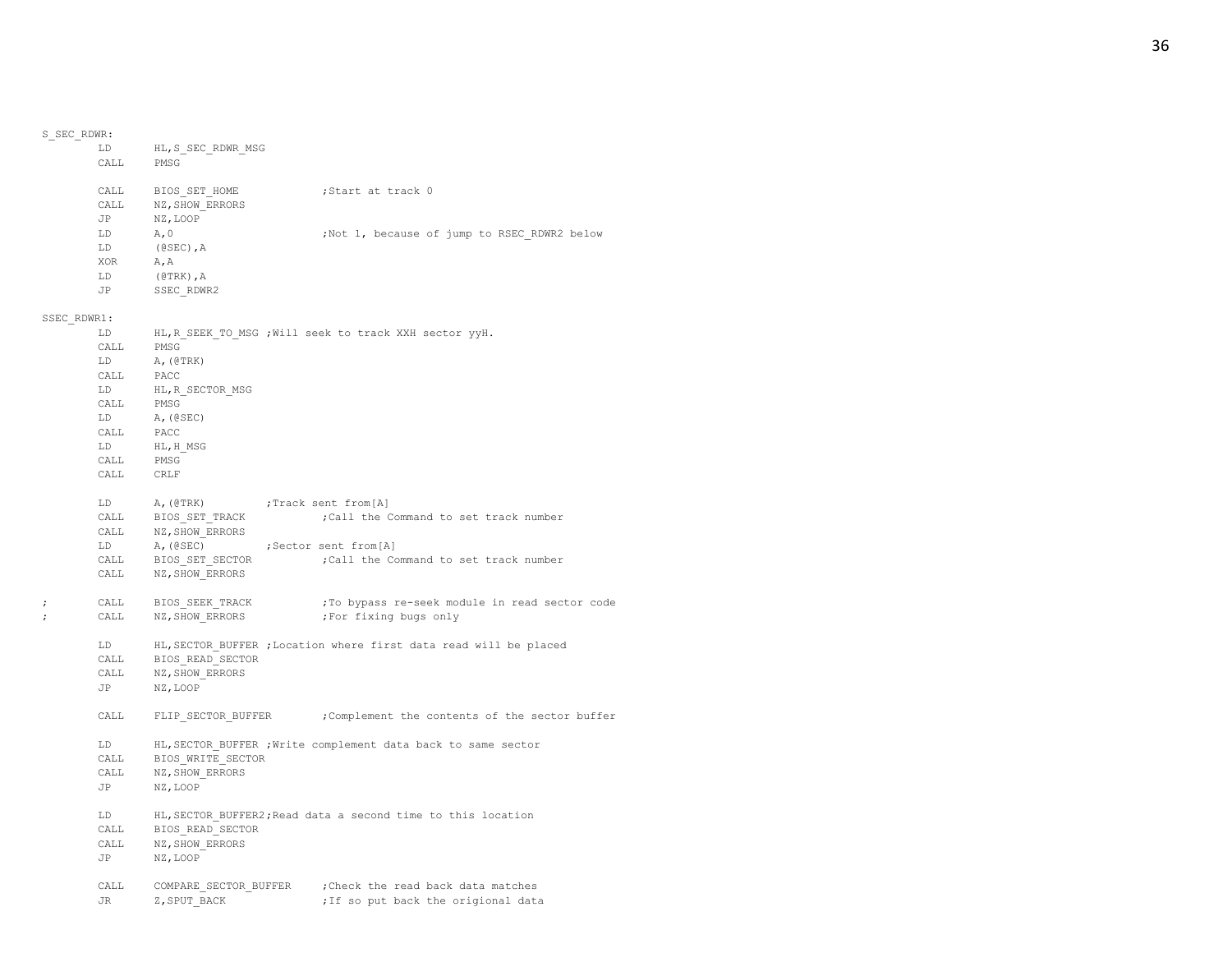|                                 | LD<br>CALL                       | HL, S_SEC_RDWR_MSG<br>PMSG                                                                  |                                                                                                                                |
|---------------------------------|----------------------------------|---------------------------------------------------------------------------------------------|--------------------------------------------------------------------------------------------------------------------------------|
|                                 | CALL<br>JP                       | CALL BIOS SET HOME<br>NZ, SHOW ERRORS<br>NZ, LOOP                                           | ;Start at track 0                                                                                                              |
|                                 | LD<br>LD<br>XOR<br>LD<br>JP      | A, 0<br>(@SEC), $A$<br>A, A<br>$($ @ TRK), $A$<br>SSEC RDWR2                                | ;Not 1, because of jump to RSEC RDWR2 below                                                                                    |
| SSEC RDWR1:                     |                                  |                                                                                             |                                                                                                                                |
|                                 | LD<br>CALL<br>LD<br>CALL         | PMSG<br>A, (@TRK)<br>PACC                                                                   | HL, R SEEK TO MSG ; Will seek to track XXH sector yyH.                                                                         |
|                                 | LD<br>CALL<br>LD<br>CALL         | HL, R SECTOR MSG<br>PMSG<br>A, (@SEC)<br>PACC                                               |                                                                                                                                |
|                                 | LD<br>CALL<br>CALL CRLF          | HL,H MSG<br>PMSG                                                                            |                                                                                                                                |
|                                 | LD<br>CALL<br>CALL<br>LD<br>CALL | A, (@TRK)<br>$\mathtt{BIOS\_SET\_TRACK}$<br>NZ, SHOW ERRORS<br>A, (@SEC)<br>BIOS_SET SECTOR | ;Track sent from[A]<br>; Call the Command to set track number<br>;Sector sent from[A]<br>;Call the Command to set track number |
| $\ddot{\phantom{0}}$<br>$\cdot$ | CALL                             | CALL NZ, SHOW ERRORS<br>BIOS SEEK TRACK<br>CALL NZ, SHOW ERRORS                             | ; To bypass re-seek module in read sector code<br>;For fixing bugs only                                                        |
|                                 | LD<br>CALL<br>JP                 | CALL BIOS READ SECTOR<br>NZ, SHOW ERRORS<br>NZ, LOOP                                        | HL, SECTOR BUFFER ; Location where first data read will be placed                                                              |
|                                 | CALL                             |                                                                                             | FLIP SECTOR BUFFER ; Complement the contents of the sector buffer                                                              |
|                                 | LD<br>CALL<br>CALL<br>JP         | BIOS WRITE SECTOR<br>NZ, SHOW ERRORS<br>NZ, LOOP                                            | HL, SECTOR BUFFER ; Write complement data back to same sector                                                                  |
|                                 | LD<br>CALL<br>CALL<br>JP         | BIOS READ SECTOR<br>NZ, SHOW ERRORS<br>NZ, LOOP                                             | HL, SECTOR BUFFER2; Read data a second time to this location                                                                   |
|                                 | JR.                              | Z, SPUT BACK                                                                                | CALL COMPARE SECTOR BUFFER ; Check the read back data matches<br>; If so put back the origional data                           |

S\_SEC\_RDWR:

# 36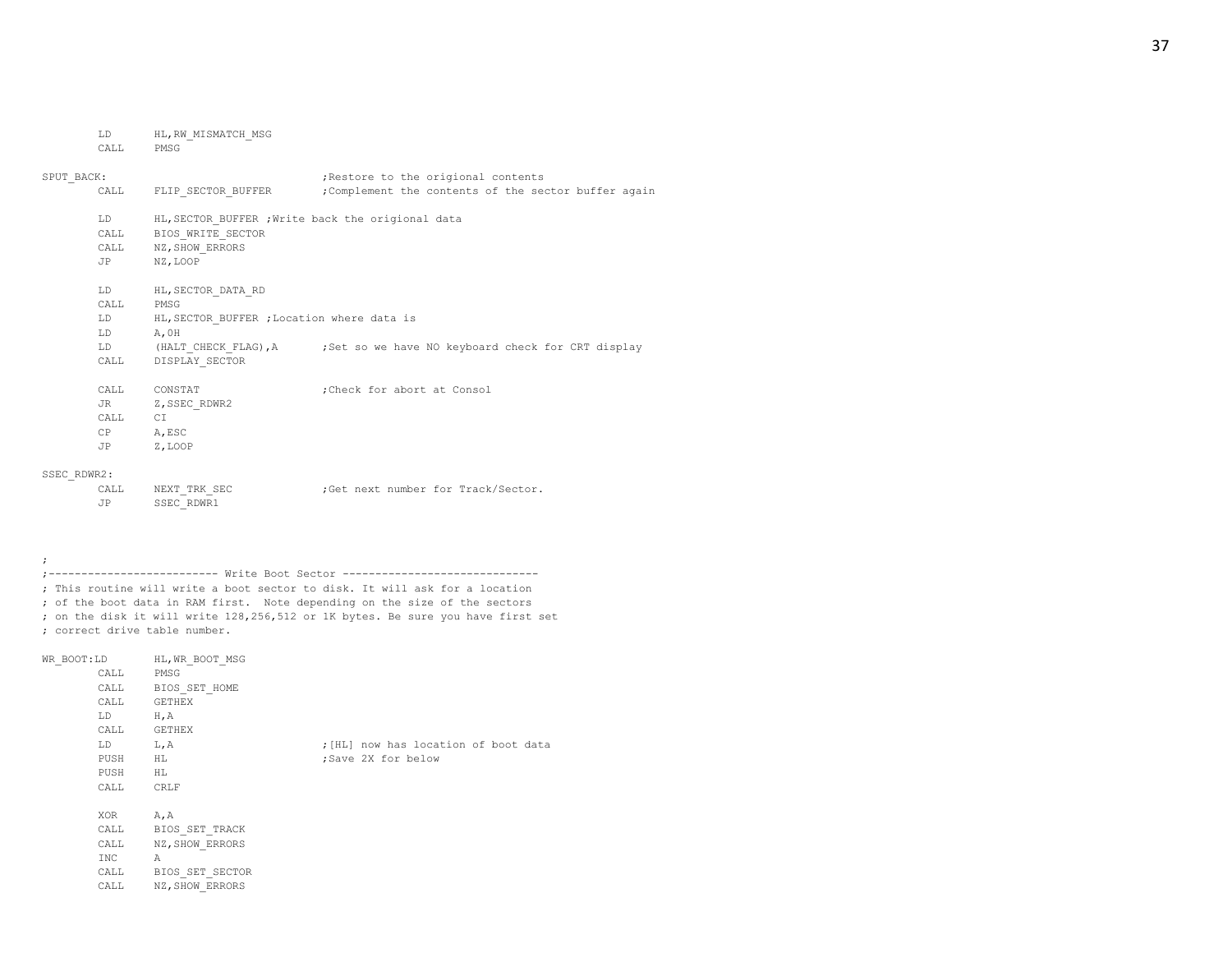LD HL,RW\_MISMATCH\_MSG

### CALL PMSG

;

| SPUT BACK:  |                   |                                                                                                            | ; Restore to the origional contents                                     |  |  |  |
|-------------|-------------------|------------------------------------------------------------------------------------------------------------|-------------------------------------------------------------------------|--|--|--|
|             | CALL              | FLIP SECTOR BUFFER                                                                                         | ;Complement the contents of the sector buffer again                     |  |  |  |
|             | T.D<br>CALL<br>JP | HL, SECTOR BUFFER ; Write back the origional data<br>BIOS WRITE SECTOR<br>CALL NZ, SHOW ERRORS<br>NZ, LOOP |                                                                         |  |  |  |
|             | LD                | HL, SECTOR DATA RD                                                                                         |                                                                         |  |  |  |
|             | CALL              | PMSG                                                                                                       |                                                                         |  |  |  |
|             | T.D               | HL, SECTOR BUFFER ; Location where data is                                                                 |                                                                         |  |  |  |
|             | LD.               | A, OH                                                                                                      |                                                                         |  |  |  |
|             | LD                |                                                                                                            | (HALT CHECK FLAG), A ; Set so we have NO keyboard check for CRT display |  |  |  |
|             | CALL              | DISPLAY SECTOR                                                                                             |                                                                         |  |  |  |
|             | CALL              | CONSTAT                                                                                                    | ; Check for abort at Consol                                             |  |  |  |
|             | JR DO             | Z, SSEC RDWR2                                                                                              |                                                                         |  |  |  |
|             | CALL              | CI                                                                                                         |                                                                         |  |  |  |
|             | CP                | A, ESC                                                                                                     |                                                                         |  |  |  |
|             | JP                | Z, LOOP                                                                                                    |                                                                         |  |  |  |
| SSEC RDWR2: |                   |                                                                                                            |                                                                         |  |  |  |
|             |                   |                                                                                                            |                                                                         |  |  |  |

| CALL | NEXT TRK SEC |  |  | :Get next number for Track/Sector. |
|------|--------------|--|--|------------------------------------|
|      | SSEC RDWR1   |  |  |                                    |

;-------------------------- Write Boot Sector ------------------------------ ; This routine will write a boot sector to disk. It will ask for a location ; of the boot data in RAM first. Note depending on the size of the sectors ; on the disk it will write 128,256,512 or 1K bytes. Be sure you have first set ; correct drive table number.

| WR BOOT:LD HL, WR BOOT MSG<br>CALL PMSG<br>CALL GETHEX<br>LD<br>CALL GETHEX | CALL BIOS SET HOME<br>$H$ , A                                                     |                                                            |
|-----------------------------------------------------------------------------|-----------------------------------------------------------------------------------|------------------------------------------------------------|
| LD<br>PUSH<br>PUSH<br>CALL                                                  | L, A<br>H L<br>HL<br>CRLF                                                         | ; [HL] now has location of boot data<br>;Save 2X for below |
| XOR A, A<br>CALL<br>INC<br>CALL<br>CALL                                     | CALL BIOS SET TRACK<br>NZ, SHOW ERRORS<br>Α<br>BIOS SET SECTOR<br>NZ, SHOW ERRORS |                                                            |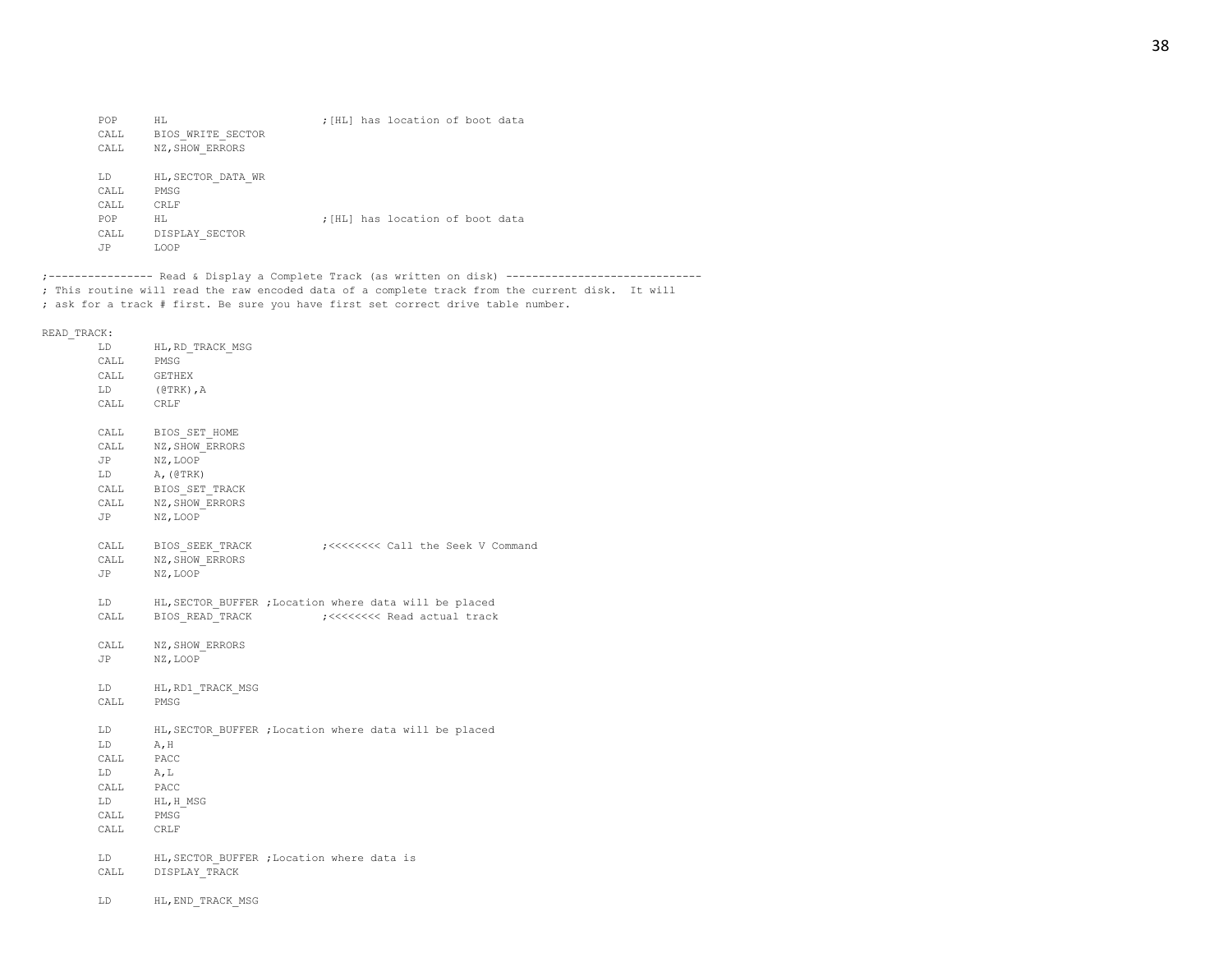| POP  | НL                 |  | ; [HL] has location of boot data |  |  |
|------|--------------------|--|----------------------------------|--|--|
| CALL | BIOS WRITE SECTOR  |  |                                  |  |  |
| CALL | NZ, SHOW ERRORS    |  |                                  |  |  |
| LD   | HL, SECTOR DATA WR |  |                                  |  |  |
| CALL | PMSG               |  |                                  |  |  |
| CALL | CRLF               |  |                                  |  |  |
| POP  | НL                 |  | ; [HL] has location of boot data |  |  |
| CALL | DISPLAY SECTOR     |  |                                  |  |  |
| JP   | <b>T.OOP</b>       |  |                                  |  |  |

;---------------- Read & Display a Complete Track (as written on disk) ------------------------------ ; This routine will read the raw encoded data of a complete track from the current disk. It will ; ask for a track # first. Be sure you have first set correct drive table number.

READ\_TRACK:

| .                                                                                                                                                                                                                              |                                                        |
|--------------------------------------------------------------------------------------------------------------------------------------------------------------------------------------------------------------------------------|--------------------------------------------------------|
| LD.                                                                                                                                                                                                                            | HL, RD TRACK MSG                                       |
| CALL PMSG                                                                                                                                                                                                                      |                                                        |
|                                                                                                                                                                                                                                | CALL GETHEX                                            |
|                                                                                                                                                                                                                                | LD (@TRK), A                                           |
|                                                                                                                                                                                                                                | $\verb CALL  \qquad \verb  CRLF $                      |
|                                                                                                                                                                                                                                |                                                        |
|                                                                                                                                                                                                                                | CALL BIOS SET HOME                                     |
| CALL                                                                                                                                                                                                                           | NZ, SHOW_ERRORS                                        |
|                                                                                                                                                                                                                                | JP NZ, LOOP                                            |
|                                                                                                                                                                                                                                | LD A, (@TRK)                                           |
|                                                                                                                                                                                                                                | CALL BIOS_SET_TRACK                                    |
|                                                                                                                                                                                                                                | CALL NZ, SHOW_ERRORS                                   |
| JP                                                                                                                                                                                                                             | NZ, LOOP                                               |
|                                                                                                                                                                                                                                |                                                        |
|                                                                                                                                                                                                                                | CALL BIOS SEEK TRACK<br>;<<<<<<<<<<<<<<<<<> Command    |
|                                                                                                                                                                                                                                | CALL NZ, SHOW ERRORS                                   |
|                                                                                                                                                                                                                                | JP NZ, LOOP                                            |
|                                                                                                                                                                                                                                |                                                        |
| LD                                                                                                                                                                                                                             | HL, SECTOR BUFFER ; Location where data will be placed |
| CALL                                                                                                                                                                                                                           |                                                        |
|                                                                                                                                                                                                                                |                                                        |
|                                                                                                                                                                                                                                | CALL NZ, SHOW ERRORS                                   |
|                                                                                                                                                                                                                                | JP NZ, LOOP                                            |
|                                                                                                                                                                                                                                |                                                        |
| LD                                                                                                                                                                                                                             | HL, RD1 TRACK MSG                                      |
|                                                                                                                                                                                                                                | CALL PMSG                                              |
|                                                                                                                                                                                                                                |                                                        |
| LD                                                                                                                                                                                                                             | HL, SECTOR BUFFER ; Location where data will be placed |
| LD                                                                                                                                                                                                                             | A, H                                                   |
| CALL PACC                                                                                                                                                                                                                      |                                                        |
| LD A, L                                                                                                                                                                                                                        |                                                        |
| CALL PACC                                                                                                                                                                                                                      |                                                        |
| LD and the set of the set of the set of the set of the set of the set of the set of the set of the set of the set of the set of the set of the set of the set of the set of the set of the set of the set of the set of the se | $\mathtt{HL}$ , $\mathtt{H\_MSG}$                      |
| CALL                                                                                                                                                                                                                           | PMSG                                                   |
| CALL                                                                                                                                                                                                                           | CRLF                                                   |
| LD                                                                                                                                                                                                                             | HL, SECTOR BUFFER ; Location where data is             |
|                                                                                                                                                                                                                                | CALL DISPLAY TRACK                                     |
|                                                                                                                                                                                                                                |                                                        |
| LD                                                                                                                                                                                                                             | HL, END TRACK MSG                                      |
|                                                                                                                                                                                                                                |                                                        |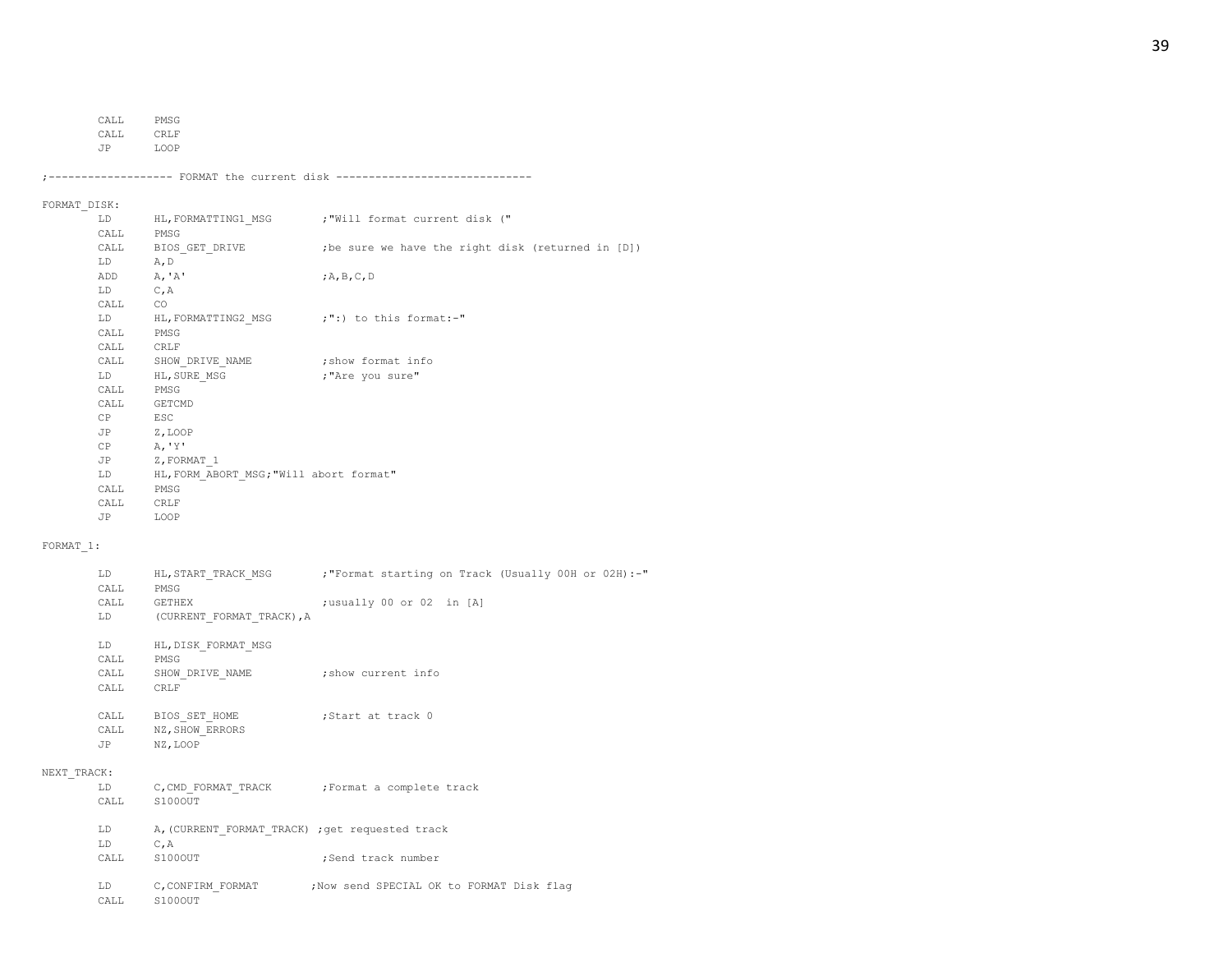CALL PMSG

CALL CRLF

JP LOOP

;------------------- FORMAT the current disk ------------------------------

## FORMAT\_DISK:

| LD                                                                                                                                                                                                                             |                                            | HL, FORMATTING1 MSG ; "Will format current disk (" |
|--------------------------------------------------------------------------------------------------------------------------------------------------------------------------------------------------------------------------------|--------------------------------------------|----------------------------------------------------|
| CALL                                                                                                                                                                                                                           | PMSG                                       |                                                    |
|                                                                                                                                                                                                                                | CALL BIOS GET DRIVE                        | ; be sure we have the right disk (returned in [D]) |
| LD                                                                                                                                                                                                                             | A, D                                       |                                                    |
| ADD                                                                                                                                                                                                                            | A, 'A'                                     | ;A,B,C,D                                           |
| LD                                                                                                                                                                                                                             | C, A                                       |                                                    |
| CALL                                                                                                                                                                                                                           | CO.                                        |                                                    |
| LD                                                                                                                                                                                                                             | HL, FORMATTING2 MSG ;":) to this format:-" |                                                    |
| CALL                                                                                                                                                                                                                           | PMSG                                       |                                                    |
| CALL                                                                                                                                                                                                                           | CRLF                                       |                                                    |
| CALL                                                                                                                                                                                                                           | SHOW DRIVE NAME                            | show format info;                                  |
| LD and the set of the set of the set of the set of the set of the set of the set of the set of the set of the set of the set of the set of the set of the set of the set of the set of the set of the set of the set of the se | HL, SURE MSG                               | "Are you sure,                                     |
| CALL                                                                                                                                                                                                                           | PMSG                                       |                                                    |
| CALL                                                                                                                                                                                                                           | GETCMD                                     |                                                    |
| CP                                                                                                                                                                                                                             | ESC                                        |                                                    |
| JP Z, LOOP                                                                                                                                                                                                                     |                                            |                                                    |
| CP                                                                                                                                                                                                                             | A, 'Y'                                     |                                                    |
| JP                                                                                                                                                                                                                             | Z, FORMAT 1                                |                                                    |
| LD                                                                                                                                                                                                                             | HL, FORM ABORT MSG; "Will abort format"    |                                                    |
| CALL                                                                                                                                                                                                                           | PMSG                                       |                                                    |
| CALL                                                                                                                                                                                                                           | CRLF                                       |                                                    |
| JP                                                                                                                                                                                                                             | LOOP                                       |                                                    |
|                                                                                                                                                                                                                                |                                            |                                                    |

## FORMAT\_1:

|             | LD<br>CALL      | PMSG                                             | HL, START TRACK MSG ; "Format starting on Track (Usually 00H or 02H) :-" |
|-------------|-----------------|--------------------------------------------------|--------------------------------------------------------------------------|
|             | CALL            | GETHEX                                           | ;usually 00 or 02 in [A]                                                 |
|             |                 | LD (CURRENT FORMAT TRACK), A                     |                                                                          |
|             | LD              | HL, DISK FORMAT MSG                              |                                                                          |
|             | CALL            | PMSG                                             |                                                                          |
|             | CALL            | SHOW DRIVE NAME : show current info              |                                                                          |
|             | CALL            | <b>CRLF</b>                                      |                                                                          |
|             |                 | CALL BIOS SET HOME                               | Start at track 0;                                                        |
|             |                 | CALL NZ, SHOW ERRORS                             |                                                                          |
|             | JP NZ, LOOP     |                                                  |                                                                          |
| NEXT TRACK: |                 |                                                  |                                                                          |
|             |                 | LD C, CMD FORMAT TRACK ; Format a complete track |                                                                          |
|             | CALL            | S100OUT                                          |                                                                          |
|             | T.D. Santa T.D. | A, (CURRENT FORMAT TRACK) ; get requested track  |                                                                          |
|             | LD              | C, A                                             |                                                                          |
|             | CALL            | S100OUT                                          | ;Send track number                                                       |
|             |                 |                                                  | LD C, CONFIRM FORMAT : Now send SPECIAL OK to FORMAT Disk flag           |
|             | CALL            | S100OUT                                          |                                                                          |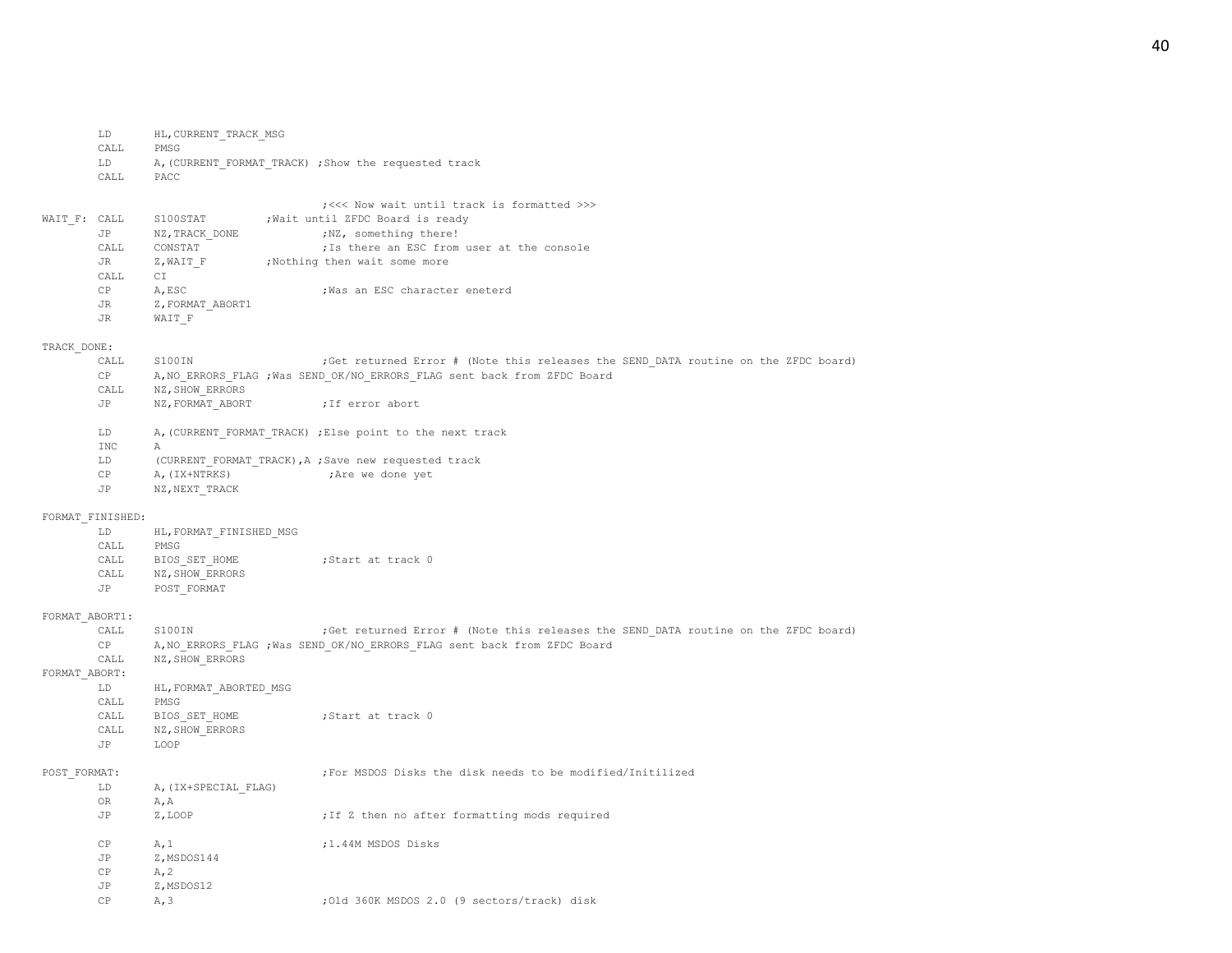|                  | LD                     | HL, CURRENT TRACK MSG   |                                                                                     |
|------------------|------------------------|-------------------------|-------------------------------------------------------------------------------------|
|                  | CALL                   | PMSG                    |                                                                                     |
|                  | LD                     |                         | A, (CURRENT FORMAT TRACK) ; Show the requested track                                |
|                  | CALL                   | PACC                    |                                                                                     |
|                  |                        |                         |                                                                                     |
|                  |                        |                         | ; <<< Now wait until track is formatted >>>                                         |
| WAIT F: CALL     |                        | S100STAT                | ; Wait until ZFDC Board is ready                                                    |
|                  | JP                     | NZ, TRACK_DONE          | ;NZ, something there!                                                               |
|                  | CALL                   | CONSTAT                 | ; Is there an ESC from user at the console                                          |
|                  | JR                     | Z,WAIT F                | ;Nothing then wait some more                                                        |
|                  | CALL                   | CI                      |                                                                                     |
|                  | CP                     | A, ESC                  | ; Was an ESC character eneterd                                                      |
|                  | JR                     | Z, FORMAT ABORT1        |                                                                                     |
|                  | JR                     | WAIT F                  |                                                                                     |
|                  |                        |                         |                                                                                     |
| TRACK DONE:      |                        |                         |                                                                                     |
|                  | CALL                   | S100IN                  | ; Get returned Error # (Note this releases the SEND DATA routine on the ZFDC board) |
|                  | CP                     |                         | A, NO ERRORS FLAG ; Was SEND OK/NO ERRORS FLAG sent back from ZFDC Board            |
|                  | CALL                   | NZ, SHOW ERRORS         |                                                                                     |
|                  | JP                     |                         |                                                                                     |
|                  |                        | NZ, FORMAT ABORT        | ; If error abort                                                                    |
|                  | LD                     |                         | A, (CURRENT FORMAT TRACK) ; Else point to the next track                            |
|                  | INC                    |                         |                                                                                     |
|                  | LD.                    | Α                       |                                                                                     |
|                  |                        |                         | (CURRENT FORMAT TRACK), A ; Save new requested track                                |
|                  | CP                     | A, (IX+NTRKS)           | ;Are we done yet                                                                    |
|                  | JP                     | NZ, NEXT TRACK          |                                                                                     |
|                  |                        |                         |                                                                                     |
| FORMAT FINISHED: |                        |                         |                                                                                     |
|                  | LD                     | HL, FORMAT FINISHED MSG |                                                                                     |
|                  | CALL                   | PMSG                    |                                                                                     |
|                  | CALL                   | BIOS SET HOME           | ;Start at track 0                                                                   |
|                  | CALL                   | NZ, SHOW ERRORS         |                                                                                     |
|                  | JP                     | POST FORMAT             |                                                                                     |
|                  |                        |                         |                                                                                     |
| FORMAT ABORT1:   |                        |                         |                                                                                     |
|                  | CALL                   | S100IN                  | ; Get returned Error # (Note this releases the SEND DATA routine on the ZFDC board) |
|                  | CP                     |                         | A, NO ERRORS FLAG ; Was SEND OK/NO ERRORS FLAG sent back from ZFDC Board            |
|                  | CALL                   | NZ, SHOW ERRORS         |                                                                                     |
| FORMAT_ABORT:    |                        |                         |                                                                                     |
|                  | LD                     | HL, FORMAT ABORTED MSG  |                                                                                     |
|                  | CALL                   | PMSG                    |                                                                                     |
|                  | CALL                   | BIOS SET HOME           | ;Start at track 0                                                                   |
|                  | CALL                   | NZ, SHOW ERRORS         |                                                                                     |
|                  | JP                     | LOOP                    |                                                                                     |
|                  |                        |                         |                                                                                     |
| POST FORMAT:     |                        |                         | ;For MSDOS Disks the disk needs to be modified/Initilized                           |
|                  | LD                     | A, (IX+SPECIAL FLAG)    |                                                                                     |
|                  | OR                     | A, A                    |                                                                                     |
|                  | JP                     | Z, LOOP                 | ; If Z then no after formatting mods required                                       |
|                  |                        |                         |                                                                                     |
|                  | СP                     | A, 1                    | ;1.44M MSDOS Disks                                                                  |
|                  | JP                     | Z, MSDOS144             |                                                                                     |
|                  | CP                     | A, 2                    |                                                                                     |
|                  | <b>JP</b>              | Z, MSDOS12              |                                                                                     |
|                  | $\mathbb{C}\mathbb{P}$ | A, 3                    | ;Old 360K MSDOS 2.0 (9 sectors/track) disk                                          |

40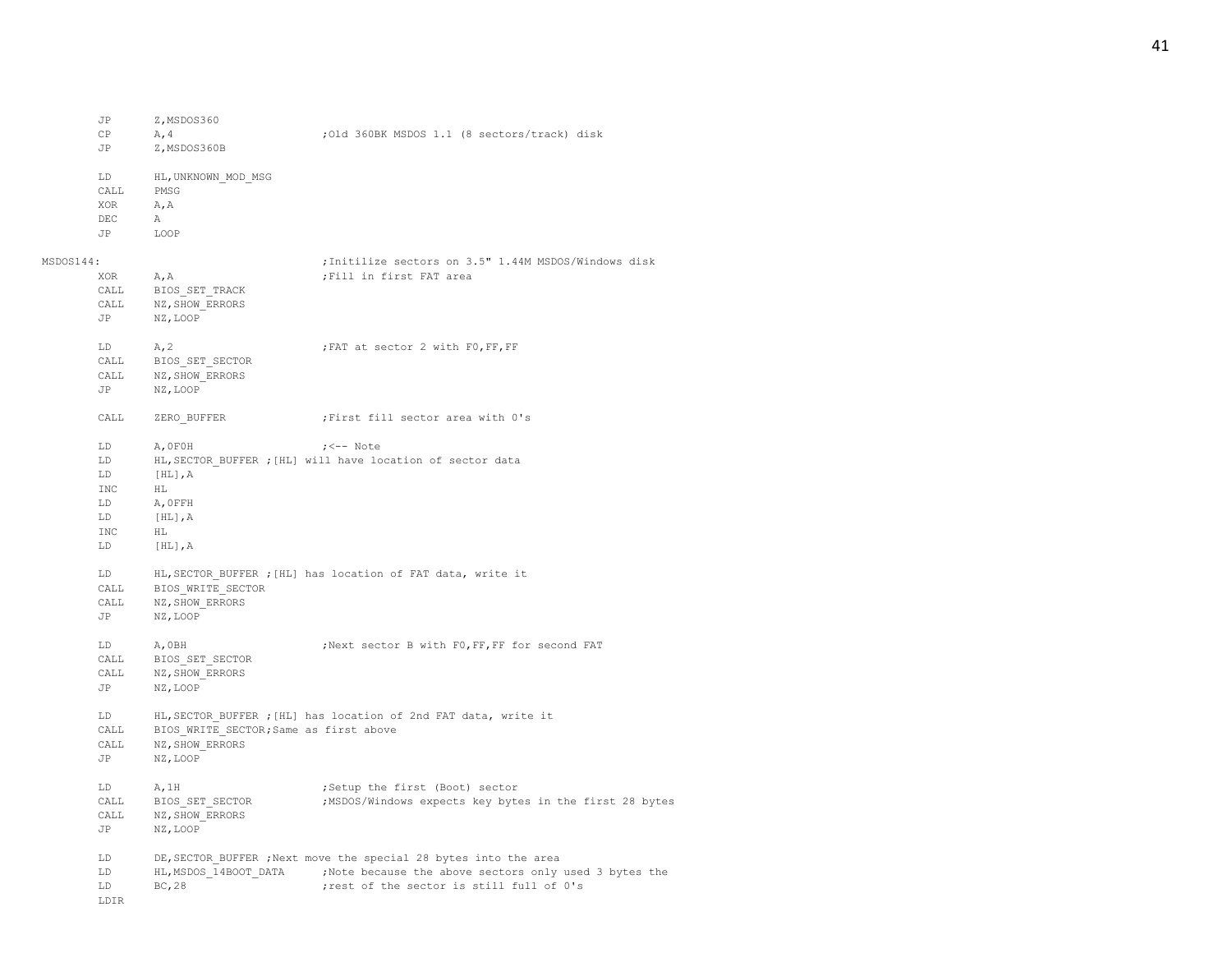|           | CP<br>JP   | A, 4<br>Z, MSDOS360B                   | ; Old 360BK MSDOS 1.1 (8 sectors/track) disk                    |
|-----------|------------|----------------------------------------|-----------------------------------------------------------------|
|           | LD<br>CALL | HL, UNKNOWN MOD MSG<br>PMSG            |                                                                 |
|           | XOR        | A, A                                   |                                                                 |
|           | DEC        | A                                      |                                                                 |
|           | JP         | LOOP                                   |                                                                 |
| MSDOS144: |            |                                        | ; Initilize sectors on 3.5" 1.44M MSDOS/Windows disk            |
|           | XOR        | A, A                                   | ; Fill in first FAT area                                        |
|           | CALL       | BIOS SET TRACK                         |                                                                 |
|           | CALL       | NZ, SHOW_ERRORS                        |                                                                 |
|           | JP         | NZ, LOOP                               |                                                                 |
|           | LD         | A, 2                                   | ; FAT at sector 2 with F0, FF, FF                               |
|           | CALL       | BIOS SET SECTOR                        |                                                                 |
|           | CALL       | NZ, SHOW ERRORS                        |                                                                 |
|           | JP         | NZ, LOOP                               |                                                                 |
|           | CALL       | ZERO BUFFER                            | ;First fill sector area with 0's                                |
|           | LD         | A, OFOH                                | $; <--$ Note                                                    |
|           | LD         |                                        | HL, SECTOR BUFFER ; [HL] will have location of sector data      |
|           | LD         | $[HL]$ , $A$                           |                                                                 |
|           | INC        | HL                                     |                                                                 |
|           | LD         | A, OFFH                                |                                                                 |
|           | LD         | $[HL]$ , $A$                           |                                                                 |
|           | <b>INC</b> | HL                                     |                                                                 |
|           | LD.        | $[HL]$ , $A$                           |                                                                 |
|           | LD         |                                        | HL, SECTOR BUFFER ; [HL] has location of FAT data, write it     |
|           | CALL       | BIOS WRITE SECTOR                      |                                                                 |
|           | CALL       | NZ, SHOW ERRORS                        |                                                                 |
|           | JP         | NZ, LOOP                               |                                                                 |
|           | LD         | A, OBH                                 | ; Next sector B with F0, FF, FF for second FAT                  |
|           | CALL       | BIOS SET SECTOR                        |                                                                 |
|           | CALL       | NZ, SHOW ERRORS                        |                                                                 |
|           | JP         | NZ, LOOP                               |                                                                 |
|           | LD         |                                        | HL, SECTOR_BUFFER ; [HL] has location of 2nd FAT data, write it |
|           | CALL       | BIOS WRITE SECTOR; Same as first above |                                                                 |
|           | CALL       | NZ, SHOW ERRORS                        |                                                                 |
|           | JP         | NZ, LOOP                               |                                                                 |
|           | LD         | A, 1H                                  | ;Setup the first (Boot) sector                                  |
|           | CALL       | BIOS SET SECTOR                        | ;MSDOS/Windows expects key bytes in the first 28 bytes          |
|           | CALL       | NZ, SHOW ERRORS                        |                                                                 |
|           | JP         | NZ, LOOP                               |                                                                 |
|           | LD         |                                        | DE, SECTOR BUFFER, Next move the special 28 bytes into the area |
|           | LD         | HL, MSDOS 14BOOT DATA                  | ;Note because the above sectors only used 3 bytes the           |
|           | LD         | BC, 28                                 | ; rest of the sector is still full of 0's                       |

LDIR

JP Z,MSDOS360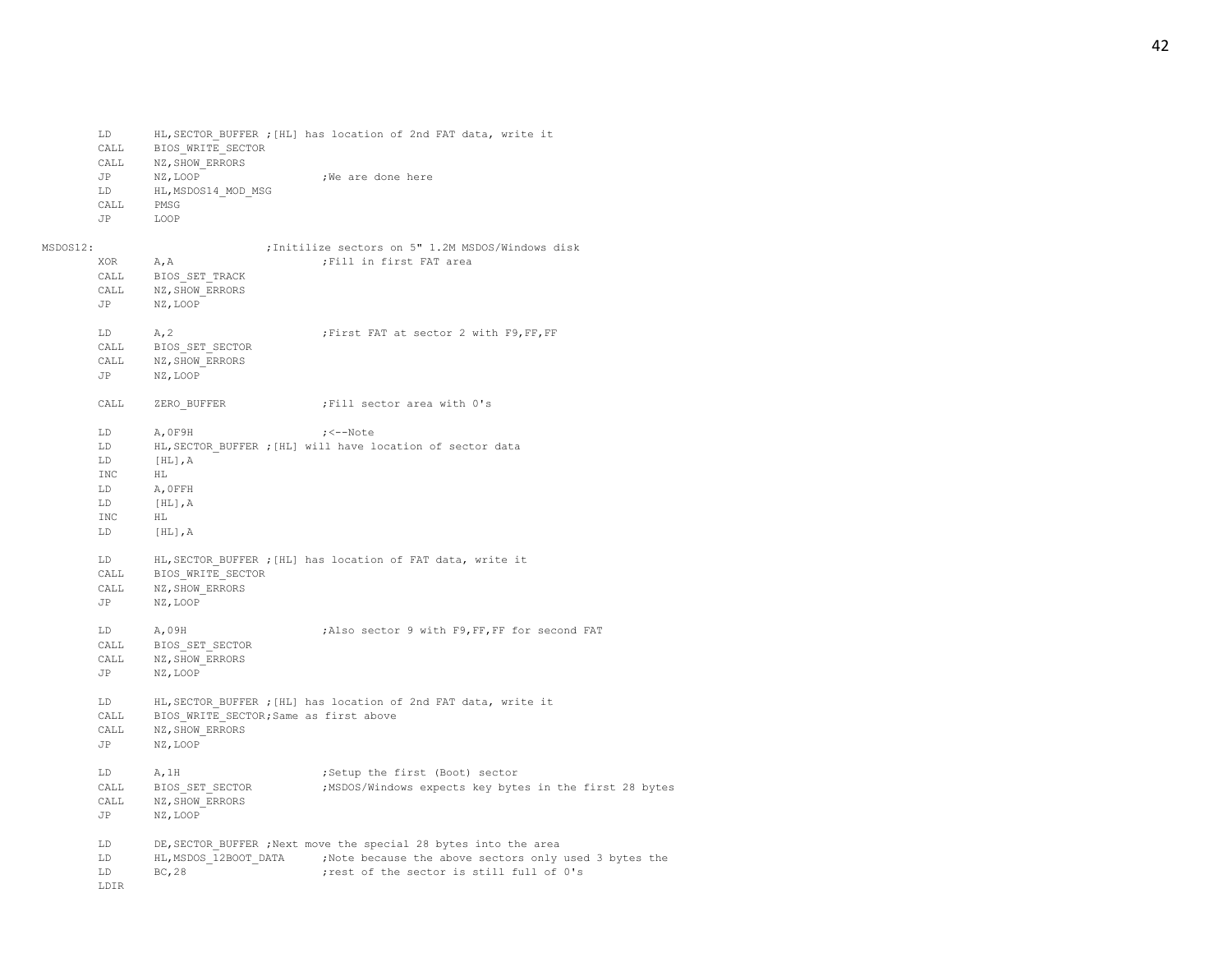|          | LD<br>CALL<br>CALL<br>JP<br>LD<br>CALL<br>JP             | BIOS WRITE SECTOR<br>NZ, SHOW ERRORS<br>NZ, LOOP<br>HL, MSDOS14 MOD MSG<br>PMSG<br>LOOP | HL, SECTOR BUFFER ; [HL] has location of 2nd FAT data, write it<br>We are done here                                                                                    |
|----------|----------------------------------------------------------|-----------------------------------------------------------------------------------------|------------------------------------------------------------------------------------------------------------------------------------------------------------------------|
| MSDOS12: |                                                          |                                                                                         | ; Initilize sectors on 5" 1.2M MSDOS/Windows disk                                                                                                                      |
|          | XOR<br>CALL<br>CALL<br>JP                                | A, A<br>BIOS SET TRACK<br>NZ, SHOW ERRORS<br>NZ, LOOP                                   | ; Fill in first FAT area                                                                                                                                               |
|          | LD<br>CALL<br>CALL<br>JP                                 | A, 2<br>BIOS SET SECTOR<br>NZ, SHOW ERRORS<br>NZ, LOOP                                  | ; First FAT at sector 2 with F9, FF, FF                                                                                                                                |
|          | CALL                                                     | ZERO BUFFER                                                                             | ; Fill sector area with 0's                                                                                                                                            |
|          | LD<br>LD<br>LD.<br><b>INC</b><br>LD<br>LD<br>INC<br>T.D. | A, OF9H<br>$[HL]$ , $A$<br>HL<br>A, OFFH<br>[HL], A<br>НL<br>$[HL]$ , $A$               | $; < -$ Note<br>HL, SECTOR BUFFER ; [HL] will have location of sector data                                                                                             |
|          | LD<br>CALL<br>CALL<br>JP                                 | BIOS WRITE SECTOR<br>NZ, SHOW ERRORS<br>NZ, LOOP                                        | HL, SECTOR BUFFER ; [HL] has location of FAT data, write it                                                                                                            |
|          | LD<br>CALL<br>CALL<br><b>JP</b>                          | A,09H<br>BIOS SET SECTOR<br>NZ, SHOW ERRORS<br>NZ, LOOP                                 | ; Also sector 9 with F9, FF, FF for second FAT                                                                                                                         |
|          | LD<br>CALL<br>CALL<br><b>JP</b>                          | BIOS WRITE SECTOR; Same as first above<br>NZ, SHOW ERRORS<br>NZ, LOOP                   | HL, SECTOR BUFFER ; [HL] has location of 2nd FAT data, write it                                                                                                        |
|          | LD<br>CALL<br>CALL<br><b>JP</b>                          | A, 1H<br>BIOS SET SECTOR<br>NZ, SHOW ERRORS<br>NZ, LOOP                                 | ;Setup the first (Boot) sector<br>;MSDOS/Windows expects key bytes in the first 28 bytes                                                                               |
|          | LD<br>LD<br>LD<br>LDIR                                   | HL, MSDOS 12BOOT DATA<br>BC, 28                                                         | DE, SECTOR BUFFER ; Next move the special 28 bytes into the area<br>;Note because the above sectors only used 3 bytes the<br>; rest of the sector is still full of 0's |

# 42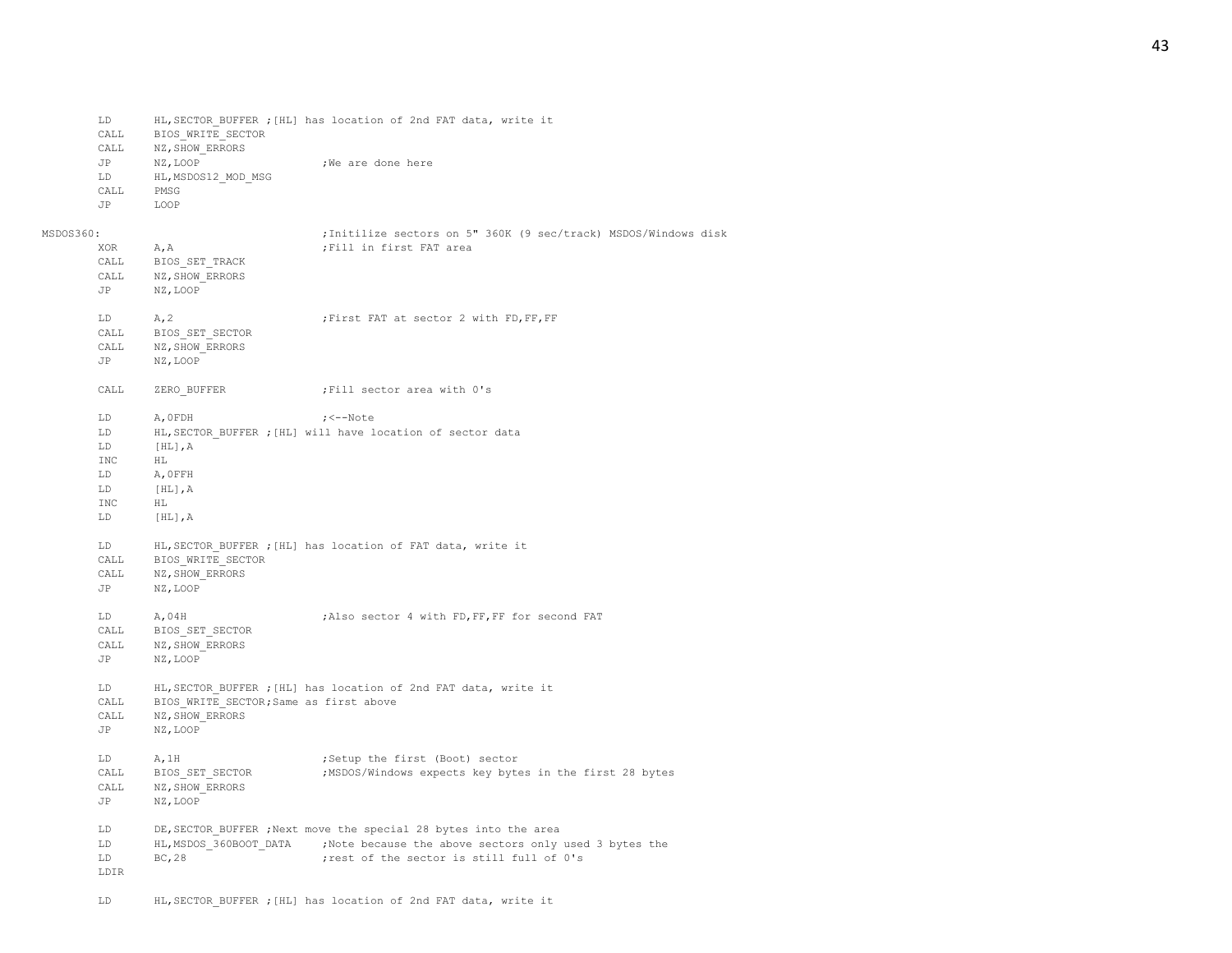CALL BIOS WRITE SECTOR CALL NZ, SHOW ERRORS JP NZ,LOOP ;We are done here LD HL, MSDOS12 MOD MSG CALL PMSG JP LOOP MSDOS360: ;Initilize sectors on 5" 360K (9 sec/track) MSDOS/Windows disk XOR A, A ; Fill in first FAT area CALL BIOS\_SET\_TRACK CALL NZ, SHOW ERRORS JP NZ,LOOP LD A, 2 ; First FAT at sector 2 with FD, FF, FF CALL BIOS\_SET\_SECTOR CALL NZ, SHOW ERRORS JP NZ,LOOP CALL ZERO BUFFER ;Fill sector area with 0's LD A,0FDH ;<--Note LD HL, SECTOR BUFFER ; [HL] will have location of sector data LD [HL],A INC HL LD A,0FFH LD [HL],A INC HL LD [HL],A LD HL,SECTOR\_BUFFER ;[HL] has location of FAT data, write it CALL BIOS WRITE SECTOR CALL NZ, SHOW ERRORS JP NZ,LOOP LD **A,04H ;Also sector 4 with FD,FF,FF for second FAT** CALL BIOS\_SET\_SECTOR CALL NZ, SHOW ERRORS JP NZ,LOOP LD HL,SECTOR\_BUFFER ;[HL] has location of 2nd FAT data, write it CALL BIOS WRITE SECTOR; Same as first above CALL NZ, SHOW ERRORS JP NZ,LOOP LD A, 1H ;Setup the first (Boot) sector CALL BIOS SET SECTOR ;MSDOS/Windows expects key bytes in the first 28 bytes CALL NZ, SHOW ERRORS JP NZ,LOOP LD DE,SECTOR\_BUFFER ;Next move the special 28 bytes into the area LD HL, MSDOS 360BOOT DATA ;Note because the above sectors only used 3 bytes the LD BC, 28 ;rest of the sector is still full of 0's LDIR

LD HL,SECTOR\_BUFFER ;[HL] has location of 2nd FAT data, write it

LD HL,SECTOR\_BUFFER ;[HL] has location of 2nd FAT data, write it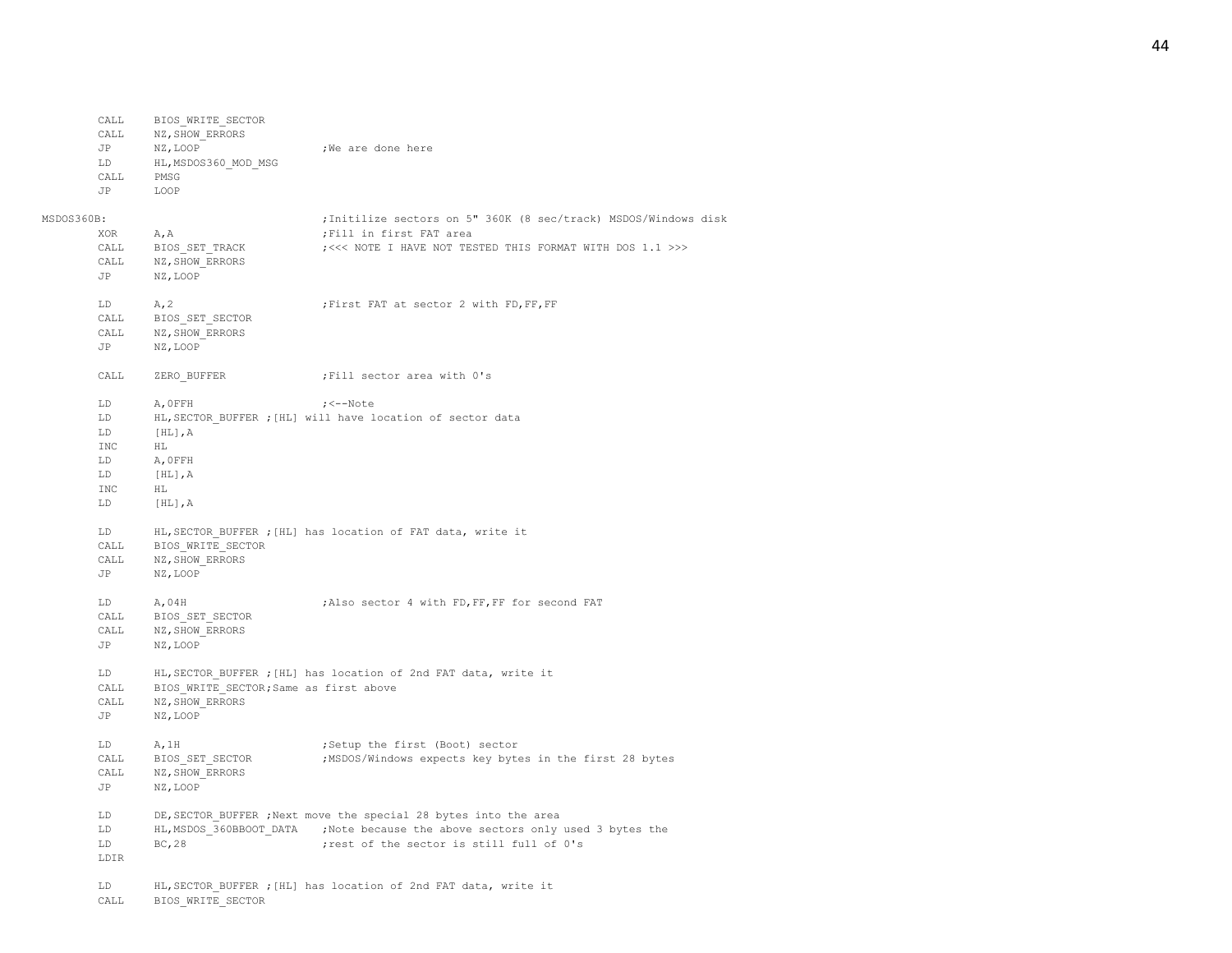|            | CALL     | NZ, SHOW ERRORS                        |                                                                                                                                                    |
|------------|----------|----------------------------------------|----------------------------------------------------------------------------------------------------------------------------------------------------|
|            | JP       | NZ, LOOP                               | ;We are done here                                                                                                                                  |
|            | LD       | HL, MSDOS360 MOD MSG                   |                                                                                                                                                    |
|            | CALL     | PMSG                                   |                                                                                                                                                    |
|            | JP       | LOOP                                   |                                                                                                                                                    |
|            |          |                                        |                                                                                                                                                    |
| MSDOS360B: |          |                                        | ; Initilize sectors on 5" 360K (8 sec/track) MSDOS/Windows disk                                                                                    |
|            | XOR      | A, A                                   | ; Fill in first FAT area                                                                                                                           |
|            | CALL     | BIOS SET TRACK                         | ; <<< NOTE I HAVE NOT TESTED THIS FORMAT WITH DOS 1.1 >>>                                                                                          |
|            | CALL     | NZ, SHOW ERRORS                        |                                                                                                                                                    |
|            | JP       | NZ, LOOP                               |                                                                                                                                                    |
|            | LD       | A, 2                                   | ; First FAT at sector 2 with FD, FF, FF                                                                                                            |
|            | CALL     | BIOS SET SECTOR                        |                                                                                                                                                    |
|            | CALL     | NZ, SHOW ERRORS                        |                                                                                                                                                    |
|            | JP       | NZ, LOOP                               |                                                                                                                                                    |
|            |          |                                        |                                                                                                                                                    |
|            | CALL     | ZERO BUFFER                            | ; Fill sector area with 0's                                                                                                                        |
|            | LD.      | A, OFFH                                | $; < -$ Note                                                                                                                                       |
|            | LD       |                                        | HL, SECTOR BUFFER ; [HL] will have location of sector data                                                                                         |
|            | LD       | $[HL]$ , A                             |                                                                                                                                                    |
|            | INC      | HL                                     |                                                                                                                                                    |
|            | LD       | A, OFFH                                |                                                                                                                                                    |
|            | LD       | $[HL]$ , $A$                           |                                                                                                                                                    |
|            | INC      | НL                                     |                                                                                                                                                    |
|            | LD       | $[HL]$ , $A$                           |                                                                                                                                                    |
|            | LD.      |                                        | HL, SECTOR BUFFER ; [HL] has location of FAT data, write it                                                                                        |
|            | CALL     | BIOS WRITE SECTOR                      |                                                                                                                                                    |
|            | CALL     | NZ, SHOW ERRORS                        |                                                                                                                                                    |
|            | JP       | NZ, LOOP                               |                                                                                                                                                    |
|            | LD       | A,04H                                  | ; Also sector 4 with FD, FF, FF for second FAT                                                                                                     |
|            | CALL     |                                        |                                                                                                                                                    |
|            | CALL     | BIOS SET SECTOR<br>NZ, SHOW ERRORS     |                                                                                                                                                    |
|            | JP       | NZ, LOOP                               |                                                                                                                                                    |
|            |          |                                        |                                                                                                                                                    |
|            | LD       |                                        | HL, SECTOR BUFFER ; [HL] has location of 2nd FAT data, write it                                                                                    |
|            | CALL     | BIOS WRITE SECTOR; Same as first above |                                                                                                                                                    |
|            | CALL     | NZ, SHOW ERRORS                        |                                                                                                                                                    |
|            | JP       | NZ, LOOP                               |                                                                                                                                                    |
|            | LD.      | A, 1H                                  | ;Setup the first (Boot) sector                                                                                                                     |
|            | CALL     | BIOS SET SECTOR                        | ;MSDOS/Windows expects key bytes in the first 28 bytes                                                                                             |
|            | CALL     | NZ, SHOW ERRORS                        |                                                                                                                                                    |
|            | JP       | NZ, LOOP                               |                                                                                                                                                    |
|            |          |                                        |                                                                                                                                                    |
|            | LD<br>LD |                                        | DE, SECTOR BUFFER ; Next move the special 28 bytes into the area<br>HL, MSDOS 360BBOOT DATA ; Note because the above sectors only used 3 bytes the |
|            | LD       | BC, 28                                 | ; rest of the sector is still full of 0's                                                                                                          |
|            | LDIR     |                                        |                                                                                                                                                    |
|            |          |                                        |                                                                                                                                                    |
|            | LD       |                                        | HL, SECTOR BUFFER ; [HL] has location of 2nd FAT data, write it                                                                                    |
|            | CALL     | BIOS WRITE SECTOR                      |                                                                                                                                                    |

CALL BIOS\_WRITE\_SECTOR

## 44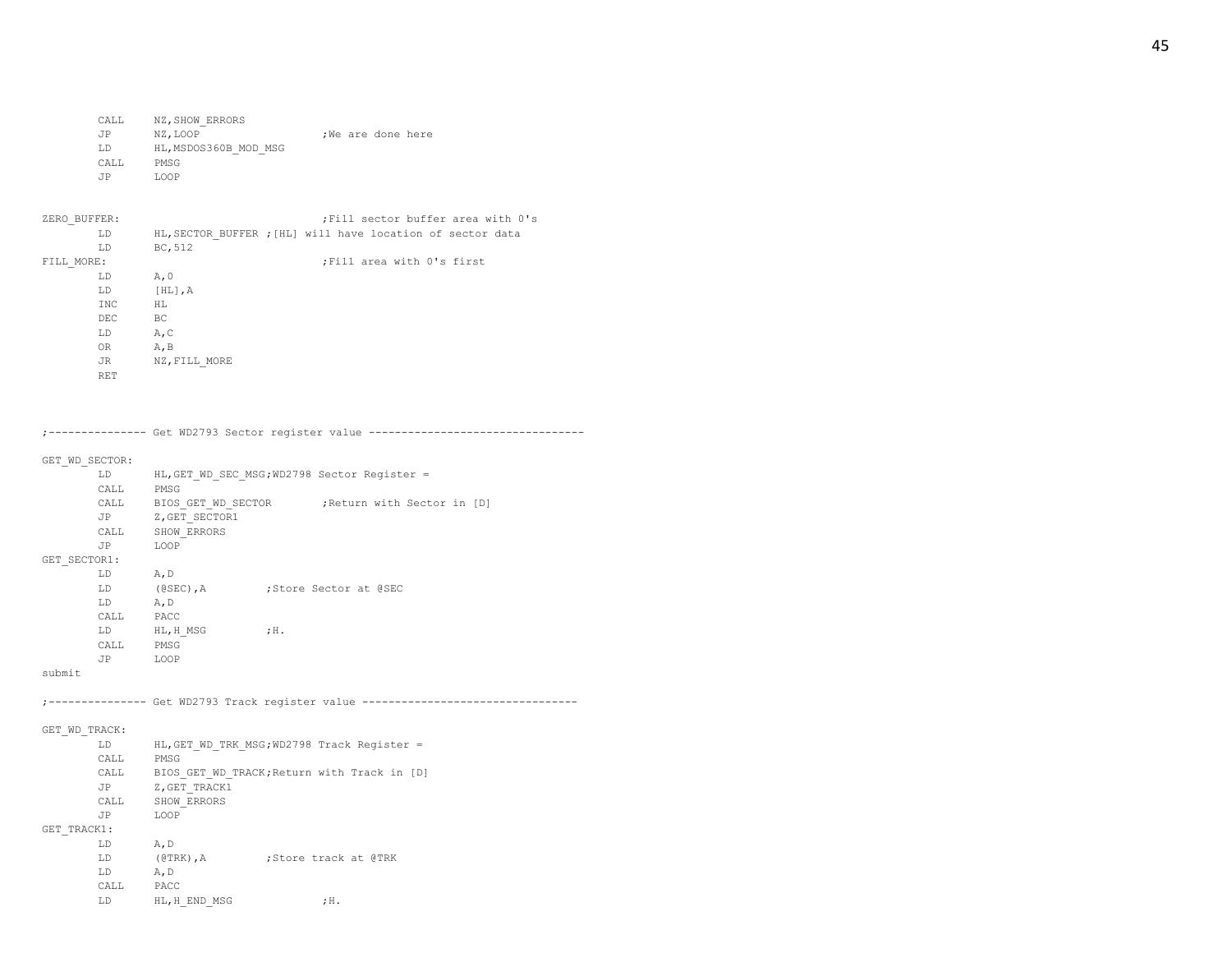| CALL | NZ, SHOW ERRORS       |                   |
|------|-----------------------|-------------------|
| JP   | NZ, LOOP              | :We are done here |
| LD   | HL, MSDOS360B MOD MSG |                   |
| CALL | PMSG                  |                   |
| .TP  | LOOP                  |                   |

| ZERO BUFFER: |               | ; Fill sector buffer area with 0's                         |
|--------------|---------------|------------------------------------------------------------|
| LD           |               | HL, SECTOR BUFFER ; [HL] will have location of sector data |
| LD           | BC, 512       |                                                            |
| FILL MORE:   |               | Fill area with 0's first;                                  |
| LD           | A, 0          |                                                            |
| LD           | $[HL]$ , A    |                                                            |
| INC          | HL.           |                                                            |
| DEC          | BC            |                                                            |
| LD           | A, C          |                                                            |
| <b>OR</b>    | A, B          |                                                            |
| <b>JR</b>    | NZ, FILL MORE |                                                            |
| <b>RET</b>   |               |                                                            |

;--------------- Get WD2793 Sector register value ---------------------------------

## GET\_WD\_SECTOR:

|                                 | LD   | HL, GET WD SEC MSG; WD2798 Sector Register = |        |                           |  |  |  |  |  |
|---------------------------------|------|----------------------------------------------|--------|---------------------------|--|--|--|--|--|
|                                 | CALL | PMSG                                         |        |                           |  |  |  |  |  |
|                                 | CALL | BIOS GET WD SECTOR                           |        | Return with Sector in [D] |  |  |  |  |  |
|                                 | JP   | Z, GET SECTOR1                               |        |                           |  |  |  |  |  |
|                                 | CALL | SHOW ERRORS                                  |        |                           |  |  |  |  |  |
|                                 | JP   | LOOP                                         |        |                           |  |  |  |  |  |
| GET SECTOR1:                    |      |                                              |        |                           |  |  |  |  |  |
|                                 | LD   | A, D                                         |        |                           |  |  |  |  |  |
|                                 | LD   | $(0$ SEC), A                                 |        | :Store Sector at @SEC     |  |  |  |  |  |
|                                 | LD.  | A, D                                         |        |                           |  |  |  |  |  |
|                                 | CALL | PACC                                         |        |                           |  |  |  |  |  |
|                                 | LD   | HL, H MSG                                    | $;$ H. |                           |  |  |  |  |  |
|                                 | CALL | PMSG                                         |        |                           |  |  |  |  |  |
|                                 | JP   | LOOP                                         |        |                           |  |  |  |  |  |
| $\sim$ $\sim$ $\sim$ $\sim$ $+$ |      |                                              |        |                           |  |  |  |  |  |

submit

;--------------- Get WD2793 Track register value ---------------------------------

## GET\_WD\_TRACK:

| HL, GET WD TRK MSG; WD2798 Track Register = |
|---------------------------------------------|
| PMSG                                        |
| BIOS GET WD TRACK; Return with Track in [D] |
| Z, GET TRACK1                               |
| SHOW ERRORS                                 |
| LOOP                                        |
|                                             |
| A, D                                        |
| $(@TRK)$ , A<br>:Store track at @TRK        |
| A, D                                        |
| PACC                                        |
| HL, H END MSG<br>$;$ H.                     |
|                                             |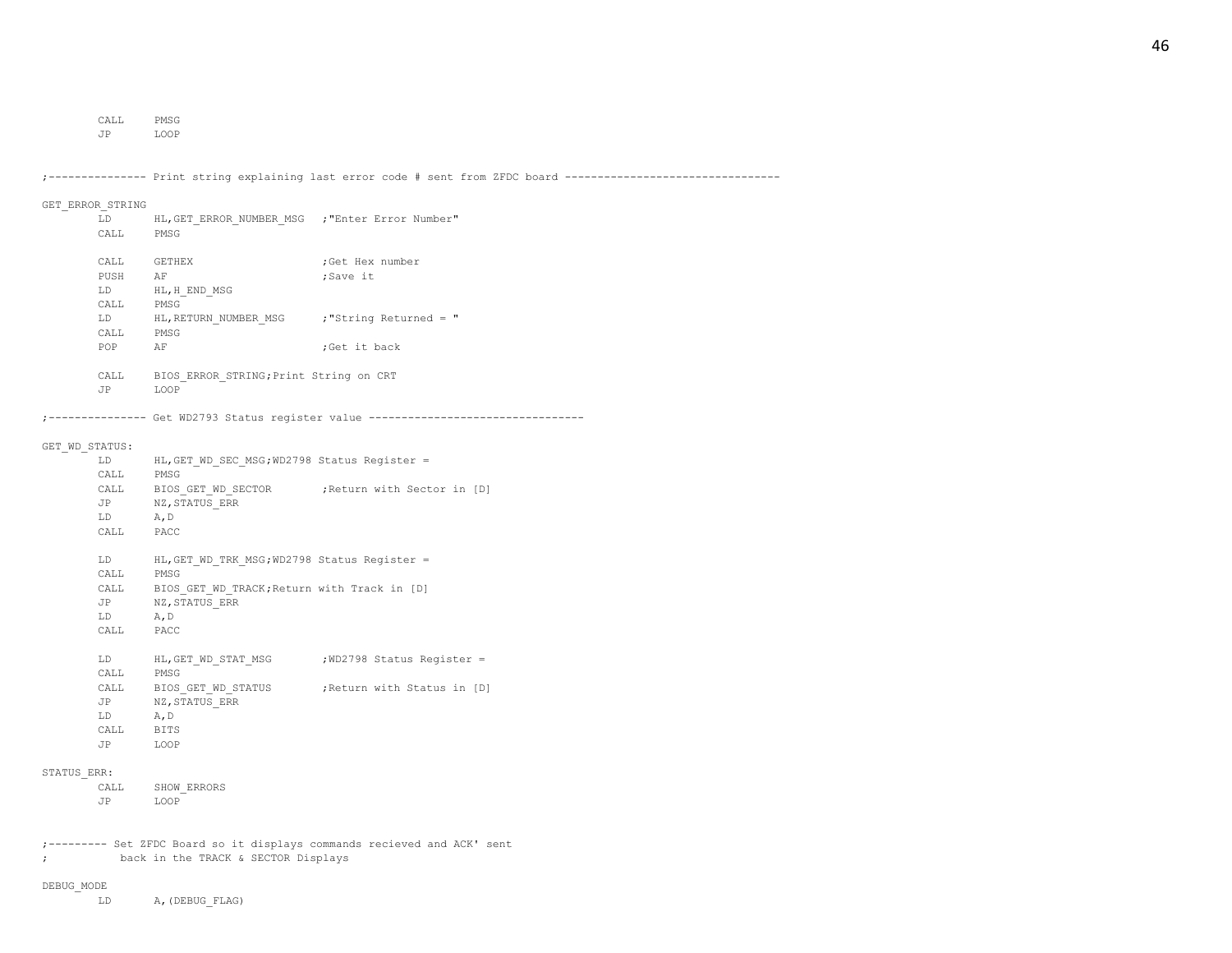CALL PMSG

JP LOOP

;--------------- Print string explaining last error code # sent from ZFDC board --------------------------------- GET\_ERROR\_STRING LD HL,GET\_ERROR\_NUMBER\_MSG ;"Enter Error Number" CALL PMSG CALL GETHEX ; Get Hex number PUSH AF ;Save it LD HL,H\_END\_MSG CALL PMSG LD HL, RETURN NUMBER MSG ; "String Returned = " CALL PMSG POP AF ;Get it back CALL BIOS\_ERROR\_STRING;Print String on CRT JP LOOP ;--------------- Get WD2793 Status register value --------------------------------- GET\_WD\_STATUS: LD HL,GET\_WD\_SEC\_MSG;WD2798 Status Register = CALL PMSG CALL BIOS GET WD SECTOR ;Return with Sector in [D] JP NZ,STATUS\_ERR LD A,D CALL PACC LD HL,GET\_WD\_TRK\_MSG;WD2798 Status Register = CALL PMSG CALL BIOS GET WD TRACK; Return with Track in [D] JP NZ,STATUS\_ERR LD A,D CALL PACC LD HL, GET WD STAT MSG ; WD2798 Status Register = CALL PMSG CALL BIOS GET WD STATUS ;Return with Status in [D] JP NZ,STATUS\_ERR LD A,D CALL BITS JP LOOP STATUS\_ERR: CALL SHOW\_ERRORS JP LOOP ;--------- Set ZFDC Board so it displays commands recieved and ACK' sent

; back in the TRACK & SECTOR Displays

DEBUG\_MODE

LD A,(DEBUG\_FLAG)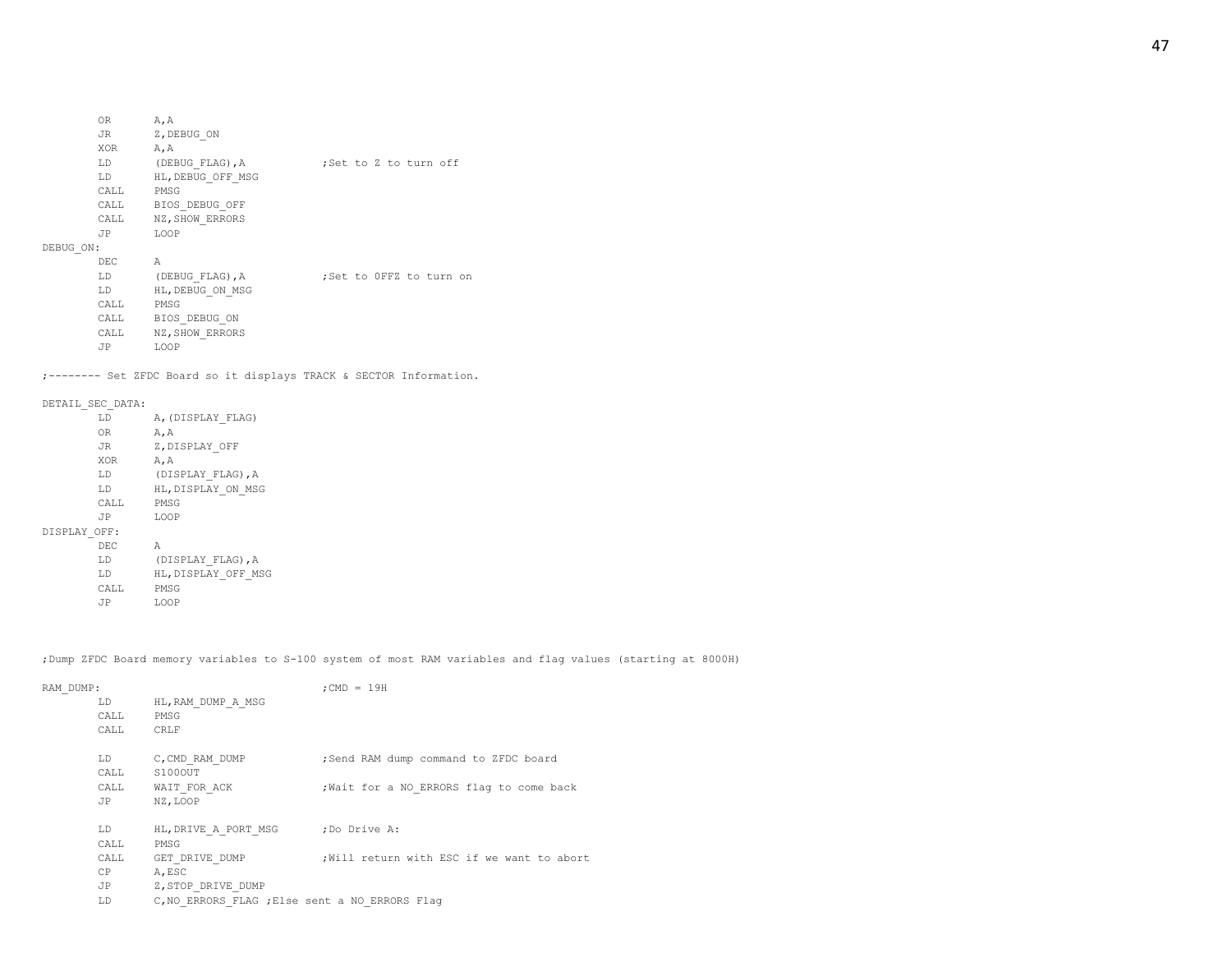;-------- Set ZFDC Board so it displays TRACK & SECTOR Information.

LD (DEBUG FLAG), A ;Set to Z to turn off

LD (DEBUG FLAG), A ;Set to 0FFZ to turn on

#### DETAIL\_SEC\_DATA:

DEBUG\_ON:

OR A,A JR Z, DEBUG ON XOR A,A

CALL PMSG

JP LOOP

CALL PMSG

JP LOOP

DEC A

LD HL,DEBUG\_OFF\_MSG

CALL BIOS\_DEBUG\_OFF CALL NZ, SHOW\_ERRORS

LD HL,DEBUG\_ON\_MSG

CALL BIOS\_DEBUG\_ON CALL NZ, SHOW ERRORS

| LD           | A, (DISPLAY FLAG)   |
|--------------|---------------------|
| 0R.          | A, A                |
| JR           | Z, DISPLAY OFF      |
| XOR          | A, A                |
| LD           | (DISPLAY FLAG), A   |
| LD           | HL, DISPLAY ON MSG  |
| CALL         | PMSG                |
| .TP          | LOOP                |
| DISPLAY OFF: |                     |
| DEC          | А                   |
| LD           | (DISPLAY FLAG), A   |
| LD           | HL, DISPLAY OFF MSG |
| CALL         | PMSG                |
| .TP          | LOOP                |

;Dump ZFDC Board memory variables to S-100 system of most RAM variables and flag values (starting at 8000H)

| RAM DUMP: |                    |                                                                      | $:$ CMD = 19H                              |
|-----------|--------------------|----------------------------------------------------------------------|--------------------------------------------|
|           | LD<br>CALL<br>CALL | HL, RAM DUMP A MSG<br>PMSG<br>CRLF                                   |                                            |
|           | LD<br>CALL         | C, CMD RAM DUMP<br>S100OUT                                           | ; Send RAM dump command to ZFDC board      |
|           | CALL<br>JP         | WAIT FOR ACK<br>NZ, LOOP                                             | ; Wait for a NO ERRORS flag to come back   |
|           | LD<br>CALL         | HL, DRIVE A PORT MSG ; Do Drive A:<br>PMSG                           |                                            |
|           | CALL<br>CP         | GET DRIVE DUMP<br>A, ESC                                             | ; Will return with ESC if we want to abort |
|           | JP<br>LD           | Z, STOP DRIVE DUMP<br>C, NO ERRORS FLAG ; Else sent a NO ERRORS Flag |                                            |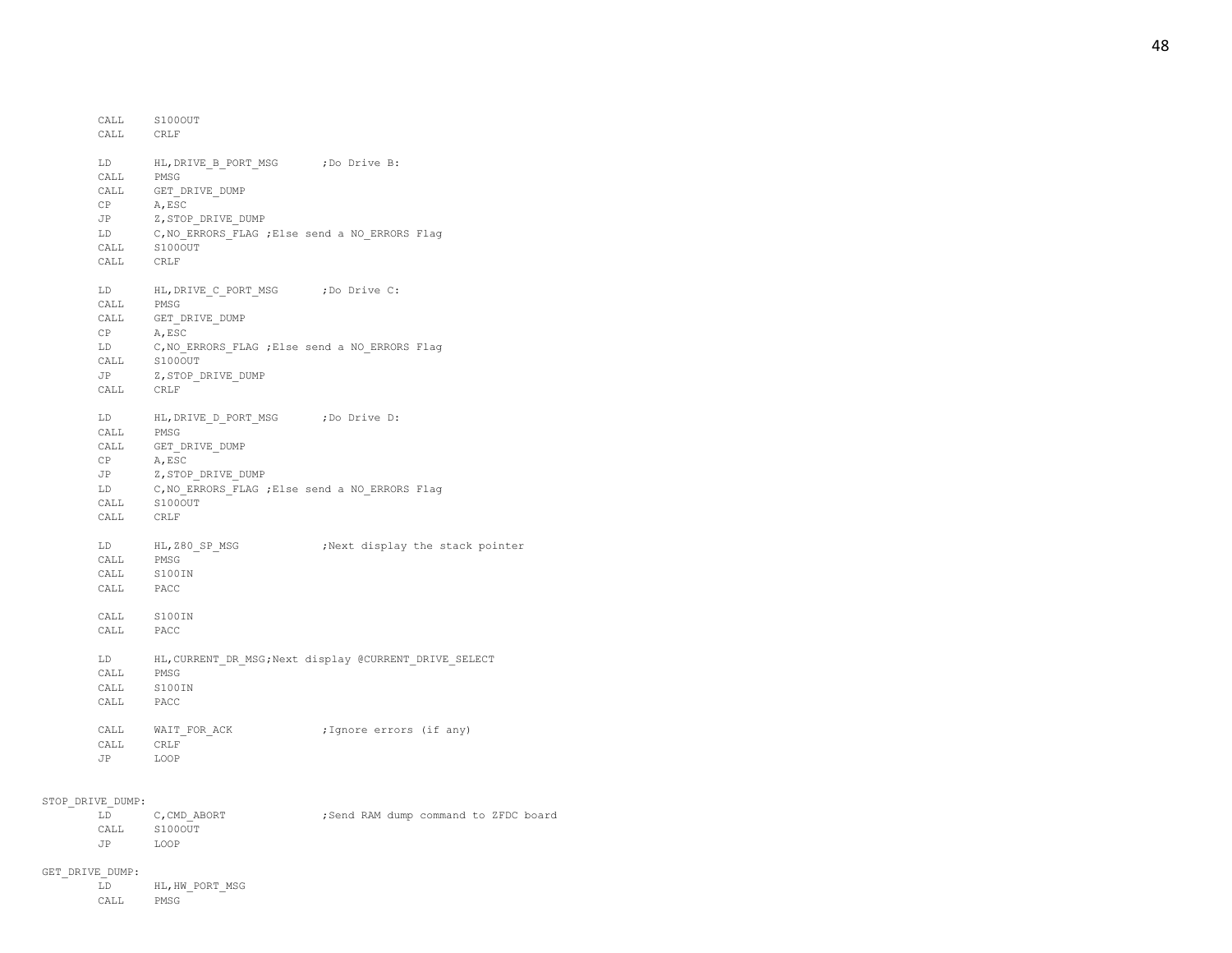| CALL<br>CALL CRLF                                                                                                                                                                   | S100OUT                                                                                    |                                                           |
|-------------------------------------------------------------------------------------------------------------------------------------------------------------------------------------|--------------------------------------------------------------------------------------------|-----------------------------------------------------------|
|                                                                                                                                                                                     |                                                                                            |                                                           |
| LD                                                                                                                                                                                  | HL, DRIVE B PORT MSG ; Do Drive B:                                                         |                                                           |
| CALL PMSG                                                                                                                                                                           |                                                                                            |                                                           |
| CALL                                                                                                                                                                                | GET DRIVE DUMP                                                                             |                                                           |
| CP                                                                                                                                                                                  | A, ESC                                                                                     |                                                           |
| JP                                                                                                                                                                                  | Z, STOP DRIVE DUMP                                                                         |                                                           |
| LD                                                                                                                                                                                  | C, NO_ERRORS_FLAG ; Else send a NO_ERRORS Flag                                             |                                                           |
|                                                                                                                                                                                     | $\verb CALL  \qquad \verb S100OUT $                                                        |                                                           |
| CALL                                                                                                                                                                                | CRLF                                                                                       |                                                           |
| LD                                                                                                                                                                                  | HL, DRIVE C PORT MSG ; Do Drive C:                                                         |                                                           |
| CALL PMSG                                                                                                                                                                           |                                                                                            |                                                           |
| ${\tt CALL}$                                                                                                                                                                        | $\label{eq:GET_DRLVE_DUMP} \begin{tabular}{l} \bf \texttt{GET\_DRIVE\_DUMP} \end{tabular}$ |                                                           |
| CP                                                                                                                                                                                  | A, ESC                                                                                     |                                                           |
| LD                                                                                                                                                                                  | C, NO ERRORS FLAG ; Else send a NO ERRORS Flag                                             |                                                           |
| CALL                                                                                                                                                                                | S100OUT                                                                                    |                                                           |
| <b>JP</b>                                                                                                                                                                           | Z, STOP DRIVE DUMP                                                                         |                                                           |
| CALL CRLF                                                                                                                                                                           |                                                                                            |                                                           |
|                                                                                                                                                                                     | LD HL, DRIVE_D_PORT_MSG ; Do Drive D:                                                      |                                                           |
| CALL                                                                                                                                                                                | PMSG                                                                                       |                                                           |
| CALL                                                                                                                                                                                | GET DRIVE_DUMP                                                                             |                                                           |
| CP                                                                                                                                                                                  | A, ESC                                                                                     |                                                           |
| JP                                                                                                                                                                                  | Z, STOP DRIVE DUMP                                                                         |                                                           |
|                                                                                                                                                                                     | LD C, NO_ERRORS_FLAG ; Else send a NO_ERRORS Flag                                          |                                                           |
| CALL                                                                                                                                                                                | S100OUT                                                                                    |                                                           |
| CALL CRLF                                                                                                                                                                           |                                                                                            |                                                           |
|                                                                                                                                                                                     | LD HL, Z80_SP_MSG                                                                          | Next display the stack pointer,                           |
| CALL                                                                                                                                                                                | PMSG                                                                                       |                                                           |
| CALL                                                                                                                                                                                | S100IN                                                                                     |                                                           |
| $\begin{tabular}{ll} \multicolumn{2}{c}{\textbf{CALL}} & \multicolumn{2}{c}{\textbf{PACC}}\\ \multicolumn{2}{c}{\textbf{CALL}} & \multicolumn{2}{c}{\textbf{PACC}}\\ \end{tabular}$ |                                                                                            |                                                           |
|                                                                                                                                                                                     | CALL S100IN                                                                                |                                                           |
| CALL                                                                                                                                                                                | PACC                                                                                       |                                                           |
|                                                                                                                                                                                     |                                                                                            | LD HL, CURRENT_DR_MSG; Next display @CURRENT_DRIVE_SELECT |
| CALL                                                                                                                                                                                | PMSG                                                                                       |                                                           |
| CALL                                                                                                                                                                                | S100IN                                                                                     |                                                           |
| CALL                                                                                                                                                                                | PACC                                                                                       |                                                           |
|                                                                                                                                                                                     |                                                                                            |                                                           |
| ${\tt CALL}$                                                                                                                                                                        | $\verb+WAIT_FOR_ACK+$                                                                      | ;Ignore errors (if any)                                   |
| CALL                                                                                                                                                                                | CRLF                                                                                       |                                                           |
| JP                                                                                                                                                                                  | LOOP                                                                                       |                                                           |
|                                                                                                                                                                                     |                                                                                            |                                                           |

### STOP\_DRIVE\_DUMP:

| LD   | C, CMD ABORT |  | ; Send RAM dump command to ZFDC board |  |  |
|------|--------------|--|---------------------------------------|--|--|
| CALL | S1000UT      |  |                                       |  |  |
| .JP  | LOOP         |  |                                       |  |  |

GET\_DRIVE\_DUMP: HL, HW\_PORT\_MSG CALL PMSG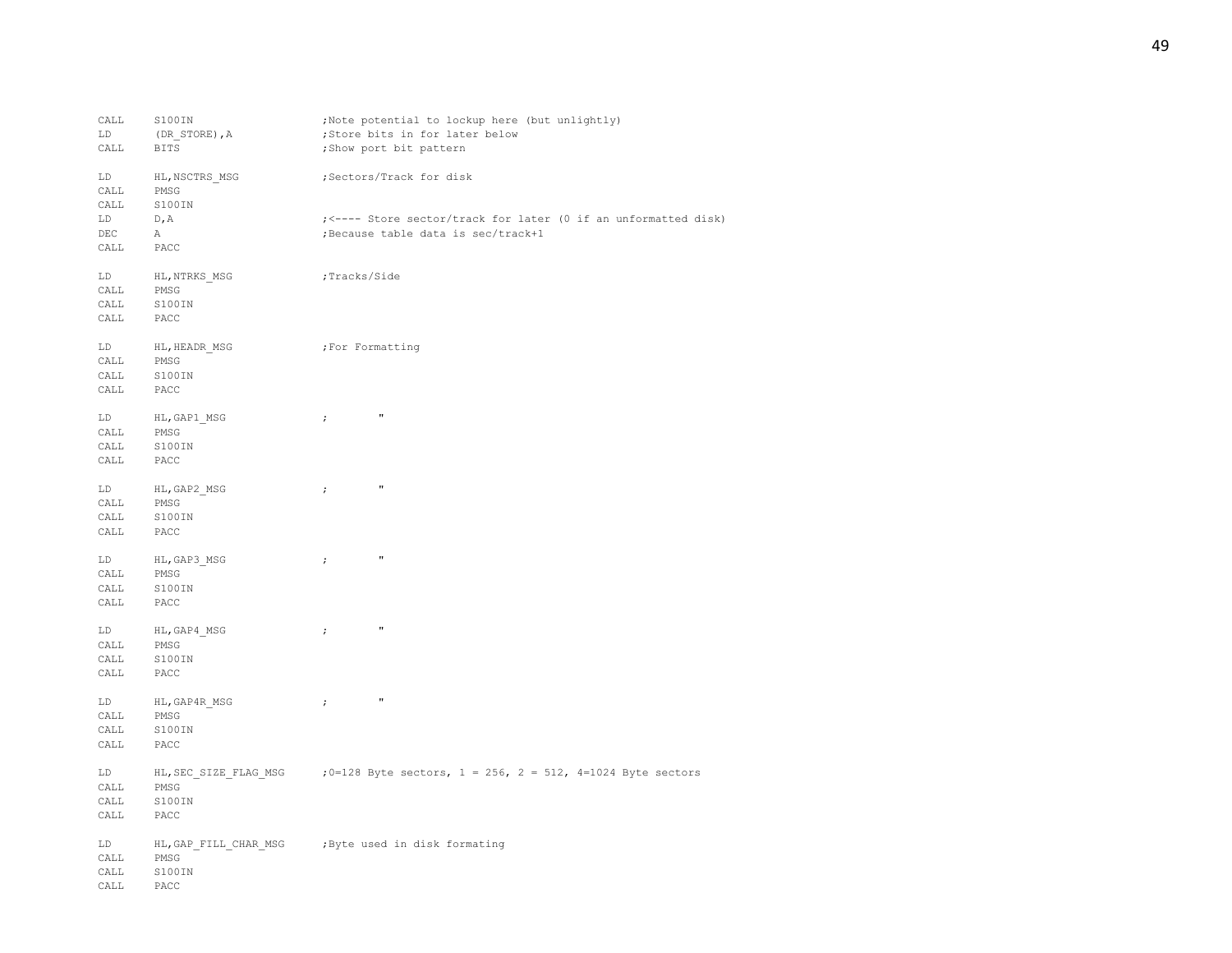| CALL | S100IN                | ;Note potential to lockup here (but unlightly)                    |
|------|-----------------------|-------------------------------------------------------------------|
| LD   | (DR_STORE), A         | ;Store bits in for later below                                    |
| CALL | BITS                  | ; Show port bit pattern                                           |
| LD   | HL, NSCTRS MSG        | ;Sectors/Track for disk                                           |
| CALL | PMSG                  |                                                                   |
| CALL | S100IN                |                                                                   |
| LD   | D, A                  | ; <---- Store sector/track for later (0 if an unformatted disk)   |
| DEC  | A                     | ; Because table data is sec/track+1                               |
| CALL | PACC                  |                                                                   |
| LD   | HL, NTRKS MSG         | ;Tracks/Side                                                      |
| CALL | PMSG                  |                                                                   |
| CALL | S100IN                |                                                                   |
| CALL | PACC                  |                                                                   |
| LD   | HL, HEADR MSG         | For Formatting;                                                   |
| CALL | PMSG                  |                                                                   |
| CALL | S100IN                |                                                                   |
| CALL | PACC                  |                                                                   |
| LD   | HL, GAP1_MSG          | $\pmb{\mathfrak{m}}$<br>$\rightarrow$                             |
| CALL | PMSG                  |                                                                   |
| CALL | S100IN                |                                                                   |
| CALL | PACC                  |                                                                   |
| LD   | HL, GAP2 MSG          | $\pmb{\pi}$<br>$\ddot{\phantom{0}}$                               |
| CALL | PMSG                  |                                                                   |
| CALL | S100IN                |                                                                   |
| CALL | PACC                  |                                                                   |
| LD   | HL, GAP3 MSG          | $\boldsymbol{\mathsf{u}}$<br>$\ddot{\phantom{0}}$                 |
| CALL | PMSG                  |                                                                   |
| CALL | S100IN                |                                                                   |
| CALL | PACC                  |                                                                   |
| LD   | HL, GAP4 MSG          | $^{\prime\prime}$<br>$\ddot{ }$                                   |
| CALL | PMSG                  |                                                                   |
| CALL | S100IN                |                                                                   |
| CALL | PACC                  |                                                                   |
| LD   | HL, GAP4R MSG         | $\pmb{\mathfrak{m}}$<br>$\ddot{i}$                                |
| CALL | PMSG                  |                                                                   |
| CALL | S100IN                |                                                                   |
| CALL | PACC                  |                                                                   |
| LD   | HL, SEC SIZE FLAG MSG | ; 0=128 Byte sectors, $1 = 256$ , $2 = 512$ , 4=1024 Byte sectors |
| CALL | PMSG                  |                                                                   |
| CALL | S100IN                |                                                                   |
| CALL | PACC                  |                                                                   |
| LD   | HL, GAP FILL CHAR MSG | Byte used in disk formating,                                      |
| CALL | PMSG                  |                                                                   |
| CALL | S100IN                |                                                                   |
| CALL | PACC                  |                                                                   |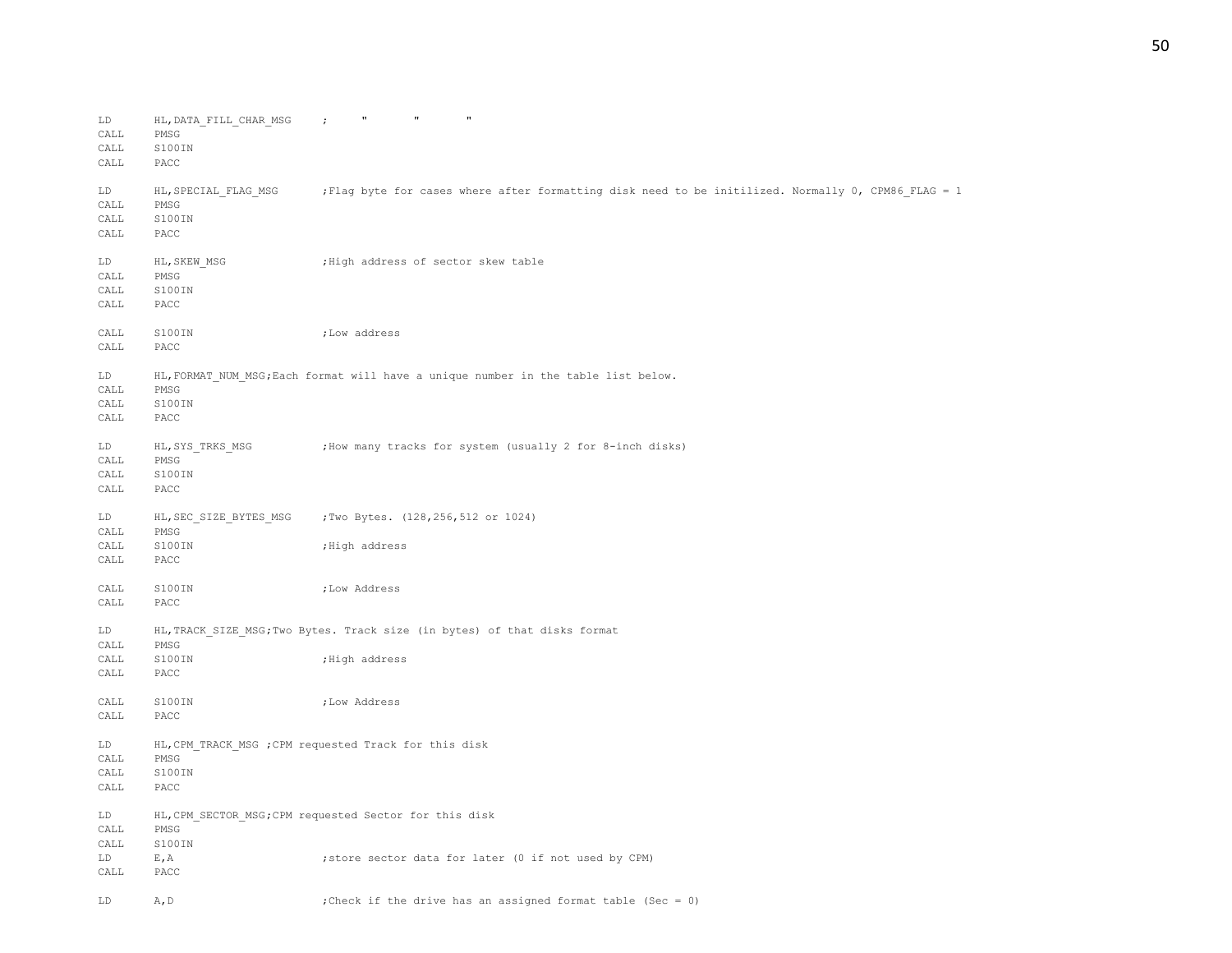| ${\rm LD}$<br>CALL<br>CALL<br>CALL   | HL, DATA FILL CHAR MSG<br>PMSG<br>S100IN<br>PACC | $\mathbf{u}$<br>$\pmb{\pi}$<br>$\mathbf{H}$<br>$\ddot{r}$                                          |
|--------------------------------------|--------------------------------------------------|----------------------------------------------------------------------------------------------------|
| LD<br>$\texttt{CAL}$<br>CALL<br>CALL | HL, SPECIAL FLAG MSG<br>PMSG<br>S100IN<br>PACC   | Flag byte for cases where after formatting disk need to be initilized. Normally 0, CPM86 FLAG = 1; |
| LD<br>CALL<br>CALL<br>CALL           | HL, SKEW MSG<br>PMSG<br>S100IN<br>PACC           | ; High address of sector skew table                                                                |
| CALL<br>CALL                         | S100IN<br>PACC                                   | ;Low address                                                                                       |
| LD<br>CALL<br>CALL<br>CALL           | PMSG<br>S100IN<br>PACC                           | HL, FORMAT NUM MSG; Each format will have a unique number in the table list below.                 |
| LD<br>CALL<br>CALL<br>CALL           | HL, SYS TRKS MSG<br>PMSG<br>S100IN<br>PACC       | ; How many tracks for system (usually 2 for 8-inch disks)                                          |
| LD<br>CALL                           | HL, SEC SIZE BYTES MSG<br>PMSG                   | ;Two Bytes. (128, 256, 512 or 1024)                                                                |
| CALL<br>CALL                         | S100IN<br>PACC                                   | ; High address                                                                                     |
| CALL<br>CALL                         | S100IN<br>PACC                                   | ; Low Address                                                                                      |
| LD<br>CALL                           | PMSG                                             | HL, TRACK SIZE MSG; Two Bytes. Track size (in bytes) of that disks format                          |
| CALL<br>CALL                         | S100IN<br>PACC                                   | ;High address                                                                                      |
| CALL<br>$\texttt{CAL}$               | S100IN<br>PACC                                   | ; Low Address                                                                                      |
| LD<br>CALL<br>CALL<br>$\texttt{CAL}$ | PMSG<br>S100IN<br>PACC                           | HL, CPM TRACK MSG ; CPM requested Track for this disk                                              |
| LD<br>CALL                           | PMSG                                             | HL, CPM SECTOR MSG; CPM requested Sector for this disk                                             |
| CALL<br>LD<br>CALL                   | S100IN<br>E, A<br>PACC                           | ; store sector data for later (0 if not used by CPM)                                               |
| LD                                   | A, D                                             | ; Check if the drive has an assigned format table (Sec = 0)                                        |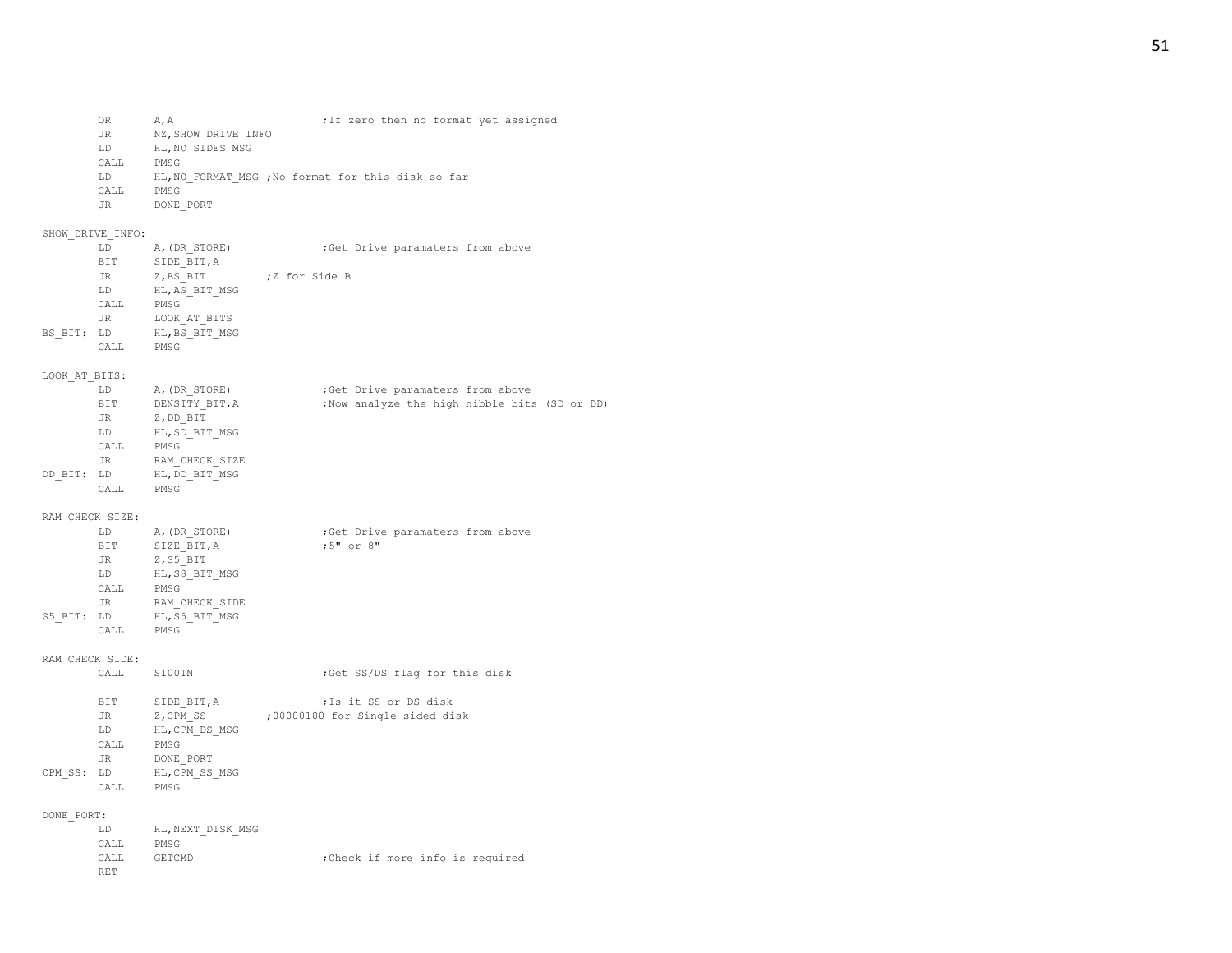| OR   | A.A                 |  |  |  | ; If zero then no format yet assigned |
|------|---------------------|--|--|--|---------------------------------------|
| JR.  | NZ, SHOW DRIVE INFO |  |  |  |                                       |
| LD.  | HL, NO SIDES MSG    |  |  |  |                                       |
| CALL | PMSG                |  |  |  |                                       |

- LD HL, NO\_FORMAT\_MSG ; No format for this disk so far<br>CALL PMSG
- PMSG
- JR DONE\_PORT

# SHOW\_DRIVE\_INFO:

|         | LD   | A, (DR STORE)  |  |               | ; Get Drive paramaters from above |  |  |
|---------|------|----------------|--|---------------|-----------------------------------|--|--|
|         | BIT  | SIDE BIT, A    |  |               |                                   |  |  |
|         | JR   | Z, BS BIT      |  | ;Z for Side B |                                   |  |  |
|         | LD   | HL, AS BIT MSG |  |               |                                   |  |  |
|         | CALL | PMSG           |  |               |                                   |  |  |
|         | JR.  | LOOK AT BITS   |  |               |                                   |  |  |
| BS BIT: | LD.  | HL, BS BIT MSG |  |               |                                   |  |  |
|         | CALL | PMSG           |  |               |                                   |  |  |

# LOOK\_AT\_BITS:

|         | LD         | A, (DR STORE)  | ; Get Drive paramaters from above             |  |  |  |  |
|---------|------------|----------------|-----------------------------------------------|--|--|--|--|
|         | <b>BIT</b> | DENSITY BIT, A | ; Now analyze the high nibble bits (SD or DD) |  |  |  |  |
|         | JR.        | Z, DD BIT      |                                               |  |  |  |  |
|         | LD.        | HL, SD BIT MSG |                                               |  |  |  |  |
|         | CALL       | PMSG           |                                               |  |  |  |  |
|         | JR.        | RAM CHECK SIZE |                                               |  |  |  |  |
| DD BIT: | LD         | HL, DD BIT MSG |                                               |  |  |  |  |
|         | CALL       | PMSG           |                                               |  |  |  |  |
|         |            |                |                                               |  |  |  |  |

# RAM\_CHECK\_SIZE:

|            | LD   | A, (DR STORE)  |           | ; Get Drive paramaters from above |  |
|------------|------|----------------|-----------|-----------------------------------|--|
|            | BIT  | SIZE BIT, A    | :5" or 8" |                                   |  |
|            | JR.  | Z, S5 BIT      |           |                                   |  |
|            | LD   | HL, S8 BIT MSG |           |                                   |  |
|            | CALL | PMSG           |           |                                   |  |
|            | JR.  | RAM CHECK SIDE |           |                                   |  |
| S5 BIT: LD |      | HL, S5 BIT MSG |           |                                   |  |
|            | CALL | PMSG           |           |                                   |  |

# RAM\_CHECK\_SIDE:

| S100 TN<br>CALL | ;Get SS/DS flag for this disk |  |
|-----------------|-------------------------------|--|
|-----------------|-------------------------------|--|

|            | BIT  | SIDE BIT, A    | ; Is it SS or DS disk           |
|------------|------|----------------|---------------------------------|
|            | JR.  | Z, CPM SS      | :00000100 for Single sided disk |
|            | LD   | HL, CPM DS MSG |                                 |
|            | CALL | PMSG           |                                 |
|            | JR.  | DONE PORT      |                                 |
| CPM SS: LD |      | HL, CPM SS MSG |                                 |
|            | CALL | PMSG           |                                 |
|            |      |                |                                 |

## DONE\_PORT:

| LD.   | HL, NEXT DISK MSG |  |  |                                 |
|-------|-------------------|--|--|---------------------------------|
| CALL  | PMSG              |  |  |                                 |
| CALL. | GETCMD            |  |  | :Check if more info is required |
| RET   |                   |  |  |                                 |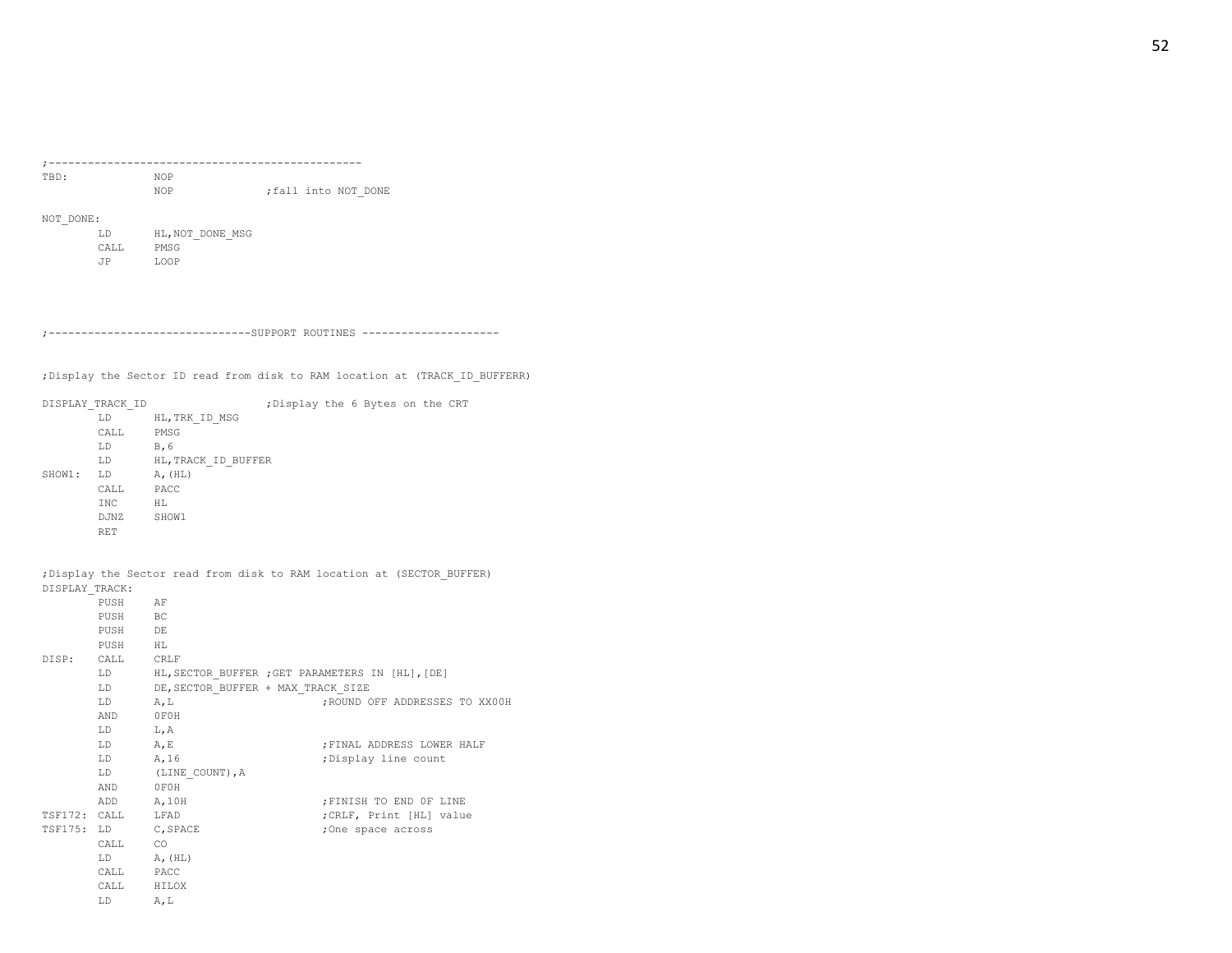| TBD: | <b>NOP</b> |  |                     |
|------|------------|--|---------------------|
|      | <b>NOP</b> |  | :fall into NOT DONE |

NOT\_DONE:

| T.D   | HL, NOT DONE MSG |
|-------|------------------|
| CALL. | PMSG             |
| .TP   | <b>T.OOP</b>     |

;-------------------------------SUPPORT ROUTINES ---------------------

;Display the Sector ID read from disk to RAM location at (TRACK\_ID\_BUFFERR)

|        | DISPLAY TRACK ID |                     | ; Display the 6 Bytes on the CRT |  |  |  |  |  |  |
|--------|------------------|---------------------|----------------------------------|--|--|--|--|--|--|
|        | LD               | HL, TRK ID MSG      |                                  |  |  |  |  |  |  |
|        | CALL             | PMSG                |                                  |  |  |  |  |  |  |
|        | LD               | B, 6                |                                  |  |  |  |  |  |  |
|        | LD               | HL, TRACK ID BUFFER |                                  |  |  |  |  |  |  |
| SHOW1: | LD               | A, (HL)             |                                  |  |  |  |  |  |  |
|        | CALL             | PACC                |                                  |  |  |  |  |  |  |
|        | <b>INC</b>       | НL                  |                                  |  |  |  |  |  |  |
|        | DJNZ             | SHOW1               |                                  |  |  |  |  |  |  |
|        | <b>RET</b>       |                     |                                  |  |  |  |  |  |  |

;Display the Sector read from disk to RAM location at (SECTOR\_BUFFER) DISPLAY\_TRACK:

| PUSH                                                                                                                                                                                                                           | AF                                                  |                                |
|--------------------------------------------------------------------------------------------------------------------------------------------------------------------------------------------------------------------------------|-----------------------------------------------------|--------------------------------|
| PUSH BC                                                                                                                                                                                                                        |                                                     |                                |
| PUSH DE                                                                                                                                                                                                                        |                                                     |                                |
| PUSH HL                                                                                                                                                                                                                        |                                                     |                                |
| DISP: CALL CRLF                                                                                                                                                                                                                |                                                     |                                |
|                                                                                                                                                                                                                                | LD HL, SECTOR BUFFER ; GET PARAMETERS IN [HL], [DE] |                                |
| LD                                                                                                                                                                                                                             | DE, SECTOR BUFFER + MAX TRACK SIZE                  |                                |
| T.D                                                                                                                                                                                                                            | A, L                                                | ; ROUND OFF ADDRESSES TO XX00H |
| AND OFOH                                                                                                                                                                                                                       |                                                     |                                |
| LD L, A                                                                                                                                                                                                                        |                                                     |                                |
| LD A, E                                                                                                                                                                                                                        |                                                     | ; FINAL ADDRESS LOWER HALF     |
| $LD$ $A, 16$                                                                                                                                                                                                                   |                                                     | ; Display line count           |
| LD and the set of the set of the set of the set of the set of the set of the set of the set of the set of the set of the set of the set of the set of the set of the set of the set of the set of the set of the set of the se | (LINE COUNT), A                                     |                                |
| AND OFOH                                                                                                                                                                                                                       |                                                     |                                |
| ADD A, 10H                                                                                                                                                                                                                     |                                                     | FINISH TO END OF LINE          |
| TSF172: CALL LFAD                                                                                                                                                                                                              |                                                     | ; CRLF, Print [HL] value       |
|                                                                                                                                                                                                                                | TSF175: LD C, SPACE                                 | ;One space across              |
| CALL CO                                                                                                                                                                                                                        |                                                     |                                |
| LD A, (HL)                                                                                                                                                                                                                     |                                                     |                                |
| CALL PACC                                                                                                                                                                                                                      |                                                     |                                |
| CALL HILOX                                                                                                                                                                                                                     |                                                     |                                |
| T.D.                                                                                                                                                                                                                           | A, L                                                |                                |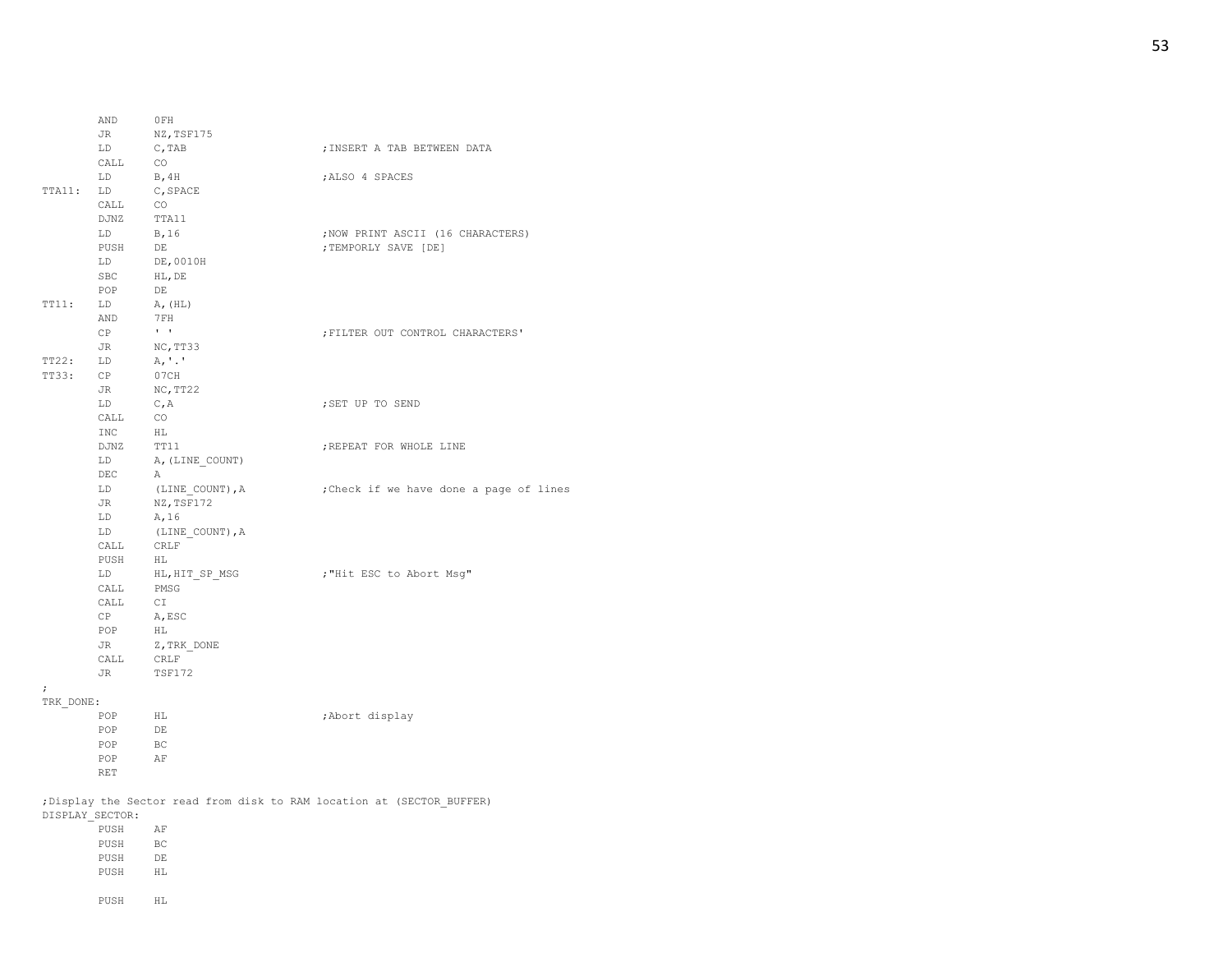|            | AND                                       | 0FH                                                                                    |                                                            |
|------------|-------------------------------------------|----------------------------------------------------------------------------------------|------------------------------------------------------------|
|            |                                           | JR NZ, TSF175                                                                          |                                                            |
|            | LD                                        | C, TAB                                                                                 | ; INSERT A TAB BETWEEN DATA                                |
|            | $\mathtt{CALL}$                           | CO                                                                                     |                                                            |
|            | $LD$ B, $4H$                              |                                                                                        | ; ALSO 4 SPACES                                            |
| TTA11: LD  |                                           | C, SPACE                                                                               |                                                            |
|            | CALL CO                                   |                                                                                        |                                                            |
|            | DJNZ                                      | TTA11                                                                                  |                                                            |
|            | $LD$ $B, 16$                              |                                                                                        | ; NOW PRINT ASCII (16 CHARACTERS)                          |
|            | PUSH                                      | $DE$                                                                                   | ; TEMPORLY SAVE [DE]                                       |
|            | LD                                        | DE,0010H                                                                               |                                                            |
|            | SBC HL, DE                                |                                                                                        |                                                            |
|            | POP                                       | DE                                                                                     |                                                            |
| TT11:      | LD A, (HL)                                |                                                                                        |                                                            |
|            |                                           |                                                                                        |                                                            |
|            | AND 7 FH<br>CP                            | $\mathbf{H}=\mathbf{H}$                                                                | ; FILTER OUT CONTROL CHARACTERS'                           |
|            | JR NC, TT33                               |                                                                                        |                                                            |
| TT22:      | LD                                        | A, '.'                                                                                 |                                                            |
| TT33:      | CP                                        | 07CH                                                                                   |                                                            |
|            |                                           |                                                                                        |                                                            |
|            | JR                                        | NC, TT22                                                                               |                                                            |
|            | LD                                        | C, A                                                                                   | ; SET UP TO SEND                                           |
|            | $\verb CALL   \hspace*{.6cm} \texttt{CO}$ |                                                                                        |                                                            |
|            | INC<br>DJNZ TT11                          | HL                                                                                     |                                                            |
|            |                                           |                                                                                        | ; REPEAT FOR WHOLE LINE                                    |
|            |                                           | LD A, (LINE_COUNT)                                                                     |                                                            |
|            | DEC                                       | A                                                                                      |                                                            |
|            |                                           |                                                                                        | LD (LINE COUNT), A ; Check if we have done a page of lines |
|            | JR                                        | NZ, TSF172                                                                             |                                                            |
|            | LD $A, 16$                                |                                                                                        |                                                            |
|            |                                           | $\begin{tabular}{ll} \tt LD & & (LINE\_COUNT) \; , A \\ \tt CALL & CRLF \end{tabular}$ |                                                            |
|            |                                           |                                                                                        |                                                            |
|            | ${\tt PUSH}$ $\quad$ $\rm HL$             |                                                                                        |                                                            |
|            | LD                                        | HL,HIT SP MSG                                                                          | ; "Hit ESC to Abort Msg"                                   |
|            | CALL PMSG                                 |                                                                                        |                                                            |
|            | CALL                                      | CI <sub>.</sub>                                                                        |                                                            |
|            | CP                                        | A, ESC                                                                                 |                                                            |
|            | POP HL                                    |                                                                                        |                                                            |
|            | JR 1                                      | Z, TRK DONE                                                                            |                                                            |
|            | CALL CRLF                                 |                                                                                        |                                                            |
|            | JR TSF172                                 |                                                                                        |                                                            |
| $\ddot{ }$ |                                           |                                                                                        |                                                            |
| TRK DONE:  |                                           |                                                                                        |                                                            |
|            | POP                                       | HL                                                                                     | ; Abort display                                            |
|            | POP                                       | DE                                                                                     |                                                            |
|            | POP                                       | BC                                                                                     |                                                            |
|            | POP                                       | AF                                                                                     |                                                            |
|            | <b>RET</b>                                |                                                                                        |                                                            |

;Display the Sector read from disk to RAM location at (SECTOR\_BUFFER) DISPLAY\_SECTOR:

| PUSH | AF  |
|------|-----|
| PUSH | BC. |
| PUSH | DE. |
| PUSH | HT. |
|      |     |
| PUSH | HT. |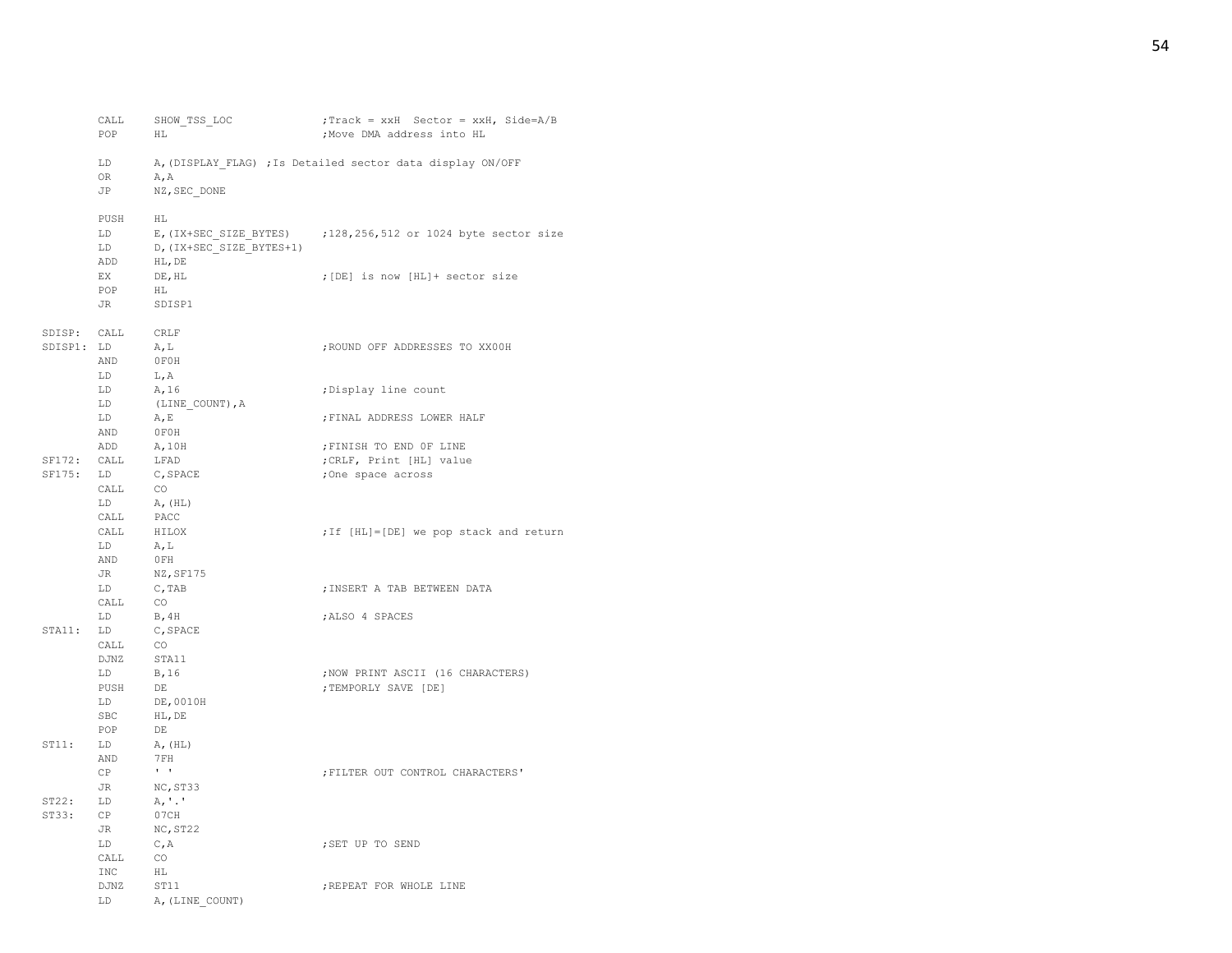|             | CALL<br>POP                                                           | SHOW TSS LOC<br>HL.                              | ; Track = xxH Sector = xxH, Side=A/B<br>; Move DMA address into HL |
|-------------|-----------------------------------------------------------------------|--------------------------------------------------|--------------------------------------------------------------------|
|             | LD<br>OR<br>JP                                                        | A, A<br>NZ, SEC DONE                             | A, (DISPLAY FLAG) ; Is Detailed sector data display ON/OFF         |
|             | PUSH<br>LD<br>LD<br>ADD                                               | HL<br>D, (IX+SEC SIZE BYTES+1)<br>HL, DE         | E, (IX+SEC SIZE BYTES) ; 128, 256, 512 or 1024 byte sector size    |
|             | EX<br>POP<br>JR                                                       | DE, HL<br>HL<br>SDISP1                           | ; [DE] is now [HL]+ sector size                                    |
| SDISP1: LD  | SDISP: CALL CRLF<br>AND                                               | A, L<br>OFOH                                     | ; ROUND OFF ADDRESSES TO XX00H                                     |
|             | LD<br>LD<br>LD                                                        | L, A<br>A, 16<br>(LINE COUNT), A                 | ;Display line count                                                |
|             | LD<br>AND                                                             | A, E<br>OFOH                                     | ; FINAL ADDRESS LOWER HALF                                         |
|             | ADD                                                                   | A, 10H                                           | ; FINISH TO END OF LINE                                            |
| SF172: CALL |                                                                       | LFAD                                             | ; CRLF, Print [HL] value                                           |
| $SFI75:$ LD | $\begin{tabular}{ll} CALL & CO \\ LD & A, (HL) \end{tabular}$<br>CALL | C, SPACE<br>PACC                                 | ;One space across                                                  |
|             | CALL<br>LD<br>AND                                                     | HILOX<br>A, L<br>0FH                             | ; If [HL]=[DE] we pop stack and return                             |
|             | JR<br>LD<br>CALL                                                      | NZ, SF175<br>C, TAB<br>CO <sub>0</sub>           | ; INSERT A TAB BETWEEN DATA                                        |
| STAI:       | LD<br>LD<br>CALL                                                      | <b>B, 4H</b><br>C, SPACE<br>CO                   | ; ALSO 4 SPACES                                                    |
|             | DJNZ<br>LD<br>PUSH<br>LD<br>SBC<br>POP                                | STA11<br>B, 16<br>DE<br>DE,0010H<br>HL, DE<br>DE | ; NOW PRINT ASCII (16 CHARACTERS)<br>; TEMPORLY SAVE [DE]          |
| ST11:       | LD<br>AND<br>CP                                                       | $A$ , $(HL)$<br>7FH<br>$\mathbf{r}=\mathbf{r}$   | ; FILTER OUT CONTROL CHARACTERS'                                   |
|             | JR                                                                    | NC, ST33                                         |                                                                    |
| ST22:       | LD                                                                    | A, '.'                                           |                                                                    |
| ST33:       | CP<br>JR                                                              | 07CH<br>NC, ST22                                 |                                                                    |
|             | LD<br>CALL                                                            | C, A<br>CO                                       | ; SET UP TO SEND                                                   |
|             | INC                                                                   | HL                                               |                                                                    |
|             | DJNZ                                                                  | ST11                                             | ; REPEAT FOR WHOLE LINE                                            |
|             | LD                                                                    | A, (LINE COUNT)                                  |                                                                    |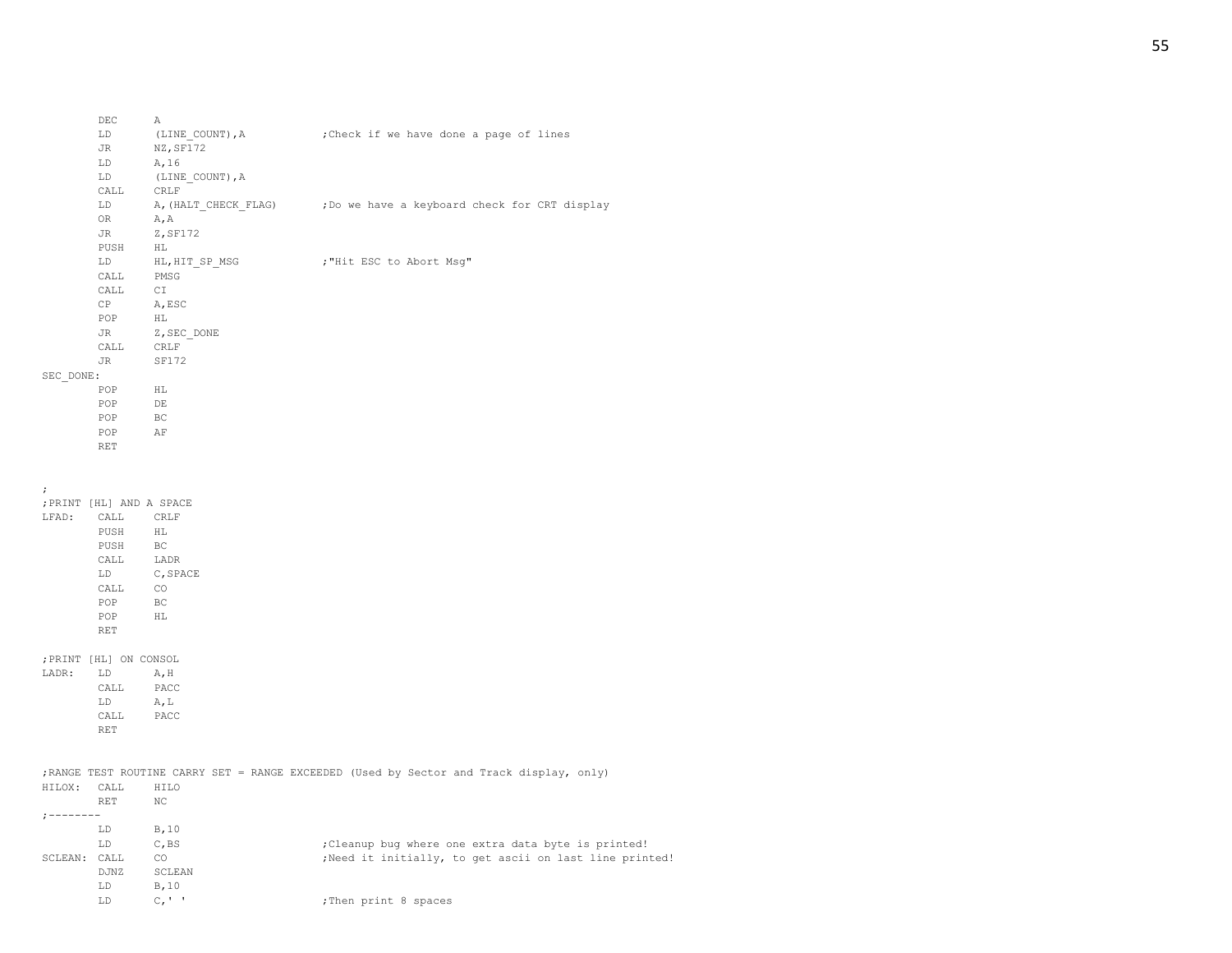|                      | JR                       | NZ, SF172                           |                                                                                          |
|----------------------|--------------------------|-------------------------------------|------------------------------------------------------------------------------------------|
|                      | LD                       | A, 16                               |                                                                                          |
|                      | LD                       | (LINE COUNT), A                     |                                                                                          |
|                      | ${\tt CALL}$             | CRLF                                |                                                                                          |
|                      | LD                       |                                     | A, (HALT CHECK FLAG) ; Do we have a keyboard check for CRT display                       |
|                      | OR                       | A, A                                |                                                                                          |
|                      | <b>JR</b>                | Z, SF172                            |                                                                                          |
|                      | PUSH                     | HL                                  |                                                                                          |
|                      | LD                       | HL, HIT_SP_MSG                      | ; "Hit ESC to Abort Msg"                                                                 |
|                      | CALL                     | PMSG                                |                                                                                          |
|                      | CALL                     | C1                                  |                                                                                          |
|                      | CP                       | A, ESC                              |                                                                                          |
|                      | POP                      | HL                                  |                                                                                          |
|                      | JR                       | Z, SEC_DONE                         |                                                                                          |
|                      | CALL                     | CRLF                                |                                                                                          |
|                      | JR                       | SF172                               |                                                                                          |
| SEC DONE:            |                          |                                     |                                                                                          |
|                      | POP                      | HL                                  |                                                                                          |
|                      | POP                      | DE                                  |                                                                                          |
|                      | POP                      | <b>BC</b>                           |                                                                                          |
|                      | POP                      | AF                                  |                                                                                          |
|                      | <b>RET</b>               |                                     |                                                                                          |
|                      |                          |                                     |                                                                                          |
|                      |                          |                                     |                                                                                          |
| $\ddot{\phantom{0}}$ |                          |                                     |                                                                                          |
|                      | ; PRINT [HL] AND A SPACE |                                     |                                                                                          |
|                      | LFAD: CALL CRLF          |                                     |                                                                                          |
|                      | PUSH                     | HL                                  |                                                                                          |
|                      |                          | PUSH BC<br>CALL LADR<br>LD C, SPACE |                                                                                          |
|                      |                          |                                     |                                                                                          |
|                      |                          |                                     |                                                                                          |
|                      | CALL                     | CO                                  |                                                                                          |
|                      | POP                      | BC                                  |                                                                                          |
|                      | POP                      | H <sub>L</sub>                      |                                                                                          |
|                      | <b>RET</b>               |                                     |                                                                                          |
|                      |                          |                                     |                                                                                          |
|                      | ; PRINT [HL] ON CONSOL   |                                     |                                                                                          |
|                      | LADR: LD A, H            |                                     |                                                                                          |
|                      | CALL                     | PACC                                |                                                                                          |
|                      | LD<br>CALL               | A, L<br>PACC                        |                                                                                          |
|                      | <b>RET</b>               |                                     |                                                                                          |
|                      |                          |                                     |                                                                                          |
|                      |                          |                                     |                                                                                          |
|                      |                          |                                     | ; RANGE TEST ROUTINE CARRY SET = RANGE EXCEEDED (Used by Sector and Track display, only) |
| HILOX: CALL          |                          | HILO                                |                                                                                          |
|                      | RET                      | NC                                  |                                                                                          |
| $:$ --------         |                          |                                     |                                                                                          |
|                      | LD                       | B, 10                               |                                                                                          |
|                      | LD                       | C, BS                               | ; Cleanup bug where one extra data byte is printed!                                      |
| SCLEAN: CALL         |                          | <b>CO</b>                           | ; Need it initially, to get ascii on last line printed!                                  |
|                      | DJNZ                     | SCLEAN                              |                                                                                          |
|                      | LD                       | B, 10                               |                                                                                          |
|                      | LD                       | $C_{L}$ $\uparrow$                  | ; Then print 8 spaces                                                                    |
|                      |                          |                                     |                                                                                          |
|                      |                          |                                     |                                                                                          |

LD (LINE\_COUNT), A ; Check if we have done a page of lines

DEC A<br>LD (LINE\_COUNT), A

# 55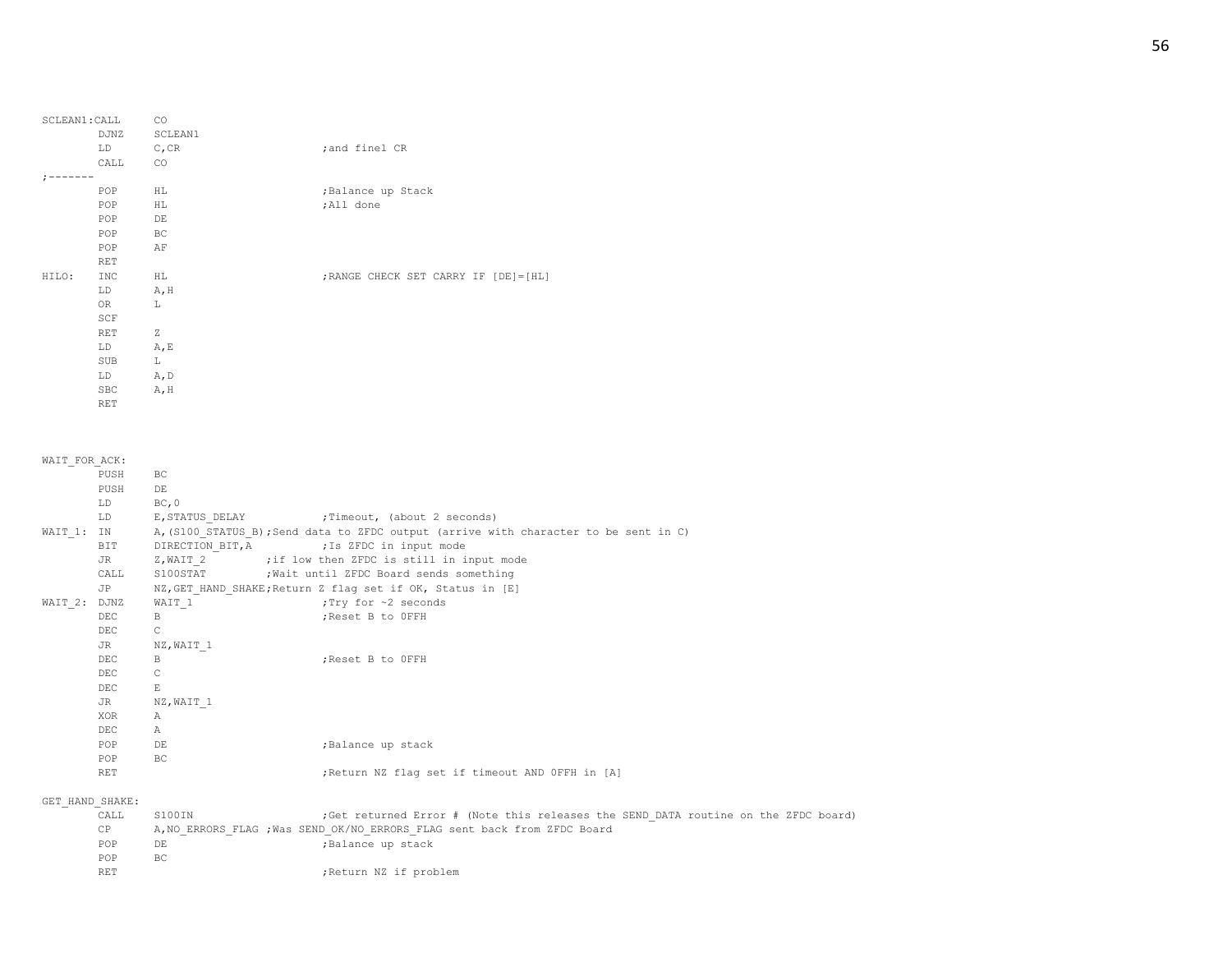| SCLEAN1: CALL |            | CO           |                                        |
|---------------|------------|--------------|----------------------------------------|
|               | DJNZ       | SCLEAN1      |                                        |
|               | LD         | C, CR        | ; and finel CR                         |
|               | CALL       | CO.          |                                        |
|               |            |              |                                        |
|               | POP        | HL           | ; Balance up Stack                     |
|               | POP        | HL           | ;All done                              |
|               | POP        | $\rm{DE}$    |                                        |
|               | POP        | BC           |                                        |
|               | POP        | AF           |                                        |
|               | <b>RET</b> |              |                                        |
| HILO:         | <b>INC</b> | HL           | ; RANGE CHECK SET CARRY IF [DE] = [HL] |
|               | LD         | A, H         |                                        |
|               | OR         | L            |                                        |
|               | SCF        |              |                                        |
|               | <b>RET</b> | $\mathbb{Z}$ |                                        |
|               | LD         | A, E         |                                        |
|               | SUB        | L            |                                        |
|               | LD         | A, D         |                                        |
|               | SBC        | A, H         |                                        |
|               | <b>RET</b> |              |                                        |

| WAIT FOR ACK:   |            |                  |                                                                                      |
|-----------------|------------|------------------|--------------------------------------------------------------------------------------|
|                 | PUSH       | BC.              |                                                                                      |
|                 | PUSH       | DE               |                                                                                      |
|                 | LD         | BC, 0            |                                                                                      |
|                 | LD         |                  | E, STATUS DELAY : Timeout, (about 2 seconds)                                         |
| WAIT 1: IN      |            |                  | A, (S100 STATUS B); Send data to ZFDC output (arrive with character to be sent in C) |
|                 | BIT        | DIRECTION BIT, A | ; Is ZFDC in input mode                                                              |
|                 | JR         |                  | Z, WAIT 2 ;if low then ZFDC is still in input mode                                   |
|                 | CALL       |                  | S100STAT : Wait until ZFDC Board sends something                                     |
|                 | JP         |                  | NZ, GET HAND SHAKE; Return Z flag set if OK, Status in [E]                           |
| WAIT 2: DJNZ    |            | WAIT 1           | :Try for ~2 seconds                                                                  |
|                 | <b>DEC</b> | $\mathbb B$      | ; Reset B to OFFH                                                                    |
|                 | <b>DEC</b> | $\mathbb{C}$     |                                                                                      |
|                 | JR         | NZ, WAIT 1       |                                                                                      |
|                 | <b>DEC</b> | B                | ; Reset B to OFFH                                                                    |
|                 | <b>DEC</b> | $\mathsf{C}$     |                                                                                      |
|                 | <b>DEC</b> | $\,$ E           |                                                                                      |
|                 | JR         | NZ, WAIT 1       |                                                                                      |
|                 | XOR        | $\mathbb A$      |                                                                                      |
|                 | DEC.       | $\mathbb{A}$     |                                                                                      |
|                 | POP        | DE               | ; Balance up stack                                                                   |
|                 | POP        | <b>BC</b>        |                                                                                      |
|                 | <b>RET</b> |                  | ; Return NZ flag set if timeout AND OFFH in [A]                                      |
|                 |            |                  |                                                                                      |
| GET HAND SHAKE: |            |                  |                                                                                      |
|                 | CALL       | S100IN           | ;Get returned Error # (Note this releases the SEND DATA routine on the ZFDC board)   |
|                 | CP         |                  | A, NO ERRORS FLAG ; Was SEND OK/NO ERRORS FLAG sent back from ZFDC Board             |
|                 | POP        | DE               | ; Balance up stack                                                                   |
|                 | POP        | <b>BC</b>        |                                                                                      |

RET ;Return NZ if problem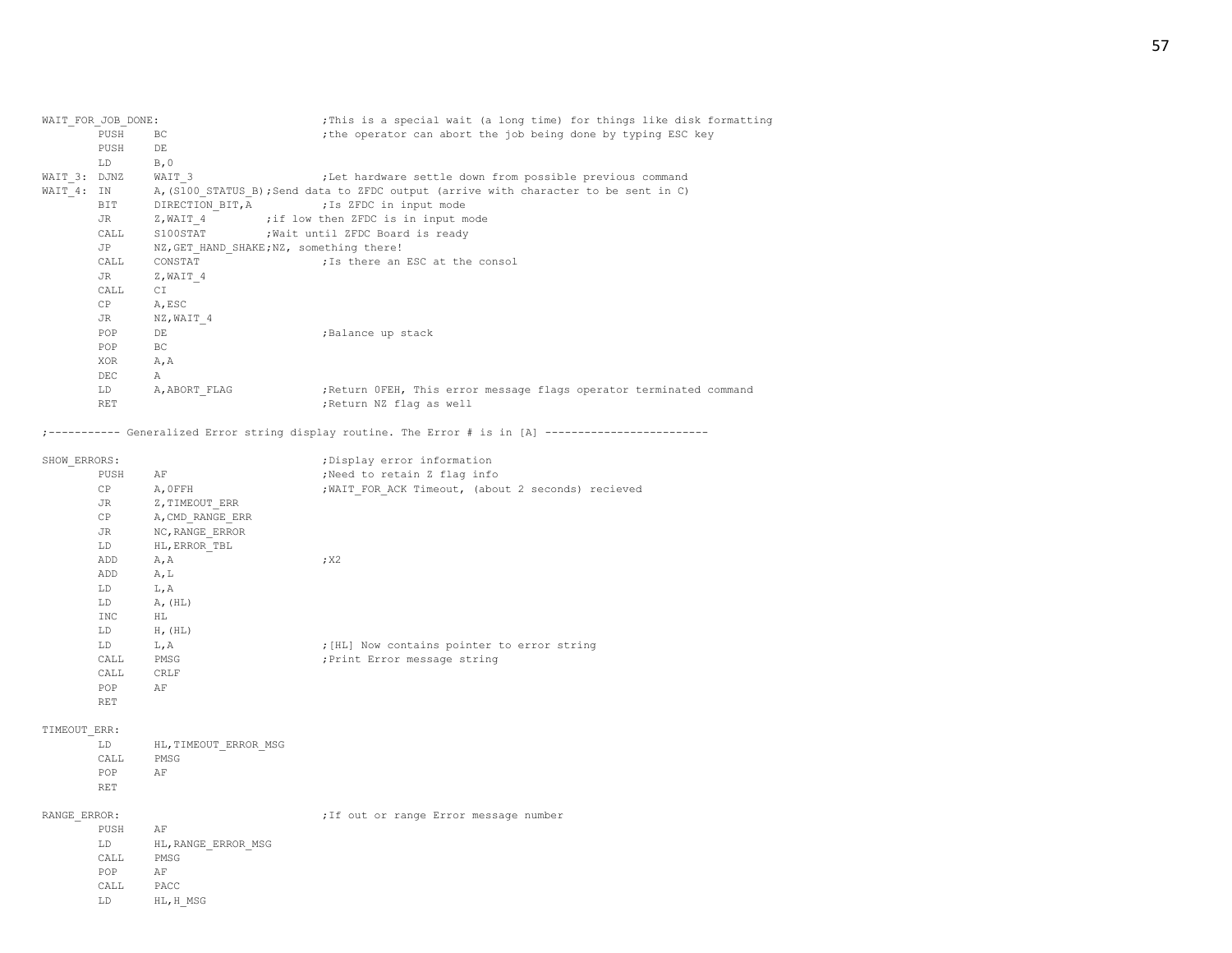| WAIT FOR JOB DONE: |                                           | ; This is a special wait (a long time) for things like disk formatting               |  |  |
|--------------------|-------------------------------------------|--------------------------------------------------------------------------------------|--|--|
| PUSH               | BC.                                       | ; the operator can abort the job being done by typing ESC key                        |  |  |
| PUSH               | DE                                        |                                                                                      |  |  |
| LD                 | B, 0                                      |                                                                                      |  |  |
|                    | WAIT 3                                    | ;Let hardware settle down from possible previous command                             |  |  |
|                    |                                           | A, (S100 STATUS B); Send data to ZFDC output (arrive with character to be sent in C) |  |  |
| BIT                | DIRECTION BIT, A (Is ZFDC in input mode   |                                                                                      |  |  |
| JR                 |                                           | Z, WAIT 4 ; if low then ZFDC is in input mode                                        |  |  |
| CALL               | S100STAT : Wait until ZFDC Board is ready |                                                                                      |  |  |
| JP                 | NZ, GET HAND SHAKE; NZ, something there!  |                                                                                      |  |  |
| CALL               |                                           | CONSTAT CONSTAT : Is there an ESC at the consol                                      |  |  |
| JR                 | Z, WAIT 4                                 |                                                                                      |  |  |
| CALL               | CI                                        |                                                                                      |  |  |
| CP                 | A, ESC                                    |                                                                                      |  |  |
| JR                 | NZ, WAIT 4                                |                                                                                      |  |  |
| POP                | DE.                                       | ;Balance up stack                                                                    |  |  |
| POP                | BC.                                       |                                                                                      |  |  |
| XOR                | A, A                                      |                                                                                      |  |  |
| DEC.               | A                                         |                                                                                      |  |  |
| LD                 | A, ABORT FLAG                             | ; Return OFEH, This error message flags operator terminated command                  |  |  |
| <b>RET</b>         |                                           | ; Return NZ flag as well                                                             |  |  |
|                    | WAIT 3: DJNZ<br>WAIT 4: IN                |                                                                                      |  |  |

;----------- Generalized Error string display routine. The Error # is in [A] -------------------------

| SHOW ERRORS: |      |                  | ; Display error information                        |  |  |  |  |  |
|--------------|------|------------------|----------------------------------------------------|--|--|--|--|--|
|              | PUSH | AF               | ;Need to retain Z flag info                        |  |  |  |  |  |
|              | CP   | A, OFFH          | ; WAIT FOR ACK Timeout, (about 2 seconds) recieved |  |  |  |  |  |
|              | JR   | Z, TIMEOUT ERR   |                                                    |  |  |  |  |  |
|              | CP   | A, CMD RANGE ERR |                                                    |  |  |  |  |  |
|              | JR   | NC, RANGE ERROR  |                                                    |  |  |  |  |  |
|              | LD   | HL, ERROR TBL    |                                                    |  |  |  |  |  |
|              | ADD  | A, A             | ; X2                                               |  |  |  |  |  |
|              | ADD  | A, L             |                                                    |  |  |  |  |  |
|              | LD   | L, A             |                                                    |  |  |  |  |  |
|              | LD   | A, (HL)          |                                                    |  |  |  |  |  |
|              | INC  | HL               |                                                    |  |  |  |  |  |
|              | LD   | $H$ , $(HL)$     |                                                    |  |  |  |  |  |
|              | LD   | L, A             | ; [HL] Now contains pointer to error string        |  |  |  |  |  |
|              | CALL | PMSG             | ; Print Error message string                       |  |  |  |  |  |
|              | CALL | CRLF             |                                                    |  |  |  |  |  |
|              | POP  | AF               |                                                    |  |  |  |  |  |
|              | RET  |                  |                                                    |  |  |  |  |  |

### TIMEOUT\_ERR:

| T.D   | HL, TIMEOUT ERROR MSG |  |
|-------|-----------------------|--|
| CALL. | PMSG                  |  |
| POP   | AF                    |  |
| RET   |                       |  |

| RANGE ERROR: |            |                     |  |  | ; If out or range Error message number |  |
|--------------|------------|---------------------|--|--|----------------------------------------|--|
|              | PUSH       | AF                  |  |  |                                        |  |
|              | LD.        | HL, RANGE ERROR MSG |  |  |                                        |  |
|              | CALL       | PMSG                |  |  |                                        |  |
|              | <b>POP</b> | AF                  |  |  |                                        |  |
|              | CALL       | PACC                |  |  |                                        |  |

LD HL,H\_MSG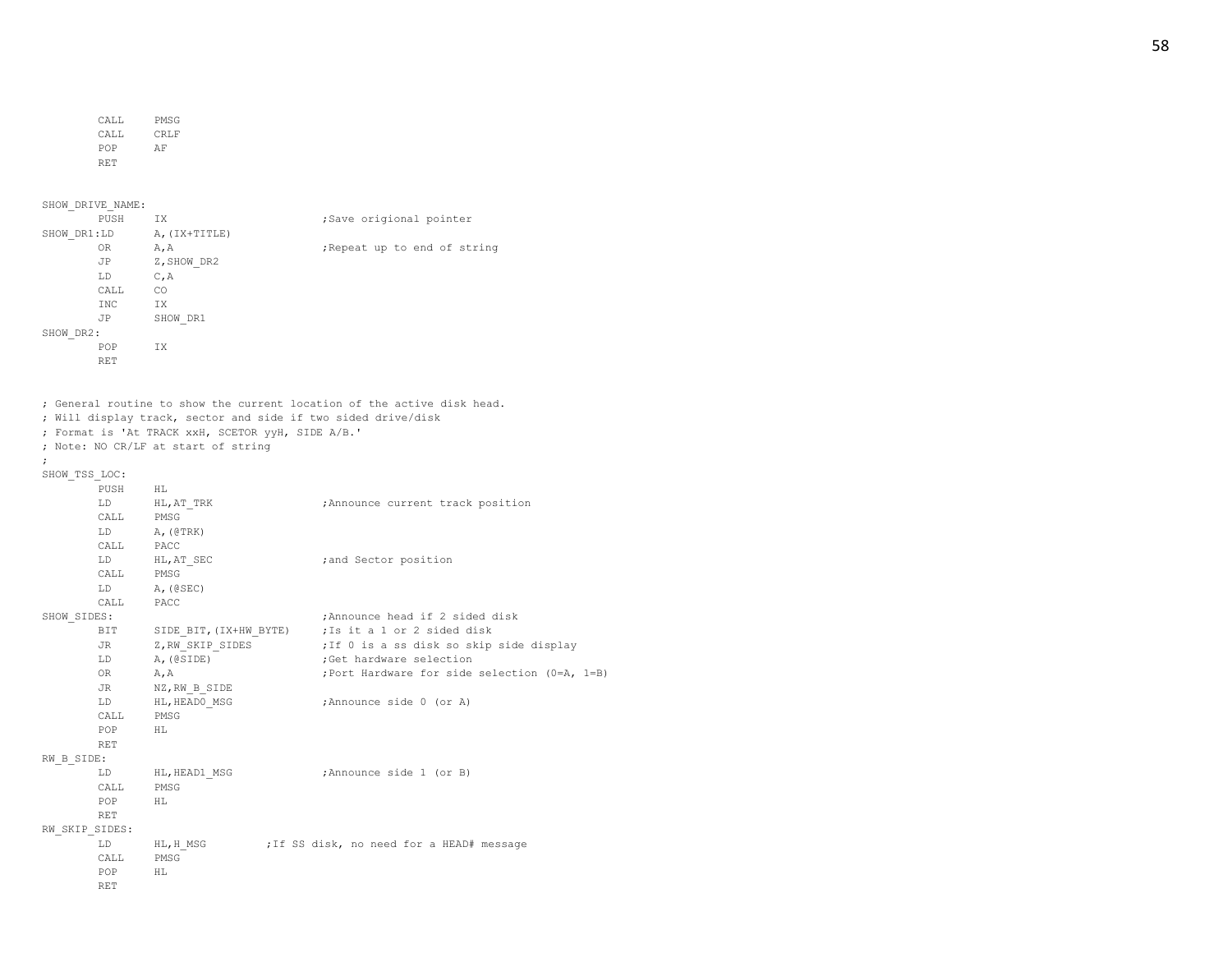| CALL. | PMSG |
|-------|------|
| CALL. | CRLF |
| POP   | ΑF   |
| RET   |      |

SHOW\_DRIVE\_NAME:

|             | PUSH       | IX.           | ;Save origional pointer      |
|-------------|------------|---------------|------------------------------|
| SHOW DR1:LD |            | A, (IX+TITLE) |                              |
|             | 0R         | A, A          | ; Repeat up to end of string |
|             | JP         | Z, SHOW DR2   |                              |
|             | LD         | C, A          |                              |
|             | CALL       | CO            |                              |
|             | <b>INC</b> | IX            |                              |
|             | JP         | SHOW DR1      |                              |
| SHOW DR2:   |            |               |                              |
|             | POP        | IX            |                              |
|             | <b>RET</b> |               |                              |

; General routine to show the current location of the active disk head.

; Will display track, sector and side if two sided drive/disk ; Format is 'At TRACK xxH, SCETOR yyH, SIDE A/B.'

; Note: NO CR/LF at start of string

```
;
```

```
SHOW_TSS_LOC:
      PUSH HL
      LD HL, AT TRK ;Announce current track position
      CALL PMSG
      \begin{tabular}{ll} \tt LD & A, (@TRK) \\ \tt CALL & PACC \end{tabular}PACC
      LD HL, AT_SEC ;and Sector position
      CALL PMSG
      LD A,(@SEC)
      CALL PACC
SHOW SIDES: ; ;Announce head if 2 sided disk
      BIT SIDE BIT, (IX+HW_BYTE) ; Is it a 1 or 2 sided disk
      JR Z,RW_SKIP_SIDES ;If 0 is a ss disk so skip side display
      LD A, (@SIDE) ;Get hardware selection
      OR A, A ;Port Hardware for side selection (0=A, 1=B)
      JR NZ, RW B SIDE
      LD HL, HEADO MSG ;Announce side 0 (or A)
      CALL PMSG
      POP HL
      RET
RW_B_SIDE:
      LD HL, HEAD1 MSG ;Announce side 1 (or B)
      CALL PMSG
      POP HL
      RET
RW_SKIP_SIDES:
       LD HL, H MSG ;If SS disk, no need for a HEAD# message
      CALL PMSG
      POP HL
      RET
```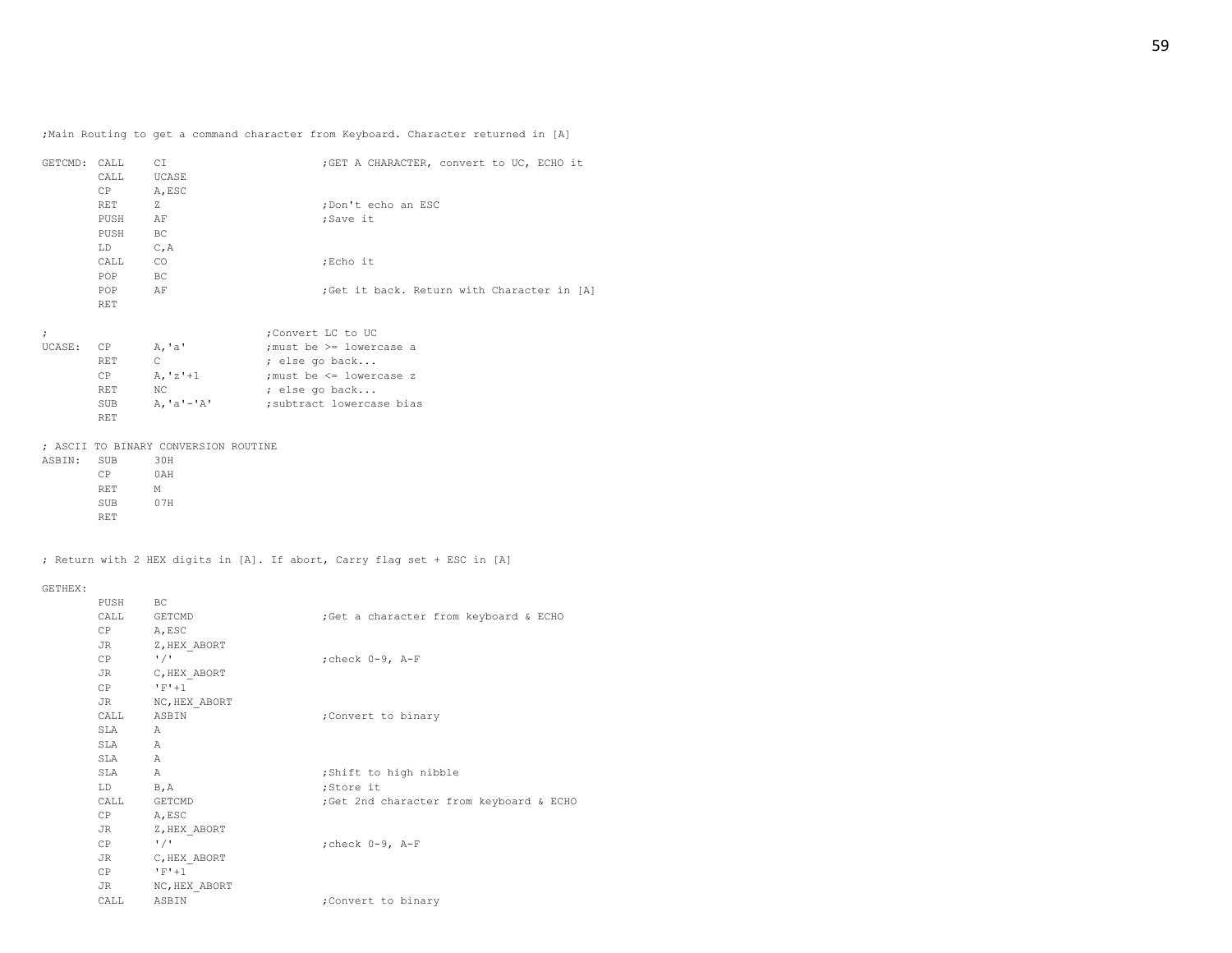;Main Routing to get a command character from Keyboard. Character returned in [A]

|            | GETCMD: CALL CI<br>CALL UCASE<br>CP A, ESC |                                      | ;GET A CHARACTER, convert to UC, ECHO it    |
|------------|--------------------------------------------|--------------------------------------|---------------------------------------------|
|            | RET Z                                      |                                      | ;Don't echo an ESC                          |
|            | PUSH                                       | AF                                   | ;Save it                                    |
|            | PUSH BC                                    |                                      |                                             |
|            | $LD$ $C, A$                                |                                      |                                             |
|            | CALL CO                                    |                                      | ;Echo it                                    |
|            | POP BC                                     |                                      |                                             |
|            | <b>POP</b>                                 | AF                                   | ; Get it back. Return with Character in [A] |
|            | RET                                        |                                      |                                             |
|            |                                            |                                      |                                             |
| $\ddot{ }$ |                                            |                                      | ;Convert LC to UC                           |
|            | UCASE: CP A, 'a'                           |                                      | ;must be >= lowercase a                     |
|            | RET                                        | $\mathbb{C}$ and $\mathbb{C}$        | ; else go back                              |
|            |                                            |                                      | $CP$ A, 'z'+1 ; must be $\leq$ lowercase z  |
|            |                                            | RET NC                               | ; else go back                              |
|            | SUB                                        | A, 'a'-'A'                           | subtract lowercase bias;                    |
|            | <b>RET</b>                                 |                                      |                                             |
|            |                                            | : ASCII TO BINARY CONVERSION ROUTINE |                                             |
|            | ASBIN: SUB                                 | 30H                                  |                                             |
|            | CP 0AH                                     |                                      |                                             |
|            | RET M                                      |                                      |                                             |
|            | SUB 07H                                    |                                      |                                             |
|            | <b>RET</b>                                 |                                      |                                             |
|            |                                            |                                      |                                             |
|            |                                            |                                      |                                             |

; Return with 2 HEX digits in [A]. If abort, Carry flag set + ESC in [A]

#### GETHEX:

| PUSH BC      |                           |                                         |
|--------------|---------------------------|-----------------------------------------|
| CALL GETCMD  |                           | ;Get a character from keyboard & ECHO   |
| CP           | A, ESC                    |                                         |
| $JR$ and $T$ | Z, HEX ABORT              |                                         |
| CP           | $\frac{1}{2}$             | ; check 0-9, A-F                        |
|              | JR C, HEX ABORT           |                                         |
| CP           | $'$ F'+1                  |                                         |
|              | JR NC, HEX ABORT          |                                         |
| CALL ASBIN   |                           | ;Convert to binary                      |
| SLA A        |                           |                                         |
| SLA A        |                           |                                         |
| SLA A        |                           |                                         |
| SLA A        |                           | ; Shift to high nibble                  |
| LD B, A      |                           | ;Store it                               |
| CALL GETCMD  |                           | ;Get 2nd character from keyboard & ECHO |
| CP A, ESC    |                           |                                         |
| JR           | Z, HEX ABORT              |                                         |
| CP           | $^{\prime}$ / $^{\prime}$ | ; check 0-9, A-F                        |
|              | JR C, HEX ABORT           |                                         |
| CP           | $F+1$                     |                                         |
| JR           | NC, HEX ABORT             |                                         |
| CALL         | ASBIN                     | ; Convert to binary                     |
|              |                           |                                         |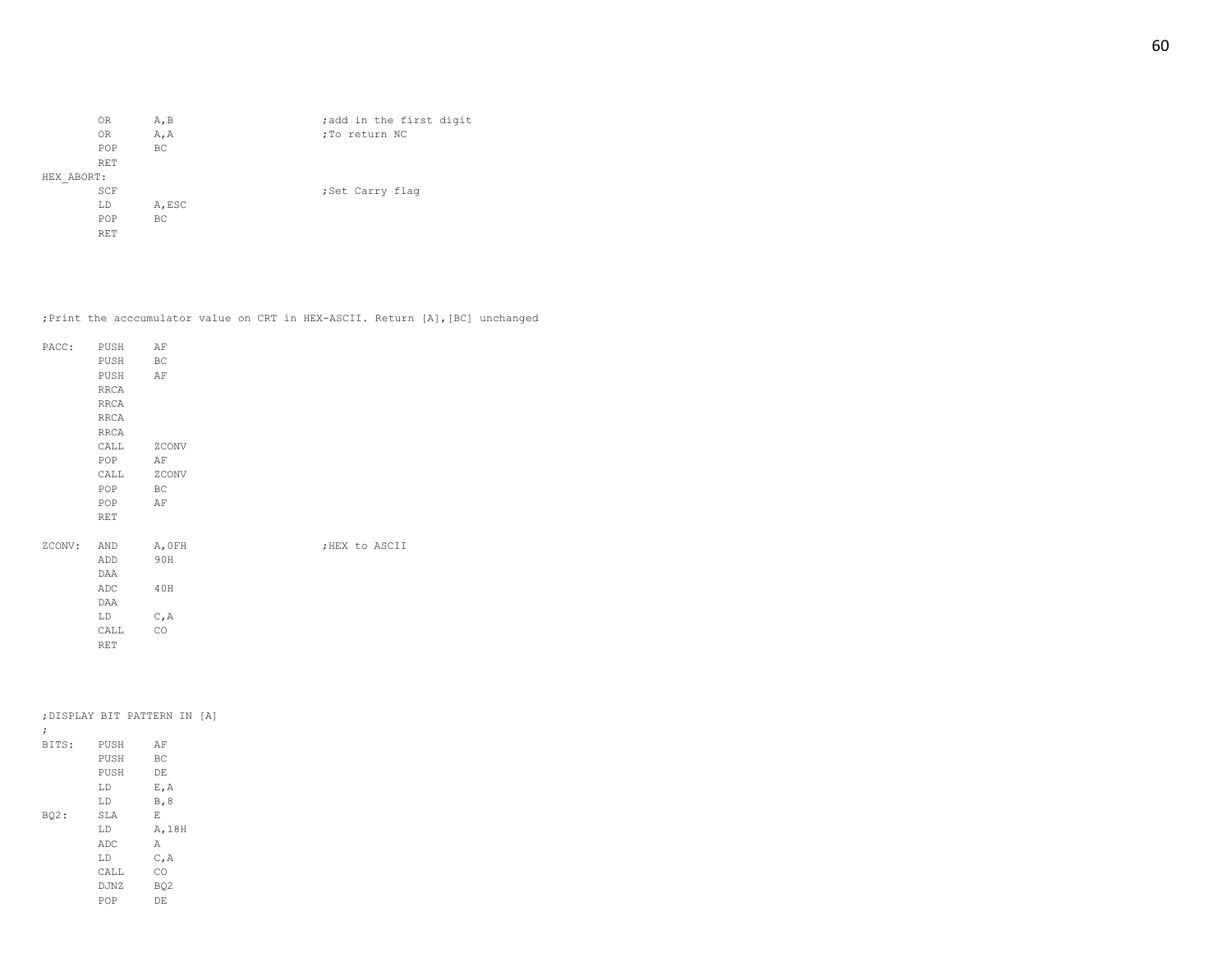|            | 0R             | A, B   | ; add in the first digit |
|------------|----------------|--------|--------------------------|
|            | 0 <sub>R</sub> | A, A   | ;To return NC            |
|            | POP            | BC     |                          |
|            | <b>RET</b>     |        |                          |
| HEX ABORT: |                |        |                          |
|            | SCF            |        | ;Set Carry flaq          |
|            | LD             | A, ESC |                          |
|            | POP            | BC     |                          |
|            | <b>RET</b>     |        |                          |

;Print the acccumulator value on CRT in HEX-ASCII. Return [A],[BC] unchanged

| PACC:  | PUSH       | ΑF                  |                |
|--------|------------|---------------------|----------------|
|        | PUSH       | $\operatorname{BC}$ |                |
|        | PUSH       | AF                  |                |
|        | RRCA       |                     |                |
|        | RRCA       |                     |                |
|        | RRCA       |                     |                |
|        | RRCA       |                     |                |
|        | CALL       | ZCONV               |                |
|        | POP        | ΑF                  |                |
|        | CALL       | ZCONV               |                |
|        | POP        | BC                  |                |
|        | POP        | AF                  |                |
|        | <b>RET</b> |                     |                |
|        |            |                     |                |
| ZCONV: | AND        | A, OFH              | ; HEX to ASCII |
|        | ADD        | 90H                 |                |
|        | DAA        |                     |                |
|        | ADC        | 40H                 |                |
|        | DAA        |                     |                |
|        | LD         | C, A                |                |
|        | CALL       | CO                  |                |
|        | <b>RET</b> |                     |                |
|        |            |                     |                |

| LD   |   |                              |                                                                       |        |                              |
|------|---|------------------------------|-----------------------------------------------------------------------|--------|------------------------------|
| LD   |   |                              |                                                                       |        |                              |
| SLA  | Ε |                              |                                                                       |        |                              |
| LD.  |   |                              |                                                                       |        |                              |
| ADC  | Α |                              |                                                                       |        |                              |
| LD   |   |                              |                                                                       |        |                              |
| CALL |   |                              |                                                                       |        |                              |
|      |   |                              |                                                                       |        |                              |
| POP  |   |                              |                                                                       |        |                              |
|      |   | PUSH<br>PUSH<br>PUSH<br>DJNZ | AF<br>BC<br>DE<br>E, A<br>B, 8<br>C, A<br>CO<br>BO <sub>2</sub><br>DE | A, 18H | ; DISPLAY BIT PATTERN IN [A] |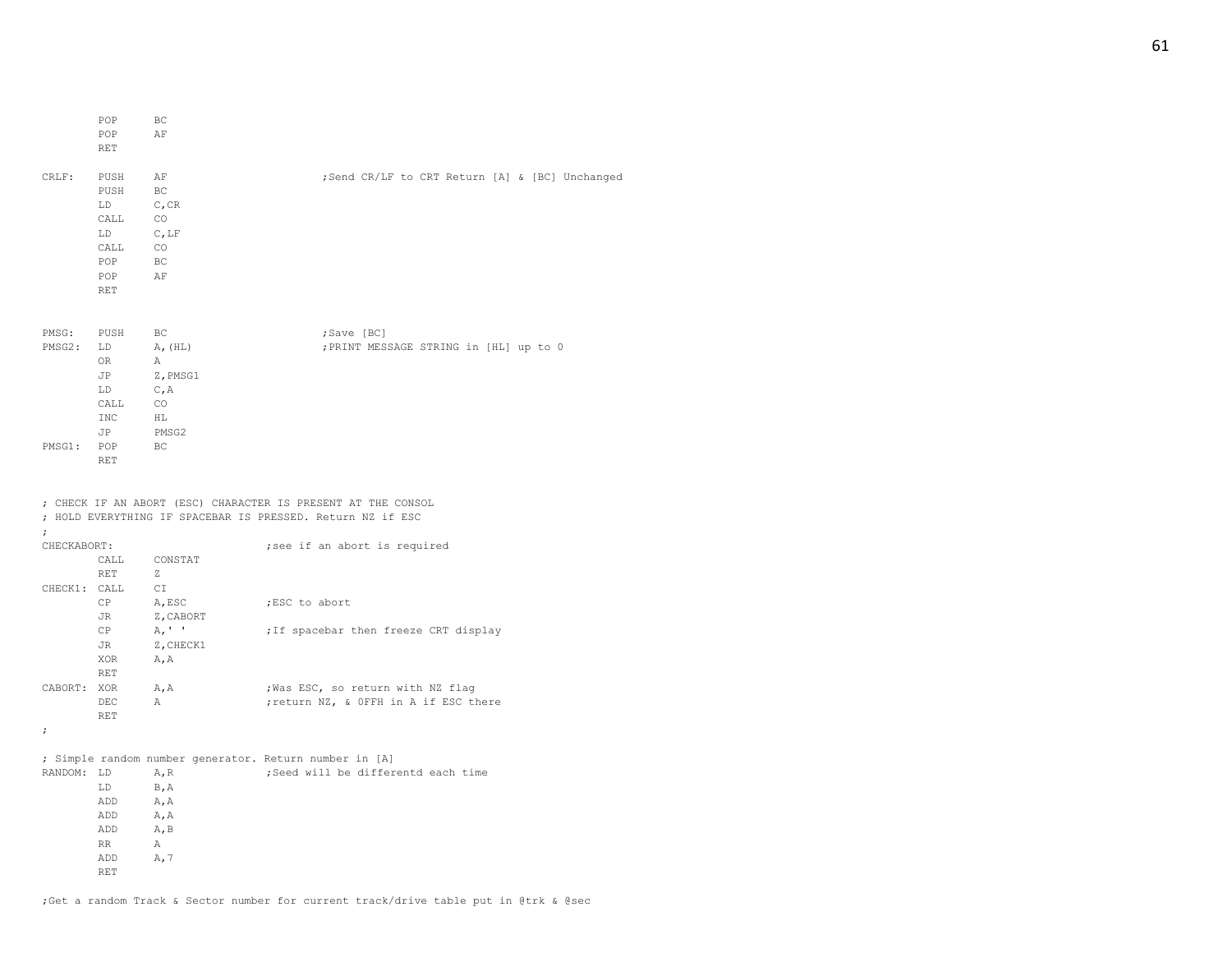|        | POP        | BC                         |                                                |
|--------|------------|----------------------------|------------------------------------------------|
|        | POP        | AF                         |                                                |
|        | <b>RET</b> |                            |                                                |
|        |            |                            |                                                |
| CRLF:  | PUSH       | ΑF                         | ;Send CR/LF to CRT Return [A] & [BC] Unchanged |
|        | PUSH       | BC                         |                                                |
|        | LD         | C, CR                      |                                                |
|        | CALL       | CO                         |                                                |
|        | LD         | $C$ , LF                   |                                                |
|        | CALL       | CO                         |                                                |
|        | POP        | BC                         |                                                |
|        | POP        | AF                         |                                                |
|        | RET        |                            |                                                |
|        |            |                            |                                                |
|        |            |                            |                                                |
| PMSG:  | PUSH       | BC                         | ;Save [BC]                                     |
| PMSG2: | LD         | A, (HL)                    | ; PRINT MESSAGE STRING in [HL] up to 0         |
|        | OR         | $\mathbb{A}$               |                                                |
|        | JP         | Z, PMSG1                   |                                                |
|        | LD         | C, A                       |                                                |
|        | CALL       | CO                         |                                                |
|        | <b>INC</b> | $\mathop{\rm HL}\nolimits$ |                                                |
|        | JP         | PMSG2                      |                                                |
| PMSG1: | POP        | BC                         |                                                |
|        | <b>RET</b> |                            |                                                |

#### ; CHECK IF AN ABORT (ESC) CHARACTER IS PRESENT AT THE CONSOL ; HOLD EVERYTHING IF SPACEBAR IS PRESSED. Return NZ if ESC

| ;           |                 |                |                                                        |
|-------------|-----------------|----------------|--------------------------------------------------------|
| CHECKABORT: |                 |                | ; see if an abort is required                          |
|             |                 | CALL CONSTAT   |                                                        |
|             | <b>RET</b>      | $Z_i$          |                                                        |
|             | CHECK1: CALL CI |                |                                                        |
|             | CP              | A, ESC         | ;ESC to abort                                          |
|             | JR              | Z, CABORT      |                                                        |
|             | CP              | A, ' '         | ; If spacebar then freeze CRT display                  |
|             | JR              | Z, CHECK1      |                                                        |
|             | XOR             | A, A           |                                                        |
|             | <b>RET</b>      |                |                                                        |
| CABORT: XOR |                 | A, A           | ; Was ESC, so return with NZ flaq                      |
|             | <b>DEC</b>      | $\overline{A}$ | ; return NZ, & OFFH in A if ESC there                  |
|             | <b>RET</b>      |                |                                                        |
| $\ddot{ }$  |                 |                |                                                        |
|             |                 |                |                                                        |
|             |                 |                | ; Simple random number generator. Return number in [A] |
| RANDOM: LD  |                 | A, R           | ;Seed will be differentd each time                     |
|             | LD.             | <b>B, A</b>    |                                                        |
|             | ADD             | A, A           |                                                        |
|             | ADD A, A        |                |                                                        |
|             | ADD             | A, B           |                                                        |
|             | <b>RR</b>       | $\mathbb{A}$   |                                                        |
|             | ADD             | A, 7           |                                                        |
|             | <b>RET</b>      |                |                                                        |
|             |                 |                |                                                        |

;Get a random Track & Sector number for current track/drive table put in @trk & @sec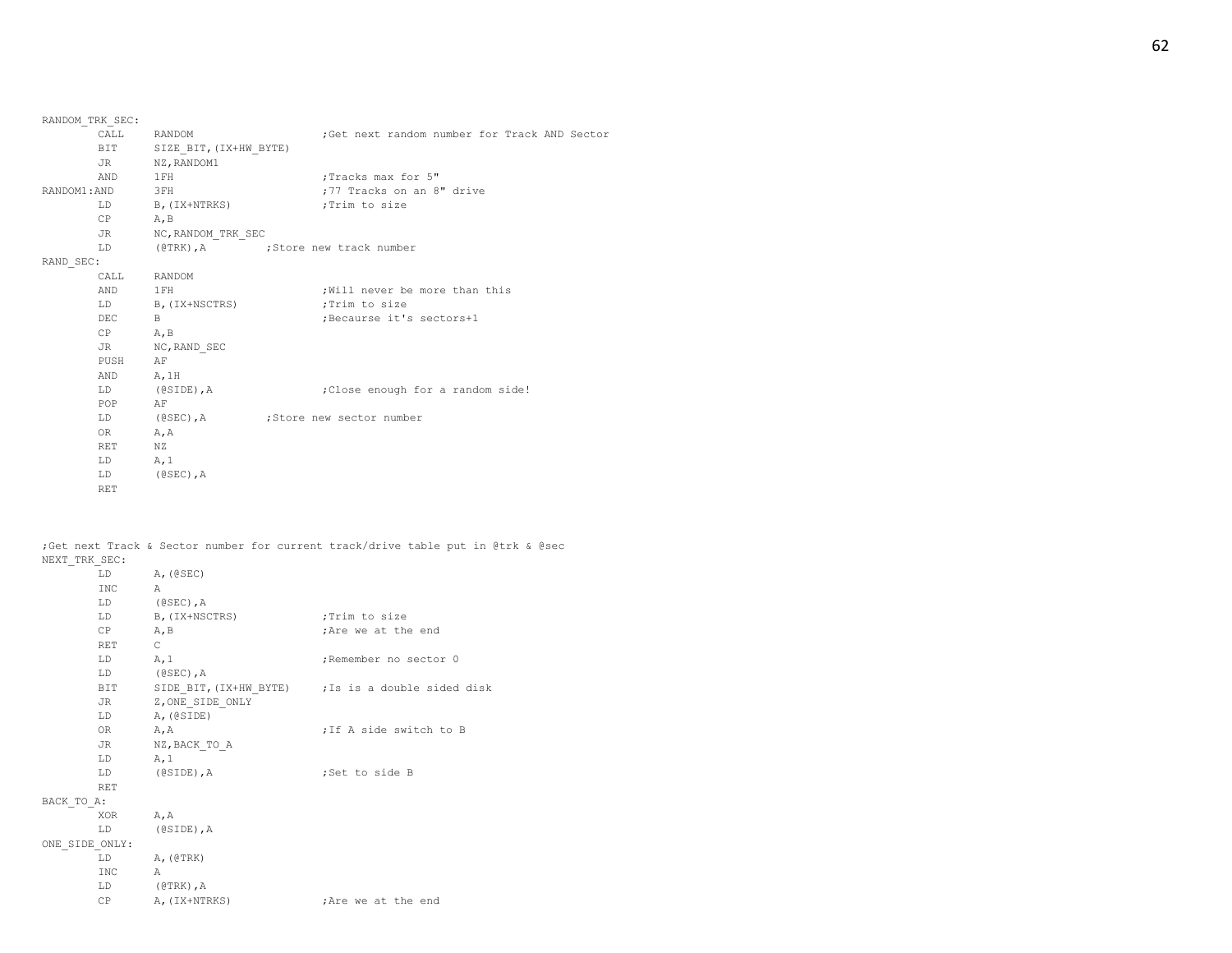| RANDOM TRK SEC: |                            |                                              |
|-----------------|----------------------------|----------------------------------------------|
|                 | CALL RANDOM                | ;Get next random number for Track AND Sector |
|                 | BIT SIZE BIT, (IX+HW BYTE) |                                              |
|                 | JR NZ, RANDOM1             |                                              |
| AND 1FH         |                            | :Tracks max for 5"                           |
| RANDOM1:AND 3FH |                            | ;77 Tracks on an 8" drive                    |
|                 | LD B, (IX+NTRKS)           | ;Trim to size                                |
| CP              | A, B                       |                                              |
|                 | JR NC, RANDOM TRK SEC      |                                              |
| LD              |                            | (@TRK), A (@TRK), Store new track number     |
| RAND SEC:       |                            |                                              |
|                 | CALL RANDOM                |                                              |
| AND 1FH         |                            | ; Will never be more than this               |
|                 | LD B, (IX+NSCTRS)          | ;Trim to size                                |
| DEC B           |                            | ;Becaurse it's sectors+1                     |
| $CP$ $A, B$     |                            |                                              |
|                 | JR NC, RAND SEC            |                                              |
| PUSH AF         |                            |                                              |
| AND A, 1H       |                            |                                              |
|                 | LD (@SIDE), A              | ; Close enough for a random side!            |
| POP AF          |                            |                                              |
|                 |                            | LD (@SEC), A ; Store new sector number       |
| OR A, A         |                            |                                              |
| RET NZ          |                            |                                              |
| $LD$ $A, 1$     |                            |                                              |
|                 | LD (@SEC), A               |                                              |
| <b>RET</b>      |                            |                                              |

;Get next Track & Sector number for current track/drive table put in @trk & @sec NEXT\_TRK\_SEC:

|                | LD               | A, (CSEC)           |                                                    |
|----------------|------------------|---------------------|----------------------------------------------------|
|                | INC <sub>1</sub> | $\overline{A}$      |                                                    |
|                |                  | LD (@SEC), A        |                                                    |
|                | LD               | B, (IX+NSCTRS)      | Trim to size;                                      |
|                | CP               | A, B                | ; Are we at the end                                |
|                | <b>RET</b>       | $\overline{C}$      |                                                    |
|                | $LD$ $A, 1$      |                     | ;Remember no sector 0                              |
|                |                  | LD (@SEC), A        |                                                    |
|                | BIT              |                     | SIDE BIT, (IX+HW BYTE) ; Is is a double sided disk |
|                |                  | JR Z, ONE SIDE ONLY |                                                    |
|                |                  | LD A, (@SIDE)       |                                                    |
|                | OR —             | A, A                | ; If A side switch to B                            |
|                |                  | JR NZ, BACK TO A    |                                                    |
|                | LD               | A, 1                |                                                    |
|                | LD               | (@SIDE), A          | ;Set to side B                                     |
|                | RET              |                     |                                                    |
| BACK TO A:     |                  |                     |                                                    |
|                | XOR A, A         |                     |                                                    |
|                |                  | LD (@SIDE), A       |                                                    |
| ONE SIDE ONLY: |                  |                     |                                                    |
|                | LD               | A, (@TRK)           |                                                    |
|                | INC              | $\overline{A}$      |                                                    |
|                |                  | LD (@TRK), A        |                                                    |
|                | CP               | A, (IX+NTRKS)       | ; Are we at the end                                |
|                |                  |                     |                                                    |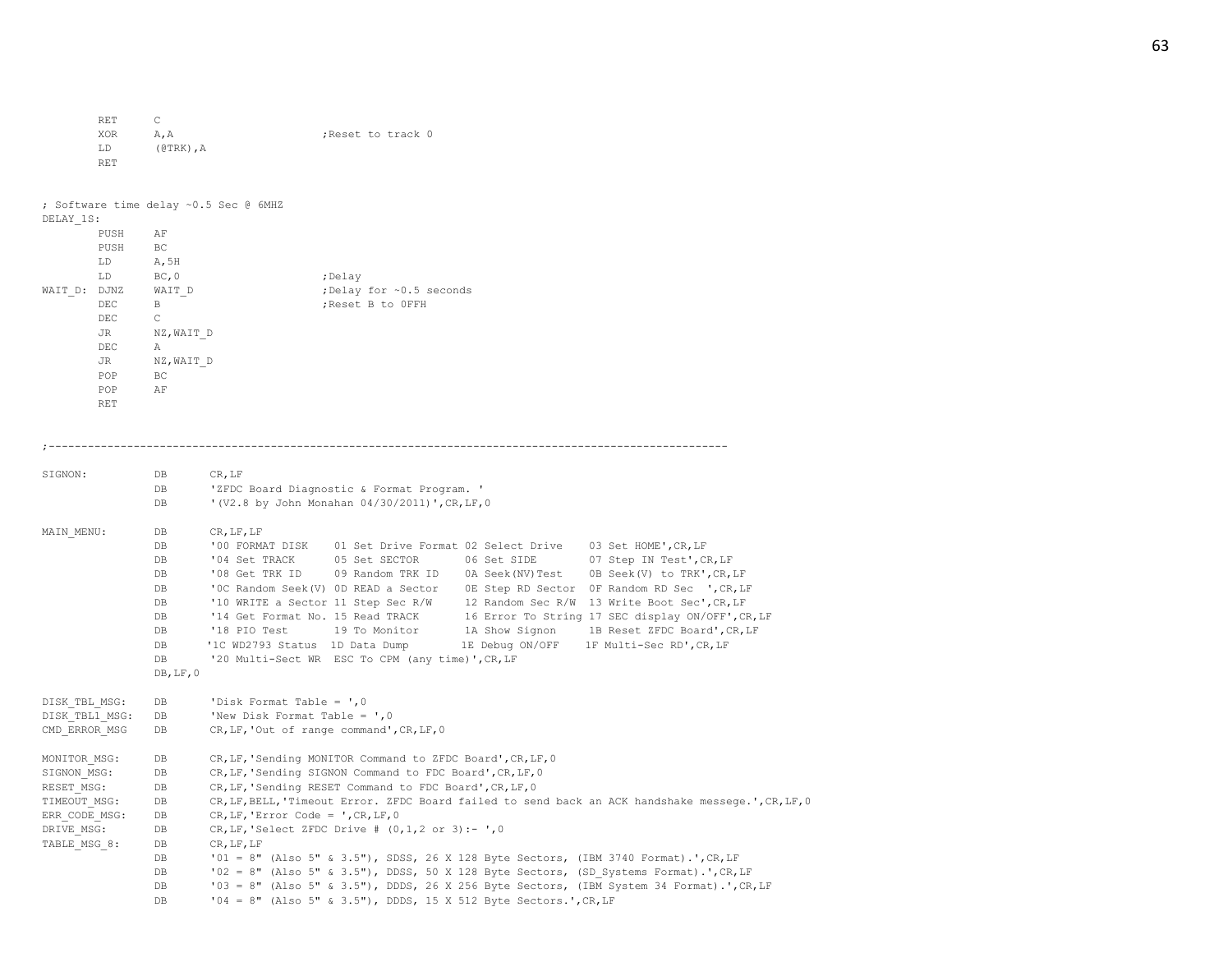RET C XOR A, A ;Reset to track 0 LD (@TRK),A RET ; Software time delay ~0.5 Sec @ 6MHZ DELAY\_1S: PUSH AF PUSH BC LD A,5H LD BC, 0 ;Delay  $WAIT_D: DJNZ$   $WAIT_D$  ;Delay for ~0.5 seconds DEC B ;Reset B to 0FFH DEC C JR NZ, WAIT D DEC A JR NZ,WAIT\_D POP BC POP AF RET ;-------------------------------------------------------------------------------------------------------- SIGNON: DB CR, LF DB 'ZFDC Board Diagnostic & Format Program. ' DB '(V2.8 by John Monahan 04/30/2011)',CR,LF,0 MAIN MENU: DB CR, LF, LF DB '00 FORMAT DISK 01 Set Drive Format 02 Select Drive 03 Set HOME',CR,LF DB '04 Set TRACK 05 Set SECTOR 06 Set SIDE 07 Step IN Test', CR, LF DB '08 Get TRK ID 09 Random TRK ID 0A Seek(NV)Test 0B Seek(V) to TRK', CR, LF DB '0C Random Seek(V) 0D READ a Sector 0E Step RD Sector 0F Random RD Sec ',CR,LF DB '10 WRITE a Sector 11 Step Sec R/W 12 Random Sec R/W 13 Write Boot Sec', CR, LF DB '14 Get Format No. 15 Read TRACK 16 Error To String 17 SEC display ON/OFF', CR, LF DB '18 PIO Test 19 To Monitor 1A Show Signon 1B Reset ZFDC Board', CR, LF DB '1C WD2793 Status 1D Data Dump 1E Debug ON/OFF 1F Multi-Sec RD',CR,LF DB '20 Multi-Sect WR ESC To CPM (any time)', CR, LF DB,LF,0 DISK TBL MSG: DB 'Disk Format Table = ',0 DISK TBL1 MSG: DB 'New Disk Format Table = ', 0 CMD\_ERROR\_MSG DB CR,LF,'Out of range command',CR,LF,0 MONITOR MSG: DB CR, LF, 'Sending MONITOR Command to ZFDC Board', CR, LF, 0 SIGNON MSG: DB CR, LF, 'Sending SIGNON Command to FDC Board', CR, LF, 0 RESET MSG: DB CR, LF, 'Sending RESET Command to FDC Board', CR, LF, 0 TIMEOUT MSG: DB CR,LF,BELL,'Timeout Error. ZFDC Board failed to send back an ACK handshake messege.',CR,LF,0 ERR CODE MSG: DB CR, LF, 'Error Code = ', CR, LF, 0 DRIVE MSG: DB CR, LF, 'Select ZFDC Drive #  $(0,1,2 \text{ or } 3):$  - ',0 TABLE MSG 8: DB CR, LF, LF DB '01 = 8" (Also 5" & 3.5"), SDSS, 26 X 128 Byte Sectors, (IBM 3740 Format).',CR,LF DB '02 = 8" (Also 5" & 3.5"), DDSS, 50 X 128 Byte Sectors, (SD Systems Format).',CR,LF DB '03 = 8" (Also 5" & 3.5"), DDDS, 26 X 256 Byte Sectors, (IBM System 34 Format).',CR,LF DB '04 = 8" (Also 5" & 3.5"), DDDS, 15 X 512 Byte Sectors.',CR,LF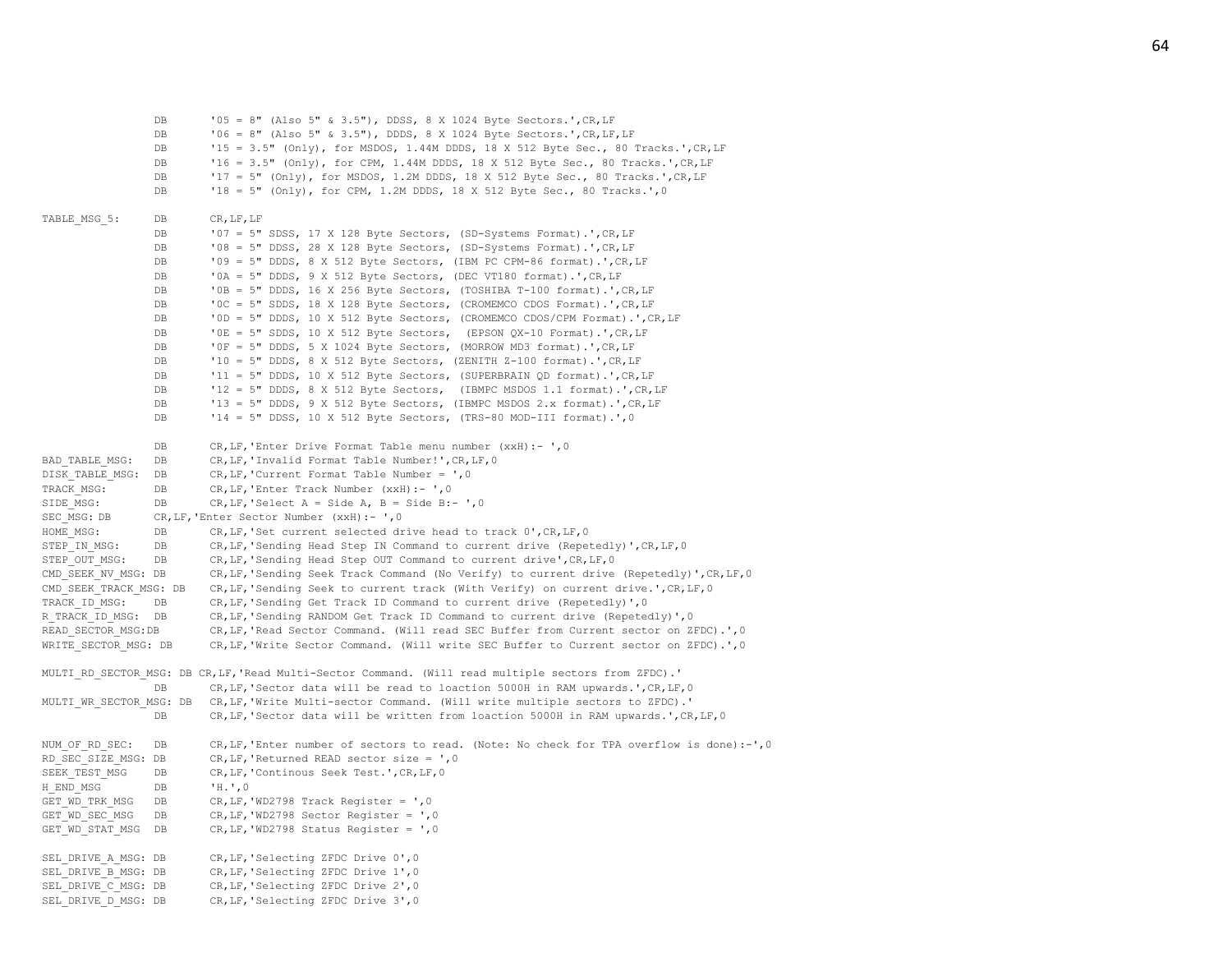DB '05 = 8" (Also 5" & 3.5"), DDSS, 8 X 1024 Byte Sectors.',CR,LF DB '06 = 8" (Also 5" & 3.5"), DDDS, 8 X 1024 Byte Sectors.',CR,LF,LF DB '15 = 3.5" (Only), for MSDOS, 1.44M DDDS, 18 X 512 Byte Sec., 80 Tracks.',CR,LF DB '16 = 3.5" (Only), for CPM, 1.44M DDDS, 18 X 512 Byte Sec., 80 Tracks.',CR,LF DB '17 = 5" (Only), for MSDOS, 1.2M DDDS, 18 X 512 Byte Sec., 80 Tracks.', CR, LF DB '18 = 5" (Only), for CPM, 1.2M DDDS, 18 X 512 Byte Sec., 80 Tracks.',0 TABLE MSG 5: DB CR, LF, LF DB '07 = 5" SDSS, 17 X 128 Byte Sectors, (SD-Systems Format).', CR, LF DB '08 = 5" DDSS, 28 X 128 Byte Sectors, (SD-Systems Format).',CR,LF DB '09 = 5" DDDS, 8 X 512 Byte Sectors, (IBM PC CPM-86 format).',CR,LF DB '0A = 5" DDDS, 9 X 512 Byte Sectors, (DEC VT180 format).',CR,LF DB '0B = 5" DDDS, 16 X 256 Byte Sectors, (TOSHIBA T-100 format).',CR,LF DB '0C = 5" SDDS, 18 X 128 Byte Sectors, (CROMEMCO CDOS Format).',CR,LF DB '0D = 5" DDDS, 10 X 512 Byte Sectors, (CROMEMCO CDOS/CPM Format).',CR,LF DB '0E = 5" SDDS, 10 X 512 Byte Sectors, (EPSON QX-10 Format).',CR,LF DB '0F = 5" DDDS, 5 X 1024 Byte Sectors, (MORROW MD3 format).',CR,LF DB '10 = 5" DDDS, 8 X 512 Byte Sectors, (ZENITH Z-100 format).',CR,LF DB '11 = 5" DDDS, 10 X 512 Byte Sectors, (SUPERBRAIN QD format).',CR,LF DB '12 = 5" DDDS, 8 X 512 Byte Sectors, (IBMPC MSDOS 1.1 format).',CR,LF DB '13 = 5" DDDS, 9 X 512 Byte Sectors, (IBMPC MSDOS 2.x format).',CR,LF DB '14 = 5" DDSS, 10 X 512 Byte Sectors, (TRS-80 MOD-III format).', 0 DB CR,LF,'Enter Drive Format Table menu number (xxH):- ',0 BAD\_TABLE\_MSG: DB CR, LF, 'Invalid Format Table Number!', CR, LF, 0 DISK TABLE MSG: DB CR, LF, 'Current Format Table Number = ', 0 TRACK\_MSG: DB CR,LF,'Enter Track Number (xxH):- ',0 SIDE MSG: DB CR, LF, 'Select  $A =$  Side  $A$ ,  $B =$  Side B:- ',0 SEC\_MSG: DB CR, LF, 'Enter Sector Number (xxH):- ',0 HOME MSG: DB CR, LF, 'Set current selected drive head to track 0', CR, LF, 0 STEP\_IN\_MSG: DB CR,LF,'Sending Head Step IN Command to current drive (Repetedly)',CR,LF,0 STEP OUT MSG: DB CR, LF, 'Sending Head Step OUT Command to current drive', CR, LF, 0 CMD\_SEEK\_NV\_MSG: DB CR,LF,'Sending Seek Track Command (No Verify) to current drive (Repetedly)',CR,LF,0 CMD\_SEEK\_TRACK\_MSG: DB \_\_\_ CR,LF,'Sending Seek to current track (With Verify) on current drive.',CR,LF,0 TRACK ID MSG: DB CR, LF, 'Sending Get Track ID Command to current drive (Repetedly)', 0 R\_TRACK\_ID\_MSG: DB CR,LF,'Sending RANDOM Get Track ID Command to current drive (Repetedly)',0 READ\_SECTOR\_MSG:DB CR,LF,'Read Sector Command. (Will read SEC Buffer from Current sector on ZFDC).',0 WRITE SECTOR MSG: DB CR,LF,'Write Sector Command. (Will write SEC Buffer to Current sector on ZFDC).', 0 MULTI\_RD\_SECTOR\_MSG: DB CR,LF,'Read Multi-Sector Command. (Will read multiple sectors from ZFDC).' DB CR, LF, 'Sector data will be read to loaction 5000H in RAM upwards.', CR, LF, 0 MULTI WR SECTOR MSG: DB CR,LF,'Write Multi-sector Command. (Will write multiple sectors to ZFDC).' DB CR, LF, 'Sector data will be written from loaction 5000H in RAM upwards.', CR, LF, 0 NUM OF RD SEC: DB CR, LF, 'Enter number of sectors to read. (Note: No check for TPA overflow is done):-', 0 RD\_SEC\_SIZE\_MSG: DB  $CR, LF, 'Returned$  READ sector size =  $', 0$ SEEK TEST MSG DB CR, LF, 'Continous Seek Test.', CR, LF, 0 H\_END\_MSG DB 'H.',0 GET WD TRK MSG DB CR, LF, 'WD2798 Track Register =  $',0$ GET WD SEC MSG DB CR, LF, 'WD2798 Sector Register = ', 0 GET WD STAT MSG DB CR, LF, 'WD2798 Status Register = ', 0 SEL DRIVE A MSG: DB CR, LF, 'Selecting ZFDC Drive 0',0 SEL DRIVE B MSG: DB CR, LF, 'Selecting ZFDC Drive 1', 0 SEL DRIVE C MSG: DB CR, LF, 'Selecting ZFDC Drive 2',0 SEL DRIVE D MSG: DB CR, LF, 'Selecting ZFDC Drive 3',0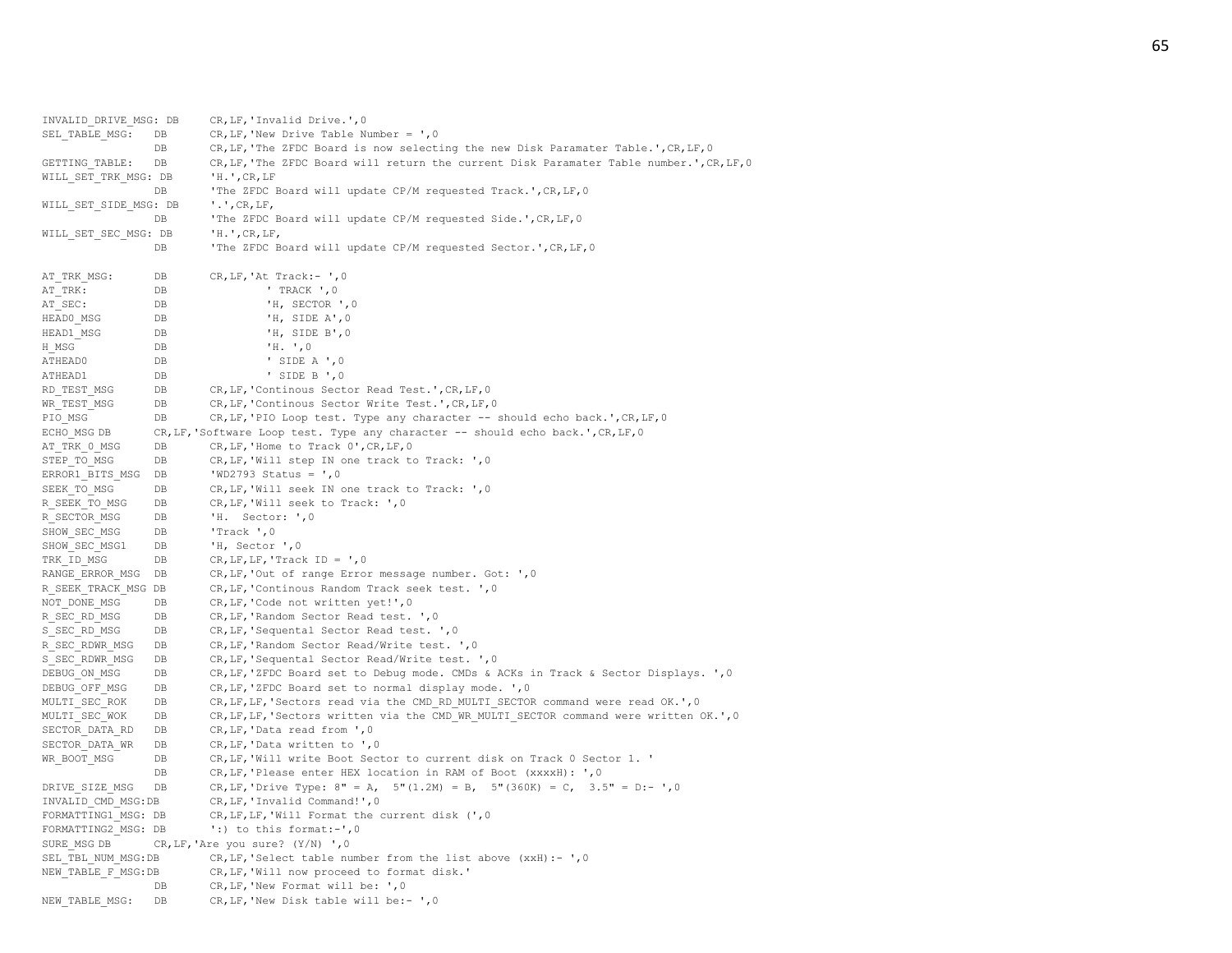INVALID\_DRIVE\_MSG: DB CR,LF,'Invalid Drive.',0 SEL TABLE MSG: DB CR, LF, 'New Drive Table Number = ', 0 DB CR, LF, 'The ZFDC Board is now selecting the new Disk Paramater Table.', CR, LF, 0 GETTING\_TABLE: DB CR,LF,'The ZFDC Board will return the current Disk Paramater Table number.',CR,LF,0 WILL SET TRK MSG: DB 'H.', CR, LF DB 'The ZFDC Board will update CP/M requested Track.', CR, LF, 0 WILL SET SIDE MSG: DB '.', CR, LF, DB 'The ZFDC Board will update CP/M requested Side.', CR, LF, 0 WILL SET SEC MSG: DB 'H.', CR, LF, DB 'The ZFDC Board will update CP/M requested Sector.', CR, LF, 0 AT\_TRK\_MSG: DB CR,LF,'At Track:- ',0 AT\_TRK: DB ' TRACK ',0 AT SEC: DB DB 'H, SECTOR ', 0 HEADO MSG DB 'H, SIDE A', 0 HEAD1 MSG DB 'H, SIDE B', 0 H\_MSG DB 'H. ',0 ATHEAD0 DB ' SIDE A ',0 ATHEAD1 DB ' SIDE B ', 0 RD\_TEST\_MSG DB CR,LF,'Continous Sector Read Test.', CR, LF, 0 WR\_TEST\_MSG DB CR, LF, 'Continous Sector Write Test.', CR, LF, 0 PIO MSG DB CR, LF, 'PIO Loop test. Type any character -- should echo back.', CR, LF, 0 ECHO\_MSG DB CR, LF, 'Software Loop test. Type any character -- should echo back.', CR, LF, 0 AT\_TRK\_0\_MSG DB CR, LF, 'Home to Track 0', CR, LF, 0 STEP TO MSG DB CR, LF, 'Will step IN one track to Track: ', 0 ERROR1 BITS MSG DB 'WD2793 Status =  $',0$ SEEK TO MSG DB CR, LF, 'Will seek IN one track to Track: ',0 R\_SEEK\_TO\_MSG DB CR, LF, 'Will seek to Track: ', 0 R SECTOR MSG DB 'H. Sector: ', 0 SHOW SEC MSG DB 'Track ', 0 SHOW\_SEC\_MSG1 DB 'H, Sector ', 0 TRK ID MSG DB CR, LF, LF, 'Track ID = ',0 RANGE\_ERROR\_MSG DB CR, LF, 'Out of range Error message number. Got: ', 0 R\_SEEK\_TRACK\_MSG DB CR, LF, 'Continous Random Track seek test. ', 0 NOT DONE MSG DB CR, LF, 'Code not written yet!', 0 R\_SEC\_RD\_MSG DB CR, LF, 'Random Sector Read test. ',0 S\_SEC\_RD\_MSG DB CR, LF, 'Sequental Sector Read test. ', 0 R SEC RDWR MSG DB CR, LF, 'Random Sector Read/Write test. ', 0 S\_SEC\_RDWR\_MSG DB CR, LF, 'Sequental Sector Read/Write test. ', 0 DEBUG ON MSG DB CR, LF, 'ZFDC Board set to Debug mode. CMDs & ACKs in Track & Sector Displays. ', 0 DEBUG OFF MSG DB CR, LF, 'ZFDC Board set to normal display mode. ', 0 MULTI SEC ROK DB CR, LF, LF, 'Sectors read via the CMD RD MULTI SECTOR command were read OK.', 0 MULTI\_SEC\_WOK DB CR, LF, LF, 'Sectors written via the CMD\_WR\_MULTI\_SECTOR command were written OK.', 0 SECTOR DATA RD DB CR, LF, 'Data read from ', 0 SECTOR DATA WR DB CR, LF, 'Data written to ', 0 WR\_BOOT\_MSG DB CR, LF, 'Will write Boot Sector to current disk on Track 0 Sector 1. ' DB CR, LF, 'Please enter HEX location in RAM of Boot (xxxxH): ', 0 DRIVE SIZE MSG DB CR, LF, 'Drive Type:  $8" = A$ ,  $5" (1.2M) = B$ ,  $5" (360K) = C$ ,  $3.5" = D:- '$ , 0 INVALID\_CMD\_MSG:DB CR,LF,'Invalid Command!',0 FORMATTING1 MSG: DB CR, LF, LF, Will Format the current disk (', 0) FORMATTING2 MSG: DB ':) to this format:-', 0 SURE MSG DB  $CR,LF, 'Are you sure?  $(Y/N) '$ , 0$ SEL TBL NUM MSG:DB CR, LF, 'Select table number from the list above (xxH):- ',0 NEW TABLE F MSG:DB CR, LF, 'Will now proceed to format disk.' DB CR, LF, 'New Format will be: ', 0 NEW TABLE MSG: DB CR, LF, 'New Disk table will be:- ', 0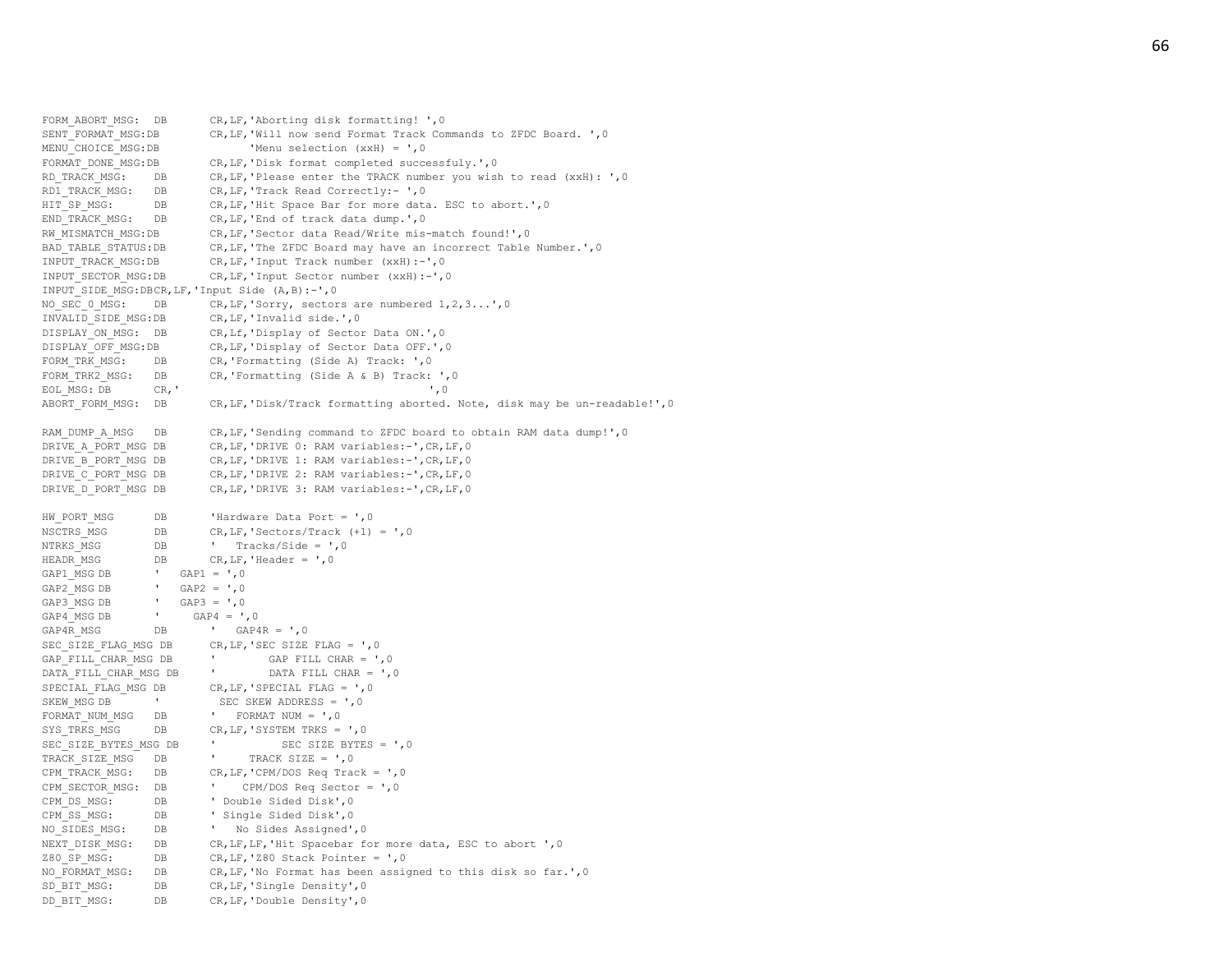FORM ABORT MSG: DB CR, LF, 'Aborting disk formatting! ', 0 SENT\_FORMAT\_MSG:DB CR,LF,'Will now send Format Track Commands to ZFDC Board. ', 0 MENU CHOICE MSG:DB 'Menu selection (xxH) = ',0 FORMAT\_DONE\_MSG:DB CR,LF,'Disk format completed successfuly.'.0 RD\_TRACK\_MSG: DB CR,LF,'Please enter the TRACK number you wish to read (xxH): ',0 RD1 TRACK MSG: DB CR, LF, 'Track Read Correctly:- ', 0 HIT SP MSG: DB CR, LF, 'Hit Space Bar for more data. ESC to abort.', 0 END\_TRACK\_MSG: DB CR, LF, 'End of track data dump.', 0 RW MISMATCH MSG: DB CR, LF, 'Sector data Read/Write mis-match found!', 0 BAD\_TABLE\_STATUS:DB CR, LF, 'The ZFDC\_Board may have an incorrect Table Number.', 0 INPUT\_TRACK\_MSG:DB CR,LF,'Input Track number (xxH): -',0 INPUT SECTOR MSG: DB CR, LF, 'Input Sector number (xxH):-', 0 INPUT\_SIDE\_MSG:DBCR,LF,'Input Side (A,B): -',0 NO SEC 0 MSG: DB CR, LF, 'Sorry, sectors are numbered 1,2,3...',0 INVALID\_SIDE\_MSG:DB CR,LF,'Invalid side.',0 DISPLAY ON MSG: DB CR, Lf, 'Display of Sector Data ON.', 0 DISPLAY OFF MSG:DB CR, LF, 'Display of Sector Data OFF.', 0 FORM TRK MSG: DB CR,'Formatting (Side A) Track: ',0 FORM TRK2 MSG: DB CR,'Formatting (Side A & B) Track: ', 0  $EOLMSG: DB$   $CR, '$   $', 0$ ABORT FORM MSG: DB CR, LF, 'Disk/Track formatting aborted. Note, disk may be un-readable!', 0 RAM\_DUMP\_A\_MSG DB CR,LF,'Sending command to ZFDC board to obtain RAM data dump!', 0 DRIVE A PORT MSG DB CR, LF, 'DRIVE 0: RAM variables: -', CR, LF, 0 DRIVE B PORT MSG DB CR, LF, 'DRIVE 1: RAM variables:-', CR, LF, 0 DRIVE C PORT MSG DB CR, LF, 'DRIVE 2: RAM variables:-', CR, LF, 0 DRIVE D PORT MSG DB CR, LF, 'DRIVE 3: RAM variables: -', CR, LF, 0 HW\_PORT\_MSG DB 'Hardware Data Port = ',0 NSCTRS MSG DB CR, LF, 'Sectors/Track (+1) = ',0 NTRKS MSG DB ' Tracks/Side = ',0 HEADR MSG  $DB$  DB  $CR,LF, 'Header = ',0$ GAP1  $MSG DB$  ' GAP1 = ',0 GAP2  $MSG$  DB  $\qquad \qquad$  GAP2 = ', 0 GAP3 MSG DB  $\blacksquare$  GAP3 =  $\blacksquare$ , 0 GAP4 MSG DB  $\overline{GAP4} = '0$ GAP4R MSG  $DB$   $\overline{GAP4R} = ',0$ SEC\_SIZE\_FLAG\_MSG\_DB CR, LF, 'SEC\_SIZE\_FLAG = ',0 GAP FILL CHAR MSG DB  $\blacksquare$  GAP FILL CHAR =  $\blacksquare$ , 0 DATA FILL CHAR MSG DB ' DATA FILL CHAR = ',0 SPECIAL FLAG MSG DB CR, LF, 'SPECIAL FLAG = ', 0 SKEW MSG DB ' SEC SKEW ADDRESS = ',0 FORMAT NUM MSG DB ' FORMAT NUM =  $', 0$ SYS\_TRKS\_MSG DB CR, LF, 'SYSTEM TRKS = ',0 SEC\_SIZE\_BYTES\_MSG DB ' SEC SIZE BYTES = ',0 TRACK SIZE MSG DB ' TRACK SIZE = ',0 CPM\_TRACK\_MSG: DB CR,LF,'CPM/DOS Req Track = ',0 CPM\_SECTOR\_MSG: DB ' CPM/DOS Req Sector = ',0 CPM\_DS\_MSG: DB ' Double Sided Disk',0 CPM SS MSG: DB ' Single Sided Disk', 0 NO SIDES MSG: DB ' No Sides Assigned', 0 NEXT\_DISK\_MSG: DB CR, LF, LF, 'Hit Spacebar for more data, ESC to abort ', 0 Z80 SP\_MSG: DB CR, LF, 'Z80 Stack Pointer =  $',0$ NO FORMAT MSG: DB CR, LF, 'No Format has been assigned to this disk so far.', 0 SD\_BIT\_MSG: DB CR, LF, 'Single Density', 0 DD\_BIT\_MSG: DB CR,LF,'Double Density',0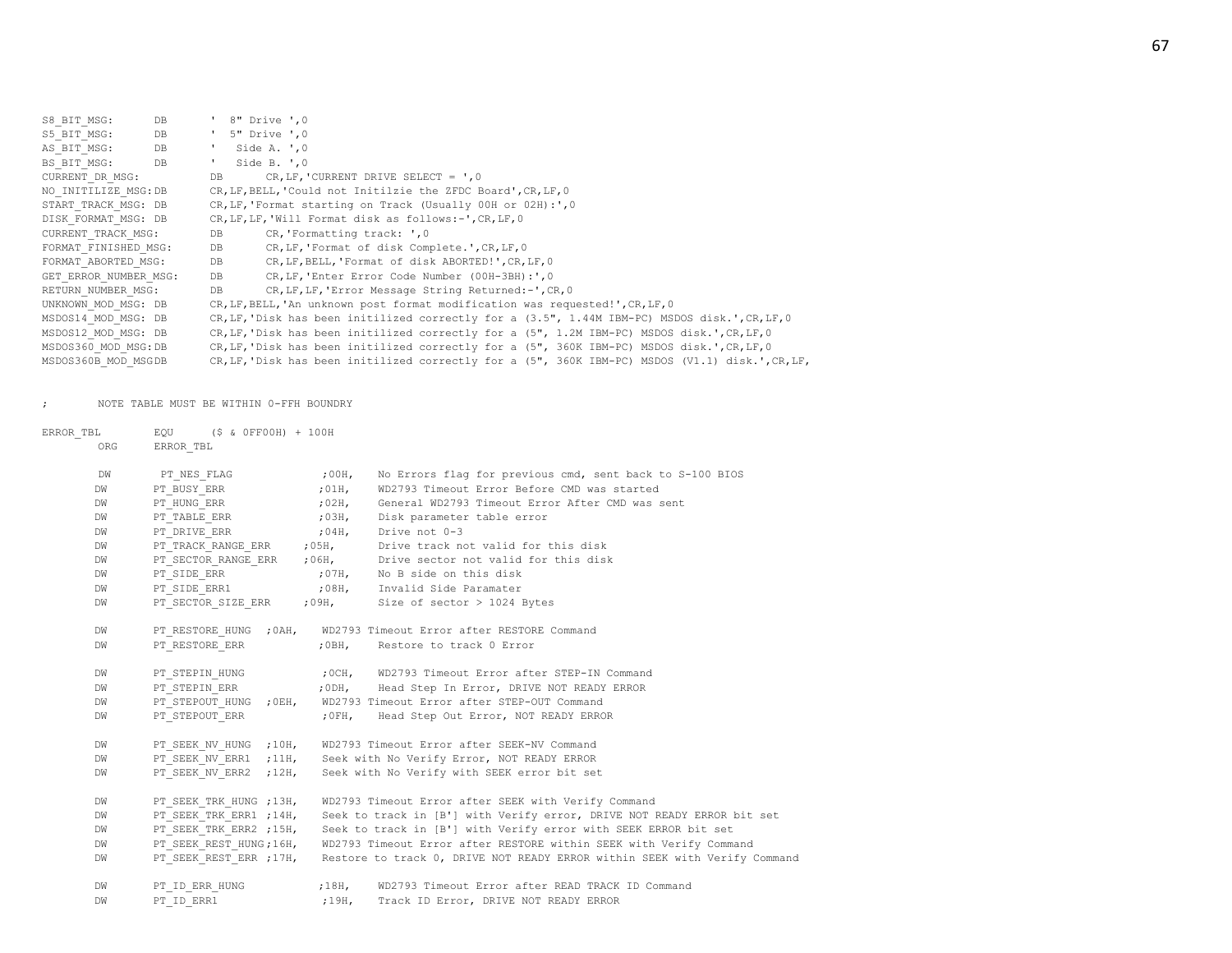| S8 BIT MSG:           | DB | $'$ 8" Drive ', 0                                                                                |
|-----------------------|----|--------------------------------------------------------------------------------------------------|
| S5 BIT MSG:           | DB | $'$ 5" Drive $',0$                                                                               |
| AS BIT MSG:           | DB | $\mathbf{r}$<br>Side A. $, 0$                                                                    |
| BS BIT MSG:           | DB | $\mathbf{r}$<br>Side B. ', 0                                                                     |
| CURRENT DR MSG:       |    | CR, LF, 'CURRENT DRIVE SELECT = $', 0$<br>DB                                                     |
| NO INITILIZE MSG: DB  |    | CR, LF, BELL, 'Could not Initilzie the ZFDC Board', CR, LF, 0                                    |
| START TRACK MSG: DB   |    | CR, LF, 'Format starting on Track (Usually 00H or 02H):',0                                       |
| DISK FORMAT MSG: DB   |    | CR, LF, LF, 'Will Format disk as follows:-', CR, LF, 0                                           |
| CURRENT TRACK MSG:    |    | CR, Formatting track: ', 0<br>DB                                                                 |
| FORMAT FINISHED MSG:  |    | CR, LF, 'Format of disk Complete.', CR, LF, 0<br>DB                                              |
| FORMAT ABORTED MSG:   |    | DB<br>CR, LF, BELL, 'Format of disk ABORTED!', CR, LF, 0                                         |
| GET ERROR NUMBER MSG: |    | DB<br>CR, LF, 'Enter Error Code Number (00H-3BH): ', 0                                           |
| RETURN NUMBER MSG:    |    | DB<br>CR, LF, LF, 'Error Message String Returned: -', CR, 0                                      |
| UNKNOWN MOD MSG: DB   |    | CR, LF, BELL, 'An unknown post format modification was requested!', CR, LF, 0                    |
| MSDOS14 MOD MSG: DB   |    | CR, LF, 'Disk has been initilized correctly for a (3.5", 1.44M IBM-PC) MSDOS disk.', CR, LF, 0   |
| MSDOS12 MOD MSG: DB   |    | CR, LF, 'Disk has been initilized correctly for a (5", 1.2M IBM-PC) MSDOS disk.', CR, LF, 0      |
| MSDOS360 MOD MSG:DB   |    | CR, LF, 'Disk has been initilized correctly for a (5", 360K IBM-PC) MSDOS disk.', CR, LF, 0      |
| MSDOS360B MOD MSGDB   |    | CR, LF, 'Disk has been initilized correctly for a (5", 360K IBM-PC) MSDOS (V1.1) disk.', CR, LF, |

; NOTE TABLE MUST BE WITHIN 0-FFH BOUNDRY

| ERROR TBL |     | EQU (\$ & OFFOOH) + 100H |       |                                                                           |
|-----------|-----|--------------------------|-------|---------------------------------------------------------------------------|
|           | ORG | ERROR TBL                |       |                                                                           |
|           | DW  | PT NES FLAG (200H)       |       | No Errors flag for previous cmd, sent back to S-100 BIOS                  |
|           | DW  | PT BUSY ERR              | ,01H, | WD2793 Timeout Error Before CMD was started                               |
|           | DW  | PT HUNG ERR              |       | ;02H, General WD2793 Timeout Error After CMD was sent                     |
|           | DW  |                          |       | PT_TABLE_ERR (03H, Disk parameter table error                             |
|           | DW  |                          |       |                                                                           |
|           | DW  |                          |       |                                                                           |
|           | DW  |                          |       | PT_SECTOR_RANGE_ERR : 06H, Drive sector not valid for this disk           |
|           | DW  |                          |       | PT SIDE_ERR $\overline{P}$ , $\overline{O7H}$ , No B side on this disk    |
|           | DW  | $\verb PT_SIDE_ERR1 $    |       | ;08H, Invalid Side Paramater                                              |
|           | DW  |                          |       | PT_SECTOR_SIZE_ERR ;09H, Size of sector > 1024 Bytes                      |
|           | DW  |                          |       | PT_RESTORE_HUNG ; OAH, WD2793 Timeout Error after RESTORE Command         |
|           | DW  |                          |       | PT_RESTORE_ERR : 0BH, Restore to track 0 Error                            |
|           | DW  |                          |       |                                                                           |
|           | DW  |                          |       |                                                                           |
|           | DW  |                          |       | PT_STEPOUT_HUNG ; OEH, WD2793 Timeout Error after STEP-OUT Command        |
|           | DW  |                          |       | PT STEPOUT ERR (1997), FORM, Head Step Out Error, NOT READY ERROR         |
|           | DW  |                          |       | PT SEEK NV HUNG ; 10H, WD2793 Timeout Error after SEEK-NV Command         |
|           | DW  |                          |       | PT SEEK NV ERR1 ; 11H, Seek with No Verify Error, NOT READY ERROR         |
|           | DW  | PT SEEK NV ERR2 ; 12H,   |       | Seek with No Verify with SEEK error bit set                               |
|           | DW  | PT SEEK TRK HUNG ; 13H,  |       | WD2793 Timeout Error after SEEK with Verify Command                       |
|           | DW  | PT SEEK TRK ERR1 ; 14H,  |       | Seek to track in [B'] with Verify error, DRIVE NOT READY ERROR bit set    |
|           | DW  | PT_SEEK_TRK_ERR2 ;15H,   |       | Seek to track in [B'] with Verify error with SEEK ERROR bit set           |
|           | DW  | PT_SEEK_REST_HUNG;16H,   |       | WD2793 Timeout Error after RESTORE within SEEK with Verify Command        |
|           | DW  | PT SEEK REST ERR ; 17H,  |       | Restore to track 0, DRIVE NOT READY ERROR within SEEK with Verify Command |
|           | DW  |                          |       | PT_ID_ERR_HUNG :18H, WD2793 Timeout Error after READ TRACK ID Command     |
|           | DW  | PT ID ERR1               |       | ;19H, Track ID Error, DRIVE NOT READY ERROR                               |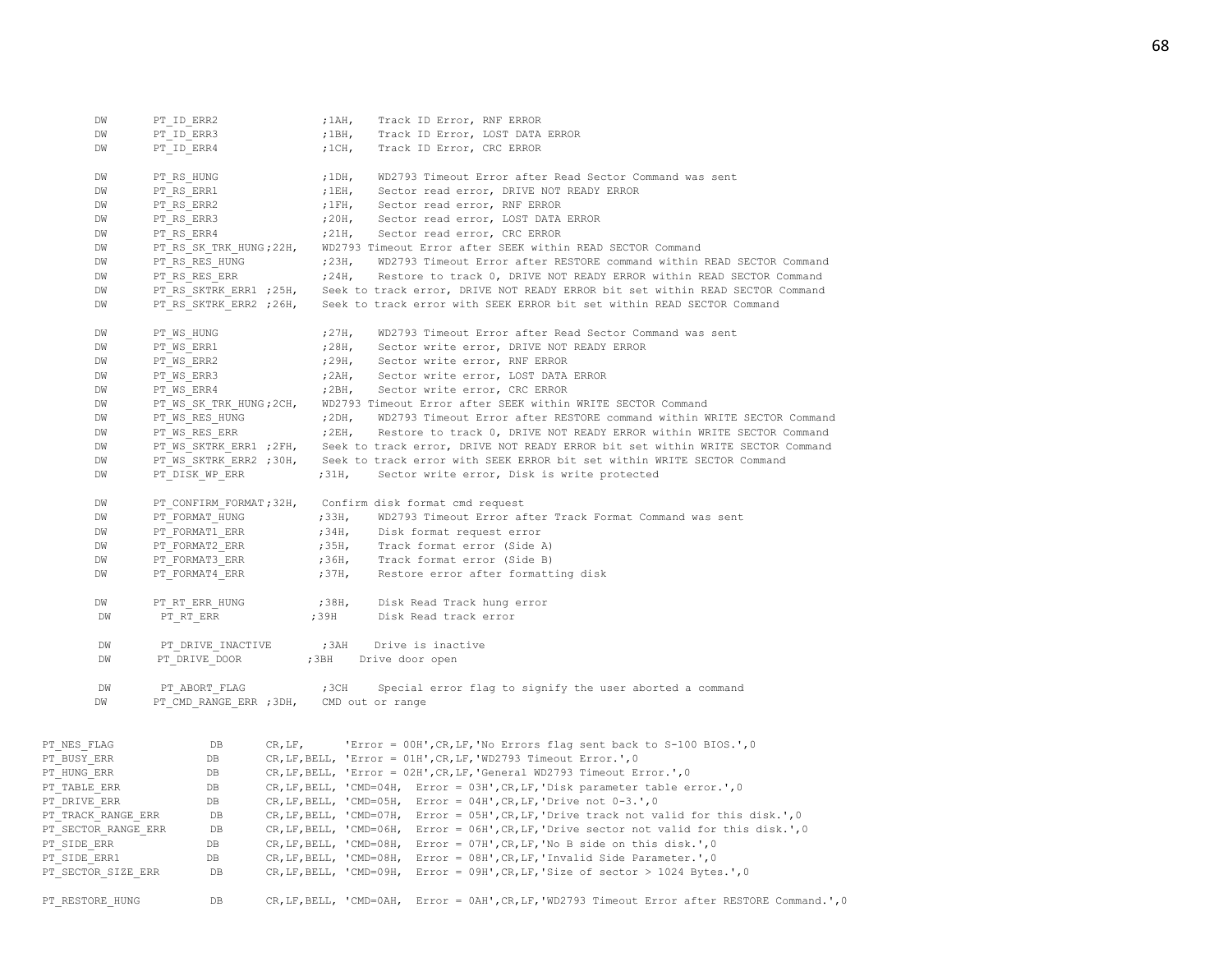| DW                  | PT ID ERR2              |         | $;1$ AH,         | Track ID Error, RNF ERROR                                                                      |
|---------------------|-------------------------|---------|------------------|------------------------------------------------------------------------------------------------|
| DW                  | PT ID ERR3              |         | ;1BH,            | Track ID Error, LOST DATA ERROR                                                                |
| DW                  | PT ID ERR4              |         | ;1CH             | Track ID Error, CRC ERROR                                                                      |
| DW                  | PT RS HUNG              |         | $;1$ DH,         | WD2793 Timeout Error after Read Sector Command was sent                                        |
| DW                  | PT RS ERR1              |         |                  | ;1EH, Sector read error, DRIVE NOT READY ERROR                                                 |
| DW                  | PT RS ERR2              |         |                  | ;1FH, Sector read error, RNF ERROR                                                             |
| DW                  | PT RS ERR3              |         |                  | ;20H, Sector read error, LOST DATA ERROR                                                       |
| DW                  | PT RS ERR4              |         |                  | ;21H, Sector read error, CRC ERROR                                                             |
| DW                  | PT RS SK TRK HUNG; 22H, |         |                  | WD2793 Timeout Error after SEEK within READ SECTOR Command                                     |
| DW                  | PT RS RES HUNG          |         |                  | ; 23H, WD2793 Timeout Error after RESTORE command within READ SECTOR Command                   |
| DW                  | PT RS RES ERR           |         |                  | ;24H, Restore to track 0, DRIVE NOT READY ERROR within READ SECTOR Command                     |
| DW                  | PT RS SKTRK ERR1 ; 25H, |         |                  | Seek to track error, DRIVE NOT READY ERROR bit set within READ SECTOR Command                  |
| DW                  | PT RS SKTRK ERR2 ; 26H, |         |                  | Seek to track error with SEEK ERROR bit set within READ SECTOR Command                         |
| DW                  | PT WS HUNG              |         | 727H             | WD2793 Timeout Error after Read Sector Command was sent                                        |
| DW                  | PT WS ERR1              |         | 728H,            | Sector write error, DRIVE NOT READY ERROR                                                      |
| DW                  | PT WS ERR2              |         |                  | ;29H, Sector write error, RNF ERROR                                                            |
| DW                  | PT WS ERR3              |         |                  | ; 2AH, Sector write error, LOST DATA ERROR                                                     |
| DW                  | PT WS ERR4              |         |                  | ; 2BH, Sector write error, CRC ERROR                                                           |
| DW                  | PT WS SK TRK HUNG; 2CH, |         |                  | WD2793 Timeout Error after SEEK within WRITE SECTOR Command                                    |
| DW                  | PT WS RES HUNG          |         |                  | ; 2DH, WD2793 Timeout Error after RESTORE command within WRITE SECTOR Command                  |
| DW                  | PT WS RES ERR           |         |                  | ; 2EH, Restore to track 0, DRIVE NOT READY ERROR within WRITE SECTOR Command                   |
| DW                  | PT WS SKTRK ERR1 ; 2FH, |         |                  | Seek to track error, DRIVE NOT READY ERROR bit set within WRITE SECTOR Command                 |
| DW                  | PT WS SKTRK ERR2 ;30H,  |         |                  | Seek to track error with SEEK ERROR bit set within WRITE SECTOR Command                        |
| DW                  | PT DISK WP ERR          |         | ;31H,            | Sector write error, Disk is write protected                                                    |
| DW                  | PT CONFIRM FORMAT; 32H, |         |                  | Confirm disk format cmd request                                                                |
| DW                  | PT FORMAT HUNG          |         | ;33H,            | WD2793 Timeout Error after Track Format Command was sent                                       |
| DW                  | PT FORMAT1 ERR          |         |                  | ;34H, Disk format request error                                                                |
| DW                  | PT FORMAT2 ERR          |         |                  | ;35H, Track format error (Side A)                                                              |
| DW                  | PT FORMAT3 ERR          |         |                  | ;36H, Track format error (Side B)                                                              |
| DW                  | PT FORMAT4 ERR          |         | ;37H,            | Restore error after formatting disk                                                            |
| DW                  | PT RT ERR HUNG          |         | ;38H,            | Disk Read Track hung error                                                                     |
| DW                  | PT RT ERR               |         | ;39H             | Disk Read track error                                                                          |
| DW                  | PT DRIVE INACTIVE       |         | ; 3AH            | Drive is inactive                                                                              |
| DW                  | PT DRIVE DOOR           |         | ;3BH             | Drive door open                                                                                |
|                     |                         |         |                  |                                                                                                |
| DW                  | PT ABORT FLAG           |         | ;3CH             | Special error flag to signify the user aborted a command                                       |
| DW                  | PT CMD RANGE ERR ; 3DH, |         | CMD out or range |                                                                                                |
|                     |                         |         |                  |                                                                                                |
| PT NES FLAG         | $_{\rm DB}$             | CR, LF, |                  | 'Error = 00H', CR, LF, 'No Errors flag sent back to S-100 BIOS.', 0                            |
| PT BUSY ERR         | DB                      |         |                  | CR, LF, BELL, 'Error = 01H', CR, LF, 'WD2793 Timeout Error.', 0                                |
| PT HUNG ERR         | DB                      |         |                  | CR, LF, BELL, 'Error = 02H', CR, LF, 'General WD2793 Timeout Error.', 0                        |
| PT TABLE ERR        | DB                      |         |                  | CR, LF, BELL, 'CMD=04H, Error = 03H', CR, LF, 'Disk parameter table error.', 0                 |
| PT DRIVE ERR        | DB                      |         |                  | CR, LF, BELL, 'CMD=05H, Error = 04H', CR, LF, 'Drive not $0-3.$ ', 0                           |
| PT TRACK RANGE ERR  | DB                      |         |                  | CR, LF, BELL, 'CMD=07H, Error = 05H', CR, LF, 'Drive track not valid for this disk.', 0        |
| PT SECTOR RANGE ERR | DB                      |         |                  | CR, LF, BELL, 'CMD=06H, Error = 06H', CR, LF, 'Drive sector not valid for this disk.', 0       |
| PT SIDE ERR         | DB                      |         |                  | CR, LF, BELL, 'CMD=08H, Error = 07H', CR, LF, 'No B side on this disk.', 0                     |
| PT SIDE ERR1        | DB                      |         |                  | CR, LF, BELL, 'CMD=08H, Error = 08H', CR, LF, 'Invalid Side Parameter.', 0                     |
| PT SECTOR SIZE ERR  | DB                      |         |                  | CR, LF, BELL, 'CMD=09H, Error = 09H', CR, LF, 'Size of sector > 1024 Bytes.', 0                |
| PT RESTORE HUNG     | DB                      |         |                  | CR, LF, BELL, 'CMD=0AH, Error = 0AH', CR, LF, 'WD2793 Timeout Error after RESTORE Command.', 0 |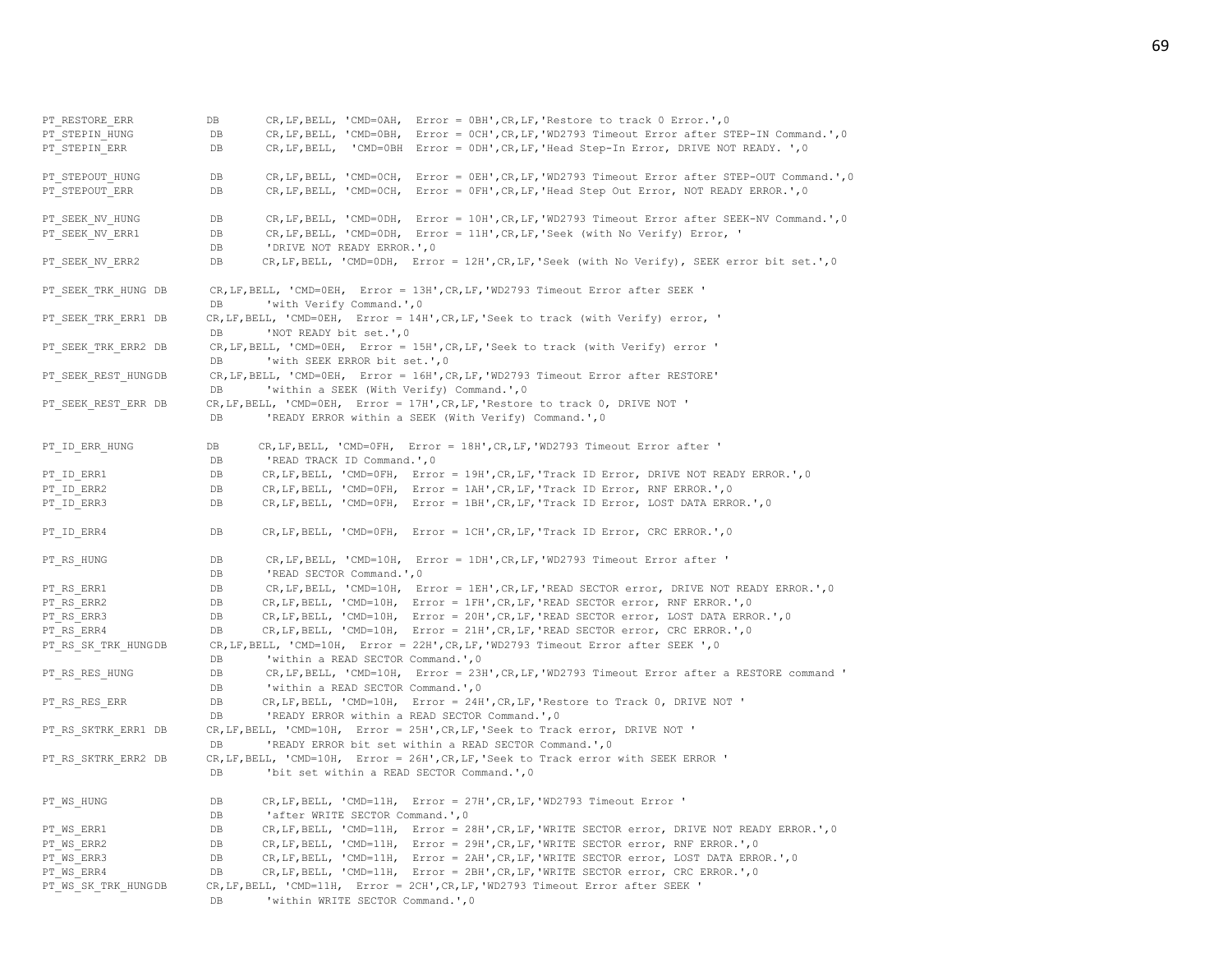| PT RESTORE ERR      | CR, LF, BELL, 'CMD=0AH, Error = 0BH', CR, LF, 'Restore to track 0 Error.', 0<br>DB                                                              |
|---------------------|-------------------------------------------------------------------------------------------------------------------------------------------------|
| PT STEPIN HUNG      | CR, LF, BELL, 'CMD=0BH, Error = 0CH', CR, LF, 'WD2793 Timeout Error after STEP-IN Command.', 0<br>DB                                            |
| PT STEPIN ERR       | CR, LF, BELL, 'CMD=0BH Error = 0DH', CR, LF, 'Head Step-In Error, DRIVE NOT READY. ', 0<br>DB                                                   |
| PT STEPOUT HUNG     | CR, LF, BELL, 'CMD=OCH, Error = OEH', CR, LF, 'WD2793 Timeout Error after STEP-OUT Command.', 0<br>DB                                           |
| PT STEPOUT ERR      | CR, LF, BELL, 'CMD=OCH, Error = OFH', CR, LF, 'Head Step Out Error, NOT READY ERROR.', 0<br>DB                                                  |
| PT SEEK NV HUNG     | CR, LF, BELL, 'CMD=0DH, Error = 10H', CR, LF, 'WD2793 Timeout Error after SEEK-NV Command.', 0<br>$_{\rm DB}$                                   |
| PT SEEK NV ERR1     | CR, LF, BELL, 'CMD=0DH, Error = 11H', CR, LF, 'Seek (with No Verify) Error, '<br>DB                                                             |
|                     | 'DRIVE NOT READY ERROR.', 0<br>DB                                                                                                               |
| PT SEEK NV ERR2     | CR, LF, BELL, 'CMD=ODH, Error = 12H', CR, LF, 'Seek (with No Verify), SEEK error bit set.', 0<br>DB                                             |
| PT SEEK TRK HUNG DB | CR, LF, BELL, 'CMD=0EH, Error = 13H', CR, LF, 'WD2793 Timeout Error after SEEK '<br>'with Verify Command.', 0<br>DB                             |
| PT SEEK TRK ERR1 DB | CR, LF, BELL, 'CMD=0EH, Error = 14H', CR, LF, 'Seek to track (with Verify) error, '<br>D <sub>B</sub><br>'NOT READY bit set.', 0                |
| PT SEEK TRK ERR2 DB | CR, LF, BELL, 'CMD=0EH, Error = 15H', CR, LF, 'Seek to track (with Verify) error '<br>'with SEEK ERROR bit set.', 0<br>D <sub>R</sub>           |
| PT SEEK REST HUNGDB | CR, LF, BELL, 'CMD=0EH, Error = 16H', CR, LF, 'WD2793 Timeout Error after RESTORE'<br>'within a SEEK (With Verify) Command.', 0<br>DB           |
| PT SEEK REST ERR DB | CR, LF, BELL, 'CMD=0EH, Error = 17H', CR, LF, 'Restore to track 0, DRIVE NOT '                                                                  |
|                     | 'READY ERROR within a SEEK (With Verify) Command.', 0<br>DB                                                                                     |
| PT ID ERR HUNG      | CR, LF, BELL, 'CMD=0FH, Error = 18H', CR, LF, 'WD2793 Timeout Error after '<br>DB<br>'READ TRACK ID Command.', 0<br>DB                          |
| PT ID ERR1          | CR, LF, BELL, 'CMD=0FH, Error = 19H', CR, LF, 'Track ID Error, DRIVE NOT READY ERROR.', 0<br>$_{\rm DB}$                                        |
| PT ID ERR2          | CR, LF, BELL, 'CMD=OFH, Error = 1AH', CR, LF, 'Track ID Error, RNF ERROR.', 0<br>DB                                                             |
| PT ID ERR3          | CR, LF, BELL, 'CMD=OFH, Error = 1BH', CR, LF, 'Track ID Error, LOST DATA ERROR.', 0<br>DB                                                       |
| PT ID ERR4          | CR, LF, BELL, 'CMD=OFH, Error = 1CH', CR, LF, 'Track ID Error, CRC ERROR.', 0<br>$_{\rm DB}$                                                    |
| PT RS HUNG          | CR, LF, BELL, 'CMD=10H, Error = 1DH', CR, LF, 'WD2793 Timeout Error after '<br>DB                                                               |
|                     | 'READ SECTOR Command.', 0<br>DB                                                                                                                 |
| PT RS ERR1          | CR, LF, BELL, 'CMD=10H, Error = 1EH', CR, LF, 'READ SECTOR error, DRIVE NOT READY ERROR.', 0<br>DB                                              |
| PT RS ERR2          | CR, LF, BELL, 'CMD=10H, Error = 1FH', CR, LF, 'READ SECTOR error, RNF ERROR.', 0<br>DB                                                          |
| PT RS ERR3          | CR, LF, BELL, 'CMD=10H, Error = 20H', CR, LF, 'READ SECTOR error, LOST DATA ERROR.', 0<br>DB                                                    |
| PT RS ERR4          | CR, LF, BELL, 'CMD=10H, Error = 21H', CR, LF, 'READ SECTOR error, CRC ERROR.', 0<br>DB.                                                         |
| PT RS SK TRK HUNGDB | CR, LF, BELL, 'CMD=10H, Error = 22H', CR, LF, 'WD2793 Timeout Error after SEEK ', 0                                                             |
|                     | 'within a READ SECTOR Command.', 0<br>DB                                                                                                        |
| PT RS RES HUNG      | CR, LF, BELL, 'CMD=10H, Error = 23H', CR, LF, 'WD2793 Timeout Error after a RESTORE command '<br>DB<br>'within a READ SECTOR Command.', 0<br>DB |
|                     | CR, LF, BELL, 'CMD=10H, Error = 24H', CR, LF, 'Restore to Track 0, DRIVE NOT '<br>DB                                                            |
| PT RS RES ERR       | 'READY ERROR within a READ SECTOR Command.', 0<br>DB                                                                                            |
| PT RS SKTRK ERR1 DB | CR, LF, BELL, 'CMD=10H, Error = 25H', CR, LF, 'Seek to Track error, DRIVE NOT '                                                                 |
|                     | 'READY ERROR bit set within a READ SECTOR Command.', 0<br>DB                                                                                    |
| PT RS SKTRK ERR2 DB | CR, LF, BELL, 'CMD=10H, Error = 26H', CR, LF, 'Seek to Track error with SEEK ERROR '                                                            |
|                     | 'bit set within a READ SECTOR Command.', 0<br>DB                                                                                                |
| PT WS HUNG          | CR, LF, BELL, 'CMD=11H, Error = 27H', CR, LF, 'WD2793 Timeout Error '<br>DB<br>'after WRITE SECTOR Command.', 0<br>DB                           |
| PT WS ERR1          | CR, LF, BELL, 'CMD=11H, Error = 28H', CR, LF, 'WRITE SECTOR error, DRIVE NOT READY ERROR.', 0<br>DB                                             |
| PT WS ERR2          | CR, LF, BELL, 'CMD=11H, Error = 29H', CR, LF, 'WRITE SECTOR error, RNF ERROR.', 0<br>DB                                                         |
| PT WS ERR3          | CR, LF, BELL, 'CMD=11H, Error = 2AH', CR, LF, 'WRITE SECTOR error, LOST DATA ERROR.', 0<br>DB                                                   |
| PT WS ERR4          | CR, LF, BELL, 'CMD=11H, Error = 2BH', CR, LF, 'WRITE SECTOR error, CRC ERROR.', 0<br>DB                                                         |
| PT WS SK TRK HUNGDB | CR, LF, BELL, 'CMD=11H, Error = 2CH', CR, LF, 'WD2793 Timeout Error after SEEK '                                                                |
|                     | DB<br>'within WRITE SECTOR Command.', 0                                                                                                         |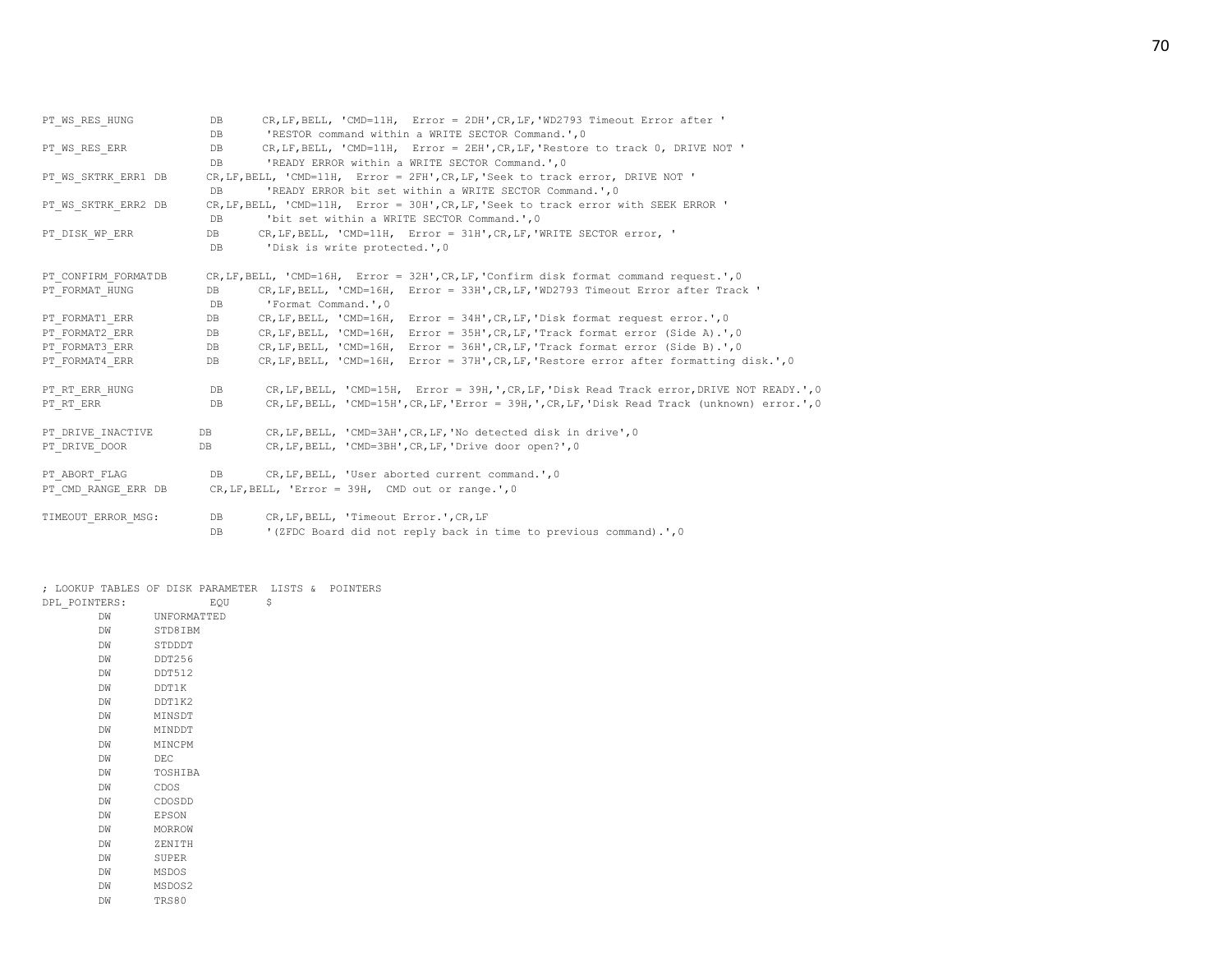| DB and the state of the state of the state of the state of the state of the state of the state of the state of the state of the state of the state of the state of the state of the state of the state of the state of the sta | CR, LF, BELL, 'CMD=11H, Error = 2DH', CR, LF, 'WD2793 Timeout Error after '                     |
|--------------------------------------------------------------------------------------------------------------------------------------------------------------------------------------------------------------------------------|-------------------------------------------------------------------------------------------------|
| DB                                                                                                                                                                                                                             | 'RESTOR command within a WRITE SECTOR Command.', 0                                              |
| DB and the state of the state of the state of the state of the state of the state of the state of the state of the state of the state of the state of the state of the state of the state of the state of the state of the sta | CR, LF, BELL, 'CMD=11H, Error = 2EH', CR, LF, 'Restore to track 0, DRIVE NOT '                  |
| DB.                                                                                                                                                                                                                            | 'READY ERROR within a WRITE SECTOR Command.', 0                                                 |
|                                                                                                                                                                                                                                | CR, LF, BELL, 'CMD=11H, Error = 2FH', CR, LF, 'Seek to track error, DRIVE NOT '                 |
| DB.                                                                                                                                                                                                                            | 'READY ERROR bit set within a WRITE SECTOR Command.', 0                                         |
|                                                                                                                                                                                                                                | CR, LF, BELL, 'CMD=11H, Error = 30H', CR, LF, 'Seek to track error with SEEK ERROR '            |
| DB                                                                                                                                                                                                                             | 'bit set within a WRITE SECTOR Command.', 0                                                     |
| DB and the state of the state of the state of the state of the state of the state of the state of the state of the state of the state of the state of the state of the state of the state of the state of the state of the sta | CR, LF, BELL, 'CMD=11H, Error = 31H', CR, LF, 'WRITE SECTOR error, '                            |
| DB                                                                                                                                                                                                                             | 'Disk is write protected.', 0                                                                   |
|                                                                                                                                                                                                                                |                                                                                                 |
|                                                                                                                                                                                                                                | CR, LF, BELL, 'CMD=16H, Error = 32H', CR, LF, 'Confirm disk format command request.', 0         |
| DB                                                                                                                                                                                                                             | CR, LF, BELL, 'CMD=16H, Error = 33H', CR, LF, 'WD2793 Timeout Error after Track '               |
| DB                                                                                                                                                                                                                             | 'Format Command.',0                                                                             |
| DB                                                                                                                                                                                                                             | CR, LF, BELL, 'CMD=16H, Error = 34H', CR, LF, 'Disk format request error.', 0                   |
|                                                                                                                                                                                                                                | DB CR, LF, BELL, 'CMD=16H, Error = 35H', CR, LF, 'Track format error (Side A).', 0              |
| DB                                                                                                                                                                                                                             | CR, LF, BELL, 'CMD=16H, Error = 36H', CR, LF, 'Track format error (Side B).', 0                 |
| DB                                                                                                                                                                                                                             | CR, LF, BELL, 'CMD=16H, Error = 37H', CR, LF, 'Restore error after formatting disk.', 0         |
|                                                                                                                                                                                                                                |                                                                                                 |
| DB DB                                                                                                                                                                                                                          | CR, LF, BELL, 'CMD=15H, Error = 39H,', CR, LF,'Disk Read Track error, DRIVE NOT READY.', 0      |
| DB                                                                                                                                                                                                                             | CR, LF, BELL, 'CMD=15H', CR, LF, 'Error = 39H, ', CR, LF, 'Disk Read Track (unknown) error.', 0 |
|                                                                                                                                                                                                                                |                                                                                                 |
|                                                                                                                                                                                                                                | DB CR, LF, BELL, 'CMD=3AH', CR, LF, 'No detected disk in drive', 0                              |
| DB                                                                                                                                                                                                                             | CR, LF, BELL, 'CMD=3BH', CR, LF, 'Drive door open?', 0                                          |
|                                                                                                                                                                                                                                |                                                                                                 |
|                                                                                                                                                                                                                                | PT ABORT FLAG DB CR, LF, BELL, 'User aborted current command.', 0                               |
|                                                                                                                                                                                                                                | PT CMD RANGE ERR DB CR, LF, BELL, 'Error = 39H, CMD out or range.', 0                           |
|                                                                                                                                                                                                                                |                                                                                                 |
|                                                                                                                                                                                                                                | DB CR, LF, BELL, 'Timeout Error.', CR, LF                                                       |
| DB                                                                                                                                                                                                                             | '(ZFDC Board did not reply back in time to previous command).', 0                               |
|                                                                                                                                                                                                                                |                                                                                                 |

; LOOKUP TABLES OF DISK PARAMETER LISTS & POINTERS

| DPL POINTERS: | EQU           | \$ |
|---------------|---------------|----|
| DW            | UNFORMATTED   |    |
| DW            | STD8IBM       |    |
| <b>DW</b>     | STDDDT        |    |
| <b>DW</b>     | DDT256        |    |
| <b>DW</b>     | DDT512        |    |
| <b>DW</b>     | DDT1K         |    |
| <b>DW</b>     | DT1K2         |    |
| <b>DW</b>     | MINSDT        |    |
| <b>DW</b>     | MINDDT        |    |
| <b>DW</b>     | <b>MTNCPM</b> |    |
| <b>DW</b>     | DEC.          |    |
| <b>DW</b>     | TOSHIBA       |    |
| <b>DW</b>     | CDOS          |    |
| <b>DW</b>     | CDOSDD        |    |
| <b>DW</b>     | <b>EPSON</b>  |    |
| <b>DW</b>     | MORROW        |    |
| <b>DW</b>     | ZENTTH        |    |
| <b>DW</b>     | <b>SUPER</b>  |    |
| <b>DW</b>     | MSDOS         |    |
| DW            | MSDOS2        |    |
| DW            | TRS80         |    |
|               |               |    |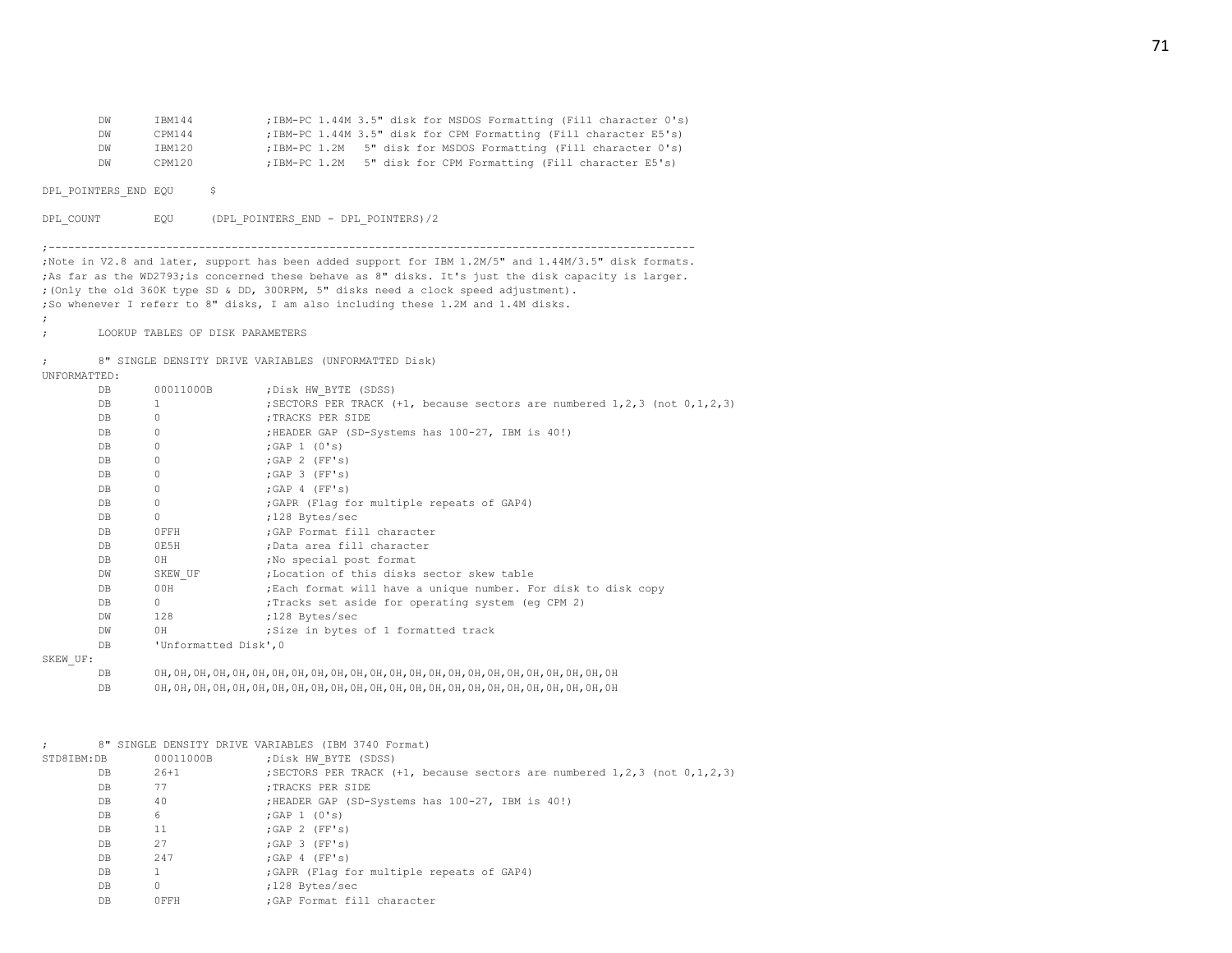| DW | <b>TRM144</b> | ; IBM-PC 1.44M 3.5" disk for MSDOS Formatting (Fill character 0's) |
|----|---------------|--------------------------------------------------------------------|
| DW | CPM144        | ; IBM-PC 1.44M 3.5" disk for CPM Formatting (Fill character E5's)  |
| DW | TBM120        | ; IBM-PC 1.2M 5" disk for MSDOS Formatting (Fill character 0's)    |
| DW | CPM120        | ; IBM-PC 1.2M 5" disk for CPM Formatting (Fill character E5's)     |

DPL POINTERS END EQU \$

DPL\_COUNT EQU (DPL\_POINTERS\_END - DPL\_POINTERS)/2

;---------------------------------------------------------------------------------------------------

;Note in V2.8 and later, support has been added support for IBM 1.2M/5" and 1.44M/3.5" disk formats. ;As far as the WD2793;is concerned these behave as 8" disks. It's just the disk capacity is larger. ;(Only the old 360K type SD & DD, 300RPM, 5" disks need a clock speed adjustment). ;So whenever I referr to 8" disks, I am also including these 1.2M and 1.4M disks.

; LOOKUP TABLES OF DISK PARAMETERS

; 8" SINGLE DENSITY DRIVE VARIABLES (UNFORMATTED Disk)

UNFORMATTED:

;

| DB        | 00011000B             | ; Disk HW BYTE (SDSS)                                                            |
|-----------|-----------------------|----------------------------------------------------------------------------------|
| DB        | $\overline{1}$        | ; SECTORS PER TRACK $(+1,$ because sectors are numbered 1, 2, 3 (not 0, 1, 2, 3) |
| DB        | $\Omega$              | ; TRACKS PER SIDE                                                                |
| DB        |                       | ;HEADER GAP (SD-Systems has 100-27, IBM is 40!)                                  |
| DB        | $\Omega$              | ; GAP $1$ (0's)                                                                  |
| DB        | 0                     | $;$ GAP 2 (FF's)                                                                 |
| DB        | 0                     | $;$ GAP 3 (FF's)                                                                 |
| DB        | 0                     | : GAP 4 (FF'S)                                                                   |
| DB.       | 0                     | ; GAPR (Flag for multiple repeats of GAP4)                                       |
| DB        | 0                     | ;128 Bytes/sec                                                                   |
| DB.       | OFFH                  | :GAP Format fill character                                                       |
| DB        | OE5H                  | ;Data area fill character                                                        |
| DB        | 0H .                  | ; No special post format                                                         |
| DW        | SKEW UF               | ;Location of this disks sector skew table                                        |
| DB        | 00H                   | ;Each format will have a unique number. For disk to disk copy                    |
| DB        | $\circ$               | ; Tracks set aside for operating system (eq CPM 2)                               |
| DW        | 128                   | :128 Bytes/sec                                                                   |
| <b>DW</b> | 0H                    | Size in bytes of 1 formatted track                                               |
| DB.       | 'Unformatted Disk', 0 |                                                                                  |
| UF:       |                       |                                                                                  |

SKEW

DB 0H,0H,0H,0H,0H,0H,0H,0H,0H,0H,0H,0H,0H,0H,0H,0H,0H,0H,0H,0H,0H,0H,0H,0H

DB 0H,0H,0H,0H,0H,0H,0H,0H,0H,0H,0H,0H,0H,0H,0H,0H,0H,0H,0H,0H,0H,0H,0H,0H

|                |           | 8" SINGLE DENSITY DRIVE VARIABLES (IBM 3740 Format)                              |
|----------------|-----------|----------------------------------------------------------------------------------|
| STD8IBM:DB     | 00011000B | ; Disk HW BYTE (SDSS)                                                            |
| DB             | 26+1      | ; SECTORS PER TRACK $(+1,$ because sectors are numbered 1, 2, 3 (not 0, 1, 2, 3) |
| DB             | 77        | :TRACKS PER SIDE                                                                 |
| DB             | 40        | ;HEADER GAP (SD-Systems has 100-27, IBM is 40!)                                  |
| DB             | 6         | $: GAP \t1 (0's)$                                                                |
| DB             | 11        | $;$ GAP 2 (FF's)                                                                 |
| DB             | 27        | : GAP 3 (FF's)                                                                   |
| DB             | 247       | : GAP 4 (FF's)                                                                   |
| DB             |           | ; GAPR (Flag for multiple repeats of GAP4)                                       |
| DB.            | 0         | ;128 Bytes/sec                                                                   |
| D <sub>B</sub> | OFFH      | :GAP Format fill character                                                       |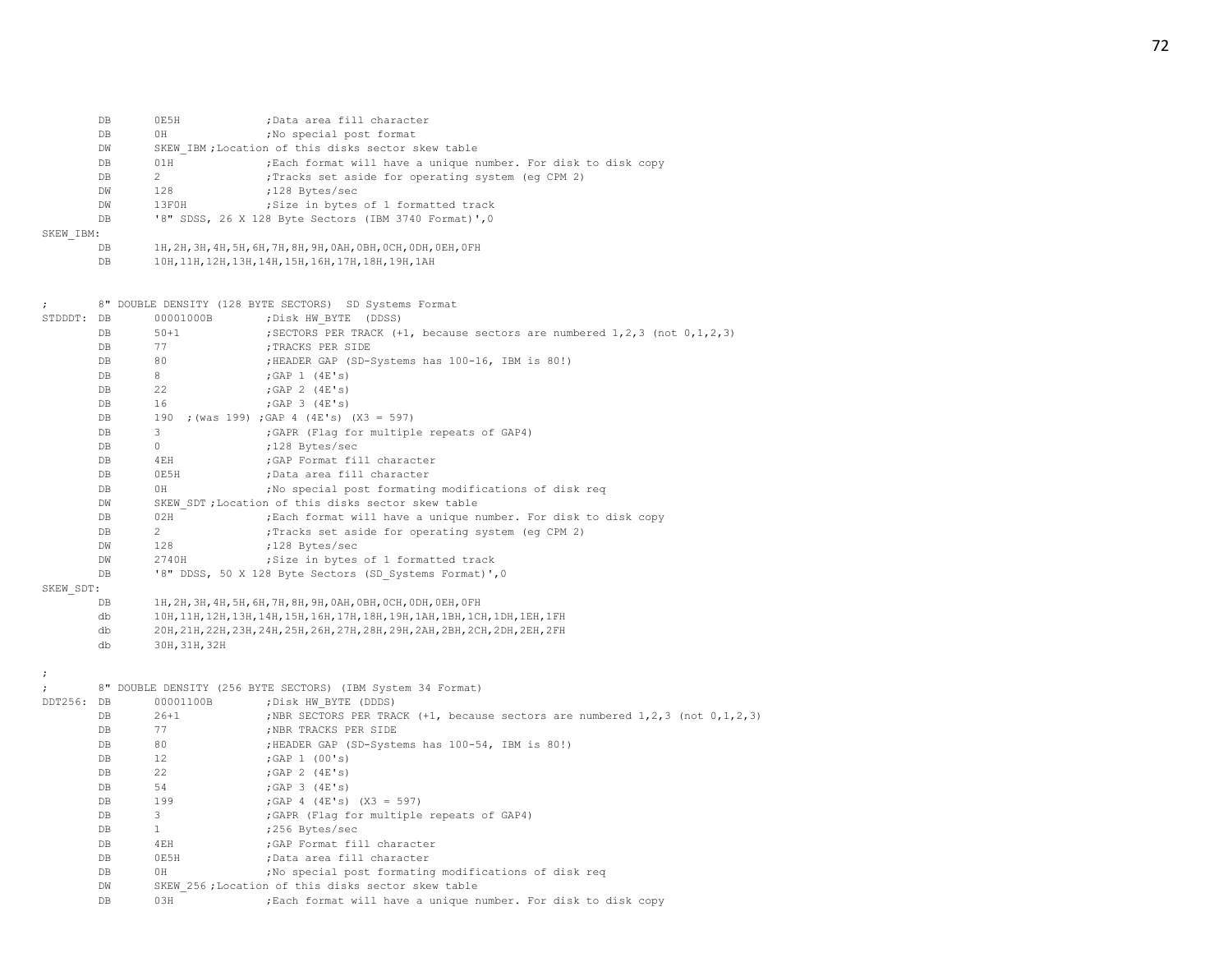|                      | DB  | 0E5H                                                                           | ;Data area fill character                                                      |  |  |  |
|----------------------|-----|--------------------------------------------------------------------------------|--------------------------------------------------------------------------------|--|--|--|
|                      | DB  | 0H                                                                             | ; No special post format                                                       |  |  |  |
|                      | DW  | SKEW IBM; Location of this disks sector skew table                             |                                                                                |  |  |  |
|                      | DB  | 01H                                                                            | ; Each format will have a unique number. For disk to disk copy                 |  |  |  |
|                      | DB  | $\overline{2}$                                                                 | ; Tracks set aside for operating system (eq CPM 2)                             |  |  |  |
|                      | DW  | 128                                                                            | ;128 Bytes/sec                                                                 |  |  |  |
|                      | DW  | 13F0H                                                                          | ; Size in bytes of 1 formatted track                                           |  |  |  |
|                      | DB  |                                                                                | '8" SDSS, 26 X 128 Byte Sectors (IBM 3740 Format)', 0                          |  |  |  |
| SKEW IBM:            |     |                                                                                |                                                                                |  |  |  |
|                      | DB  |                                                                                | 1Н, 2Н, 3Н, 4Н, 5Н, 6Н, 7Н, 8Н, 9Н, 0АН, 0ВН, 0СН, 0DН, 0ЕН, 0FН               |  |  |  |
|                      | DB  |                                                                                | 10H, 11H, 12H, 13H, 14H, 15H, 16H, 17H, 18H, 19H, 1AH                          |  |  |  |
|                      |     |                                                                                |                                                                                |  |  |  |
| $\ddot{ }$           |     |                                                                                | 8" DOUBLE DENSITY (128 BYTE SECTORS) SD Systems Format                         |  |  |  |
| STDDDT: DB           |     | 00001000B                                                                      | ; Disk HW BYTE (DDSS)                                                          |  |  |  |
|                      | DB  | $50 + 1$                                                                       | ; SECTORS PER TRACK (+1, because sectors are numbered 1, 2, 3 (not 0, 1, 2, 3) |  |  |  |
|                      | DB  | 77                                                                             | ; TRACKS PER SIDE                                                              |  |  |  |
|                      | DB  | 80                                                                             | ; HEADER GAP (SD-Systems has 100-16, IBM is 80!)                               |  |  |  |
|                      | DB. | 8                                                                              | $;$ GAP 1 $(4E's)$                                                             |  |  |  |
|                      | DB  | 22                                                                             | ; GAP $2$ (4E's)                                                               |  |  |  |
|                      | DB  | 16                                                                             | ; GAP $3$ (4E's)                                                               |  |  |  |
|                      | DB  | 190                                                                            | ; (was 199) ; GAP 4 (4E's) (X3 = 597)                                          |  |  |  |
|                      | DB  | 3                                                                              | ; GAPR (Flag for multiple repeats of GAP4)                                     |  |  |  |
|                      | DB  | $\circ$                                                                        | ;128 Bytes/sec                                                                 |  |  |  |
|                      | DB  | 4EH                                                                            | ; GAP Format fill character                                                    |  |  |  |
|                      | DB  | 0E5H                                                                           | ;Data area fill character                                                      |  |  |  |
|                      | DB  | 0H                                                                             | ; No special post formating modifications of disk req                          |  |  |  |
|                      | DW  | SKEW SDT; Location of this disks sector skew table                             |                                                                                |  |  |  |
|                      | DB  | 02H                                                                            | ; Each format will have a unique number. For disk to disk copy                 |  |  |  |
|                      | DB  | $\overline{2}$                                                                 | ; Tracks set aside for operating system (eq CPM 2)                             |  |  |  |
|                      | DW  | 128                                                                            | ;128 Bytes/sec                                                                 |  |  |  |
|                      | DW  | 2740H                                                                          | ; Size in bytes of 1 formatted track                                           |  |  |  |
|                      | DB  | '8" DDSS, 50 X 128 Byte Sectors (SD Systems Format)', 0                        |                                                                                |  |  |  |
| SKEW SDT:            |     |                                                                                |                                                                                |  |  |  |
|                      | DB  | 1Н, 2Н, 3Н, 4Н, 5Н, 6Н, 7Н, 8Н, 9Н, 0АН, 0ВН, 0СН, 0DН, 0ЕН, 0FН               |                                                                                |  |  |  |
|                      | db  | 10Н, 11Н, 12Н, 13Н, 14Н, 15Н, 16Н, 17Н, 18Н, 19Н, 1АН, 1ВН, 1СН, 1DН, 1ЕН, 1FН |                                                                                |  |  |  |
|                      | db  |                                                                                | 20H, 21H, 22H, 23H, 24H, 25H, 26H, 27H, 28H, 29H, 2AH, 2BH, 2CH, 2DH, 2EH, 2FH |  |  |  |
|                      | db  | 30H, 31H, 32H                                                                  |                                                                                |  |  |  |
| $\ddot{\phantom{0}}$ |     |                                                                                |                                                                                |  |  |  |
|                      |     |                                                                                | 8" DOUBLE DENSITY (256 BYTE SECTORS) (IBM System 34 Format)                    |  |  |  |
| DDT256: DB           |     | 00001100B                                                                      | ; Disk HW BYTE (DDDS)                                                          |  |  |  |

| DDT256: DB |                | 00001100B    | ; Disk HW BYTE (DDDS)                                                                     |
|------------|----------------|--------------|-------------------------------------------------------------------------------------------|
|            | DB             | $26+1$       | ; NBR SECTORS PER TRACK $(+1,$ because sectors are numbered $1, 2, 3$ (not $0, 1, 2, 3$ ) |
|            | DB             | 77           | ;NBR TRACKS PER SIDE                                                                      |
|            | DB             | 80           | ;HEADER GAP (SD-Systems has 100-54, IBM is 80!)                                           |
|            | DB             | 12           | ; GAP $1$ (00's)                                                                          |
|            | DB             | 22           | $;$ GAP 2 $(4E's)$                                                                        |
|            | DB             | 54           | $:GAP$ 3 $(4E's)$                                                                         |
|            | DB             | 199          | ; GAP 4 $(4E's)$ $(X3 = 597)$                                                             |
|            | DB             | 3            | ; GAPR (Flag for multiple repeats of GAP4)                                                |
|            | D <sub>B</sub> | $\mathbf{1}$ | :256 Bytes/sec                                                                            |
|            | DB             | 4EH          | :GAP Format fill character                                                                |
|            | DB             | 0E5H         | :Data area fill character                                                                 |
|            | DB             | 0H           | No special post formating modifications of disk reg                                       |
|            | DW             |              | SKEW 256; Location of this disks sector skew table                                        |
|            | DB             | 03H          | Each format will have a unique number. For disk to disk copy                              |
|            |                |              |                                                                                           |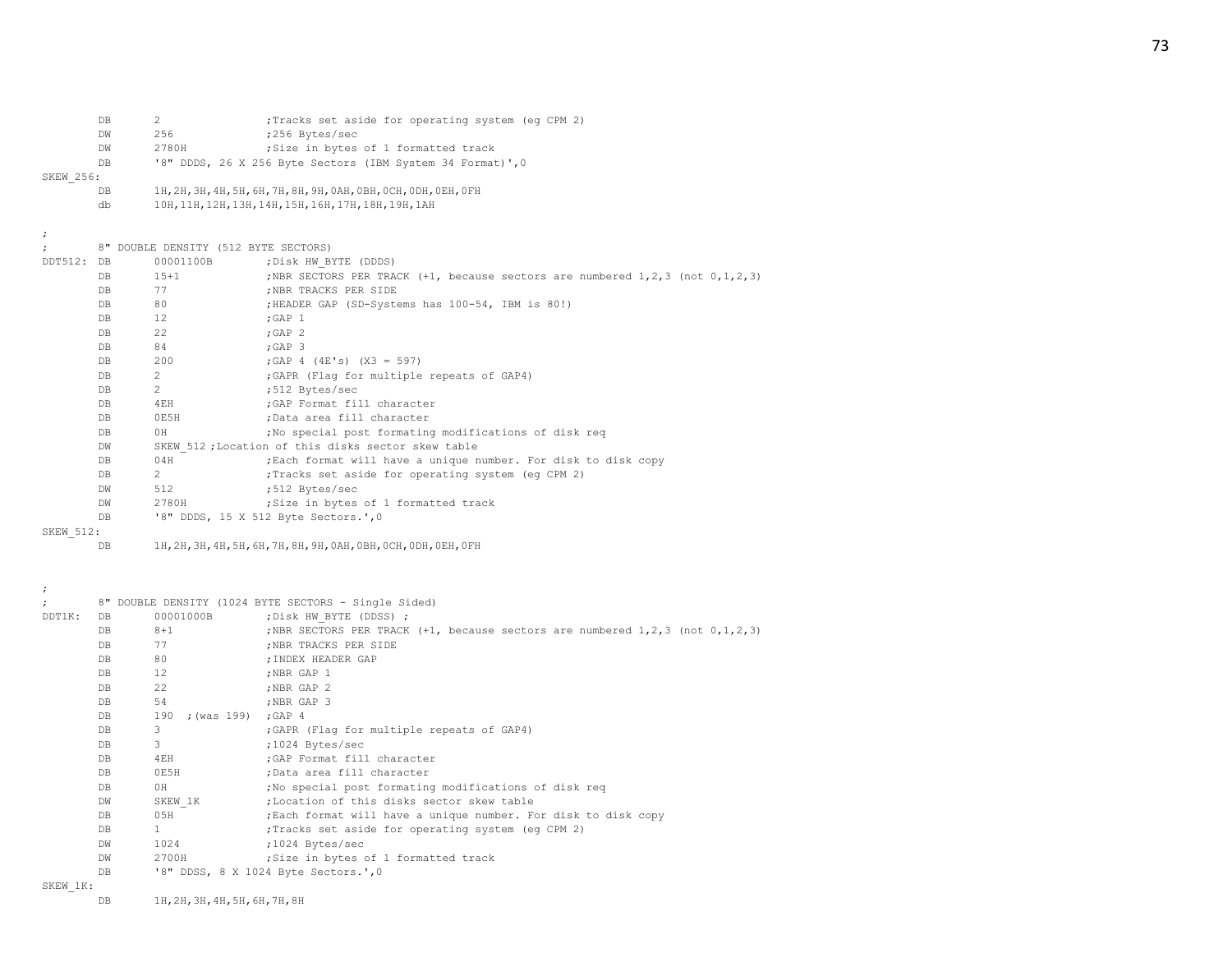|                  | DB             | $\overline{c}$                       | (eg CPM 2); Tracks set aside for operating system (eg CPM 2);                     |
|------------------|----------------|--------------------------------------|-----------------------------------------------------------------------------------|
|                  | DW             | 256                                  | ;256 Bytes/sec                                                                    |
|                  | DW             | 2780H                                | ; Size in bytes of 1 formatted track                                              |
|                  | DB             |                                      | '8" DDDS, 26 X 256 Byte Sectors (IBM System 34 Format)', 0                        |
| SKEW 256:        |                |                                      |                                                                                   |
|                  | DB             |                                      | 1Н, 2Н, 3Н, 4Н, 5Н, 6Н, 7Н, 8Н, 9Н, 0АН, 0ВН, 0СН, 0DН, 0ЕН, 0FН                  |
|                  | db             |                                      | 10H, 11H, 12H, 13H, 14H, 15H, 16H, 17H, 18H, 19H, 1AH                             |
|                  |                |                                      |                                                                                   |
|                  |                |                                      |                                                                                   |
|                  |                | 8" DOUBLE DENSITY (512 BYTE SECTORS) |                                                                                   |
| DDT512: DB       |                | 00001100B                            | ; Disk HW BYTE (DDDS)                                                             |
|                  | DB             | $15 + 1$                             | ;NBR SECTORS PER TRACK (+1, because sectors are numbered 1, 2, 3 (not 0, 1, 2, 3) |
|                  | DB             | 77                                   | ; NBR TRACKS PER SIDE                                                             |
|                  | DB             | 80                                   | ; HEADER GAP (SD-Systems has 100-54, IBM is 80!)                                  |
|                  | DB             | 12                                   | $;$ GAP $1$                                                                       |
|                  | DB             | 22                                   | $;$ GAP $2$                                                                       |
|                  | DB             | 84                                   | $;$ GAP $3$                                                                       |
|                  | DB             | 200                                  | ; GAP $4$ (4E's) (X3 = 597)                                                       |
|                  | DB             | $\overline{2}$                       | ; GAPR (Flag for multiple repeats of GAP4)                                        |
|                  | DB             | 2                                    | ;512 Bytes/sec                                                                    |
|                  | DB             | 4EH                                  | ; GAP Format fill character                                                       |
|                  | DB             |                                      |                                                                                   |
|                  |                | 0E5H<br>OH                           | ;Data area fill character                                                         |
|                  | DB             |                                      | ; No special post formating modifications of disk req                             |
|                  | DW             |                                      | SKEW 512; Location of this disks sector skew table                                |
|                  | DB             | 04H                                  | ; Each format will have a unique number. For disk to disk copy                    |
|                  | DB             | $\overline{2}$                       | ; Tracks set aside for operating system (eq CPM 2)                                |
|                  | DW             | 512                                  | ;512 Bytes/sec                                                                    |
|                  | DW             | 2780H                                | ; Size in bytes of 1 formatted track                                              |
|                  | DB             |                                      | '8" DDDS, 15 X 512 Byte Sectors.', 0                                              |
| <b>SKEW 512:</b> |                |                                      |                                                                                   |
|                  | DB             |                                      | 1Н, 2Н, 3Н, 4Н, 5Н, 6Н, 7Н, 8Н, 9Н, 0АН, 0ВН, 0СН, 0DН, 0ЕН, 0FН                  |
|                  |                |                                      |                                                                                   |
|                  |                |                                      |                                                                                   |
|                  |                |                                      |                                                                                   |
| $\ddot{ }$       |                |                                      | 8" DOUBLE DENSITY (1024 BYTE SECTORS - Single Sided)                              |
| DDT1K:           | DB             | 00001000B                            | ; Disk HW BYTE (DDSS) ;                                                           |
|                  | DB             | $8 + 1$                              | ;NBR SECTORS PER TRACK (+1, because sectors are numbered 1,2,3 (not 0,1,2,3)      |
|                  | DB             | 77                                   | ; NBR TRACKS PER SIDE                                                             |
|                  | DB             | 80                                   | ; INDEX HEADER GAP                                                                |
|                  | DB             | 12                                   | ;NBR GAP 1                                                                        |
|                  | DB             | 22                                   | ;NBR GAP 2                                                                        |
|                  | DB             | 54                                   | ;NBR GAP 3                                                                        |
|                  | DB             | 190 ; (was 199)                      | $;$ GAP $\,$ 4                                                                    |
|                  | DB             | 3                                    | ; GAPR (Flag for multiple repeats of GAP4)                                        |
|                  | DB             | 3                                    | ;1024 Bytes/sec                                                                   |
|                  | DB             | 4EH                                  | ; GAP Format fill character                                                       |
|                  | DB             | 0E5H                                 | ;Data area fill character                                                         |
|                  | D <sub>B</sub> | 0H                                   | ; No special post formating modifications of disk req                             |
|                  | DW             | SKEW 1K                              | ;Location of this disks sector skew table                                         |
|                  | DB             | 05H                                  | ; Each format will have a unique number. For disk to disk copy                    |
|                  | DB             | $\mathbf{1}$                         | ; Tracks set aside for operating system (eg CPM 2)                                |
|                  | DM             | 1024                                 | ;1024 Bytes/sec                                                                   |
|                  | DW             | 2700H                                | ; Size in bytes of 1 formatted track                                              |
|                  | DB             |                                      | '8" DDSS, 8 X 1024 Byte Sectors.', 0                                              |
|                  |                |                                      |                                                                                   |

SKEW\_1K:

DB 1H,2H,3H,4H,5H,6H,7H,8H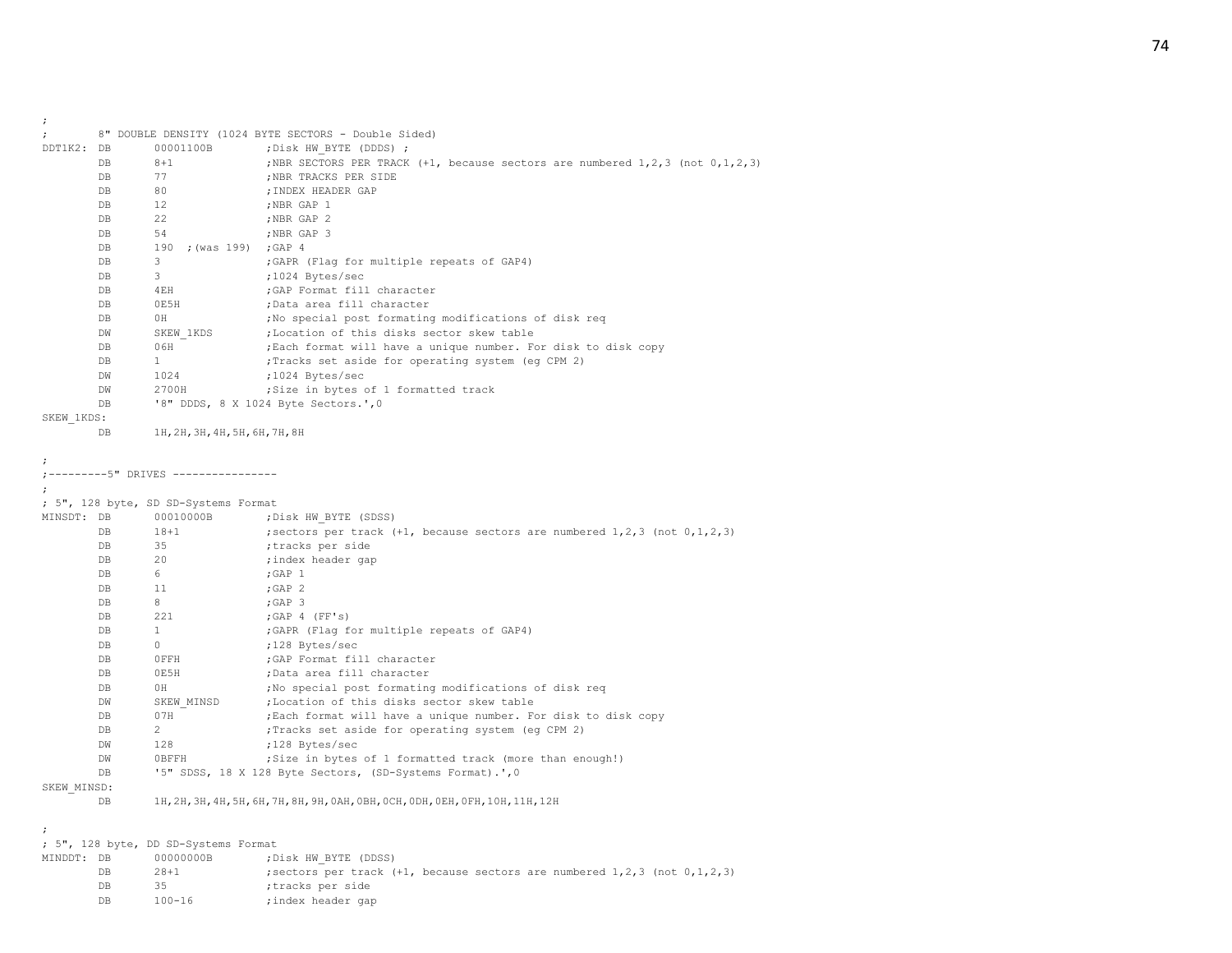| $\ddot{\phantom{0}}$ |             |                                      |                                                                                                                       |
|----------------------|-------------|--------------------------------------|-----------------------------------------------------------------------------------------------------------------------|
|                      |             |                                      | 8" DOUBLE DENSITY (1024 BYTE SECTORS - Double Sided)                                                                  |
| DDT1K2: DB           |             | 00001100B                            | ; Disk HW BYTE (DDDS) ;                                                                                               |
|                      | DB          | $8 + 1$                              | ; NBR SECTORS PER TRACK $(+1,$ because sectors are numbered $1, 2, 3$ (not $0, 1, 2, 3$ )                             |
|                      | DB          | 77                                   | ; NBR TRACKS PER SIDE                                                                                                 |
|                      | DB          | 80                                   | ; INDEX HEADER GAP                                                                                                    |
|                      | DB          | 12 <sup>7</sup>                      | ;NBR GAP 1                                                                                                            |
|                      | DB          | 22                                   | ;NBR GAP 2                                                                                                            |
|                      | DB          | 54                                   | ;NBR GAP 3                                                                                                            |
|                      | DB          | 190 ; (was 199) ; GAP 4              |                                                                                                                       |
|                      | DB          | 3                                    | ; GAPR (Flag for multiple repeats of GAP4)                                                                            |
|                      | DB          | $3 -$                                | ;1024 Bytes/sec                                                                                                       |
|                      | DB          | 4EH                                  | ; GAP Format fill character                                                                                           |
|                      | DB          | 0E5H                                 | ;Data area fill character                                                                                             |
|                      | DB          | OH                                   | ; No special post formating modifications of disk req                                                                 |
|                      | DW          | SKEW 1KDS                            | ; Location of this disks sector skew table                                                                            |
|                      | DB          | 06H                                  | ; Each format will have a unique number. For disk to disk copy                                                        |
|                      | $_{\rm DB}$ | $\mathbf{1}$                         | ; Tracks set aside for operating system (eg CPM 2)                                                                    |
|                      | DW          | 1024                                 | ;1024 Bytes/sec                                                                                                       |
|                      | DW          | 2700H                                | ; Size in bytes of 1 formatted track                                                                                  |
|                      | DB          |                                      | '8" DDDS, 8 X 1024 Byte Sectors.', 0                                                                                  |
| SKEW 1KDS:           |             |                                      |                                                                                                                       |
|                      | DB          | 1Н, 2Н, 3Н, 4Н, 5Н, 6Н, 7Н, 8Н       |                                                                                                                       |
|                      |             |                                      |                                                                                                                       |
|                      |             |                                      |                                                                                                                       |
|                      |             | ;---------5" DRIVES ---------------- |                                                                                                                       |
|                      |             |                                      |                                                                                                                       |
|                      |             | ; 5", 128 byte, SD SD-Systems Format |                                                                                                                       |
| MINSDT: DB           |             | 00010000B                            | ;Disk HW BYTE (SDSS)                                                                                                  |
|                      | DB          | $18 + 1$                             | ; sectors per track $(+1$ , because sectors are numbered 1,2,3 (not $0,1,2,3$ )                                       |
|                      | DB          | 35<br>20                             | tracks per side;                                                                                                      |
|                      | DB          |                                      | ;index header gap                                                                                                     |
|                      | DB<br>DB    | 6<br>11                              | $;$ GAP $1$                                                                                                           |
|                      |             | 8                                    | $;$ GAP $2$                                                                                                           |
|                      | DB          |                                      | $;$ GAP 3                                                                                                             |
|                      | DB          | 221                                  | $;$ GAP 4 (FF's)                                                                                                      |
|                      | DB          | $\mathbf{1}$<br>$\circ$              | ;GAPR (Flag for multiple repeats of GAP4)                                                                             |
|                      | DB<br>DB    | OFFH                                 | ;128 Bytes/sec<br>GAP Format fill character                                                                           |
|                      |             | 0E5H                                 | ;Data area fill character                                                                                             |
|                      | DB<br>DB    | OH                                   | ; No special post formating modifications of disk req                                                                 |
|                      |             |                                      |                                                                                                                       |
|                      | DW<br>DB    | SKEW MINSD<br>07H                    | ; Location of this disks sector skew table<br>; Each format will have a unique number. For disk to disk copy          |
|                      | DB          | $\mathbf{2}$                         | ; Tracks set aside for operating system (eg CPM 2)                                                                    |
|                      | DW          | 128                                  |                                                                                                                       |
|                      | DW          | OBFFH                                | ;128 Bytes/sec                                                                                                        |
|                      | DB          |                                      | ; Size in bytes of 1 formatted track (more than enough!)<br>'5" SDSS, 18 X 128 Byte Sectors, (SD-Systems Format).', 0 |
| SKEW MINSD:          |             |                                      |                                                                                                                       |
|                      | DB          |                                      | 1Н, 2Н, 3Н, 4Н, 5Н, 6Н, 7Н, 8Н, 9Н, 0АН, 0ВН, 0СН, 0DН, 0ЕН, 0FН, 10Н, 11Н, 12Н                                       |
|                      |             |                                      |                                                                                                                       |
|                      |             |                                      |                                                                                                                       |
|                      |             | ; 5", 128 byte, DD SD-Systems Format |                                                                                                                       |
| MINDDT: DB           |             | 00000000B                            | Disk HW BYTE (DDSS);                                                                                                  |
|                      | DB          | $28 + 1$                             | ; sectors per track $(+1)$ , because sectors are numbered $1, 2, 3$ (not $0, 1, 2, 3$ )                               |
|                      |             |                                      |                                                                                                                       |

DB 35 ;tracks per side

DB 100-16 ;index header gap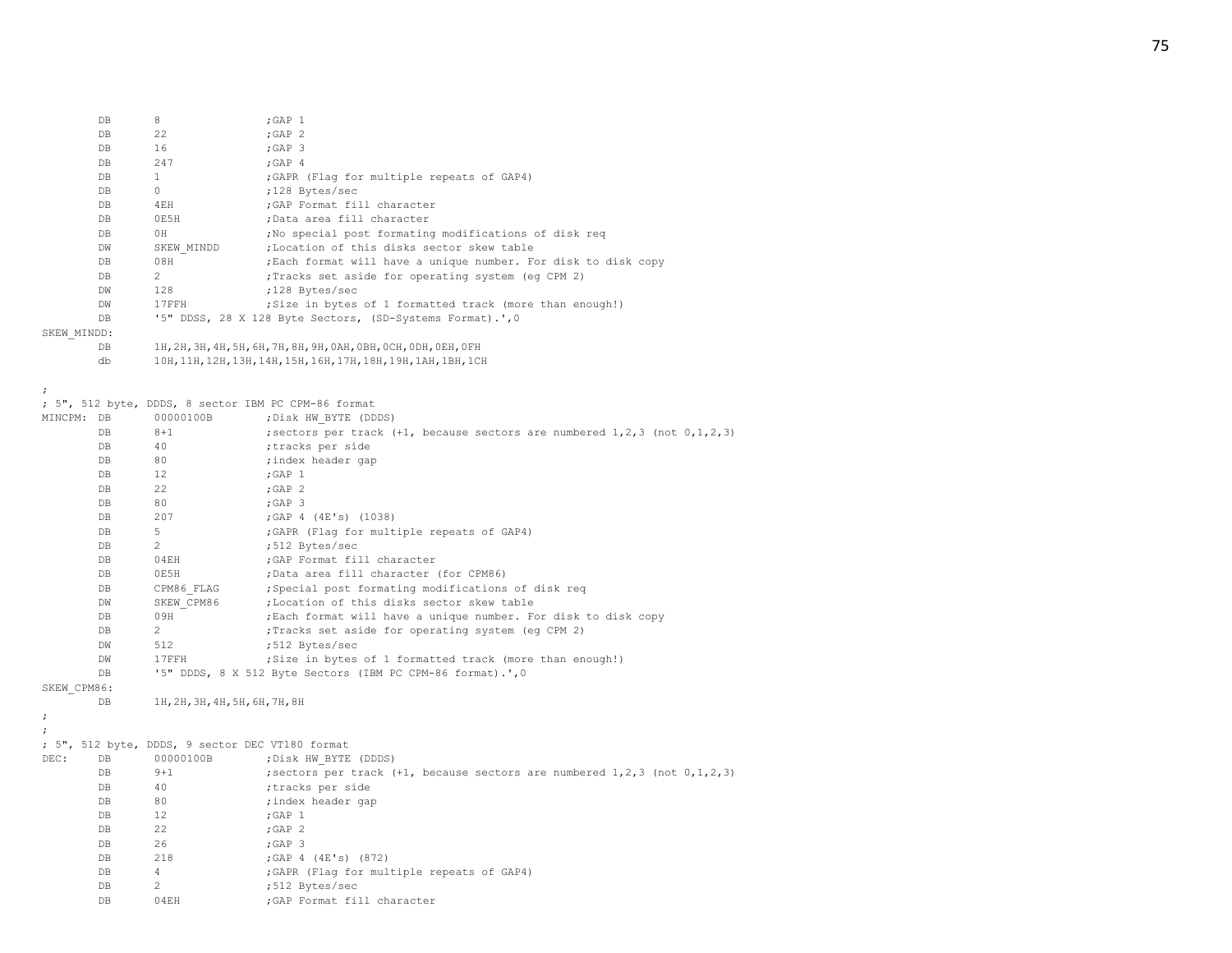|             | DB  | 8              | $;$ GAP $1$                                                      |
|-------------|-----|----------------|------------------------------------------------------------------|
|             | DB  | 22             | ;GAP <sub>2</sub>                                                |
|             | DB  | 16             | $;$ GAP $3$                                                      |
|             | DB  | 247            | ; GAP 4                                                          |
|             | DB  | 1              | ; GAPR (Flag for multiple repeats of GAP4)                       |
|             | DB  | $\Omega$       | :128 Bytes/sec                                                   |
|             | DB. | 4EH            | :GAP Format fill character                                       |
|             | DB  | 0E5H           | ;Data area fill character                                        |
|             | DB  | 0H             | ; No special post formating modifications of disk reg            |
|             | DW  | SKEW MINDD     | :Location of this disks sector skew table                        |
|             | DB  | 08H            | ; Each format will have a unique number. For disk to disk copy   |
|             | DB  | $\overline{2}$ | Tracks set aside for operating system (eq CPM 2)                 |
|             | DW  | 128            | :128 Bytes/sec                                                   |
|             | DW  | 17FFH          | ; Size in bytes of 1 formatted track (more than enough!)         |
|             | DB  |                | '5" DDSS, 28 X 128 Byte Sectors, (SD-Systems Format).', 0        |
| SKEW MINDD: |     |                |                                                                  |
|             | DB  |                | 1H, 2H, 3H, 4H, 5H, 6H, 7H, 8H, 9H, 0AH, 0BH, 0CH, 0DH, 0EH, 0FH |
|             |     |                |                                                                  |

db 10H,11H,12H,13H,14H,15H,16H,17H,18H,19H,1AH,1BH,1CH

;

; 5", 512 byte, DDDS, 8 sector IBM PC CPM-86 format

| MINCPM: DB           |                | 00000100B                                       | ; Disk HW BYTE (DDDS)                                                                   |
|----------------------|----------------|-------------------------------------------------|-----------------------------------------------------------------------------------------|
|                      | D <sub>B</sub> | $8 + 1$                                         | ; sectors per track $(+1)$ , because sectors are numbered $1, 2, 3$ (not $0, 1, 2, 3$ ) |
|                      | DB.            | 40                                              | ;tracks per side                                                                        |
|                      | DB.            | 80                                              | ; index header gap                                                                      |
|                      | DB.            | 12                                              | $;$ GAP $1$                                                                             |
|                      | D <sub>B</sub> | 22                                              | $;$ GAP $2$                                                                             |
|                      | DB             | 80                                              | : GAP 3                                                                                 |
|                      | DB             | 207                                             | ;GAP 4 (4E's) (1038)                                                                    |
|                      | DB             | 5                                               | ; GAPR (Flag for multiple repeats of GAP4)                                              |
|                      | <b>DB</b>      | $\overline{2}$                                  | ;512 Bytes/sec                                                                          |
|                      | DB             | 04EH                                            | ; GAP Format fill character                                                             |
|                      | DB.            | OE5H                                            | ;Data area fill character (for CPM86)                                                   |
|                      | DB             | CPM86 FLAG                                      | ; Special post formating modifications of disk req                                      |
|                      | <b>DW</b>      | SKEW CPM86                                      | ;Location of this disks sector skew table                                               |
|                      | DB             | 09H                                             | ; Each format will have a unique number. For disk to disk copy                          |
|                      | DB             | $2^{\circ}$                                     | ; Tracks set aside for operating system (eq CPM 2)                                      |
|                      | DW             | 512                                             | ;512 Bytes/sec                                                                          |
|                      | DW             | 17FFH                                           | ; Size in bytes of 1 formatted track (more than enough!)                                |
|                      | D <sub>B</sub> |                                                 | '5" DDDS, 8 X 512 Byte Sectors (IBM PC CPM-86 format).', 0                              |
| SKEW CPM86:          |                |                                                 |                                                                                         |
|                      | DB             | 1Н, 2Н, 3Н, 4Н, 5Н, 6Н, 7Н, 8Н                  |                                                                                         |
| $\cdot$              |                |                                                 |                                                                                         |
| $\ddot{\phantom{0}}$ |                |                                                 |                                                                                         |
|                      |                | ; 5", 512 byte, DDDS, 9 sector DEC VT180 format |                                                                                         |

|      |     | ; 5", 512 DVte, DDDS, 9 Sector DEC VT180 IOrmat |                                                                                       |
|------|-----|-------------------------------------------------|---------------------------------------------------------------------------------------|
| DEC: | DB. | 00000100B                                       | ; Disk HW BYTE (DDDS)                                                                 |
|      | DB  | $9 + 1$                                         | ; sectors per track $(+1,$ because sectors are numbered $1, 2, 3$ (not $0, 1, 2, 3$ ) |
|      | DB  | 40                                              | tracks per side                                                                       |
|      | DB  | 80                                              | ; index header gap                                                                    |
|      | DB  | 12                                              | $;$ GAP $1$                                                                           |
|      | DB  | 22                                              | $;$ GAP $2$                                                                           |
|      | DB  | 26                                              | ; GAP 3                                                                               |
|      | DB  | 218                                             | ; GAP $4$ (4E's) (872)                                                                |
|      | DB  | 4                                               | ; GAPR (Flag for multiple repeats of GAP4)                                            |
|      | DB  | $\mathcal{L}$                                   | :512 Bytes/sec                                                                        |
|      | DB  | 04EH                                            | ; GAP Format fill character                                                           |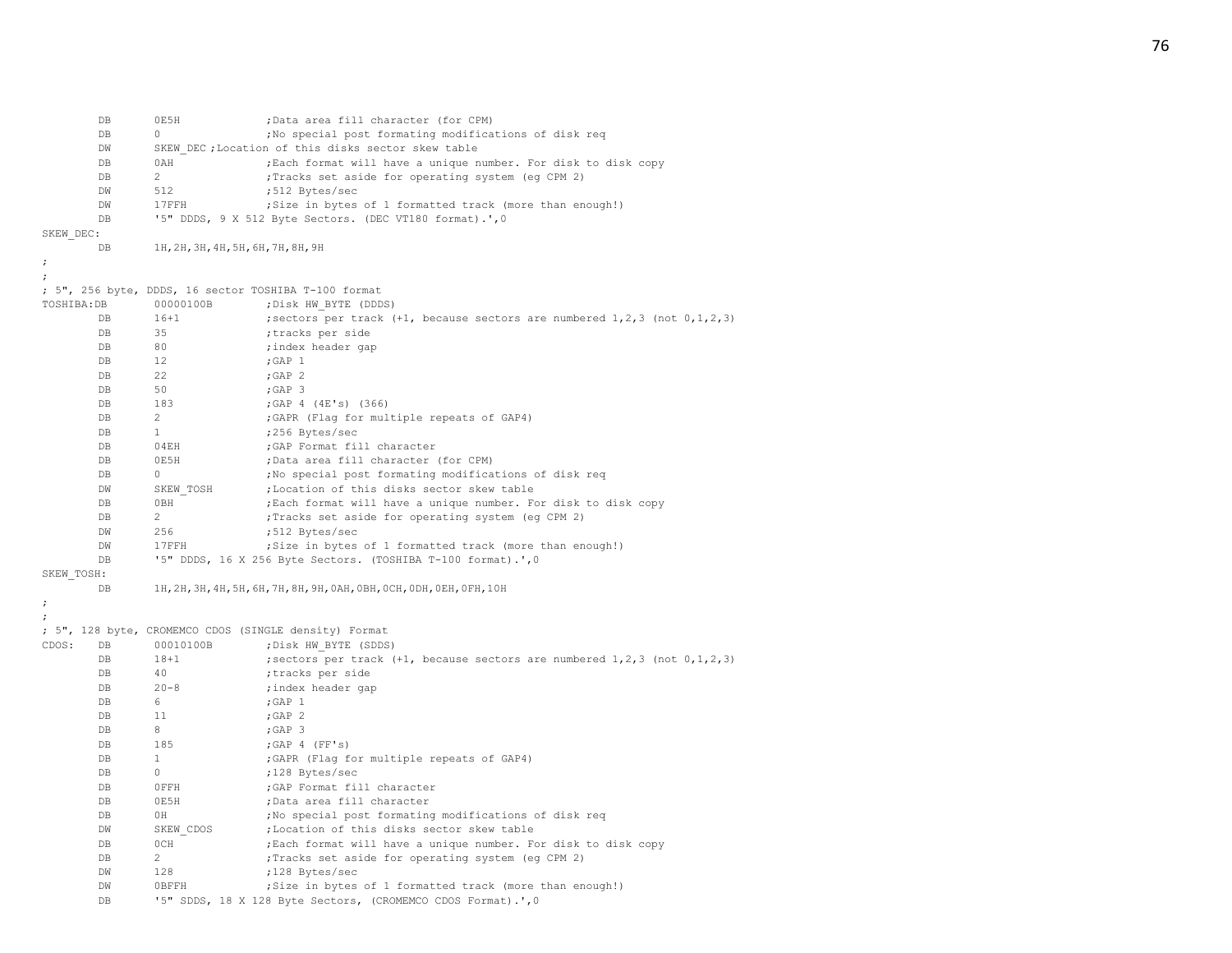|             | DB          | 0E5H                               | ;Data area fill character (for CPM)                                                     |
|-------------|-------------|------------------------------------|-----------------------------------------------------------------------------------------|
|             | DB          | 0                                  | ; No special post formating modifications of disk req                                   |
|             | DW          |                                    | SKEW DEC ; Location of this disks sector skew table                                     |
|             | DB          | 0AH                                | ; Each format will have a unique number. For disk to disk copy                          |
|             | DB          | $\overline{2}$                     | ; Tracks set aside for operating system (eg CPM 2)                                      |
|             | DW          | 512                                | ;512 Bytes/sec                                                                          |
|             | DW          | 17FFH                              | ; Size in bytes of 1 formatted track (more than enough!)                                |
|             | <b>DB</b>   |                                    | '5" DDDS, 9 X 512 Byte Sectors. (DEC VT180 format).', 0                                 |
| SKEW DEC:   |             |                                    |                                                                                         |
|             | DB          | 1H, 2H, 3H, 4H, 5H, 6H, 7H, 8H, 9H |                                                                                         |
|             |             |                                    |                                                                                         |
|             |             |                                    |                                                                                         |
|             |             |                                    | ; 5", 256 byte, DDDS, 16 sector TOSHIBA T-100 format                                    |
| TOSHIBA: DB |             | 00000100B                          | ; Disk HW BYTE (DDDS)                                                                   |
|             | DB          | $16 + 1$                           | ; sectors per track $(+1)$ , because sectors are numbered $1, 2, 3$ (not $0, 1, 2, 3$ ) |
|             | DB          | 35                                 | ;tracks per side                                                                        |
|             | DB          | 80                                 | ; index header gap                                                                      |
|             | DB          | 12                                 | $;$ GAP $1$                                                                             |
|             | DB          | 22                                 | $;$ GAP $2$                                                                             |
|             | DB          | 50                                 | ;GAP 3                                                                                  |
|             | DB          | 183                                | ;GAP $4$ (4E's) (366)                                                                   |
|             | DB          | 2                                  | ; GAPR (Flag for multiple repeats of GAP4)                                              |
|             | DB          | $\mathbf{1}$                       | ;256 Bytes/sec                                                                          |
|             | DB          | 04EH                               | ; GAP Format fill character                                                             |
|             | DB          | 0E5H                               | ;Data area fill character (for CPM)                                                     |
|             | DB          | $\circ$                            | ; No special post formating modifications of disk req                                   |
|             | DW          | SKEW TOSH                          | ; Location of this disks sector skew table                                              |
|             | DB          | 0BH                                | ; Each format will have a unique number. For disk to disk copy                          |
|             | DB          | $\overline{2}$                     | ; Tracks set aside for operating system (eg CPM 2)                                      |
|             | DW          | 256                                | ;512 Bytes/sec                                                                          |
|             | DW          | 17FFH                              | ; Size in bytes of 1 formatted track (more than enough!)                                |
|             | DB          |                                    | '5" DDDS, 16 X 256 Byte Sectors. (TOSHIBA T-100 format).', 0                            |
| SKEW TOSH:  |             |                                    |                                                                                         |
|             | DB          |                                    | 1Н, 2Н, 3Н, 4Н, 5Н, 6Н, 7Н, 8Н, 9Н, 0АН, 0ВН, 0СН, 0DН, 0ЕН, 0FН, 10Н                   |
|             |             |                                    |                                                                                         |
|             |             |                                    | ; 5", 128 byte, CROMEMCO CDOS (SINGLE density) Format                                   |
| CDOS:       | DB          | 00010100B                          | ; Disk HW BYTE (SDDS)                                                                   |
|             | $_{\rm DB}$ | $18 + 1$                           | ; sectors per track $(+1)$ , because sectors are numbered $1, 2, 3$ (not $0, 1, 2, 3$ ) |
|             | DB          | 40                                 | ;tracks per side                                                                        |
|             | DB          | $20 - 8$                           | ; index header gap                                                                      |
|             | DB          | 6                                  | ;GAP 1                                                                                  |
|             | DB          | 11                                 | $;$ GAP $2$                                                                             |
|             | DB          | 8                                  | ;GAP 3                                                                                  |
|             | DB          | 185                                | ; GAP 4 (FF's)                                                                          |
|             | DB          | $\mathbf{1}$                       | ; GAPR (Flag for multiple repeats of GAP4)                                              |
|             | DB          | 0                                  | ;128 Bytes/sec                                                                          |
|             | DB          | OFFH                               | ; GAP Format fill character                                                             |
|             | DB          | 0E5H                               | ;Data area fill character                                                               |
|             | DB          | ΟH                                 | ; No special post formating modifications of disk req                                   |
|             | DW          | SKEW CDOS                          | ;Location of this disks sector skew table                                               |
|             | DB          | 0CH                                | ; Each format will have a unique number. For disk to disk copy                          |
|             | DB          | $\mathbf{2}^{\prime}$              | ; Tracks set aside for operating system (eg CPM 2)                                      |
|             | DW          | 128                                | ;128 Bytes/sec                                                                          |
|             | DW          | <b>OBFFH</b>                       | ; Size in bytes of 1 formatted track (more than enough!)                                |
|             | DB          |                                    | '5" SDDS, 18 X 128 Byte Sectors, (CROMEMCO CDOS Format).', 0                            |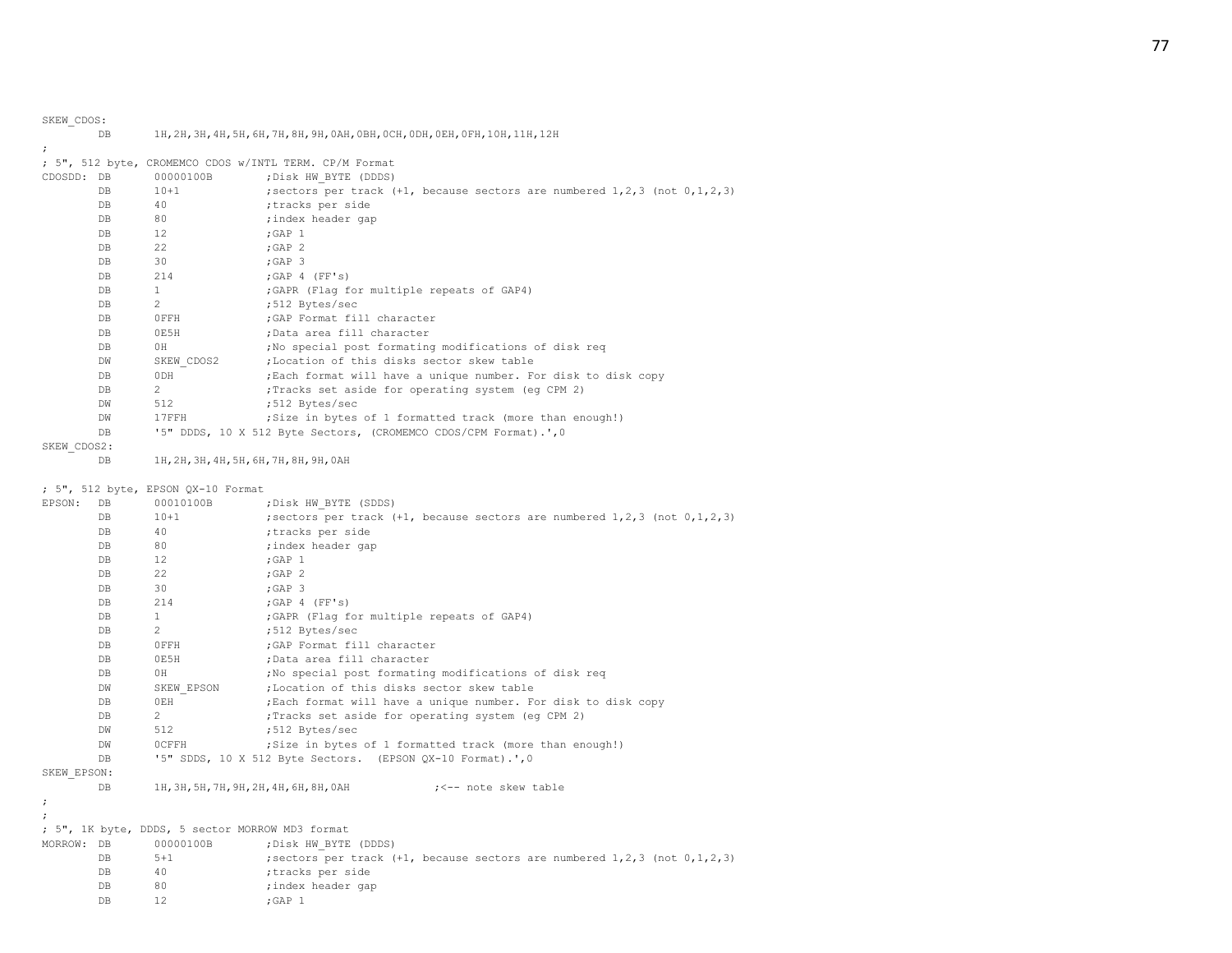| SKEW CDOS:  |           |                |                                                                                                                      |
|-------------|-----------|----------------|----------------------------------------------------------------------------------------------------------------------|
|             | DB        |                | 1Н, 2Н, 3Н, 4Н, 5Н, 6Н, 7Н, 8Н, 9Н, 0АН, 0ВН, 0СН, 0DН, 0ЕН, 0FН, 10Н, 11Н, 12Н                                      |
|             |           |                |                                                                                                                      |
|             |           |                | ; 5", 512 byte, CROMEMCO CDOS w/INTL TERM. CP/M Format                                                               |
| CDOSDD:     | DB        | 00000100B      | ; Disk HW BYTE (DDDS)                                                                                                |
|             | DB        | $10 + 1$       | ; sectors per track $(+1,$ because sectors are numbered $1, 2, 3$ (not $0, 1, 2, 3$ )                                |
|             | DB        | 40             | ;tracks per side                                                                                                     |
|             | DB        | 80             | ; index header gap                                                                                                   |
|             | DB        | 12             | $;$ GAP $1$                                                                                                          |
|             | DB        | 22             | $;$ GAP $2$                                                                                                          |
|             | DB        | 30             | $;$ GAP 3                                                                                                            |
|             | DB        | 214            | ; GAP 4 (FF's)                                                                                                       |
|             | DB        | $\mathbf{1}$   | ; GAPR (Flag for multiple repeats of GAP4)                                                                           |
|             | DB        | $\overline{c}$ | ;512 Bytes/sec                                                                                                       |
|             | DB        | 0FFH           | ; GAP Format fill character                                                                                          |
|             | <b>DB</b> | 0E5H           | ;Data area fill character                                                                                            |
|             | DB        | ΟH             | ; No special post formating modifications of disk req                                                                |
|             | DW        | SKEW CDOS2     | ;Location of this disks sector skew table                                                                            |
|             | DB        | 0DH            | ; Each format will have a unique number. For disk to disk copy                                                       |
|             | DB        | $\overline{c}$ | ; Tracks set aside for operating system (eg CPM 2)                                                                   |
|             | DW        | 512            | ;512 Bytes/sec                                                                                                       |
|             | DW        | 17FFH          | ; Size in bytes of 1 formatted track (more than enough!)                                                             |
|             | DB        |                | '5" DDDS, 10 X 512 Byte Sectors, (CROMEMCO CDOS/CPM Format).', 0                                                     |
| SKEW_CDOS2: |           |                |                                                                                                                      |
|             | DB        |                | 1Н, 2Н, 3Н, 4Н, 5Н, 6Н, 7Н, 8Н, 9Н, ОАН                                                                              |
|             | DB        | $10 + 1$       | ; sectors per track $(+1,$ because sectors are numbered $1, 2, 3$ (not $0, 1, 2, 3$ )                                |
| EPSON:      | DB        | 00010100B      | ; Disk HW BYTE (SDDS)                                                                                                |
|             | <b>DB</b> | 40             | ;tracks per side                                                                                                     |
|             | DB        | 80             | ; index header gap                                                                                                   |
|             | DB        | 12             | $;$ GAP $1$                                                                                                          |
|             | DB        | 22             | $;$ GAP $2$                                                                                                          |
|             | DB        | 30             | $;$ GAP $3$                                                                                                          |
|             | DB        | 214            | ; GAP 4 (FF's)                                                                                                       |
|             | DB        | $\mathbf{1}$   | ; GAPR (Flag for multiple repeats of GAP4)                                                                           |
|             | DB        | 2              | ;512 Bytes/sec                                                                                                       |
|             | DB        | OFFH           | ; GAP Format fill character                                                                                          |
|             | DB        | 0E5H           | ;Data area fill character                                                                                            |
|             | <b>DB</b> | ΟH             | ; No special post formating modifications of disk req                                                                |
|             | DW        | SKEW EPSON     | ;Location of this disks sector skew table                                                                            |
|             | DB        | 0EH            |                                                                                                                      |
|             | DB        | 2              | ; Each format will have a unique number. For disk to disk copy<br>; Tracks set aside for operating system (eg CPM 2) |
|             | DW        | 512            |                                                                                                                      |
|             | <b>DW</b> |                | ;512 Bytes/sec                                                                                                       |
|             |           | <b>OCFFH</b>   | ; Size in bytes of 1 formatted track (more than enough!)                                                             |
|             | <b>DB</b> |                | '5" SDDS, 10 X 512 Byte Sectors. (EPSON QX-10 Format).', 0                                                           |
| SKEW EPSON: |           |                |                                                                                                                      |
|             | DB        |                | 1Н, 3Н, 5Н, 7Н, 9Н, 2Н, 4Н, 6Н, 8Н, 0АН<br>; <-- note skew table                                                     |
|             |           |                |                                                                                                                      |
|             |           |                |                                                                                                                      |
|             |           |                | ; 5", 1K byte, DDDS, 5 sector MORROW MD3 format                                                                      |
| MORROW: DB  |           | 00000100B      | ; Disk HW BYTE (DDDS)                                                                                                |
|             | DB        | $5 + 1$        | ; sectors per track (+1, because sectors are numbered 1, 2, 3 (not 0, 1, 2, 3)                                       |
|             | DB        | 40             | tracks per side,                                                                                                     |
|             | DB        | 80             | ; index header gap                                                                                                   |

DB 12 ; GAP 1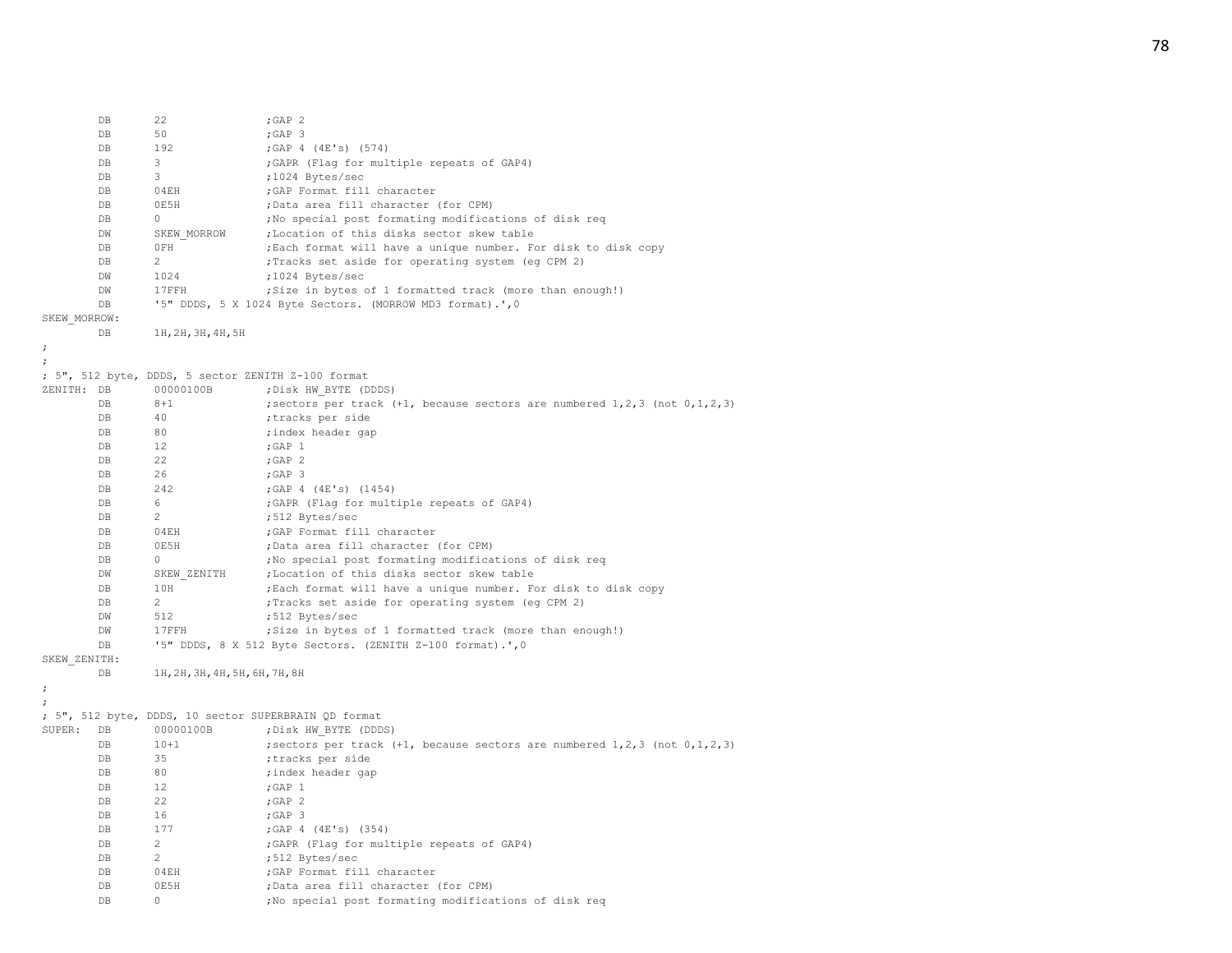|                      | DB          | 22                             | ; GAP $2$                                                                             |
|----------------------|-------------|--------------------------------|---------------------------------------------------------------------------------------|
|                      | DB          | 50                             | ;GAP 3                                                                                |
|                      | DB          | 192                            | ;GAP 4 (4E's) (574)                                                                   |
|                      | DB          | 3                              | ; GAPR (Flag for multiple repeats of GAP4)                                            |
|                      | DB          | 3                              | ;1024 Bytes/sec                                                                       |
|                      | DB          | 04EH                           | ; GAP Format fill character                                                           |
|                      | DB          | 0E5H                           | ;Data area fill character (for CPM)                                                   |
|                      | DB          | $\circ$                        | ; No special post formating modifications of disk req                                 |
|                      | DW          | SKEW MORROW                    | ; Location of this disks sector skew table                                            |
|                      | DB          | OFH                            | ; Each format will have a unique number. For disk to disk copy                        |
|                      | DB          | $\mathbf{2}^{\prime}$          | ; Tracks set aside for operating system (eg CPM 2)                                    |
|                      |             |                                |                                                                                       |
|                      | DW          | 1024                           | ;1024 Bytes/sec                                                                       |
|                      | DW          | 17FFH                          | ; Size in bytes of 1 formatted track (more than enough!)                              |
|                      | DB          |                                | '5" DDDS, 5 X 1024 Byte Sectors. (MORROW MD3 format).', 0                             |
| SKEW MORROW:         |             |                                |                                                                                       |
|                      | DB          | 1H, 2H, 3H, 4H, 5H             |                                                                                       |
| ;                    |             |                                |                                                                                       |
|                      |             |                                |                                                                                       |
|                      |             |                                | ; 5", 512 byte, DDDS, 5 sector ZENITH Z-100 format                                    |
| ZENITH: DB           |             | 00000100B                      | ; Disk HW BYTE (DDDS)                                                                 |
|                      | DB          | $8 + 1$                        | ; sectors per track $(+1,$ because sectors are numbered $1, 2, 3$ (not $0, 1, 2, 3$ ) |
|                      | DB          | 40                             | ;tracks per side                                                                      |
|                      | DB          | 80                             | ; index header gap                                                                    |
|                      | DB          | 12                             | ; GAP $1$                                                                             |
|                      | DB          | 22                             | $;$ GAP $2$                                                                           |
|                      | $_{\rm DB}$ | 26                             | ;GAP 3                                                                                |
|                      | DB          | 242                            | ;GAP 4 (4E's) (1454)                                                                  |
|                      | DB          | 6                              | ; GAPR (Flag for multiple repeats of GAP4)                                            |
|                      | DB          | $\overline{2}$                 | ;512 Bytes/sec                                                                        |
|                      | DB          | 04EH                           | ; GAP Format fill character                                                           |
|                      | DB          | 0E5H                           | ;Data area fill character (for CPM)                                                   |
|                      | DB          | $\circ$                        | ; No special post formating modifications of disk req                                 |
|                      | DW          | SKEW ZENITH                    | ;Location of this disks sector skew table                                             |
|                      | DB          | 10H                            | ; Each format will have a unique number. For disk to disk copy                        |
|                      | DB          | 2                              | ; Tracks set aside for operating system (eg CPM 2)                                    |
|                      | DW          | 512                            | ;512 Bytes/sec                                                                        |
|                      | DW          | 17FFH                          | ; Size in bytes of 1 formatted track (more than enough!)                              |
|                      | DB          |                                | '5" DDDS, 8 X 512 Byte Sectors. (ZENITH Z-100 format).', 0                            |
| SKEW ZENITH:         |             |                                |                                                                                       |
|                      | DB          | 1H, 2H, 3H, 4H, 5H, 6H, 7H, 8H |                                                                                       |
| $\ddot{\phantom{0}}$ |             |                                |                                                                                       |
|                      |             |                                |                                                                                       |
|                      |             |                                | ; 5", 512 byte, DDDS, 10 sector SUPERBRAIN QD format                                  |
| SUPER:               | DB          | 00000100B                      |                                                                                       |
|                      |             |                                | ; Disk HW BYTE (DDDS)                                                                 |
|                      | DB          | $10 + 1$                       | ; sectors per track $(+1,$ because sectors are numbered $1, 2, 3$ (not $0, 1, 2, 3$ ) |
|                      | DB          | 35                             | ;tracks per side                                                                      |
|                      | DB          | 80                             | ; index header gap                                                                    |
|                      | DB          | 12                             | $;$ GAP $1$                                                                           |
|                      | DB          | 22                             | $;$ GAP $2$                                                                           |
|                      | DB          | 16                             | ;GAP 3                                                                                |
|                      | DB          | 177                            | ;GAP 4 (4E's) (354)                                                                   |
|                      | DB          | $\overline{c}$                 | ; GAPR (Flag for multiple repeats of GAP4)                                            |
|                      | DB          | 2                              | ;512 Bytes/sec                                                                        |
|                      | DB          | 04EH                           | ; GAP Format fill character                                                           |
|                      | DB          | 0E5H                           | ;Data area fill character (for CPM)                                                   |
|                      | DB          | 0                              | ; No special post formating modifications of disk req                                 |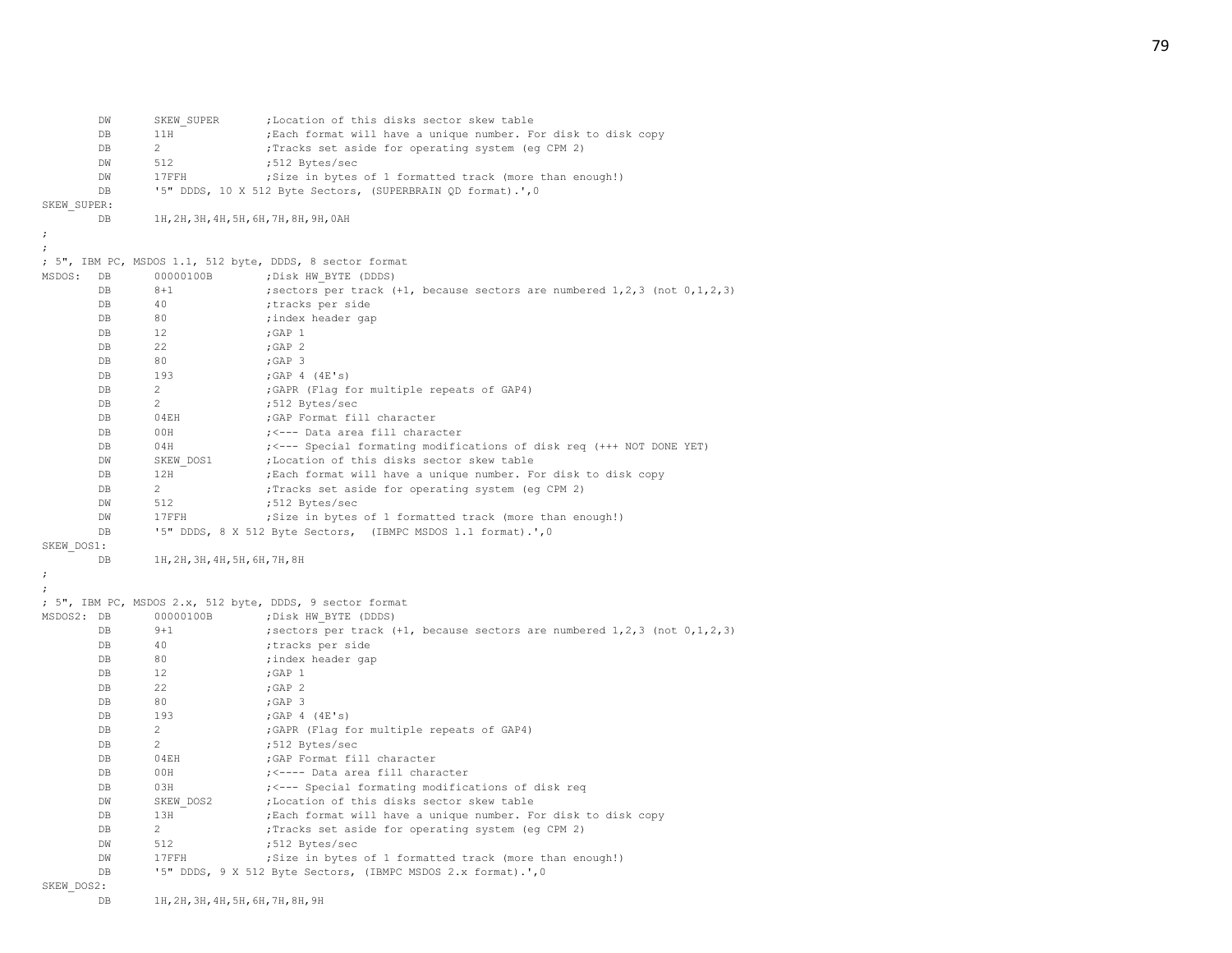DW SKEW SUPER ; Location of this disks sector skew table DB 11H ; Each format will have a unique number. For disk to disk copy DB 2 ; Tracks set aside for operating system (eq CPM 2) DW 512 :512 Bytes/sec DW 17FFH ;Size in bytes of 1 formatted track (more than enough!) DB '5" DDDS, 10 X 512 Byte Sectors, (SUPERBRAIN QD format).',0 SKEW\_SUPER: DB 1H,2H,3H,4H,5H,6H,7H,8H,9H,0AH ; ; ; 5", IBM PC, MSDOS 1.1, 512 byte, DDDS, 8 sector format MSDOS: DB 00000100B ;Disk HW\_BYTE (DDDS) DB 8+1 ;sectors per track (+1, because sectors are numbered 1,2,3 (not 0,1,2,3) DB 40 ;tracks per side DB 80 ;index header gap DB 12 ; GAP 1 DB 22 ; GAP 2 DB 80 :GAP 3 DB 193 ; GAP 4 (4E's) DB 2 : GAPR (Flag for multiple repeats of GAP4) DB 2 ;512 Bytes/sec DB 04EH ;GAP Format fill character DB 00H ; <--- Data area fill character DB 04H ; <--- Special formating modifications of disk req (+++ NOT DONE YET) DW SKEW DOS1 ; Location of this disks sector skew table DB 12H ;Each format will have a unique number. For disk to disk copy DB 2 : Tracks set aside for operating system (eq CPM 2) DW 512 ;512 Bytes/sec DW 17FFH ;Size in bytes of 1 formatted track (more than enough!) DB '5" DDDS, 8 X 512 Byte Sectors, (IBMPC MSDOS 1.1 format).', 0 SKEW\_DOS1: DB 1H,2H,3H,4H,5H,6H,7H,8H ; ; ; 5", IBM PC, MSDOS 2.x, 512 byte, DDDS, 9 sector format MSDOS2: DB 00000100B ;Disk HW\_BYTE (DDDS) DB 9+1 ;sectors per track (+1, because sectors are numbered 1,2,3 (not 0,1,2,3) DB 40 ;tracks per side DB 80 ;index header gap DB 12 ; GAP 1 DB 22 ; GAP 2 DB 80 ;GAP 3 DB 193 ;GAP 4 (4E's) DB 2 : GAPR (Flag for multiple repeats of GAP4) DB 2 ;512 Bytes/sec DB 04EH ;GAP Format fill character DB 00H ; <---- Data area fill character DB 03H  $\leftarrow$  7  $\leftarrow$  -- Special formating modifications of disk req DW SKEW DOS2 ;Location of this disks sector skew table DB 13H ;Each format will have a unique number. For disk to disk copy DB 2 ; Tracks set aside for operating system (eg CPM 2) DW 512 :512 Bytes/sec DW 17FFH ;Size in bytes of 1 formatted track (more than enough!) DB '5" DDDS, 9 X 512 Byte Sectors, (IBMPC MSDOS 2.x format).', 0 SKEW\_DOS2:

DB 1H,2H,3H,4H,5H,6H,7H,8H,9H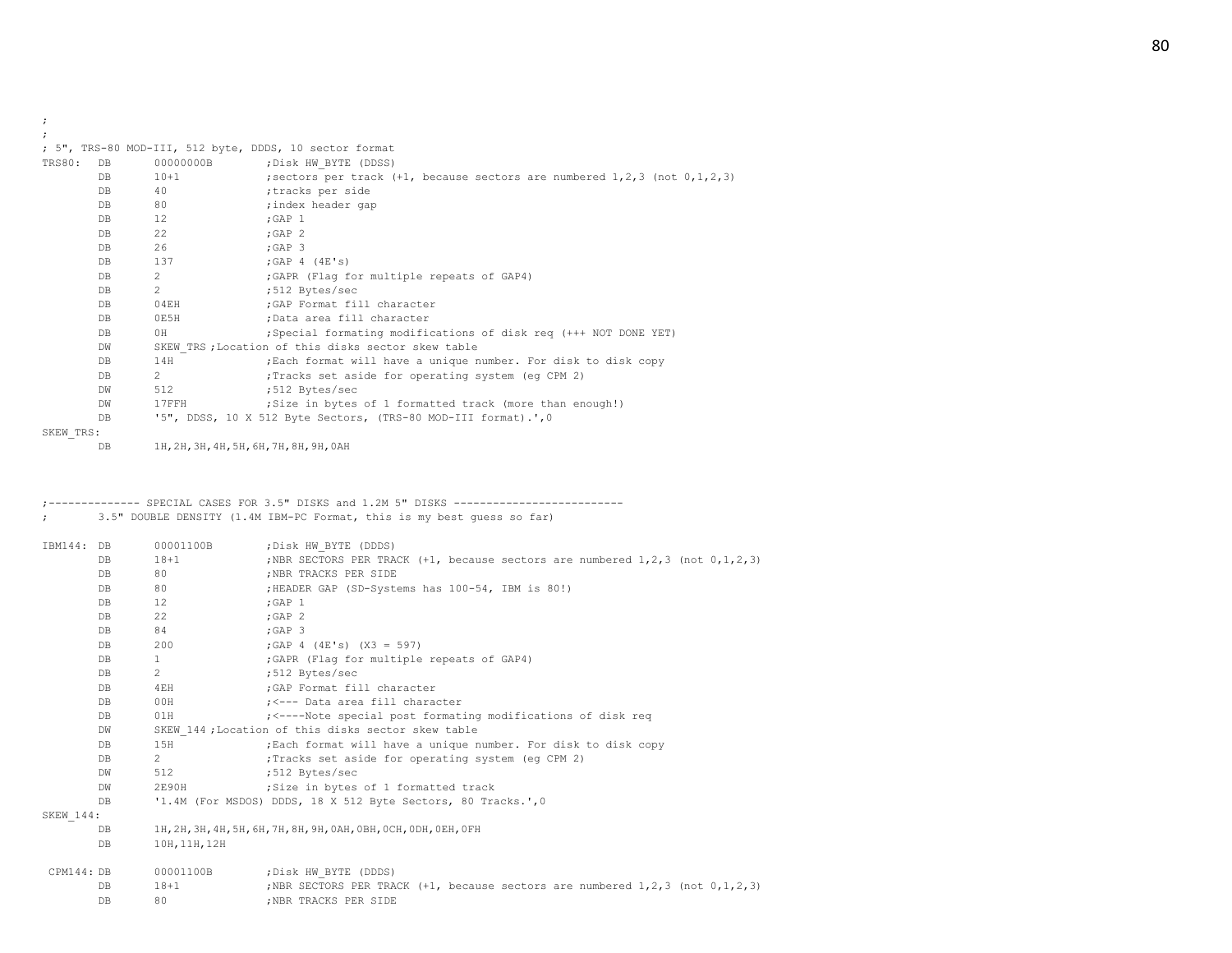; ;

|  |  | ; 5", TRS-80 MOD-III, 512 byte, DDDS, 10 sector format |  |  |  |  |  |  |
|--|--|--------------------------------------------------------|--|--|--|--|--|--|
|--|--|--------------------------------------------------------|--|--|--|--|--|--|

| TRS80:    | DB        | 00000000B                               | ; Disk HW BYTE (DDSS)                                                                 |
|-----------|-----------|-----------------------------------------|---------------------------------------------------------------------------------------|
|           | DB.       | $10+1$                                  | ; sectors per track $(+1,$ because sectors are numbered $1, 2, 3$ (not $0, 1, 2, 3$ ) |
|           | DB        | 40                                      | ;tracks per side                                                                      |
|           | DB.       | 80                                      | ; index header gap                                                                    |
|           | DB        | 12                                      | $;$ GAP $1$                                                                           |
|           | DB        | 22                                      | $;$ GAP $2$                                                                           |
|           | DB        | 26                                      | $;$ GAP $\,$ 3                                                                        |
|           | DB        | 137                                     | $;$ GAP 4 (4E's)                                                                      |
|           | DB.       | $\overline{2}$                          | ; GAPR (Flaq for multiple repeats of GAP4)                                            |
|           | DB.       | $\overline{2}$                          | :512 Bytes/sec                                                                        |
|           | DB        | 04EH                                    | ; GAP Format fill character                                                           |
|           | DB        | 0E5H                                    | ;Data area fill character                                                             |
|           | DB        | OH                                      | ; Special formating modifications of disk reg (+++ NOT DONE YET)                      |
|           | DW        |                                         | SKEW TRS; Location of this disks sector skew table                                    |
|           | DB.       | 14H                                     | ; Each format will have a unique number. For disk to disk copy                        |
|           | DB.       | $2^{\circ}$                             | ; Tracks set aside for operating system (eq CPM 2)                                    |
|           | DW        | 512                                     | ;512 Bytes/sec                                                                        |
|           | <b>DW</b> | $17$ FFH                                | ; Size in bytes of 1 formatted track (more than enough!)                              |
|           | DB        |                                         | '5", DDSS, 10 X 512 Byte Sectors, (TRS-80 MOD-III format).', 0                        |
| SKEW TRS: |           |                                         |                                                                                       |
|           | DB        | 1H, 2H, 3H, 4H, 5H, 6H, 7H, 8H, 9H, 0AH |                                                                                       |

;-------------- SPECIAL CASES FOR 3.5" DISKS and 1.2M 5" DISKS -------------------------- ; 3.5" DOUBLE DENSITY (1.4M IBM-PC Format, this is my best guess so far)

| IBM144: DB |                | 00001100B      | ; Disk HW BYTE (DDDS)                                                                     |
|------------|----------------|----------------|-------------------------------------------------------------------------------------------|
|            | DB             | $18 + 1$       | ; NBR SECTORS PER TRACK $(+1,$ because sectors are numbered $1, 2, 3$ (not $0, 1, 2, 3$ ) |
|            | DB             | 80             | ; NBR TRACKS PER SIDE                                                                     |
|            | DB             | 80             | ; HEADER GAP (SD-Systems has 100-54, IBM is 80!)                                          |
|            | DB             | 12             | $;$ GAP $1$                                                                               |
|            | DB             | 22             | : GAP 2                                                                                   |
|            | DB             | 84             | $;$ GAP $3$                                                                               |
|            | DB             | 200            | ; GAP $4$ (4E's) (X3 = 597)                                                               |
|            | DB             | $\mathbf{1}$   | ; GAPR (Flag for multiple repeats of GAP4)                                                |
|            | DB             | $\overline{2}$ | ;512 Bytes/sec                                                                            |
|            | DB             | 4EH            | ; GAP Format fill character                                                               |
|            | D <sub>B</sub> | 00H            | ; <--- Data area fill character                                                           |
|            | DB             | 01H            | ; <----Note special post formating modifications of disk reg                              |
|            | DW             |                | SKEW 144; Location of this disks sector skew table                                        |
|            | DB             | 15H            | ; Each format will have a unique number. For disk to disk copy                            |
|            | DB             | $2^{\circ}$    | ; Tracks set aside for operating system (eq CPM 2)                                        |
|            | DW             | 512            | ;512 Bytes/sec                                                                            |
|            | DW             | 2E90H          | ;Size in bytes of 1 formatted track                                                       |
|            | DB             |                | '1.4M (For MSDOS) DDDS, 18 X 512 Byte Sectors, 80 Tracks.', 0                             |
| SKEW 144:  |                |                |                                                                                           |
|            | DB             |                | 1H, 2H, 3H, 4H, 5H, 6H, 7H, 8H, 9H, 0AH, 0BH, 0CH, 0DH, 0EH, 0FH                          |
|            | DB             | 10H, 11H, 12H  |                                                                                           |
| CPM144: DB |                | 00001100B      | ; Disk HW BYTE (DDDS)                                                                     |
|            | <b>DB</b>      | $18 + 1$       | ; NBR SECTORS PER TRACK $(+1,$ because sectors are numbered $1, 2, 3$ (not $0, 1, 2, 3$ ) |
|            | DB             | 80             | :NBR TRACKS PER SIDE                                                                      |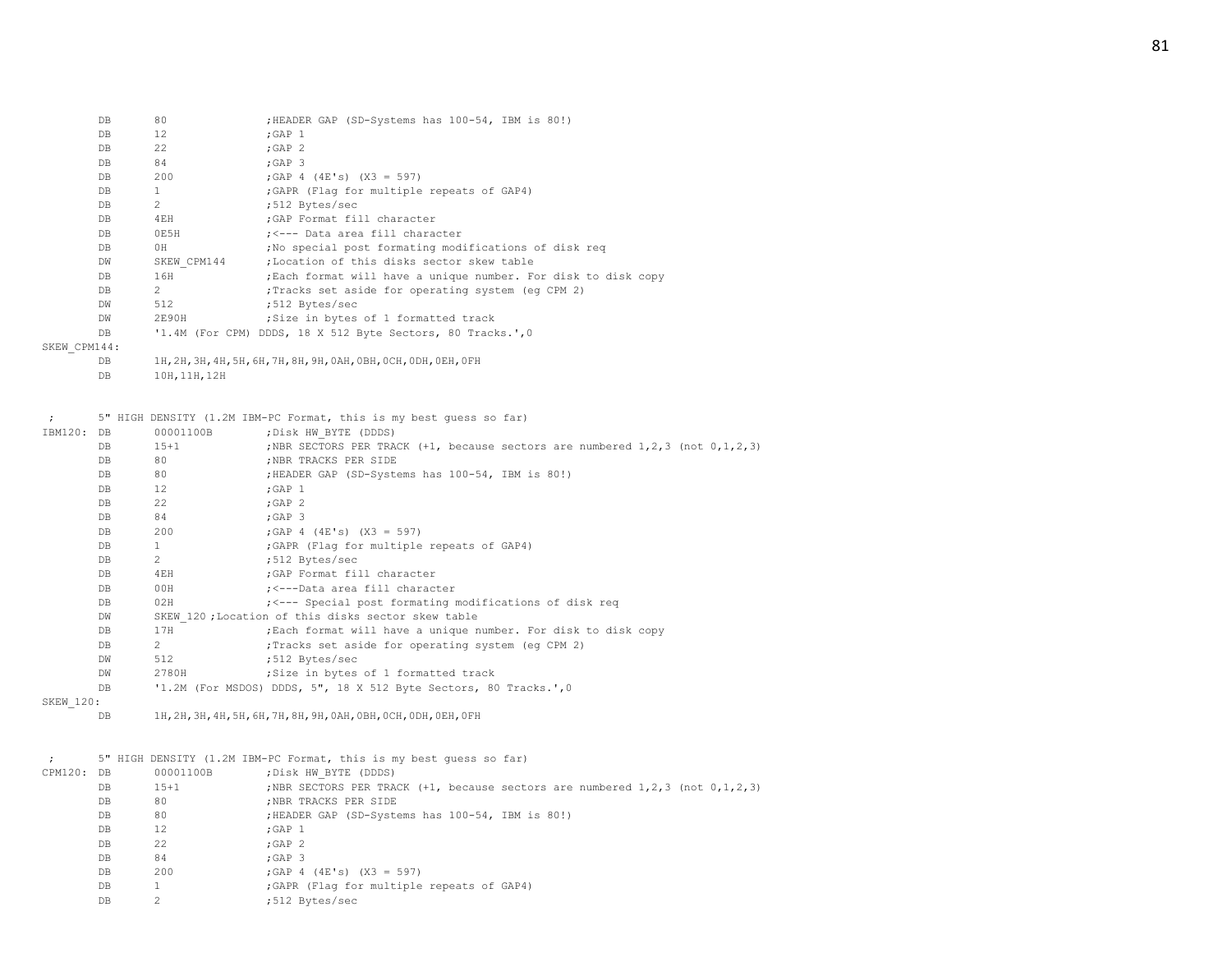| DB           | 80            | ; HEADER GAP (SD-Systems has 100-54, IBM is 80!)               |
|--------------|---------------|----------------------------------------------------------------|
| DB           | 12            | $;$ GAP $1$                                                    |
| DB           | 22            | $;GAP$ 2                                                       |
| DB           | 84            | ; GAP 3                                                        |
| DB           | 200           | ; GAP 4 $(4E's)$ $(X3 = 597)$                                  |
| DB           | 1             | ; GAPR (Flag for multiple repeats of GAP4)                     |
| DB           | 2             | ;512 Bytes/sec                                                 |
| DB           | 4EH           | ; GAP Format fill character                                    |
| DB           | OE5H          | : <--- Data area fill character                                |
| DB           | 0H            | ; No special post formating modifications of disk reg          |
| DW           | SKEW CPM144   | :Location of this disks sector skew table                      |
| DB.          | 16H           | ; Each format will have a unique number. For disk to disk copy |
| DB           | $\mathcal{L}$ | : Tracks set aside for operating system (eq CPM 2)             |
| DW           | 512           | :512 Bytes/sec                                                 |
| DW           | 2E90H         | Size in bytes of 1 formatted track                             |
| DB           |               | '1.4M (For CPM) DDDS, 18 X 512 Byte Sectors, 80 Tracks.', 0    |
| SKEW CPM144: |               |                                                                |

- DB 1H,2H,3H,4H,5H,6H,7H,8H,9H,0AH,0BH,0CH,0DH,0EH,0FH
- DB 10H,11H,12H

|            |     |                                                                       | 5" HIGH DENSITY (1.2M IBM-PC Format, this is my best quess so far)                        |  |  |  |
|------------|-----|-----------------------------------------------------------------------|-------------------------------------------------------------------------------------------|--|--|--|
| IBM120: DB |     | 00001100B                                                             | ; Disk HW BYTE (DDDS)                                                                     |  |  |  |
|            | DB. | $15 + 1$                                                              | ; NBR SECTORS PER TRACK $(+1,$ because sectors are numbered $1, 2, 3$ (not $0, 1, 2, 3$ ) |  |  |  |
|            | DB. | 80                                                                    | ; NBR TRACKS PER SIDE                                                                     |  |  |  |
|            | DB. | 80                                                                    | ; HEADER GAP (SD-Systems has 100-54, IBM is 80!)                                          |  |  |  |
|            | DB. | 12                                                                    | ; GAP 1                                                                                   |  |  |  |
|            | DB. | 22                                                                    | $;$ GAP $2$                                                                               |  |  |  |
|            | DB. | 84                                                                    | $;$ GAP $3$                                                                               |  |  |  |
|            | DB. | 200                                                                   | ; GAP $4$ (4E's) (X3 = 597)                                                               |  |  |  |
|            | DB. | $\mathbf{1}$                                                          | ; GAPR (Flag for multiple repeats of GAP4)                                                |  |  |  |
|            | DB. | $\overline{2}$                                                        | :512 Bytes/sec                                                                            |  |  |  |
|            | DB  | 4EH                                                                   | :GAP Format fill character                                                                |  |  |  |
|            | DB. | 00H                                                                   | ; <---Data area fill character                                                            |  |  |  |
|            | DB. | 02H                                                                   | ; <--- Special post formating modifications of disk reg                                   |  |  |  |
|            | DW  | SKEW 120 : Location of this disks sector skew table                   |                                                                                           |  |  |  |
|            | DB. | 17H<br>; Each format will have a unique number. For disk to disk copy |                                                                                           |  |  |  |
|            | DB. | $2^{\circ}$                                                           | ; Tracks set aside for operating system (eq CPM 2)                                        |  |  |  |
|            | DW  | 512                                                                   | :512 Bytes/sec                                                                            |  |  |  |
|            | DW  | 2780H                                                                 | ; Size in bytes of 1 formatted track                                                      |  |  |  |
|            | DB. |                                                                       | '1.2M (For MSDOS) DDDS, 5", 18 X 512 Byte Sectors, 80 Tracks.', 0                         |  |  |  |
|            |     |                                                                       |                                                                                           |  |  |  |

SKEW\_120:

DB 1H,2H,3H,4H,5H,6H,7H,8H,9H,0AH,0BH,0CH,0DH,0EH,0FH

|            |                |           | 5" HIGH DENSITY (1.2M IBM-PC Format, this is my best quess so far)                       |
|------------|----------------|-----------|------------------------------------------------------------------------------------------|
| CPM120: DB |                | 00001100B | ; Disk HW BYTE (DDDS)                                                                    |
|            | DB             | $15 + 1$  | ; NBR SECTORS PER TRACK $(+1, +1)$ because sectors are numbered 1, 2, 3 (not 0, 1, 2, 3) |
|            | DB             | 80        | ; NBR TRACKS PER SIDE                                                                    |
|            | DB             | 80        | ; HEADER GAP (SD-Systems has 100-54, IBM is 80!)                                         |
|            | DB             | 12        | $;$ GAP $\,$ 1 $\,$                                                                      |
|            | D <sub>B</sub> | 22        | $;$ GAP $2$                                                                              |
|            | D <sub>B</sub> | 84        | ;GAP <sub>3</sub>                                                                        |
|            | DB             | 200       | ; GAP 4 $(4E's)$ $(X3 = 597)$                                                            |
|            | DB             |           | ; GAPR (Flag for multiple repeats of GAP4)                                               |
|            | DB             |           | :512 Bytes/sec                                                                           |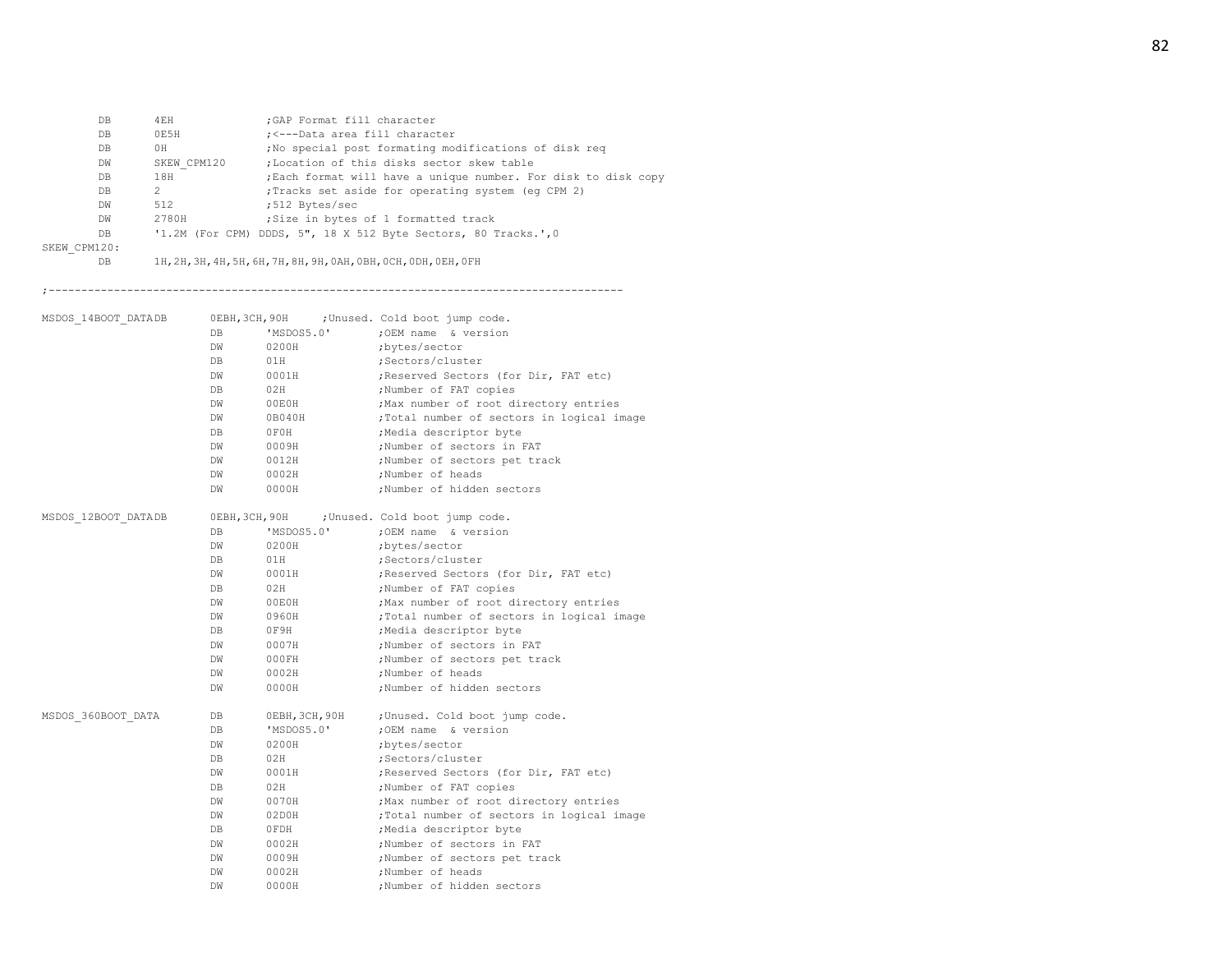| DB           | 4EH           | ; GAP Format fill character                                     |
|--------------|---------------|-----------------------------------------------------------------|
| DB           | 0E5H          | ; <---Data area fill character                                  |
| DB.          | 0H            | ; No special post formating modifications of disk req           |
| DW           | SKEW CPM120   | :Location of this disks sector skew table                       |
| DB.          | 18H           | ; Each format will have a unique number. For disk to disk copy  |
| DB.          | $\mathcal{L}$ | Tracks set aside for operating system (eq CPM 2)                |
| DW           | 512           | :512 Bytes/sec                                                  |
| DW           | 2780H         | Size in bytes of 1 formatted track                              |
| DB.          |               | '1.2M (For CPM) DDDS, 5", 18 X 512 Byte Sectors, 80 Tracks.', 0 |
| SKEW CPM120: |               |                                                                 |

DB 1H,2H,3H,4H,5H,6H,7H,8H,9H,0AH,0BH,0CH,0DH,0EH,0FH

;----------------------------------------------------------------------------------------

| MSDOS 14BOOT DATADB |                |                | OEBH, 3CH, 90H ; Unused. Cold boot jump code.                   |
|---------------------|----------------|----------------|-----------------------------------------------------------------|
|                     | DB             | 'MSDOS5.0'     | ; OEM name & version                                            |
|                     | DW             | 0200H          | ;bytes/sector                                                   |
|                     | DB             | 01H            | ;Sectors/cluster                                                |
|                     | DW             | 0001H          | ; Reserved Sectors (for Dir, FAT etc)                           |
|                     | DB             | 02H            | ;Number of FAT copies                                           |
|                     | DW             | 00E0H          | ; Max number of root directory entries                          |
|                     | DW             | 0B040H         | ;Total number of sectors in logical image                       |
|                     | DB             | OFOH           | ;Media descriptor byte                                          |
|                     | DW             | 0009H          | :Number of sectors in FAT                                       |
|                     | DW             | 0012H          | ;Number of sectors pet track                                    |
|                     | <b>DW</b>      | 0002H          | ;Number of heads                                                |
|                     | DW             | 0000H          | :Number of hidden sectors                                       |
|                     |                |                |                                                                 |
| MSDOS 12BOOT DATADB | OEBH, 3CH, 90H |                | ; Unused. Cold boot jump code.                                  |
|                     | DB             | 'MSDOS5.0'     | ; OEM name & version                                            |
|                     | DW             | 0200H          | ;bytes/sector                                                   |
|                     | DB             | 01H            | ;Sectors/cluster                                                |
|                     | <b>DW</b>      | 0001H          | ; Reserved Sectors (for Dir, FAT etc)                           |
|                     | DB             | 02H            | ;Number of FAT copies                                           |
|                     | DW             | 00E0H          | ; Max number of root directory entries                          |
|                     | <b>DW</b>      | 0960H          | ;Total number of sectors in logical image                       |
|                     | DB             | 0F9H           | ;Media descriptor byte                                          |
|                     | DW             | 0007H          | ;Number of sectors in FAT                                       |
|                     | DW             | 000FH          | ;Number of sectors pet track                                    |
|                     | DW             | 0002H          | :Number of heads                                                |
|                     | DW             | 0000H          | ;Number of hidden sectors                                       |
| MSDOS 360BOOT DATA  | DB             | OEBH, 3CH, 90H | ;Unused. Cold boot jump code.                                   |
|                     | DB             | 'MSDOS5.0'     | ;OEM name & version                                             |
|                     | DW             | 0200H          | ;bytes/sector                                                   |
|                     | DB             | 02H            | :Sectors/cluster                                                |
|                     | DW             | 0001H          | ; Reserved Sectors (for Dir, FAT etc)                           |
|                     | DB             | 02H            |                                                                 |
|                     | DW             | 0070H          | ;Number of FAT copies<br>; Max number of root directory entries |
|                     | DW             | 02DOH          | ;Total number of sectors in logical image                       |
|                     | DB             |                |                                                                 |
|                     |                | OFDH           | ;Media descriptor byte                                          |
|                     | <b>DW</b>      | 0002H          | ;Number of sectors in FAT                                       |
|                     | DW             | 0009H          | ;Number of sectors pet track                                    |
|                     | DW             | 0002H          | ;Number of heads                                                |
|                     | DW             | 0000H          | :Number of hidden sectors                                       |